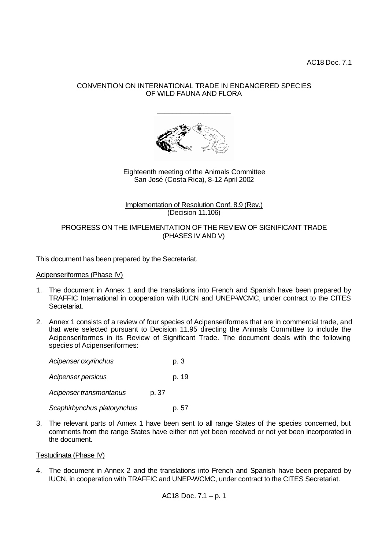AC18 Doc. 7.1

# CONVENTION ON INTERNATIONAL TRADE IN ENDANGERED SPECIES OF WILD FAUNA AND FLORA

\_\_\_\_\_\_\_\_\_\_\_\_\_\_\_\_\_\_\_



Eighteenth meeting of the Animals Committee San José (Costa Rica), 8-12 April 2002

# Implementation of Resolution Conf. 8.9 (Rev.) (Decision 11.106)

# PROGRESS ON THE IMPLEMENTATION OF THE REVIEW OF SIGNIFICANT TRADE (PHASES IV AND V)

This document has been prepared by the Secretariat.

# Acipenseriformes (Phase IV)

- 1. The document in Annex 1 and the translations into French and Spanish have been prepared by TRAFFIC International in cooperation with IUCN and UNEP-WCMC, under contract to the CITES Secretariat.
- 2. Annex 1 consists of a review of four species of Acipenseriformes that are in commercial trade, and that were selected pursuant to Decision 11.95 directing the Animals Committee to include the Acipenseriformes in its Review of Significant Trade. The document deals with the following species of Acipenseriformes:

| Acipenser oxyrinchus        |       | p. 3  |
|-----------------------------|-------|-------|
| Acipenser persicus          |       | p. 19 |
| Acipenser transmontanus     | p. 37 |       |
| Scaphirhynchus platorynchus |       | p. 57 |

3. The relevant parts of Annex 1 have been sent to all range States of the species concerned, but comments from the range States have either not yet been received or not yet been incorporated in the document.

# Testudinata (Phase IV)

4. The document in Annex 2 and the translations into French and Spanish have been prepared by IUCN, in cooperation with TRAFFIC and UNEP-WCMC, under contract to the CITES Secretariat.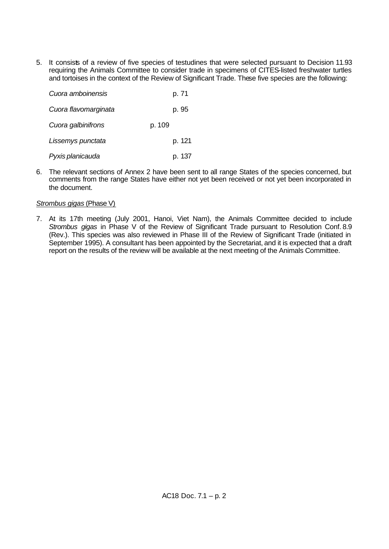5. It consists of a review of five species of testudines that were selected pursuant to Decision 11.93 requiring the Animals Committee to consider trade in specimens of CITES-listed freshwater turtles and tortoises in the context of the Review of Significant Trade. These five species are the following:

| Cuora amboinensis    |        | p. 71  |
|----------------------|--------|--------|
| Cuora flavomarginata |        | p. 95  |
| Cuora galbinifrons   | p. 109 |        |
| Lissemys punctata    |        | p. 121 |
| Pyxis planicauda     |        | p. 137 |

6. The relevant sections of Annex 2 have been sent to all range States of the species concerned, but comments from the range States have either not yet been received or not yet been incorporated in the document.

# *Strombus gigas* (Phase V)

7. At its 17th meeting (July 2001, Hanoi, Viet Nam), the Animals Committee decided to include *Strombus gigas* in Phase V of the Review of Significant Trade pursuant to Resolution Conf. 8.9 (Rev.). This species was also reviewed in Phase III of the Review of Significant Trade (initiated in September 1995). A consultant has been appointed by the Secretariat, and it is expected that a draft report on the results of the review will be available at the next meeting of the Animals Committee.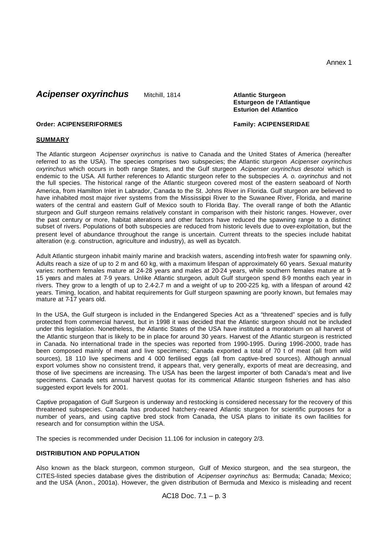# **Acipenser oxyrinchus** Mitchill, 1814 **Atlantic Sturgeon**

# **Esturgeon de l'Atlantique Esturion del Atlantico**

# **Order: ACIPENSERIFORMES Family: ACIPENSERIDAE**

# **SUMMARY**

The Atlantic sturgeon *Acipenser oxyrinchus* is native to Canada and the United States of America (hereafter referred to as the USA). The species comprises two subspecies; the Atlantic sturgeon *Acipenser oxyrinchus oxyrinchus* which occurs in both range States, and the Gulf sturgeon *Acipenser oxyrinchus desotoi* which is endemic to the USA*.* All further references to Atlantic sturgeon refer to the subspecies *A. o. oxyrinchus* and not the full species. The historical range of the Atlantic sturgeon covered most of the eastern seaboard of North America, from Hamilton Inlet in Labrador, Canada to the St. Johns River in Florida. Gulf sturgeon are believed to have inhabited most major river systems from the Mississippi River to the Suwanee River, Florida, and marine waters of the central and eastern Gulf of Mexico south to Florida Bay. The overall range of both the Atlantic sturgeon and Gulf sturgeon remains relatively constant in comparison with their historic ranges. However, over the past century or more, habitat alterations and other factors have reduced the spawning range to a distinct subset of rivers. Populations of both subspecies are reduced from historic levels due to over-exploitation, but the present level of abundance throughout the range is uncertain. Current threats to the species include habitat alteration (e.g. construction, agriculture and industry), as well as bycatch.

Adult Atlantic sturgeon inhabit mainly marine and brackish waters, ascending into fresh water for spawning only. Adults reach a size of up to 2 m and 60 kg, with a maximum lifespan of approximately 60 years. Sexual maturity varies: northern females mature at 24-28 years and males at 20-24 years, while southern females mature at 9-15 years and males at 7-9 years. Unlike Atlantic sturgeon*,* adult Gulf sturgeon spend 8-9 months each year in rivers. They grow to a length of up to 2.4-2.7 m and a weight of up to 200-225 kg, with a lifespan of around 42 years. Timing, location, and habitat requirements for Gulf sturgeon spawning are poorly known, but females may mature at 7-17 years old.

In the USA, the Gulf sturgeon is included in the Endangered Species Act as a "threatened" species and is fully protected from commercial harvest, but in 1998 it was decided that the Atlantic sturgeon should not be included under this legislation. Nonetheless, the Atlantic States of the USA have instituted a moratorium on all harvest of the Atlantic sturgeon that is likely to be in place for around 30 years. Harvest of the Atlantic sturgeon is restricted in Canada. No international trade in the species was reported from 1990-1995. During 1996-2000, trade has been composed mainly of meat and live specimens; Canada exported a total of 70 t of meat (all from wild sources), 18 110 live specimens and 4 000 fertilised eggs (all from captive-bred sources). Although annual export volumes show no consistent trend, it appears that, very generally, exports of meat are decreasing, and those of live specimens are increasing. The USA has been the largest importer of both Canada's meat and live specimens. Canada sets annual harvest quotas for its commerical Atlantic sturgeon fisheries and has also suggested export levels for 2001.

Captive propagation of Gulf Surgeon is underway and restocking is considered necessary for the recovery of this threatened subspecies. Canada has produced hatchery-reared Atlantic sturgeon for scientific purposes for a number of years, and using captive bred stock from Canada, the USA plans to initiate its own facilities for research and for consumption within the USA.

The species is recommended under Decision 11.106 for inclusion in category 2/3.

# **DISTRIBUTION AND POPULATION**

Also known as the black sturgeon, common sturgeon, Gulf of Mexico sturgeon, and the sea sturgeon, the CITES-listed species database gives the distribution of *Acipenser oxyrinchus* as: Bermuda; Canada; Mexico; and the USA (Anon., 2001a). However, the given distribution of Bermuda and Mexico is misleading and recent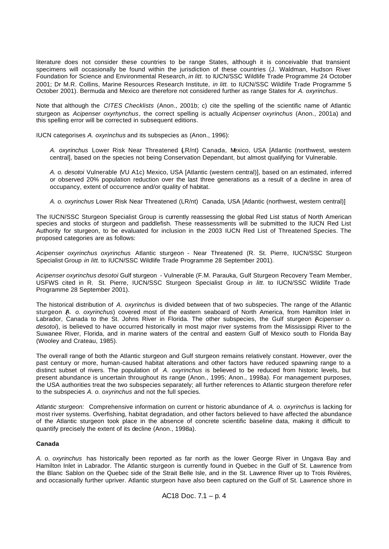literature does not consider these countries to be range States, although it is conceivable that transient specimens will occasionally be found within the jurisdiction of these countries (J. Waldman, Hudson River Foundation for Science and Environmental Research, *in litt.* to IUCN/SSC Wildlife Trade Programme 24 October 2001; Dr M.R. Collins, Marine Resources Research Institute, *in litt.* to IUCN/SSC Wildlife Trade Programme 5 October 2001). Bermuda and Mexico are therefore not considered further as range States for *A. oxyrinchus*.

Note that although the *CITES Checklists* (Anon., 2001b; c) cite the spelling of the scientific name of Atlantic sturgeon as *Acipenser oxyrhynchus*, the correct spelling is actually *Acipenser oxyrinchus* (Anon., 2001a) and this spelling error will be corrected in subsequent editions.

IUCN categorises *A. oxyrinchus* and its subspecies as (Anon., 1996):

*A. oxyrinchus* Lower Risk Near Threatened (LR/nt) Canada, Mexico, USA [Atlantic (northwest, western central], based on the species not being Conservation Dependant, but almost qualifying for Vulnerable.

*A. o. desotoi* Vulnerable (VU A1c) Mexico, USA [Atlantic (western central)], based on an estimated, inferred or observed 20% population reduction over the last three generations as a result of a decline in area of occupancy, extent of occurrence and/or quality of habitat.

*A. o. oxyrinchus* Lower Risk Near Threatened (LR/nt) Canada, USA [Atlantic (northwest, western central)]

The IUCN/SSC Sturgeon Specialist Group is currently reassessing the global Red List status of North American species and stocks of sturgeon and paddlefish. These reassessments will be submitted to the IUCN Red List Authority for sturgeon, to be evaluated for inclusion in the 2003 IUCN Red List of Threatened Species. The proposed categories are as follows:

*Acipenser oxyrinchus oxyrinchus* Atlantic sturgeon - Near Threatened (R. St. Pierre, IUCN/SSC Sturgeon Specialist Group *in litt*. to IUCN/SSC Wildlife Trade Programme 28 September 2001).

*Acipenser oxyrinchus desotoi* Gulf sturgeon - Vulnerable (F.M. Parauka, Gulf Sturgeon Recovery Team Member, USFWS cited in R. St. Pierre, IUCN/SSC Sturgeon Specialist Group *in litt*. to IUCN/SSC Wildlife Trade Programme 28 September 2001).

The historical distribution of *A. oxyrinchus* is divided between that of two subspecies. The range of the Atlantic sturgeon (*A. o. oxyrinchus*) covered most of the eastern seaboard of North America, from Hamilton Inlet in Labrador, Canada to the St. Johns River in Florida. The other subspecies, the Gulf sturgeon (*Acipenser o. desotoi*), is believed to have occurred historically in most major river systems from the Mississippi River to the Suwanee River, Florida, and in marine waters of the central and eastern Gulf of Mexico south to Florida Bay (Wooley and Crateau, 1985).

The overall range of both the Atlantic sturgeon and Gulf sturgeon remains relatively constant. However, over the past century or more, human-caused habitat alterations and other factors have reduced spawning range to a distinct subset of rivers. The population of *A. oxyrinchus* is believed to be reduced from historic levels, but present abundance is uncertain throughout its range (Anon., 1995; Anon., 1998a). For management purposes, the USA authorities treat the two subspecies separately; all further references to Atlantic sturgeon therefore refer to the subspecies *A. o. oxyrinchus* and not the full species.

*Atlantic sturgeon:* Comprehensive information on current or historic abundance of *A. o. oxyrinchus* is lacking for most river systems. Overfishing, habitat degradation, and other factors believed to have affected the abundance of the Atlantic sturgeon took place in the absence of concrete scientific baseline data, making it difficult to quantify precisely the extent of its decline (Anon., 1998a).

# **Canada**

*A. o. oxyrinchus* has historically been reported as far north as the lower George River in Ungava Bay and Hamilton Inlet in Labrador. The Atlantic sturgeon is currently found in Quebec in the Gulf of St. Lawrence from the Blanc Sablon on the Quebec side of the Strait Belle Isle, and in the St. Lawrence River up to Trois Rivières, and occasionally further upriver. Atlantic sturgeon have also been captured on the Gulf of St. Lawrence shore in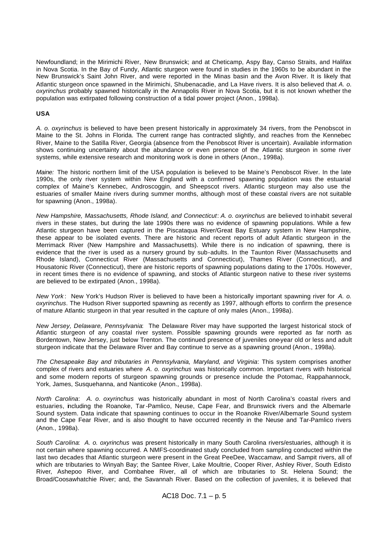Newfoundland; in the Mirimichi River, New Brunswick; and at Cheticamp, Aspy Bay, Canso Straits, and Halifax in Nova Scotia. In the Bay of Fundy, Atlantic sturgeon were found in studies in the 1960s to be abundant in the New Brunswick's Saint John River, and were reported in the Minas basin and the Avon River. It is likely that Atlantic sturgeon once spawned in the Mirimichi, Shubenacadie, and La Have rivers. It is also believed that *A. o. oxyrinchus* probably spawned historically in the Annapolis River in Nova Scotia, but it is not known whether the population was extirpated following construction of a tidal power project (Anon., 1998a).

# **USA**

*A. o. oxyrinchus* is believed to have been present historically in approximately 34 rivers, from the Penobscot in Maine to the St. Johns in Florida. The current range has contracted slightly, and reaches from the Kennebec River, Maine to the Satilla River, Georgia (absence from the Penobscot River is uncertain). Available information shows continuing uncertainty about the abundance or even presence of the Atlantic sturgeon in some river systems, while extensive research and monitoring work is done in others (Anon., 1998a).

*Maine:* The historic northern limit of the USA population is believed to be Maine's Penobscot River. In the late 1990s, the only river system within New England with a confirmed spawning population was the estuarial complex of Maine's Kennebec, Androscoggin, and Sheepscot rivers. Atlantic sturgeon may also use the estuaries of smaller Maine rivers during summer months, although most of these coastal rivers are not suitable for spawning (Anon., 1998a).

*New Hampshire, Massachusetts, Rhode Island, and Connecticut*: *A. o. oxyrinchus* are believed to inhabit several rivers in these states, but during the late 1990s there was no evidence of spawning populations. While a few Atlantic sturgeon have been captured in the Piscataqua River/Great Bay Estuary system in New Hampshire, these appear to be isolated events. There are historic and recent reports of adult Atlantic sturgeon in the Merrimack River (New Hampshire and Massachusetts). While there is no indication of spawning, there is evidence that the river is used as a nursery ground by sub-adults. In the Taunton River (Massachusetts and Rhode Island), Connecticut River (Massachusetts and Connecticut), Thames River (Connecticut), and Housatonic River (Connecticut), there are historic reports of spawning populations dating to the 1700s. However, in recent times there is no evidence of spawning, and stocks of Atlantic sturgeon native to these river systems are believed to be extirpated (Anon., 1998a).

*New York* : New York's Hudson River is believed to have been a historically important spawning river for *A. o. oxyrinchus*. The Hudson River supported spawning as recently as 1997, although efforts to confirm the presence of mature Atlantic sturgeon in that year resulted in the capture of only males (Anon., 1998a).

*New Jersey, Delaware, Pennsylvania*: The Delaware River may have supported the largest historical stock of Atlantic sturgeon of any coastal river system. Possible spawning grounds were reported as far north as Bordentown, New Jersey, just below Trenton. The continued presence of juveniles one-year old or less and adult sturgeon indicate that the Delaware River and Bay continue to serve as a spawning ground (Anon., 1998a).

*The Chesapeake Bay and tributaries in Pennsylvania, Maryland, and Virginia*: This system comprises another complex of rivers and estuaries where *A. o. oxyrinchus* was historically common. Important rivers with historical and some modern reports of sturgeon spawning grounds or presence include the Potomac, Rappahannock, York, James, Susquehanna, and Nanticoke (Anon., 1998a).

*North Carolina*: *A. o. oxyrinchus* was historically abundant in most of North Carolina's coastal rivers and estuaries, including the Roanoke, Tar-Pamlico, Neuse, Cape Fear, and Brunswick rivers and the Albemarle Sound system. Data indicate that spawning continues to occur in the Roanoke River/Albemarle Sound system and the Cape Fear River, and is also thought to have occurred recently in the Neuse and Tar-Pamlico rivers (Anon., 1998a).

*South Carolina*: *A. o. oxyrinchus* was present historically in many South Carolina rivers/estuaries, although it is not certain where spawning occurred. A NMFS-coordinated study concluded from sampling conducted within the last two decades that Atlantic sturgeon were present in the Great PeeDee, Waccamaw, and Sampit rivers, all of which are tributaries to Winyah Bay; the Santee River, Lake Moultrie, Cooper River, Ashley River, South Edisto River, Ashepoo River, and Combahee River, all of which are tributaries to St. Helena Sound; the Broad/Coosawhatchie River; and, the Savannah River. Based on the collection of juveniles, it is believed that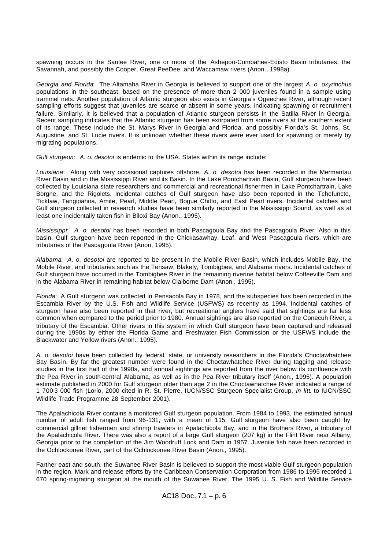spawning occurs in the Santee River, one or more of the Ashepoo-Combahee-Edisto Basin tributaries, the Savannah, and possibly the Cooper, Great PeeDee, and Waccamaw rivers (Anon., 1998a).

*Georgia and Florida*: The Altamaha River in Georgia is believed to support one of the largest *A. o. oxyrinchus*  populations in the southeast, based on the presence of more than 2 000 juveniles found in a sample using trammel nets. Another population of Atlantic sturgeon also exists in Georgia's Ogeechee River, although recent sampling efforts suggest that juveniles are scarce or absent in some years, indicating spawning or recruitment failure. Similarly, it is believed that a population of Atlantic sturgeon persists in the Satilla River in Georgia. Recent sampling indicates that the Atlantic sturgeon has been extirpated from some rivers at the southern extent of its range. These include the St. Marys River in Georgia and Florida, and possibly Florida's St. Johns, St. Augustine, and St. Lucie rivers. It is unknown whether these rivers were ever used for spawning or merely by migrating populations.

*Gulf sturgeon: A. o. desotoi* is endemic to the USA. States within its range include:

*Louisiana*: Along with very occasional captures offshore, *A. o. desotoi* has been recorded in the Mermantau River Basin and in the Mississippi River and its Basin. In the Lake Pontchartrain Basin, Gulf sturgeon have been collected by Louisiana state researchers and commercial and recreational fishermen in Lake Pontchartrain, Lake Borgne, and the Rigolets. Incidental catches of Gulf sturgeon have also been reported in the Tchefuncte, Tickfaw, Tangipahoa, Amite, Pearl, Middle Pearl, Bogue Chitto, and East Pearl rivers. Incidental catches and Gulf sturgeon collected in research studies have been similarly reported in the Mississippi Sound, as well as at least one incidentally taken fish in Biloxi Bay (Anon., 1995).

*Mississippi*: *A. o. desotoi* has been recorded in both Pascagoula Bay and the Pascagoula River. Also in this basin, Gulf sturgeon have been reported in the Chickasawhay, Leaf, and West Pascagoula rivers, which are tributaries of the Pascagoula River (Anon, 1995).

*Alabama*: *A. o. desotoi* are reported to be present in the Mobile River Basin, which includes Mobile Bay, the Mobile River, and tributaries such as the Tensaw, Blakely, Tombigbee, and Alabama rivers. Incidental catches of Gulf sturgeon have occurred in the Tombigbee River in the remaining riverine habitat below Coffeeville Dam and in the Alabama River in remaining habitat below Claiborne Dam (Anon., 1995).

*Florida*: A Gulf sturgeon was collected in Pensacola Bay in 1978, and the subspecies has been recorded in the Escambia River by the U.S. Fish and Wildlife Service (USFWS) as recently as 1994. Incidental catches of sturgeon have also been reported in that river, but recreational anglers have said that sightings are far less common when compared to the period prior to 1980. Annual sightings are also reported on the Conecuh River, a tributary of the Escambia. Other rivers in this system in which Gulf sturgeon have been captured and released during the 1990s by either the Florida Game and Freshwater Fish Commission or the USFWS include the Blackwater and Yellow rivers (Anon., 1995).

*A. o. desotoi* have been collected by federal, state, or university researchers in the Florida's Choctawhatchee Bay Basin. By far the greatest number were found in the Choctawhatchee River during tagging and release studies in the first half of the 1990s, and annual sightings are reported from the river below its confluence with the Pea River in south-central Alabama, as well as in the Pea River tributary itself (Anon., 1995). A population estimate published in 2000 for Gulf sturgeon older than age 2 in the Choctawhatchee River indicated a range of 1 700-3 000 fish (Lorio, 2000 cited in R. St. Pierre, IUCN/SSC Sturgeon Specialist Group, *in litt*. to IUCN/SSC Wildlife Trade Programme 28 September 2001).

The Apalachicola River contains a monitored Gulf sturgeon population. From 1984 to 1993, the estimated annual number of adult fish ranged from 96-131, with a mean of 115. Gulf sturgeon have also been caught by commercial gillnet fishermen and shrimp trawlers in Apalachicola Bay, and in the Brothers River, a tributary of the Apalachicola River. There was also a report of a large Gulf sturgeon (207 kg) in the Flint River near Albany, Georgia prior to the completion of the Jim Woodruff Lock and Dam in 1957. Juvenile fish have been recorded in the Ochlockonee River, part of the Ochlockonee River Basin (Anon., 1995).

Farther east and south, the Suwanee River Basin is believed to support the most viable Gulf sturgeon population in the region. Mark and release efforts by the Caribbean Conservation Corporation from 1986 to 1995 recorded 1 670 spring-migrating sturgeon at the mouth of the Suwanee River. The 1995 U. S. Fish and Wildlife Service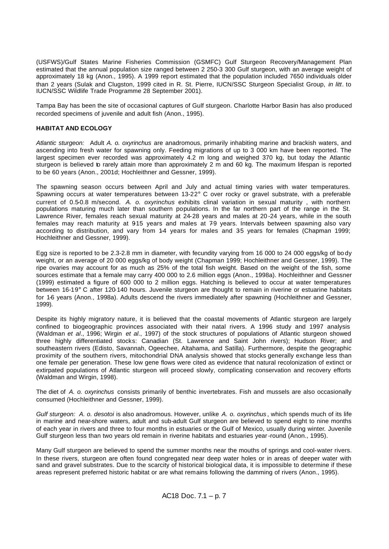(USFWS)/Gulf States Marine Fisheries Commission (GSMFC) Gulf Sturgeon Recovery/Management Plan estimated that the annual population size ranged between 2 250-3 300 Gulf sturgeon, with an average weight of approximately 18 kg (Anon., 1995). A 1999 report estimated that the population included 7650 individuals older than 2 years (Sulak and Clugston, 1999 cited in R. St. Pierre, IUCN/SSC Sturgeon Specialist Group, *in litt*. to IUCN/SSC Wildlife Trade Programme 28 September 2001).

Tampa Bay has been the site of occasional captures of Gulf sturgeon. Charlotte Harbor Basin has also produced recorded specimens of juvenile and adult fish (Anon., 1995).

# **HABITAT AND ECOLOGY**

*Atlantic sturgeon:* Adult *A. o. oxyrinchus* are anadromous, primarily inhabiting marine and brackish waters, and ascending into fresh water for spawning only. Feeding migrations of up to 3 000 km have been reported. The largest specimen ever recorded was approximately 4.2 m long and weighed 370 kg, but today the Atlantic sturgeon is believed to rarely attain more than approximately 2 m and 60 kg. The maximum lifespan is reported to be 60 years (Anon., 2001d; Hochleithner and Gessner, 1999).

The spawning season occurs between April and July and actual timing varies with water temperatures. Spawning occurs at water temperatures between 13-22° C over rocky or gravel substrate, with a preferable current of 0.5-0.8 m/second. *A. o. oxyrinchus* exhibits clinal variation in sexual maturity , with northern populations maturing much later than southern populations. In the far northern part of the range in the St. Lawrence River, females reach sexual maturity at 24-28 years and males at 20 -24 years, while in the south females may reach maturity at 915 years and males at 79 years. Intervals between spawning also vary according to distribution, and vary from 1-4 years for males and 35 years for females (Chapman 1999; Hochleithner and Gessner, 1999).

Egg size is reported to be 2.3-2.8 mm in diameter, with fecundity varying from 16 000 to 24 000 eggs/kg of bo dy weight, or an average of 20 000 eggs/kg of body weight (Chapman 1999; Hochleithner and Gessner, 1999). The ripe ovaries may account for as much as 25% of the total fish weight. Based on the weight of the fish, some sources estimate that a female may carry 400 000 to 2.6 million eggs (Anon., 1998a). Hochleithner and Gessner (1999) estimated a figure of 600 000 to 2 million eggs. Hatching is believed to occur at water temperatures between 16-19° C after 120-140 hours. Juvenile sturgeon are thought to remain in riverine or estuarine habitats for 1-6 years (Anon., 1998a). Adults descend the rivers immediately after spawning (Hochleithner and Gessner, 1999).

Despite its highly migratory nature, it is believed that the coastal movements of Atlantic sturgeon are largely confined to biogeographic provinces associated with their natal rivers. A 1996 study and 1997 analysis (Waldman *et al*., 1996; Wirgin *et al*., 1997) of the stock structures of populations of Atlantic sturgeon showed three highly differentiated stocks: Canadian (St. Lawrence and Saint John rivers); Hudson River; and southeastern rivers (Edisto, Savannah, Ogeechee, Altahama, and Satilla). Furthermore, despite the geographic proximity of the southern rivers, mitochondrial DNA analysis showed that stocks generally exchange less than one female per generation. These low gene flows were cited as evidence that natural recolonization of extinct or extirpated populations of Atlantic sturgeon will proceed slowly, complicating conservation and recovery efforts (Waldman and Wirgin, 1998).

The diet of *A. o. oxyrinchus* consists primarily of benthic invertebrates. Fish and mussels are also occasionally consumed (Hochleithner and Gessner, 1999).

*Gulf sturgeon: A. o. desotoi* is also anadromous. However, unlike *A. o. oxyrinchus* , which spends much of its life in marine and near-shore waters, adult and sub-adult Gulf sturgeon are believed to spend eight to nine months of each year in rivers and three to four months in estuaries or the Gulf of Mexico, usually during winter. Juvenile Gulf sturgeon less than two years old remain in riverine habitats and estuaries year-round (Anon., 1995).

Many Gulf sturgeon are believed to spend the summer months near the mouths of springs and cool-water rivers. In these rivers, sturgeon are often found congregated near deep water holes or in areas of deeper water with sand and gravel substrates. Due to the scarcity of historical biological data, it is impossible to determine if these areas represent preferred historic habitat or are what remains following the damming of rivers (Anon., 1995).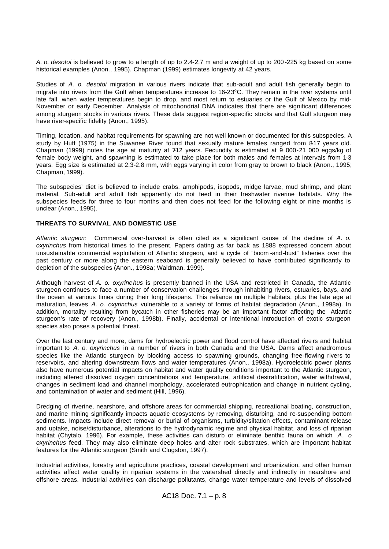*A. o. desotoi* is believed to grow to a length of up to 2.4-2.7 m and a weight of up to 200 -225 kg based on some historical examples (Anon., 1995). Chapman (1999) estimates longevity at 42 years.

Studies of *A. o. desotoi* migration in various rivers indicate that sub-adult and adult fish generally begin to migrate into rivers from the Gulf when temperatures increase to 16-23°C. They remain in the river systems until late fall, when water temperatures begin to drop, and most return to estuaries or the Gulf of Mexico by mid-November or early December. Analysis of mitochondrial DNA indicates that there are significant differences among sturgeon stocks in various rivers. These data suggest region-specific stocks and that Gulf sturgeon may have river-specific fidelity (Anon., 1995).

Timing, location, and habitat requirements for spawning are not well known or documented for this subspecies. A study by Huff (1975) in the Suwanee River found that sexually mature emales ranged from 817 years old. Chapman (1999) notes the age at maturity at 712 years. Fecundity is estimated at 9 000-21 000 eggs/kg of female body weight, and spawning is estimated to take place for both males and females at intervals from 1-3 years. Egg size is estimated at 2.3-2.8 mm, with eggs varying in color from gray to brown to black (Anon., 1995; Chapman, 1999).

The subspecies' diet is believed to include crabs, amphipods, isopods, midge larvae, mud shrimp, and plant material. Sub-adult and ad ult fish apparently do not feed in their freshwater riverine habitats. Why the subspecies feeds for three to four months and then does not feed for the following eight or nine months is unclear (Anon., 1995).

# **THREATS TO SURVIVAL AND DOMESTIC USE**

*Atlantic sturgeon:* Commercial over-harvest is often cited as a significant cause of the decline of *A. o. oxyrinchus* from historical times to the present. Papers dating as far back as 1888 expressed concern about unsustainable commercial exploitation of Atlantic sturgeon, and a cycle of "boom -and-bust" fisheries over the past century or more along the eastern seaboard is generally believed to have contributed significantly to depletion of the subspecies (Anon., 1998a; Waldman, 1999).

Although harvest of *A. o. oxyrinc hus* is presently banned in the USA and restricted in Canada, the Atlantic sturgeon continues to face a number of conservation challenges through inhabiting rivers, estuaries, bays, and the ocean at various times during their long lifespans. This reliance on multiple habitats, plus the late age at maturation, leaves *A. o. oxyrinchus* vulnerable to a variety of forms of habitat degradation (Anon., 1998a). In addition, mortality resulting from bycatch in other fisheries may be an important factor affecting the Atlantic sturgeon's rate of recovery (Anon., 1998b). Finally, accidental or intentional introduction of exotic sturgeon species also poses a potential threat.

Over the last century and more, dams for hydroelectric power and flood control have affected rive rs and habitat important to *A. o. oxyrinchus* in a number of rivers in both Canada and the USA. Dams affect anadromous species like the Atlantic sturgeon by blocking access to spawning grounds, changing free-flowing rivers to reservoirs, and altering downstream flows and water temperatures (Anon., 1998a). Hydroelectric power plants also have numerous potential impacts on habitat and water quality conditions important to the Atlantic sturgeon, including altered dissolved oxygen concentrations and temperature, artificial destratification, water withdrawal, changes in sediment load and channel morphology, accelerated eutrophication and change in nutrient cycling, and contamination of water and sediment (Hill, 1996).

Dredging of riverine, nearshore, and offshore areas for commercial shipping, recreational boating, construction, and marine mining significantly impacts aquatic ecosystems by removing, disturbing, and re-suspending bottom sediments. Impacts include direct removal or burial of organisms, turbidity/siltation effects, contaminant release and uptake, noise/disturbance, alterations to the hydrodynamic regime and physical habitat, and loss of riparian habitat (Chytalo, 1996). For example, these activities can disturb or eliminate benthic fauna on which *A. o. oxyrinchus* feed. They may also eliminate deep holes and alter rock substrates, which are important habitat features for the Atlantic sturgeon (Smith and Clugston, 1997).

Industrial activities, forestry and agriculture practices, coastal development and urbanization, and other human activities affect water quality in riparian systems in the watershed directly and indirectly in nearshore and offshore areas. Industrial activities can discharge pollutants, change water temperature and levels of dissolved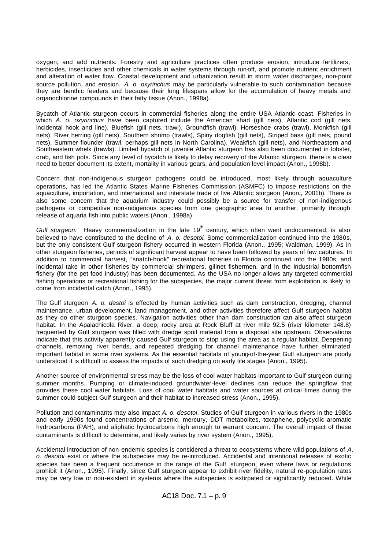oxygen, and add nutrients. Forestry and agriculture practices often produce erosion, introduce fertilizers, herbicides, insecticides and other chemicals in water systems through run-off, and promote nutrient enrichment and alteration of water flow. Coastal development and urbanization result in storm water discharges, non-point source pollution, and erosion. *A. o. oxyrinchus* may be particularly vulnerable to such contamination because they are benthic feeders and because their long lifespans allow for the accumulation of heavy metals and organochlorine compounds in their fatty tissue (Anon., 1998a).

Bycatch of Atlantic sturgeon occurs in commercial fisheries along the entire USA Atlantic coast. Fisheries in which *A. o. oxyrinchus* have been captured include the American shad (gill nets), Atlantic cod (gill nets, incidental hook and line), Bluefish (gill nets, trawl), Groundfish (trawl), Horseshoe crabs (trawl), Monkfish (gill nets), River herring (gill nets), Southern shrimp (trawls), Spiny dogfish (gill nets), Striped bass (gill nets, pound nets), Summer flounder (trawl, perhaps gill nets in North Carolina), Weakfish (gill nets), and Northeastern and Southeastern whelk (trawls). Limited bycatch of juvenile Atlantic sturgeon has also been documented in lobster, crab, and fish pots. Since any level of bycatch is likely to delay recovery of the Atlantic sturgeon, there is a clear need to better document its extent, mortality in various gears, and population level impact (Anon., 1998b).

Concern that non-indigenous sturgeon pathogens could be introduced, most likely through aquaculture operations, has led the Atlantic States Marine Fisheries Commission (ASMFC) to impose restrictions on the aquaculture, importation, and international and interstate trade of live Atlantic sturgeon (Anon., 2001b). There is also some concern that the aquarium industry could possibly be a source for transfer of non-indigenous pathogens or competitive non-indigenous species from one geographic area to another, primarily through release of aquaria fish into public waters (Anon., 1998a).

*Gulf sturgeon:* Heavy commercialization in the late 19<sup>th</sup> century, which often went undocumented, is also believed to have contributed to the decline of *A. o. desotoi*. Some commercialization continued into the 1980s, but the only consistent Gulf sturgeon fishery occurred in western Florida (Anon., 1995; Waldman, 1999). As in other sturgeon fisheries, periods of significant harvest appear to have been followed by years of few captures. In addition to commercial harvest, "snatch-hook" recreational fisheries in Florida continued into the 1980s, and incidental take in other fisheries by commercial shrimpers, gillnet fishermen, and in the industrial bottomfish fishery (for the pet food industry) has been documented. As the USA no longer allows any targeted commercial fishing operations or recreational fishing for the subspecies, the major current threat from exploitation is likely to come from incidental catch (Anon., 1995).

The Gulf sturgeon *A. o. destoi* is effected by human activities such as dam construction, dredging, channel maintenance, urban development, land management, and other activities therefore affect Gulf sturgeon habitat as they do other sturgeon species. Navigation activities other than dam construction can also affect sturgeon habitat. In the Apalachicola River, a deep, rocky area at Rock Bluff at river mile 92.5 (river kilometer 148.8) frequented by Gulf sturgeon was filled with dredge spoil material from a disposal site upstream. Observations indicate that this activity apparently caused Gulf sturgeon to stop using the area as a regular habitat. Deepening channels, removing river bends, and repeated dredging for channel maintenance have further eliminated important habitat in some river systems. As the essential habitats of young-of-the-year Gulf sturgeon are poorly understood it is difficult to assess the impacts of such dredging on early life stages (Anon., 1995).

Another source of environmental stress may be the loss of cool water habitats important to Gulf sturgeon during summer months. Pumping or climate-induced groundwater-level declines can reduce the springflow that provides these cool water habitats. Loss of cool water habitats and water sources at critical times during the summer could subject Gulf sturgeon and their habitat to increased stress (Anon., 1995).

Pollution and contaminants may also impact *A. o. desotoi*. Studies of Gulf sturgeon in various rivers in the 1980s and early 1990s found concentrations of arsenic, mercury, DDT metabolites, toxaphene, polycyclic aromatic hydrocarbons (PAH), and aliphatic hydrocarbons high enough to warrant concern. The overall impact of these contaminants is difficult to determine, and likely varies by river system (Anon., 1995).

Accidental introduction of non-endemic species is considered a threat to ecosystems where wild populations of *A. o. desotoi* exist or where the subspecies may be re-introduced. Accidental and intentional releases of exotic species has been a frequent occurrence in the range of the Gulf sturgeon, even where laws or regulations prohibit it (Anon., 1995). Finally, since Gulf sturgeon appear to exhibit river fidelity, natural re-population rates may be very low or non-existent in systems where the subspecies is extirpated or significantly reduced. While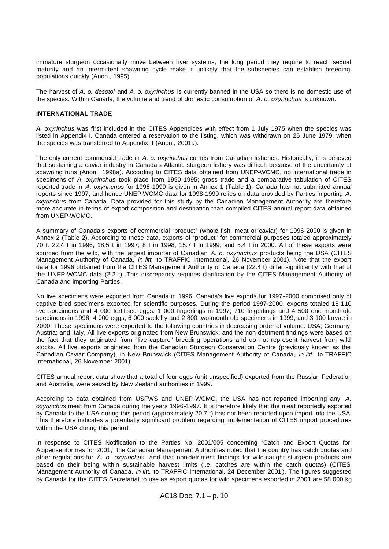immature sturgeon occasionally move between river systems, the long period they require to reach sexual maturity and an intermittent spawning cycle make it unlikely that the subspecies can establish breeding populations quickly (Anon., 1995).

The harvest of *A. o. desotoi* and *A. o. oxyrinchus* is currently banned in the USA so there is no domestic use of the species. Within Canada, the volume and trend of domestic consumption of *A. o. oxyrinchus* is unknown.

# **INTERNATIONAL TRADE**

*A. oxyrinchus* was first included in the CITES Appendices with effect from 1 July 1975 when the species was listed in Appendix I. Canada entered a reservation to the listing, which was withdrawn on 26 June 1979, when the species was transferred to Appendix II (Anon., 2001a).

The only current commercial trade in *A. o. oxyrinchus* comes from Canadian fisheries. Historically, it is believed that sustaining a caviar industry in Canada's Atlantic sturgeon fishery was difficult because of the uncertainty of spawning runs (Anon., 1998a). According to CITES data obtained from UNEP-WCMC, no international trade in specimens of *A. oxyrinchus* took place from 1990-1995; gross trade and a comparative tabulation of CITES reported trade in *A. oxyrinchus* for 1996-1999 is given in Annex 1 (Table 1). Canada has not submitted annual reports since 1997, and hence UNEP-WCMC data for 1998-1999 relies on data provided by Parties importing *A. oxyrinchus* from Canada. Data provided for this study by the Canadian Management Authority are therefore more accurate in terms of export composition and destination than compiled CITES annual report data obtained from UNEP-WCMC.

A summary of Canada's exports of commercial "product" (whole fish, meat or caviar) for 1996-2000 is given in Annex 2 (Table 2). According to these data, exports of "product" for commercial purposes totaled approximately 70 t: 22.4 t in 1996; 18.5 t in 1997; 8 t in 1998; 15.7 t in 1999; and 5.4 t in 2000. All of these exports were sourced from the wild, with the largest importer of Canadian *A. o. oxyrinchus* products being the USA (CITES Management Authority of Canada, *in litt.* to TRAFFIC International, 26 November 2001). Note that the export data for 1996 obtained from the CITES Management Authority of Canada (22.4 t) differ significantly with that of the UNEP-WCMC data (2.2 t). This discrepancy requires clarification by the CITES Management Authority of Canada and importing Parties.

No live specimens were exported from Canada in 1996. Canada's live exports for 1997-2000 comprised only of captive bred specimens exported for scientific purposes. During the period 1997-2000, exports totaled 18 110 live specimens and 4 000 fertilised eggs: 1 000 fingerlings in 1997; 710 fingerlings and 4 500 one month-old specimens in 1998; 4 000 eggs, 6 000 sack fry and 2 800 two-month old specimens in 1999; and 3 100 larvae in 2000. These specimens were exported to the following countries in decreasing order of volume: USA; Germany; Austria; and Italy. All live exports originated from New Brunswick, and the non-detriment findings were based on the fact that they originated from "live -capture" breeding operations and do not represent harvest from wild stocks. All live exports originated from the Canadian Sturgeon Conservation Centre (previously known as the Canadian Caviar Company), in New Brunswick (CITES Management Authority of Canada, *in litt.* to TRAFFIC International, 26 November 2001).

CITES annual report data show that a total of four eggs (unit unspecified) exported from the Russian Federation and Australia, were seized by New Zealand authorities in 1999.

According to data obtained from USFWS and UNEP-WCMC, the USA has not reported importing any *A. oxyrinchus* meat from Canada during the years 1996-1997. It is therefore likely that the meat reportedly exported by Canada to the USA during this period (approximately 20.7 t) has not been reported upon import into the USA. This therefore indicates a potentially significant problem regarding implementation of CITES import procedures within the USA during this period.

In response to CITES Notification to the Parties No. 2001/005 concerning "Catch and Export Quotas for Acipenseriformes for 2001," the Canadian Management Authorities noted that the country has catch quotas and other regulations for *A. o. oxyrinchus*, and that non-detriment findings for wild-caught sturgeon products are based on their being within sustainable harvest limits (i.e. catches are within the catch quotas) (CITES Management Authority of Canada, *in litt.* to TRAFFIC International, 24 December 2001 ). The figures suggested by Canada for the CITES Secretariat to use as export quotas for wild specimens exported in 2001 are 58 000 kg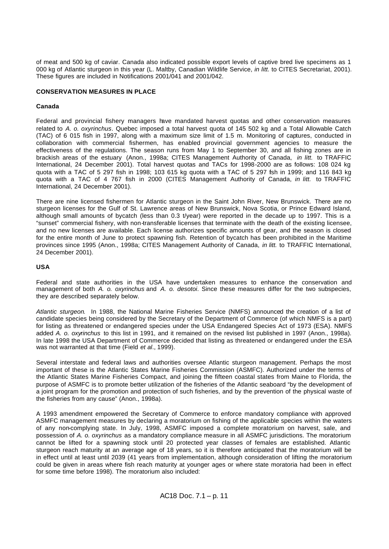of meat and 500 kg of caviar. Canada also indicated possible export levels of captive bred live specimens as 1 000 kg of Atlantic sturgeon in this year (L. Maltby, Canadian Wildlife Service, *in litt.* to CITES Secretariat, 2001). These figures are included in Notifications 2001/041 and 2001/042.

# **CONSERVATION MEASURES IN PLACE**

# **Canada**

Federal and provincial fishery managers have mandated harvest quotas and other conservation measures related to *A. o. oxyrinchus*. Quebec imposed a total harvest quota of 145 502 kg and a Total Allowable Catch (TAC) of 6 015 fish in 1997, along with a maximum size limit of 1.5 m. Monitoring of captures, conducted in collaboration with commercial fishermen, has enabled provincial government agencies to measure the effectiveness of the regulations. The season runs from May 1 to September 30, and all fishing zones are in brackish areas of the estuary (Anon., 1998a; CITES Management Authority of Canada, *in litt.* to TRAFFIC International, 24 December 2001). Total harvest quotas and TACs for 1998-2000 are as follows: 108 024 kg quota with a TAC of 5 297 fish in 1998; 103 615 kg quota with a TAC of 5 297 fish in 1999; and 116 843 kg quota with a TAC of 4 767 fish in 2000 (CITES Management Authority of Canada, *in litt.* to TRAFFIC International, 24 December 2001).

There are nine licensed fishermen for Atlantic sturgeon in the Saint John River, New Brunswick. There are no sturgeon licenses for the Gulf of St. Lawrence areas of New Brunswick, Nova Scotia, or Prince Edward Island, although small amounts of bycatch (less than 0.3 t/year) were reported in the decade up to 1997. This is a "sunset" commercial fishery, with non-transferable licenses that terminate with the death of the existing licensee, and no new licenses are available. Each license authorizes specific amounts of gear, and the season is closed for the entire month of June to protect spawning fish. Retention of bycatch has been prohibited in the Maritime provinces since 1995 (Anon., 1998a; CITES Management Authority of Canada, *in litt.* to TRAFFIC International, 24 December 2001).

# **USA**

Federal and state authorities in the USA have undertaken measures to enhance the conservation and management of both *A. o. oxyrinchus* and *A. o. desotoi*. Since these measures differ for the two subspecies, they are described separately below.

*Atlantic sturgeon*. In 1988, the National Marine Fisheries Service (NMFS) announced the creation of a list of candidate species being considered by the Secretary of the Department of Commerce (of which NMFS is a part) for listing as threatened or endangered species under the USA Endangered Species Act of 1973 (ESA). NMFS added *A. o. oxyrinchus* to this list in 1991, and it remained on the revised list published in 1997 (Anon., 1998a). In late 1998 the USA Department of Commerce decided that listing as threatened or endangered under the ESA was not warranted at that time (Field *et al*., 1999).

Several interstate and federal laws and authorities oversee Atlantic sturgeon management. Perhaps the most important of these is the Atlantic States Marine Fisheries Commission (ASMFC). Authorized under the terms of the Atlantic States Marine Fisheries Compact, and joining the fifteen coastal states from Maine to Florida, the purpose of ASMFC is to promote better utilization of the fisheries of the Atlantic seaboard "by the development of a joint program for the promotion and protection of such fisheries, and by the prevention of the physical waste of the fisheries from any cause" (Anon., 1998a).

A 1993 amendment empowered the Secretary of Commerce to enforce mandatory compliance with approved ASMFC management measures by declaring a moratorium on fishing of the applicable species within the waters of any non-complying state. In July, 1998, ASMFC imposed a complete moratorium on harvest, sale, and possession of *A. o. oxyrinchus* as a mandatory compliance measure in all ASMFC jurisdictions. The moratorium cannot be lifted for a spawning stock until 20 protected year classes of females are established. Atlantic sturgeon reach maturity at an average age of 18 years, so it is therefore anticipated that the moratorium will be in effect until at least until 2039 (41 years from implementation, although consideration of lifting the moratorium could be given in areas where fish reach maturity at younger ages or where state moratoria had been in effect for some time before 1998). The moratorium also included: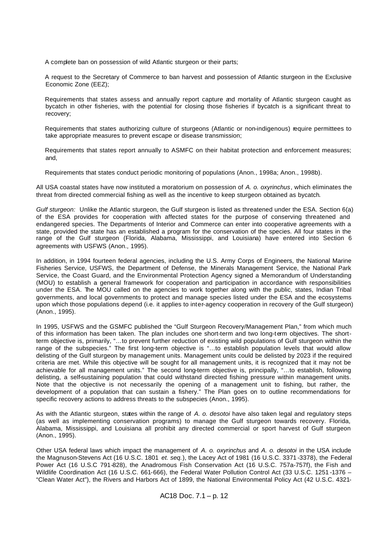A complete ban on possession of wild Atlantic sturgeon or their parts;

A request to the Secretary of Commerce to ban harvest and possession of Atlantic sturgeon in the Exclusive Economic Zone (EEZ);

Requirements that states assess and annually report capture and mortality of Atlantic sturgeon caught as bycatch in other fisheries, with the potential for closing those fisheries if bycatch is a significant threat to recovery;

Requirements that states authorizing culture of sturgeons (Atlantic or non-indigenous) require permittees to take appropriate measures to prevent escape or disease transmission;

Requirements that states report annually to ASMFC on their habitat protection and enforcement measures; and,

Requirements that states conduct periodic monitoring of populations (Anon., 1998a; Anon., 1998b).

All USA coastal states have now instituted a moratorium on possession of *A. o. oxyrinchus*, which eliminates the threat from directed commercial fishing as well as the incentive to keep sturgeon obtained as bycatch.

*Gulf sturgeon:* Unlike the Atlantic sturgeon, the Gulf sturgeon is listed as threatened under the ESA. Section 6(a) of the ESA provides for cooperation with affected states for the purpose of conserving threatened and endangered species. The Departments of Interior and Commerce can enter into cooperative agreements with a state, provided the state has an established a program for the conservation of the species. All four states in the range of the Gulf sturgeon (Florida, Alabama, Mississippi, and Louisiana) have entered into Section 6 agreements with USFWS (Anon., 1995).

In addition, in 1994 fourteen federal agencies, including the U.S. Army Corps of Engineers, the National Marine Fisheries Service, USFWS, the Department of Defense, the Minerals Management Service, the National Park Service, the Coast Guard, and the Environmental Protection Agency signed a Memorandum of Understanding (MOU) to establish a general framework for cooperation and participation in accordance with responsibilities under the ESA. The MOU called on the agencies to work together along with the public, states, Indian Tribal governments, and local governments to protect and manage species listed under the ESA and the ecosystems upon which those populations depend (i.e. it applies to inter-agency cooperation in recovery of the Gulf sturgeon) (Anon., 1995).

In 1995, USFWS and the GSMFC published the "Gulf Sturgeon Recovery/Management Plan," from which much of this information has been taken. The plan includes one short-term and two long-term objectives. The shortterm objective is, primarily, "…to prevent further reduction of existing wild populations of Gulf sturgeon within the range of the subspecies." The first long-term objective is "…to establish population levels that would allow delisting of the Gulf sturgeon by management units. Management units could be delisted by 2023 if the required criteria are met. While this objective will be sought for all management units, it is recognized that it may not be achievable for all management units." The second long-term objective is, principally, "…to establish, following delisting, a self-sustaining population that could withstand directed fishing pressure within management units. Note that the objective is not necessarily the opening of a management unit to fishing, but rather, the development of a population that can sustain a fishery." The Plan goes on to outline recommendations for specific recovery actions to address threats to the subspecies (Anon., 1995).

As with the Atlantic sturgeon, states within the range of *A. o. desotoi* have also taken legal and regulatory steps (as well as implementing conservation programs) to manage the Gulf sturgeon towards recovery. Florida, Alabama, Mississippi, and Louisiana all prohibit any directed commercial or sport harvest of Gulf sturgeon (Anon., 1995).

Other USA federal laws which impact the management of *A. o. oxyrinchus* and *A. o. desotoi* in the USA include the Magnuson-Stevens Act (16 U.S.C. 1801 *et. seq.*), the Lacey Act of 1981 (16 U.S.C. 3371 -3378), the Federal Power Act (16 U.S.C 791-828), the Anadromous Fish Conservation Act (16 U.S.C. 757a-757f), the Fish and Wildlife Coordination Act (16 U.S.C. 661-666), the Federal Water Pollution Control Act (33 U.S.C. 1251 -1376 – "Clean Water Act"), the Rivers and Harbors Act of 1899, the National Environmental Policy Act (42 U.S.C. 4321-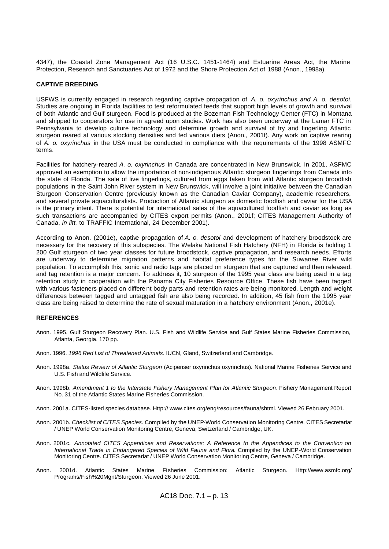4347), the Coastal Zone Management Act (16 U.S.C. 1451-1464) and Estuarine Areas Act, the Marine Protection, Research and Sanctuaries Act of 1972 and the Shore Protection Act of 1988 (Anon., 1998a).

### **CAPTIVE BREEDING**

USFWS is currently engaged in research regarding captive propagation of *A. o. oxyrinchus and A. o. desotoi*. Studies are ongoing in Florida facilities to test reformulated feeds that support high levels of growth and survival of both Atlantic and Gulf sturgeon. Food is produced at the Bozeman Fish Technology Center (FTC) in Montana and shipped to cooperators for use in agreed upon studies. Work has also been underway at the Lamar FTC in Pennsylvania to develop culture technology and determine growth and survival of fry and fingerling Atlantic sturgeon reared at various stocking densities and fed various diets (Anon., 2001f). Any work on captive rearing of *A. o. oxyrinchus* in the USA must be conducted in compliance with the requirements of the 1998 ASMFC terms.

Facilities for hatchery-reared *A. o. oxyrinchus* in Canada are concentrated in New Brunswick. In 2001, ASFMC approved an exemption to allow the importation of non-indigenous Atlantic sturgeon fingerlings from Canada into the state of Florida. The sale of live fingerlings, cultured from eggs taken from wild Atlantic sturgeon broodfish populations in the Saint John River system in New Brunswick, will involve a joint initiative between the Canadian Sturgeon Conservation Centre (previously known as the Canadian Caviar Company), academic researchers, and several private aquaculturalists. Production of Atlantic sturgeon as domestic foodfish and caviar for the USA is the primary intent. There is potential for international sales of the aquacultured foodfish and caviar as long as such transactions are accompanied by CITES export permits (Anon., 2001f; CITES Management Authority of Canada, *in litt.* to TRAFFIC International, 24 December 2001).

According to Anon. (2001e), captive propagation of *A. o. desotoi* and development of hatchery broodstock are necessary for the recovery of this subspecies. The Welaka National Fish Hatchery (NFH) in Florida is holding 1 200 Gulf sturgeon of two year classes for future broodstock, captive propagation, and research needs. Efforts are underway to determine migration patterns and habitat preference types for the Suwanee River wild population. To accomplish this, sonic and radio tags are placed on sturgeon that are captured and then released, and tag retention is a major concern. To address it, 10 sturgeon of the 1995 year class are being used in a tag retention study in cooperation with the Panama City Fisheries Resource Office. These fish have been tagged with various fasteners placed on differe nt body parts and retention rates are being monitored. Length and weight differences between tagged and untagged fish are also being recorded. In addition, 45 fish from the 1995 year class are being raised to determine the rate of sexual maturation in a hatchery environment (Anon., 2001e).

### **REFERENCES**

- Anon. 1995. Gulf Sturgeon Recovery Plan. U.S. Fish and Wildlife Service and Gulf States Marine Fisheries Commission, Atlanta, Georgia. 170 pp.
- Anon. 1996. *1996 Red List of Threatened Animals*. IUCN, Gland, Switzerland and Cambridge.
- Anon. 1998a. *Status Review of Atlantic Sturgeon* (Acipenser oxyrinchus oxyrinchus)*.* National Marine Fisheries Service and U.S. Fish and Wildlife Service.
- Anon. 1998b. *Amendment 1 to the Interstate Fishery Management Plan for Atlantic Sturgeon*. Fishery Management Report No. 31 of the Atlantic States Marine Fisheries Commission.
- Anon. 2001a. CITES-listed species database. Http:// www.cites.org/eng/resources/fauna/shtml. Viewed 26 February 2001.
- Anon. 2001b. *Checklist of CITES Species.* Compiled by the UNEP-World Conservation Monitoring Centre*.* CITES Secretariat / UNEP World Conservation Monitoring Centre, Geneva, Switzerland / Cambridge, UK.
- Anon. 2001c. *Annotated CITES Appendices and Reservations: A Reference to the Appendices to the Convention on International Trade in Endangered Species of Wild Fauna and Flora*. Compiled by the UNEP-World Conservation Monitoring Centre. CITES Secretariat / UNEP World Conservation Monitoring Centre, Geneva / Cambridge.
- Anon. 2001d. Atlantic States Marine Fisheries Commission: Atlantic Sturgeon. Http://www.asmfc.org/ Programs/Fish%20Mgnt/Sturgeon. Viewed 26 June 2001.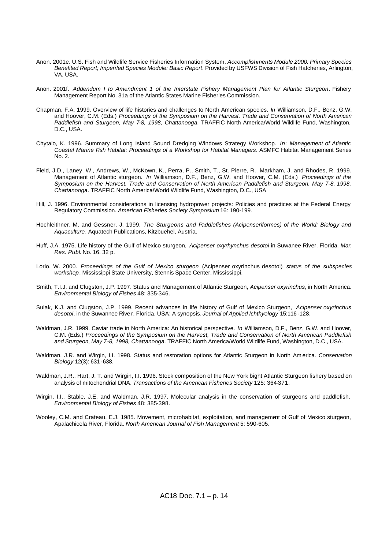- Anon. 2001e. U.S. Fish and Wildlife Service Fisheries Information System. *Accomplishments Module 2000: Primary Species Benefited Report; Imperiled Species Module: Basic Report*. Provided by USFWS Division of Fish Hatcheries, Arlington, VA, USA.
- Anon. 2001f. *Addendum I to Amendment 1 of the Interstate Fishery Management Plan for Atlantic Sturgeon*. Fishery Management Report No. 31a of the Atlantic States Marine Fisheries Commission.
- Chapman, F.A. 1999. Overview of life histories and challenges to North American species. *In* Williamson, D.F,. Benz, G.W. and Hoover, C.M. (Eds.) *Proceedings of the Symposium on the Harvest, Trade and Conservation of North American Paddlefish and Sturgeon, May 7-8, 1998, Chattanooga*. TRAFFIC North America/World Wildlife Fund, Washington, D.C., USA.
- Chytalo, K. 1996. Summary of Long Island Sound Dredging Windows Strategy Workshop. *In*: *Management of Atlantic Coastal Marine Fish Habitat: Proceedings of a Workshop for Habitat Managers*. ASMFC Habitat Management Series No. 2.
- Field, J.D., Laney, W., Andrews, W., McKown, K., Perra, P., Smith, T., St. Pierre, R., Markham, J. and Rhodes, R. 1999. Management of Atlantic sturgeon. *In* Williamson, D.F., Benz, G.W. and Hoover, C.M. (Eds.) *Proceedings of the Symposium on the Harvest, Trade and Conservation of North American Paddlefish and Sturgeon, May 7-8, 1998, Chattanooga*. TRAFFIC North America/World Wildlife Fund, Washington, D.C., USA.
- Hill, J. 1996. Environmental considerations in licensing hydropower projects: Policies and practices at the Federal Energy Regulatory Commission. *American Fisheries Society Symposium* 16: 190-199.
- Hochleithner, M. and Gessner, J. 1999. *The Sturgeons and Paddlefishes (Acipenseriformes) of the World: Biology and Aquaculture*. Aquatech Publications, Kitzbuehel, Austria.
- Huff, J.A. 1975. Life history of the Gulf of Mexico sturgeon, *Acipenser oxyrhynchus desotoi* in Suwanee River, Florida. *Mar. Res. Publ*. No. 16. 32 p.
- Lorio, W. 2000. *Proceedings of the Gulf of Mexico sturgeon* (Acipenser oxyrinchus desotoi) *status of the subspecies workshop*. Mississippi State University, Stennis Space Center, Mississippi.
- Smith, T.I.J. and Clugston, J.P. 1997. Status and Management of Atlantic Sturgeon, *Acipenser oxyrinchus*, in North America. *Environmental Biology of Fishes* 48: 335-346.
- Sulak, K.J. and Clugston, J.P. 1999. Recent advances in life history of Gulf of Mexico Sturgeon, *Acipenser oxyrinchus desotoi*, in the Suwannee Rive r, Florida, USA: A synopsis. *Journal of Applied Ichthyology* 15:116 -128.
- Waldman, J.R. 1999. Caviar trade in North America: An historical perspective. *In* Williamson, D.F., Benz, G.W. and Hoover, C.M. (Eds.) *Proceedings of the Symposium on the Harvest, Trade and Conservation of North American Paddlefish and Sturgeon, May 7-8, 1998, Chattanooga*. TRAFFIC North America/World Wildlife Fund, Washington, D.C., USA.
- Waldman, J.R. and Wirgin, I.I. 1998. Status and restoration options for Atlantic Sturgeon in North Am erica. *Conservation Biology* 12(3): 631 -638.
- Waldman, J.R., Hart, J. T. and Wirgin, I.I. 1996. Stock composition of the New York bight Atlantic Sturgeon fishery based on analysis of mitochondrial DNA. *Transactions of the American Fisheries Society* 125: 364-371.
- Wirgin, I.I., Stable, J.E. and Waldman, J.R. 1997. Molecular analysis in the conservation of sturgeons and paddlefish. *Environmental Biology of Fishes* 48: 385-398.
- Wooley, C.M. and Crateau, E.J. 1985. Movement, microhabitat, exploitation, and management of Gulf of Mexico sturgeon, Apalachicola River, Florida. *North American Journal of Fish Management* 5: 590-605.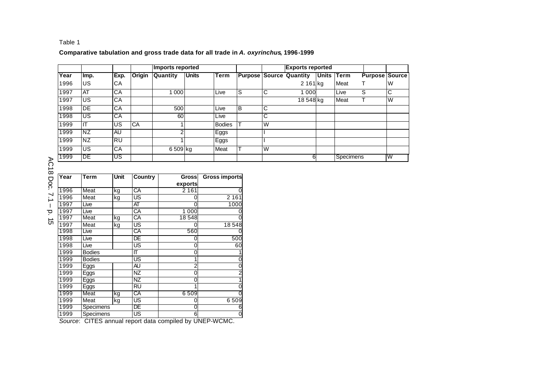# **Comparative tabulation and gross trade data for all trade in** *A. oxyrinchus***, 1996-1999**

|      |           |      |           |                 | <b>Imports reported</b> |               |    | <b>Exports reported</b> |                                |            |                  |                       |    |
|------|-----------|------|-----------|-----------------|-------------------------|---------------|----|-------------------------|--------------------------------|------------|------------------|-----------------------|----|
| Year | Imp.      | Exp. | Origin    | <b>Quantity</b> | <b>Units</b>            | Term          |    |                         | <b>Purpose Source Quantity</b> | Units Term |                  | <b>Purpose Source</b> |    |
| 1996 | US        | CA   |           |                 |                         |               |    |                         | 2 161 kg                       |            | Meat             |                       | IW |
| 1997 | <b>AT</b> | CA   |           | 1 0 0 0         |                         | Live          | lS | IC                      | 1 0 0 0                        |            | Live             | S                     | C  |
| 1997 | US.       | CA   |           |                 |                         |               |    |                         | 18 548 kg                      |            | Meat             |                       | W  |
| 1998 | DE        | СA   |           | 500             |                         | Live          | B  | IС                      |                                |            |                  |                       |    |
| 1998 | US.       | CA   |           | 60              |                         | Live          |    | IС                      |                                |            |                  |                       |    |
| 1999 | IT        | US.  | <b>CA</b> |                 |                         | <b>Bodies</b> |    | W                       |                                |            |                  |                       |    |
| 1999 | <b>NZ</b> | AU   |           | 2               |                         | Eggs          |    |                         |                                |            |                  |                       |    |
| 1999 | NZ.       | RU   |           |                 |                         | Eggs          |    |                         |                                |            |                  |                       |    |
| 1999 | <b>US</b> | CA   |           | 6 509 kg        |                         | Meat          |    | IW                      |                                |            |                  |                       |    |
| 1999 | DE        | US   |           |                 |                         |               |    |                         | 6                              |            | <b>Specimens</b> |                       | W  |
|      |           |      |           |                 |                         |               |    |                         |                                |            |                  |                       |    |

AC18 Doc. بر<br>سا – p. 15

| Year | Term          | Unit     | Country   | <b>Gross</b> | <b>Gross imports</b> |
|------|---------------|----------|-----------|--------------|----------------------|
|      |               |          |           | exports      |                      |
| 1996 | Meat          | kg       | СA        | 2 1 6 1      |                      |
| 1996 | Meat          | US<br>kg |           |              | 2161                 |
| 1997 | Live          |          | AT        | 0            | 1000                 |
| 1997 | Live          |          | CA        | 1 0 0 0      |                      |
| 1997 | Meat          | kg       | CA        | 18548        |                      |
| 1997 | Meat          | kg       | US        | 0            | 18 548               |
| 1998 | Live          |          | CA        | 560          |                      |
| 1998 | Live          |          | DE        | 0            | 500                  |
| 1998 | Live          |          | US        | 0            | 60                   |
| 1999 | <b>Bodies</b> |          | П         | 0            |                      |
| 1999 | <b>Bodies</b> |          | US        |              |                      |
| 1999 | Eggs          |          | <b>AU</b> | 2            |                      |
| 1999 | Eggs          |          | NZ        | 0            | 2                    |
| 1999 | Eggs          |          | ΝZ        | 0            |                      |
| 1999 | Eggs          |          | <b>RU</b> |              |                      |
| 1999 | Meat          | kg       | CA        | 6509         |                      |
| 1999 | Meat          | kg       | US        | 0            | 6509                 |
| 1999 | Specimens     |          | DE        | 0            | 6                    |
| 1999 | Specimens     |          | US        | 6            | 0                    |

*Source*: CITES annual report data compiled by UNEP-WCMC.

Table 1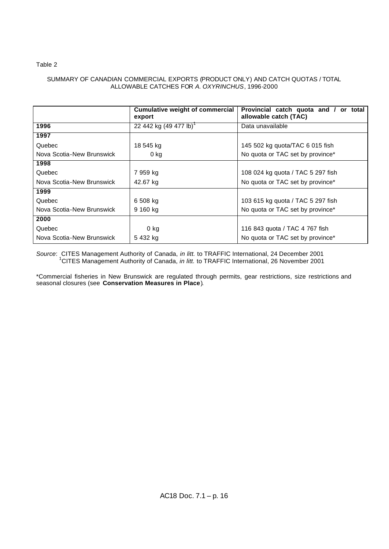# Table 2

# SUMMARY OF CANADIAN COMMERCIAL EXPORTS (PRODUCT ONLY) AND CATCH QUOTAS / TOTAL ALLOWABLE CATCHES FOR *A. OXYRINCHUS*, 1996-2000

|                           | <b>Cumulative weight of commercial</b><br>export | Provincial catch quota and /<br>or total<br>allowable catch (TAC) |  |  |  |  |
|---------------------------|--------------------------------------------------|-------------------------------------------------------------------|--|--|--|--|
| 1996                      | 22 442 kg (49 477 lb)                            | Data unavailable                                                  |  |  |  |  |
| 1997                      |                                                  |                                                                   |  |  |  |  |
| Quebec                    | 18 545 kg                                        | 145 502 kg quota/TAC 6 015 fish                                   |  |  |  |  |
| Nova Scotia-New Brunswick | 0 kg                                             | No quota or TAC set by province*                                  |  |  |  |  |
| 1998                      |                                                  |                                                                   |  |  |  |  |
| Quebec                    | 7 959 kg                                         | 108 024 kg quota / TAC 5 297 fish                                 |  |  |  |  |
| Nova Scotia-New Brunswick | 42.67 kg                                         | No quota or TAC set by province*                                  |  |  |  |  |
| 1999                      |                                                  |                                                                   |  |  |  |  |
| Quebec                    | 6 508 kg                                         | 103 615 kg quota / TAC 5 297 fish                                 |  |  |  |  |
| Nova Scotia-New Brunswick | 9 160 kg                                         | No quota or TAC set by province*                                  |  |  |  |  |
| 2000                      |                                                  |                                                                   |  |  |  |  |
| Quebec                    | $0$ kg                                           | 116 843 quota / TAC 4 767 fish                                    |  |  |  |  |
| Nova Scotia-New Brunswick | 5 432 kg                                         | No quota or TAC set by province*                                  |  |  |  |  |

*Source*: CITES Management Authority of Canada, *in litt.* to TRAFFIC International, 24 December 2001 1 CITES Management Authority of Canada, *in litt.* to TRAFFIC International, 26 November 2001

\*Commercial fisheries in New Brunswick are regulated through permits, gear restrictions, size restrictions and seasonal closures (see **Conservation Measures in Place**).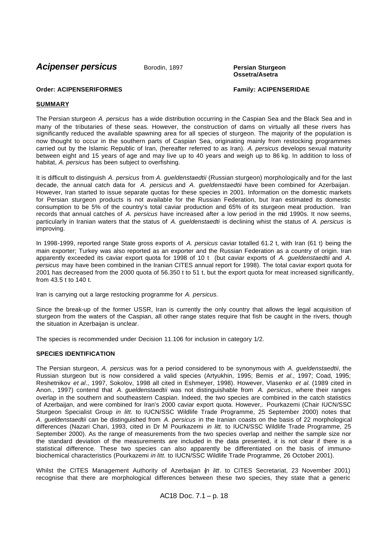**Acipenser persicus** Borodin, 1897 **Persian Sturgeon** 

**Ossetra/Asetra**

# **Order: ACIPENSERIFORMES Family: ACIPENSERIDAE**

# **SUMMARY**

The Persian sturgeon *A. persicus* has a wide distribution occurring in the Caspian Sea and the Black Sea and in many of the tributaries of these seas. However, the construction of dams on virtually all these rivers has significantly reduced the available spawning area for all species of sturgeon. The majority of the population is now thought to occur in the southern parts of Caspian Sea, originating mainly from restocking programmes carried out by the Islamic Republic of Iran, (hereafter referred to as Iran). *A. persicus* develops sexual maturity between eight and 15 years of age and may live up to 40 years and weigh up to 86 kg. In addition to loss of habitat, *A. persicus* has been subject to overfishing.

It is difficult to distinguish *A. persicus* from *A. gueldenstaedtii* (Russian sturgeon) morphologically and for the last decade, the annual catch data for *A. persicus* and *A. gueldenstaedtii* have been combined for Azerbaijan. However, Iran started to issue separate quotas for these species in 2001. Information on the domestic markets for Persian sturgeon products is not available for the Russian Federation, but Iran estimated its domestic consumption to be 5% of the country's total caviar production and 65% of its sturgeon meat production. Iran records that annual catches of *A. persicus* have increased after a low period in the mid 1990s. It now seems, particularly in Iranian waters that the status of *A. gueldenstaedti* is declining whist the status of *A. persicus* is improving.

In 1998-1999, reported range State gross exports of *A. persicus* caviar totalled 61.2 t, with Iran (61 t) being the main exporter; Turkey was also reported as an exporter and the Russian Federation as a country of origin. Iran apparently exceeded its caviar export quota for 1998 of 10 t (but caviar exports of *A. gueldenstaedtii* and *A. persicus* may have been combined in the Iranian CITES annual report for 1998). The total caviar export quota for 2001 has decreased from the 2000 quota of 56.350 t to 51 t, but the export quota for meat increased significantly, from 43.5 t to 140 t.

Iran is carrying out a large restocking programme for *A. persicus.*

Since the break-up of the former USSR, Iran is currently the only country that allows the legal acquisition of sturgeon from the waters of the Caspian, all other range states require that fish be caught in the rivers, though the situation in Azerbaijan is unclear.

The species is recommended under Decision 11.106 for inclusion in category 1/2.

# **SPECIES IDENTIFICATION**

The Persian sturgeon, *A. persicus* was for a period considered to be synonymous with *A. gueldenstaedtii*, the Russian sturgeon but is now considered a valid species (Artyukhin, 1995; Bemis *et al*., 1997; Coad, 1995; Reshetnikov *et al*., 1997, Sokolov, 1998 all cited in Eshmeyer, 1998). However, Vlasenko *et al.* (1989 cited in Anon., 1997) contend that *A. gueldenstaedtii* was not distinguishable from *A. persicus*, where their ranges overlap in the southern and southeastern Caspian. Indeed, the two species are combined in the catch statistics of Azerbaijan, and were combined for Iran's 2000 caviar export quota. However,. Pourkazemi (Chair IUCN/SSC Sturgeon Specialist Group *in litt.* to IUCN/SSC Wildlife Trade Programme, 25 September 2000) notes that *A. gueldenstaedtii* can be distinguished from *A. persicus* in the Iranian coasts on the basis of 22 morphological differences (Nazari Chari, 1993, cited in Dr M Pourkazemi *in litt.* to IUCN/SSC Wildlife Trade Programme, 25 September 2000). As the range of measurements from the two species overlap and neither the sample size nor the standard deviation of the measurements are included in the data presented, it is not clear if there is a statistical difference. These two species can also apparently be differentiated on the basis of immunobiochemical characteristics (Pourkazemi *in litt.* to IUCN/SSC Wildlife Trade Programme, 26 October 2001).

Whilst the CITES Management Authority of Azerbaijan (*in litt*. to CITES Secretariat, 23 November 2001) recognise that there are morphological differences between these two species, they state that a generic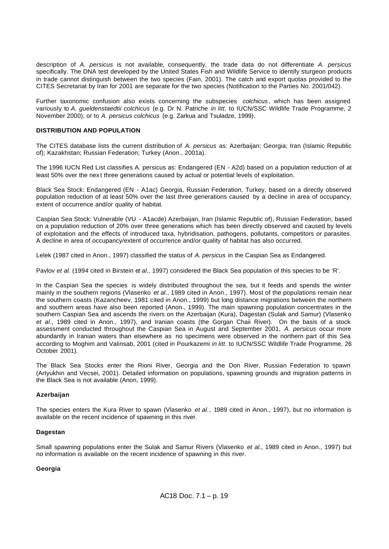description of *A. persicus* is not available, consequently, the trade data do not differentiate *A. persicus* specifically. The DNA test developed by the United States Fish and Wildlife Service to identify sturgeon products in trade cannot distinguish between the two species (Fain, 2001). The catch and export quotas provided to the CITES Secretariat by Iran for 2001 are separate for the two species (Notification to the Parties No. 2001/042).

Further taxonomic confusion also exists concerning the subspecies *colchicus* , which has been assigned variously to *A. gueldenstaedtii colchicus* (e.g. Dr N. Patriche *in litt.* to IUCN/SSC Wildlife Trade Programme, 2 November 2000), or to *A. persicus colchicus* (e.g. Zarkua and Tsuladze, 1999).

# **DISTRIBUTION AND POPULATION**

The CITES database lists the current distribution of *A. persicus* as: Azerbaijan; Georgia; Iran (Islamic Republic of); Kazakhstan; Russian Federation; Turkey (Anon., 2001a).

The 1996 IUCN Red List classifies A. persicus as: Endangered (EN - A2d) based on a population reduction of at least 50% over the nex t three generations caused by actual or potential levels of exploitation.

Black Sea Stock: Endangered (EN - A1ac) Georgia, Russian Federation, Turkey, based on a directly observed population reduction of at least 50% over the last three generations caused by a decline in area of occupancy, extent of occurrence and/or quality of habitat.

Caspian Sea Stock: Vulnerable (VU - A1acde) Azerbaijan, Iran (Islamic Republic of), Russian Federation, based on a population reduction of 20% over three generations which has been directly observed and caused by levels of exploitation and the effects of introduced taxa, hybridisation, pathogens, pollutants, competitors or parasites. A decline in area of occupancy/extent of occurrence and/or quality of habitat has also occurred.

Lelek (1987 cited in Anon., 1997) classified the status of *A. persicus* in the Caspian Sea as Endangered.

Pavlov *et al.* (1994 cited in Birstein e*t al*., 1997) considered the Black Sea population of this species to be 'R'.

In the Caspian Sea the species is widely distributed throughout the sea, but it feeds and spends the winter mainly in the southern regions (Vlasenko *et al*., 1989 cited in Anon., 1997). Most of the populations remain near the southern coasts (Kazancheev, 1981 cited in Anon., 1999) but long distance migrations between the northern and southern areas have also been reported (Anon., 1999). The main spawning population concentrates in the southern Caspian Sea and ascends the rivers on the Azerbaijan (Kura), Dagestan (Sulak and Samur) (Vlasenko *et al*., 1989 cited in Anon., 1997), and Iranian coasts (the Gorgan Chaii River). On the basis of a stock assessment conducted throughout the Caspian Sea in August and September 2001, *A. persicus* occur more abundantly in Iranian waters than elsewhere as no specimens were observed in the northern part of this Sea according to Moghim and Valinsab, 2001 (cited in Pourkazemi *in litt*. to IUCN/SSC Wildlife Trade Programme, 26 October 2001).

The Black Sea Stocks enter the Rioni River, Georgia and the Don River, Russian Federation to spawn (Artyukhin and Vecsei, 2001). Detailed information on populations, spawning grounds and migration patterns in the Black Sea is not available (Anon, 1999).

# **Azerbaijan**

The species enters the Kura River to spawn (Vlasenko *et al*., 1989 cited in Anon., 1997), but no information is available on the recent incidence of spawning in this river.

# **Dagestan**

Small spawning populations enter the Sulak and Samur Rivers (Vlasenko *et al*., 1989 cited in Anon., 1997) but no information is available on the recent incidence of spawning in this river.

# **Georgia**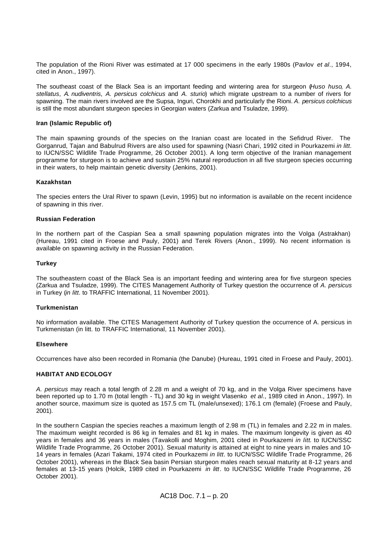The population of the Rioni River was estimated at 17 000 specimens in the early 1980s (Pavlov *et al*., 1994, cited in Anon., 1997).

The southeast coast of the Black Sea is an important feeding and wintering area for sturgeon (*Huso huso*, *A. stellatus*, *A. nudiventris*, *A. persicus colchicus* and *A. sturio*) which migrate upstream to a number of rivers for spawning. The main rivers involved are the Supsa, Inguri, Chorokhi and particularly the Rioni. *A. persicus colchicus* is still the most abundant sturgeon species in Georgian waters (Zarkua and Tsuladze, 1999).

# **Iran (Islamic Republic of)**

The main spawning grounds of the species on the Iranian coast are located in the Sefidrud River. The Gorganrud, Tajan and Babulrud Rivers are also used for spawning (Nasri Chari, 1992 cited in Pourkazemi *in litt*. to IUCN/SSC Wildlife Trade Programme, 26 October 2001). A long term objective of the Iranian management programme for sturgeon is to achieve and sustain 25% natural reproduction in all five sturgeon species occurring in their waters, to help maintain genetic diversity (Jenkins, 2001).

# **Kazakhstan**

The species enters the Ural River to spawn (Levin, 1995) but no information is available on the recent incidence of spawning in this river.

# **Russian Federation**

In the northern part of the Caspian Sea a small spawning population migrates into the Volga (Astrakhan) (Hureau, 1991 cited in Froese and Pauly, 2001) and Terek Rivers (Anon., 1999). No recent information is available on spawning activity in the Russian Federation.

### **Turkey**

The southeastern coast of the Black Sea is an important feeding and wintering area for five sturgeon species (Zarkua and Tsuladze, 1999). The CITES Management Authority of Turkey question the occurrence of *A. persicus* in Turkey (*in litt*. to TRAFFIC International, 11 November 2001).

### **Turkmenistan**

No information available. The CITES Management Authority of Turkey question the occurrence of A. persicus in Turkmenistan (in litt. to TRAFFIC International, 11 November 2001).

### **Elsewhere**

Occurrences have also been recorded in Romania (the Danube) (Hureau, 1991 cited in Froese and Pauly, 2001).

### **HABITAT AND ECOLOGY**

*A. persicus* may reach a total length of 2.28 m and a weight of 70 kg, and in the Volga River specimens have been reported up to 1.70 m (total length - TL) and 30 kg in weight Vlasenko *et al*., 1989 cited in Anon., 1997). In another source, maximum size is quoted as 157.5 cm TL (male/unsexed); 176.1 cm (female) (Froese and Pauly, 2001).

In the southern Caspian the species reaches a maximum length of 2.98 m (TL) in females and 2.22 m in males. The maximum weight recorded is 86 kg in females and 81 kg in males. The maximum longevity is given as 40 years in females and 36 years in males (Tavakolli and Moghim, 2001 cited in Pourkazemi *in litt*. to IUCN/SSC Wildlife Trade Programme, 26 October 2001). Sexual maturity is attained at eight to nine years in males and 10- 14 years in females (Azari Takami, 1974 cited in Pourkazemi *in litt*. to IUCN/SSC Wildlife Trade Programme, 26 October 2001), whereas in the Black Sea basin Persian sturgeon males reach sexual maturity at 8-12 years and females at 13-15 years (Holcik, 1989 cited in Pourkazemi *in litt*. to IUCN/SSC Wildlife Trade Programme, 26 October 2001).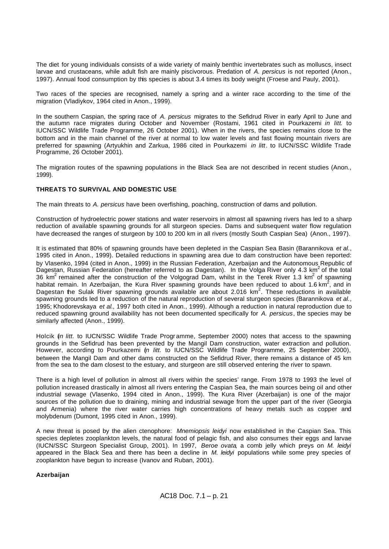The diet for young individuals consists of a wide variety of mainly benthic invertebrates such as molluscs, insect larvae and crustaceans, while adult fish are mainly piscivorous. Predation of *A. persicus* is not reported (Anon., 1997). Annual food consumption by this species is about 3.4 times its body weight (Froese and Pauly, 2001).

Two races of the species are recognised, namely a spring and a winter race according to the time of the migration (Vladiykov, 1964 cited in Anon., 1999).

In the southern Caspian, the spring race of *A. persicus* migrates to the Sefidrud River in early April to June and the autumn race migrates during October and November (Rostami, 1961 cited in Pourkazemi *in litt*. to IUCN/SSC Wildlife Trade Programme, 26 October 2001). When in the rivers, the species remains close to the bottom and in the main channel of the river at normal to low water levels and fast flowing mountain rivers are preferred for spawning (Artyukhin and Zarkua, 1986 cited in Pourkazemi *in litt*. to IUCN/SSC Wildlife Trade Programme, 26 October 2001).

The migration routes of the spawning populations in the Black Sea are not described in recent studies (Anon., 1999).

# **THREATS TO SURVIVAL AND DOMESTIC USE**

The main threats to *A. persicus* have been overfishing, poaching, construction of dams and pollution.

Construction of hydroelectric power stations and water reservoirs in almost all spawning rivers has led to a sharp reduction of available spawning grounds for all sturgeon species. Dams and subsequent water flow regulation have decreased the ranges of sturgeon by 100 to 200 km in all rivers (mostly South Caspian Sea) (Anon., 1997).

It is estimated that 80% of spawning grounds have been depleted in the Caspian Sea Basin (Barannikova *et al*., 1995 cited in Anon., 1999). Detailed reductions in spawning area due to dam construction have been reported: by Vlasenko, 1994 (cited in Anon., 1999) in the Russian Federation, Azerbaijan and the Autonomous Republic of Dagestan, Russian Federation (hereafter referred to as Dagestan). In the Volga River only 4.3 km<sup>2</sup> of the total 36 km<sup>2</sup> remained after the construction of the Volgograd Dam, whilst in the Terek River 1.3 km<sup>2</sup> of spawning habitat remain. In Azerbaijan, the Kura River spawning grounds have been reduced to about 1.6 km<sup>2</sup>, and in Dagestan the Sulak River spawning grounds available are about 2.016 km<sup>2</sup>. These reductions in available spawning grounds led to a reduction of the natural reproduction of several sturgeon species (Barannikova *et al*., 1995; Khodorevskaya *et al*., 1997 both cited in Anon., 1999). Although a reduction in natural reproduction due to reduced spawning ground availability has not been documented specifically for *A. persicus*, the species may be similarly affected (Anon., 1999).

Holcik (*in litt.* to IUCN/SSC Wildlife Trade Programme, September 2000) notes that access to the spawning grounds in the Sefidrud has been prevented by the Mangil Dam construction, water extraction and pollution. However, according to Pourkazemi (*in litt.* to IUCN/SSC Wildlife Trade Programme, 25 September 2000), between the Mangil Dam and other dams constructed on the Sefidrud River, there remains a distance of 45 km from the sea to the dam closest to the estuary, and sturgeon are still observed entering the river to spawn.

There is a high level of pollution in almost all rivers within the species' range. From 1978 to 1993 the level of pollution increased drastically in almost all rivers entering the Caspian Sea, the main sources being oil and other industrial sewage (Vlasenko, 1994 cited in Anon., 1999). The Kura River (Azerbaijan) is one of the major sources of the pollution due to draining, mining and industrial sewage from the upper part of the river (Georgia and Armenia) where the river water carries high concentrations of heavy metals such as copper and molybdenum (Dumont, 1995 cited in Anon., 1999).

A new threat is posed by the alien ctenophore: *Mnemiopsis leidyi* now established in the Caspian Sea. This species depletes zooplankton levels, the natural food of pelagic fish, and also consumes their eggs and larvae (IUCN/SSC Sturgeon Specialist Group, 2001). In 1997, *Beroe ovata*, a comb jelly which preys on *M. leidyi* appeared in the Black Sea and there has been a decline in *M. leidyi* populations while some prey species of zooplankton have begun to increase (Ivanov and Ruban, 2001).

# **Azerbaijan**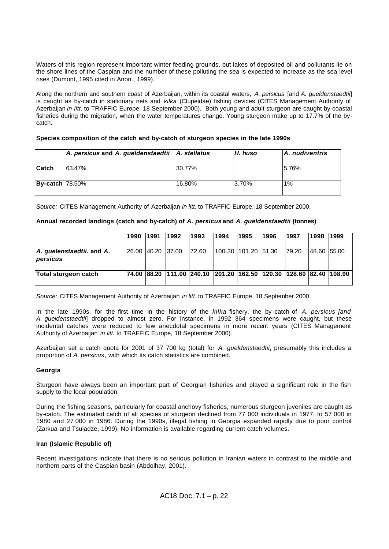Waters of this region represent important winter feeding grounds, but lakes of deposited oil and pollutants lie on the shore lines of the Caspian and the number of these polluting the sea is expected to increase as the sea level rises (Dumont, 1995 cited in Anon., 1999).

Along the northern and southern coast of Azerbaijan, within its coastal waters, *A. persicus* [and *A. gueldenstaedtii*] is caught as by-catch in stationary nets and *kilka* (Clupeidae) fishing devices (CITES Management Authority of Azerbaijan *in litt.* to TRAFFIC Europe, 18 September 2000). Both young and adult sturgeon are caught by coastal fisheries during the migration, when the water temperatures change. Young sturgeon make up to 17.7% of the bycatch.

# **Species composition of the catch and by-catch of sturgeon species in the late 1990s**

|                        | A. persicus and A. gueldenstaedtii   A. stellatus |        | I.H. huso | <b>A.</b> nudiventris |
|------------------------|---------------------------------------------------|--------|-----------|-----------------------|
| <b>Catch</b>           | 63.47%                                            | 30.77% |           | 15.76%                |
| <b>By-catch 78.50%</b> |                                                   | 16.80% | 3.70%     | 1%                    |

*Source:* CITES Management Authority of Azerbaijan *in litt.* to TRAFFIC Europe, 18 September 2000.

# **Annual recorded landings (catch and by-catch) of** *A. persicus* **and** *A. gueldenstaedtii* **(tonnes)**

|                                       | 1990 | 1991              | 1992 | 1993                                                               | 1994                | 1995 | 1996 | 1997  | 1998        | <b>1999</b> |
|---------------------------------------|------|-------------------|------|--------------------------------------------------------------------|---------------------|------|------|-------|-------------|-------------|
| A. guelenstaedtii. and A.<br>persicus |      | 26.00 40.20 37.00 |      | 72.60                                                              | 100.30 101.20 51.30 |      |      | 79.20 | 48.60 55.00 |             |
| Total sturgeon catch                  |      |                   |      | 74.00 88.20 111.00 240.10 201.20 162.50 120.30 128.60 82.40 108.90 |                     |      |      |       |             |             |

*Source:* CITES Management Authority of Azerbaijan *in litt.* to TRAFFIC Europe, 18 September 2000.

In the late 1990s, for the first time in the history of the *kilka* fishery, the by -catch of *A. persicus [and A. gueldenstaedtii*] dropped to almost zero. For instance, in 1992 364 specimens were caught, but these incidental catches were reduced to few anecdotal specimens in more recent years (CITES Management Authority of Azerbaijan *in litt.* to TRAFFIC Europe, 18 September 2000).

Azerbaijan set a catch quota for 2001 of 37 700 kg (total) for *A. gueldenstaedtii*, presumably this includes a proportion of *A. persicus*, with which its catch statistics are combined.

# **Georgia**

Sturgeon have always been an important part of Georgian fisheries and played a significant role in the fish supply to the local population.

During the fishing seasons, particularly for coastal anchovy fisheries, numerous sturgeon juveniles are caught as by-catch. The estimated catch of all species of sturgeon declined from 77 000 individuals in 1977, to 57 000 in 1980 and 27 000 in 1986. During the 1990s, illegal fishing in Georgia expanded rapidly due to poor control (Zarkua and Tsuladze, 1999). No information is available regarding current catch volumes.

# **Iran (Islamic Republic of)**

Recent investigations indicate that there is no serious pollution in Iranian waters in contrast to the middle and northern parts of the Caspian basin (Abdolhay, 2001).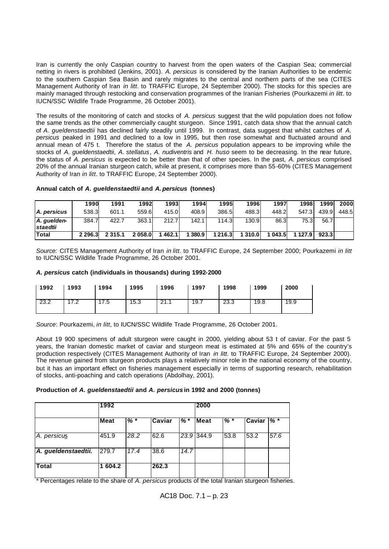Iran is currently the only Caspian country to harvest from the open waters of the Caspian Sea; commercial netting in rivers is prohibited (Jenkins, 2001). *A. persicus* is considered by the Iranian Authorities to be endemic to the southern Caspian Sea Basin and rarely migrates to the central and northern parts of the sea (CITES Management Authority of Iran *in litt*. to TRAFFIC Europe, 24 September 2000). The stocks for this species are mainly managed through restocking and conservation programmes of the Iranian Fisheries (Pourkazemi *in litt*. to IUCN/SSC Wildlife Trade Programme, 26 October 2001).

The results of the monitoring of catch and stocks of *A. persicus* suggest that the wild population does not follow the same trends as the other commercially caught sturgeon. Since 1991, catch data show that the annual catch of *A. gueldenstaedtii* has declined fairly steadily until 1999. In contrast, data suggest that whilst catches of *A. persicus* peaked in 1991 and declined to a low in 1995, but then rose somewhat and fluctuated around and annual mean of 475 t. Therefore the status of the *A. persicus* population appears to be improving while the stocks of *A. gueldenstaedtii*, *A. stellatus*, *A. nudiventris* and *H. huso* seem to be decreasing. In the near future, the status of *A. persicus* is expected to be better than that of other species. In the past, *A. persicus* comprised 20% of the annual Iranian sturgeon catch, while at present, it comprises more than 55-60% (CITES Management Authority of Iran *in litt*. to TRAFFIC Europe, 24 September 2000).

|                         | 1990      | 1991        | 1992   | 1993। | 1994    | 1995          | 1996l   | 1997   | 1998          | 1999  | 2000  |
|-------------------------|-----------|-------------|--------|-------|---------|---------------|---------|--------|---------------|-------|-------|
| A. persicus             | 538.3     | 601.1       | 559.6  | 415.0 | 408.9   | 386.5         | 488.3   | 448.2  | 547.3         | 439.9 | 448.5 |
| A. guelden-<br>staedtii | 384.7     | 422.7       | 363.1  | 212.7 | 142.1   | 114.3         | 130.9   | 86.3   | 75.3          | 56.7  |       |
| <b>Total</b>            | 2 2 9 6.3 | 2 3 1 5 . 1 | 2058.0 | 462.1 | 1 380.9 | <b>1216.3</b> | 1 310.0 | 1043.5 | 1 1 2 7 . 9 1 | 923.3 |       |

# **Annual catch of** *A. gueldenstaedtii* **and** *A. persicus* **(tonnes)**

*Source:* CITES Management Authority of Iran *in litt*. to TRAFFIC Europe, 24 September 2000; Pourkazemi *in litt* to IUCN/SSC Wildlife Trade Programme, 26 October 2001.

# *A. persicus* **catch (individuals in thousands) during 1992-2000**

| 1992 | 1993 | 1994 | 1995 | 1996 | 1997 | 1998 | 1999 | 2000 |
|------|------|------|------|------|------|------|------|------|
| 23.2 | 17.2 | 7.5  | 15.3 | 21.1 | 19.7 | 23.3 | 19.8 | 19.9 |

*Source*: Pourkazemi, *in litt*, to IUCN/SSC Wildlife Trade Programme, 26 October 2001.

About 19 900 specimens of adult sturgeon were caught in 2000, yielding about 53 t of caviar. For the past 5 years, the Iranian domestic market of caviar and sturgeon meat is estimated at 5% and 65% of the country's production respectively (CITES Management Authority of Iran *in litt*. to TRAFFIC Europe, 24 September 2000). The revenue gained from sturgeon products plays a relatively minor role in the national economy of the country, but it has an important effect on fisheries management especially in terms of supporting research, rehabilitation of stocks, anti-poaching and catch operations (Abdolhay, 2001).

# **Production of** *A. gueldenstaedtii* **and** *A. persicus* **in 1992 and 2000 (tonnes)**

|                     | 1992        |       |        |      | 2000       |       |        |         |  |
|---------------------|-------------|-------|--------|------|------------|-------|--------|---------|--|
|                     | <b>Meat</b> | $%$ * | Caviar | % *  | Meat       | $%$ * | Caviar | $%$ $*$ |  |
| A. persicus         | 451.9       | 28.2  | 62.6   |      | 23.9 344.9 | 53.8  | 53.2   | 57.6    |  |
| A. gueldenstaedtii. | 279.7       | 17.4  | 38.6   | 14.7 |            |       |        |         |  |
| <b>Total</b>        | 604.2       |       | 262.3  |      |            |       |        |         |  |

\* Percentages relate to the share of *A. persicus* products of the total Iranian sturgeon fisheries.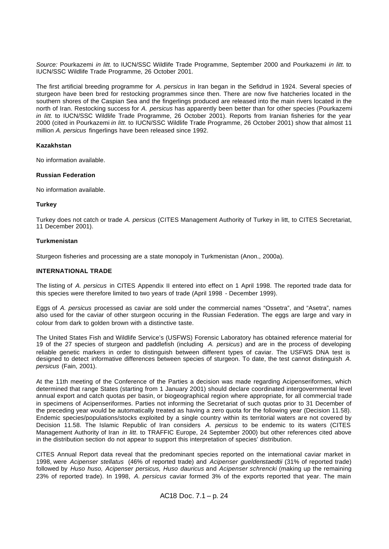*Source:* Pourkazemi *in litt.* to IUCN/SSC Wildlife Trade Programme, September 2000 and Pourkazemi *in litt.* to IUCN/SSC Wildlife Trade Programme, 26 October 2001.

The first artificial breeding programme for *A. persicus* in Iran began in the Sefidrud in 1924. Several species of sturgeon have been bred for restocking programmes since then. There are now five hatcheries located in the southern shores of the Caspian Sea and the fingerlings produced are released into the main rivers located in the north of Iran. Restocking success for *A. persicus* has apparently been better than for other species (Pourkazemi *in litt*. to IUCN/SSC Wildlife Trade Programme, 26 October 2001). Reports from Iranian fisheries for the year 2000 (cited in Pourkazemi *in litt.* to IUCN/SSC Wildlife Trade Programme, 26 October 2001) show that almost 11 million *A. persicus* fingerlings have been released since 1992.

# **Kazakhstan**

No information available.

# **Russian Federation**

No information available.

# **Turkey**

Turkey does not catch or trade *A. persicus* (CITES Management Authority of Turkey in litt, to CITES Secretariat, 11 December 2001).

# **Turkmenistan**

Sturgeon fisheries and processing are a state monopoly in Turkmenistan (Anon., 2000a).

# **INTERNATIONAL TRADE**

The listing of *A. persicus* in CITES Appendix II entered into effect on 1 April 1998. The reported trade data for this species were therefore limited to two years of trade (April 1998 - December 1999).

Eggs of *A. persicus* processed as caviar are sold under the commercial names "Ossetra", and "Asetra", names also used for the caviar of other sturgeon occuring in the Russian Federation. The eggs are large and vary in colour from dark to golden brown with a distinctive taste.

The United States Fish and Wildlife Service's (USFWS) Forensic Laboratory has obtained reference material for 19 of the 27 species of sturgeon and paddlefish (including *A. persicus*) and are in the process of developing reliable genetic markers in order to distinguish between different types of caviar. The USFWS DNA test is designed to detect informative differences between species of sturgeon. To date, the test cannot distinguish *A. persicus* (Fain, 2001).

At the 11th meeting of the Conference of the Parties a decision was made regarding Acipenseriformes, which determined that range States (starting from 1 January 2001) should declare coordinated intergovernmental level annual export and catch quotas per basin, or biogeographical region where appropriate, for all commercial trade in specimens of Acipenseriformes. Parties not informing the Secretariat of such quotas prior to 31 December of the preceding year would be automatically treated as having a zero quota for the following year (Decision 11.58). Endemic species/populations/stocks exploited by a single country within its territorial waters are not covered by Decision 11.58. The Islamic Republic of Iran considers *A. persicus* to be endemic to its waters (CITES Management Authority of Iran *in litt*. to TRAFFIC Europe, 24 September 2000) but other references cited above in the distribution section do not appear to support this interpretation of species' distribution.

CITES Annual Report data reveal that the predominant species reported on the international caviar market in 1998, were *Acipenser stellatus* (46% of reported trade) and *Acipenser gueldenstaedtii* (31% of reported trade) followed by *Huso huso, Acipenser persicus, Huso dauricus* and *Acipenser schrencki* (making up the remaining 23% of reported trade). In 1998, *A. persicus* caviar formed 3% of the exports reported that year. The main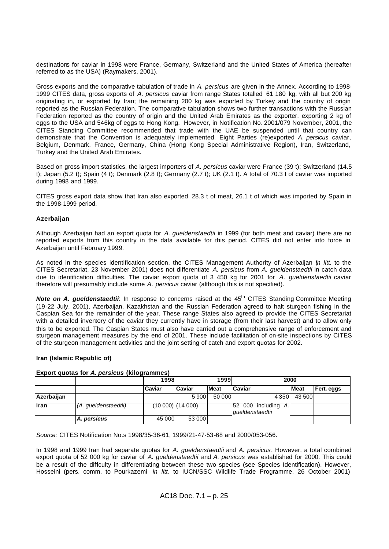destinations for caviar in 1998 were France, Germany, Switzerland and the United States of America (hereafter referred to as the USA) (Raymakers, 2001).

Gross exports and the comparative tabulation of trade in *A. persicus* are given in the Annex. According to 1998- 1999 CITES data, gross exports of *A. persicus* caviar from range States totalled 61 180 kg, with all but 200 kg originating in, or exported by Iran; the remaining 200 kg was exported by Turkey and the country of origin reported as the Russian Federation. The comparative tabulation shows two further transactions with the Russian Federation reported as the country of origin and the United Arab Emirates as the exporter, exporting 2 kg of eggs to the USA and 546kg of eggs to Hong Kong. However, in Notification No. 2001/079 November, 2001, the CITES Standing Committee recommended that trade with the UAE be suspended until that country can demonstrate that the Convention is adequately implemented. Eight Parties (re)exported *A. persicus* caviar, Belgium, Denmark, France, Germany, China (Hong Kong Special Administrative Region), Iran, Switzerland, Turkey and the United Arab Emirates.

Based on gross import statistics, the largest importers of *A. persicus* caviar were France (39 t); Switzerland (14.5 t); Japan (5.2 t); Spain (4 t); Denmark (2.8 t); Germany (2.7 t); UK (2.1 t). A total of 70.3 t of caviar was imported during 1998 and 1999.

CITES gross export data show that Iran also exported 28.3 t of meat, 26.1 t of which was imported by Spain in the 1998-1999 period.

# **Azerbaijan**

Although Azerbaijan had an export quota for *A. gueldenstaedtii* in 1999 (for both meat and caviar) there are no reported exports from this country in the data available for this period. CITES did not enter into force in Azerbaijan until February 1999.

As noted in the species identification section, the CITES Management Authority of Azerbaijan (*in litt.* to the CITES Secretariat, 23 November 2001) does not differentiate *A. persicus* from *A. gueldenstaedtii* in catch data due to identification difficulties. The caviar export quota of 3 450 kg for 2001 for *A. gueldenstaedtii* caviar therefore will presumably include some *A. persicus* caviar (although this is not specified).

*Note on A. gueldenstaedtii*: In response to concerns raised at the 45<sup>th</sup> CITES Standing Committee Meeting (19-22 July, 2001), Azerbaijan, Kazakhstan and the Russian Federation agreed to halt sturgeon fishing in the Caspian Sea for the remainder of the year. These range States also agreed to provide the CITES Secretariat with a detailed inventory of the caviar they currently have in storage (from their last harvest) and to allow only this to be exported. The Caspian States must also have carried out a comprehensive range of enforcement and sturgeon management measures by the end of 2001. These include facilitation of on-site inspections by CITES of the sturgeon management activities and the joint setting of catch and export quotas for 2002.

# **Iran (Islamic Republic of)**

|             | <b>LADOL GUOLGS TOT A. DETSIGGS (KITOGLAHIMIGS)</b> |        |                |              |                                           |             |            |
|-------------|-----------------------------------------------------|--------|----------------|--------------|-------------------------------------------|-------------|------------|
|             |                                                     | 1998   | 1999           |              | 2000                                      |             |            |
|             |                                                     | Caviar | <b>Caviar</b>  | <b>IMeat</b> | Caviar                                    | <b>Meat</b> | Fert. eggs |
| Azerbaijan  |                                                     |        | 5 9 0 0        | 50 000       | 4350                                      | 43 500      |            |
| <b>Iran</b> | (A. gueldenstaedtii)                                |        | (10000)(14000) |              | 52 000 including<br>Α.<br>queldenstaedtii |             |            |
|             | A. persicus                                         | 45 000 | 53 000         |              |                                           |             |            |

# **Export quotas for** *A. persicus* **(kilogrammes)**

*Source:* CITES Notification No.s 1998/35-36-61, 1999/21-47-53-68 and 2000/053-056.

In 1998 and 1999 Iran had separate quotas for *A. gueldenstaedtii* and *A. persicus*. However, a total combined export quota of 52 000 kg for caviar of *A. gueldenstaedtii* and *A. persicus* was established for 2000. This could be a result of the difficulty in differentiating between these two species (see Species Identification). However, Hosseini (pers. comm. to Pourkazemi *in litt*. to IUCN/SSC Wildlife Trade Programme, 26 October 2001)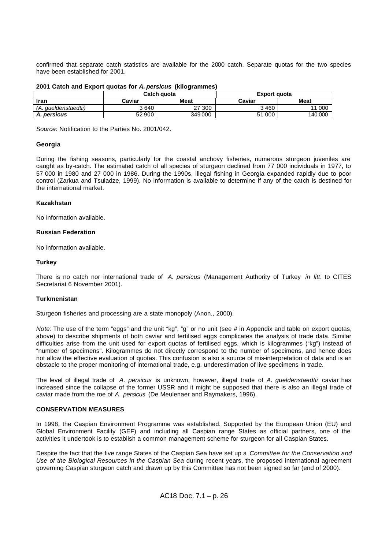confirmed that separate catch statistics are available for the 2000 catch. Separate quotas for the two species have been established for 2001.

|  |  |  |  | 2001 Catch and Export quotas for A. persicus (kilogrammes) |
|--|--|--|--|------------------------------------------------------------|
|--|--|--|--|------------------------------------------------------------|

|                      |        | Catch quota | Export quota |             |  |  |
|----------------------|--------|-------------|--------------|-------------|--|--|
| Iran                 | Caviar | Meat        | Caviar       | <b>Meat</b> |  |  |
| (A. aueldenstaedtii) | 3640   | 27 300      | 3460         | 000<br>44   |  |  |
| <b>A. persicus</b>   | 52900  | 349000      | 51 000       | 140 000     |  |  |

*Source*: Notification to the Parties No. 2001/042.

# **Georgia**

During the fishing seasons, particularly for the coastal anchovy fisheries, numerous sturgeon juveniles are caught as by-catch. The estimated catch of all species of sturgeon declined from 77 000 individuals in 1977, to 57 000 in 1980 and 27 000 in 1986. During the 1990s, illegal fishing in Georgia expanded rapidly due to poor control (Zarkua and Tsuladze, 1999). No information is available to determine if any of the catch is destined for the international market.

# **Kazakhstan**

No information available.

# **Russian Federation**

No information available.

# **Turkey**

There is no catch nor international trade of *A. persicus* (Management Authority of Turkey *in litt*. to CITES Secretariat 6 November 2001).

### **Turkmenistan**

Sturgeon fisheries and processing are a state monopoly (Anon., 2000).

*Note*: The use of the term "eggs" and the unit "kg", "g" or no unit (see # in Appendix and table on export quotas, above) to describe shipments of both caviar and fertilised eggs complicates the analysis of trade data. Similar difficulties arise from the unit used for export quotas of fertilised eggs, which is kilogrammes ("kg") instead of "number of specimens". Kilogrammes do not directly correspond to the number of specimens, and hence does not allow the effective evaluation of quotas. This confusion is also a source of mis-interpretation of data and is an obstacle to the proper monitoring of international trade, e.g. underestimation of live specimens in trade.

The level of illegal trade of *A. persicus* is unknown, however, illegal trade of *A. gueldenstaedtii* caviar has increased since the collapse of the former USSR and it might be supposed that there is also an illegal trade of caviar made from the roe of *A. persicus* (De Meulenaer and Raymakers, 1996).

# **CONSERVATION MEASURES**

In 1998, the Caspian Environment Programme was established. Supported by the European Union (EU) and Global Environment Facility (GEF) and including all Caspian range States as official partners, one of the activities it undertook is to establish a common management scheme for sturgeon for all Caspian States.

Despite the fact that the five range States of the Caspian Sea have set up a *Committee for the Conservation and Use of the Biological Resources in the Caspian Sea* during recent years, the proposed international agreement governing Caspian sturgeon catch and drawn up by this Committee has not been signed so far (end of 2000).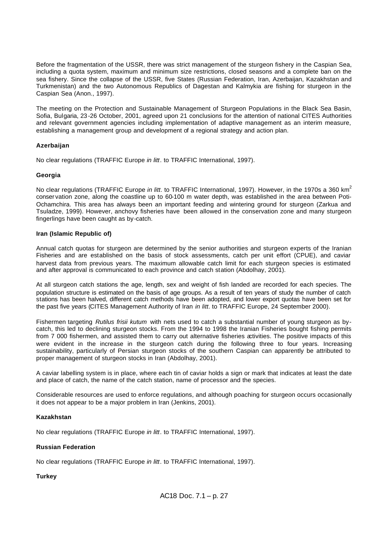Before the fragmentation of the USSR, there was strict management of the sturgeon fishery in the Caspian Sea, including a quota system, maximum and minimum size restrictions, closed seasons and a complete ban on the sea fishery. Since the collapse of the USSR, five States (Russian Federation, Iran, Azerbaijan, Kazakhstan and Turkmenistan) and the two Autonomous Republics of Dagestan and Kalmykia are fishing for sturgeon in the Caspian Sea (Anon., 1997).

The meeting on the Protection and Sustainable Management of Sturgeon Populations in the Black Sea Basin, Sofia, Bulgaria, 23 -26 October, 2001, agreed upon 21 conclusions for the attention of national CITES Authorities and relevant government agencies including implementation of adaptive management as an interim measure, establishing a management group and development of a regional strategy and action plan.

# **Azerbaijan**

No clear regulations (TRAFFIC Europe *in litt*. to TRAFFIC International, 1997).

# **Georgia**

No clear regulations (TRAFFIC Europe *in litt*. to TRAFFIC International, 1997). However, in the 1970s a 360 km<sup>2</sup> conser vation zone, along the coastline up to 60-100 m water depth, was established in the area between Poti-Ochamchira. This area has always been an important feeding and wintering ground for sturgeon (Zarkua and Tsuladze, 1999). However, anchovy fisheries have been allowed in the conservation zone and many sturgeon fingerlings have been caught as by-catch.

# **Iran (Islamic Republic of)**

Annual catch quotas for sturgeon are determined by the senior authorities and sturgeon experts of the Iranian Fisheries and are established on the basis of stock assessments, catch per unit effort (CPUE), and caviar harvest data from previous years. The maximum allowable catch limit for each sturgeon species is estimated and after approval is communicated to each province and catch station (Abdolhay, 2001).

At all sturgeon catch stations the age, length, sex and weight of fish landed are recorded for each species. The population structure is estimated on the basis of age groups. As a result of ten years of study the number of catch stations has been halved, different catch methods have been adopted, and lower export quotas have been set for the past five years (CITES Management Authority of Iran *in litt*. to TRAFFIC Europe, 24 September 2000).

Fishermen targeting *Rutilus frisii kutum* with nets used to catch a substantial number of young sturgeon as bycatch, this led to declining sturgeon stocks. From the 1994 to 1998 the Iranian Fisheries bought fishing permits from 7 000 fishermen, and assisted them to carry out alternative fisheries activities. The positive impacts of this were evident in the increase in the sturgeon catch during the following three to four years. Increasing sustainability, particularly of Persian sturgeon stocks of the southern Caspian can apparently be attributed to proper management of sturgeon stocks in Iran (Abdolhay, 2001).

A caviar labelling system is in place, where each tin of caviar holds a sign or mark that indicates at least the date and place of catch, the name of the catch station, name of processor and the species.

Considerable resources are used to enforce regulations, and although poaching for sturgeon occurs occasionally it does not appear to be a major problem in Iran (Jenkins, 2001).

# **Kazakhstan**

No clear regulations (TRAFFIC Europe *in litt*. to TRAFFIC International, 1997).

# **Russian Federation**

No clear regulations (TRAFFIC Europe *in litt*. to TRAFFIC International, 1997).

# **Turkey**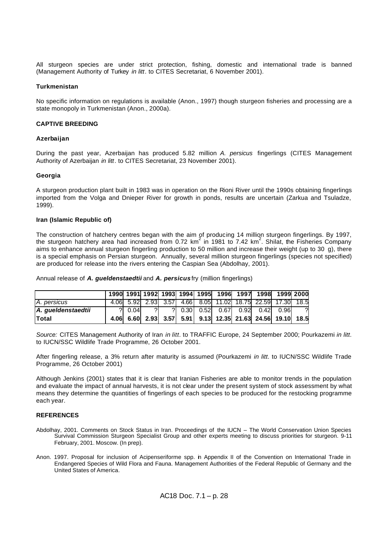All sturgeon species are under strict protection, fishing, domestic and international trade is banned (Management Authority of Turkey *in litt*. to CITES Secretariat, 6 November 2001).

# **Turkmenistan**

No specific information on regulations is available (Anon., 1997) though sturgeon fisheries and processing are a state monopoly in Turkmenistan (Anon., 2000a).

# **CAPTIVE BREEDING**

# **Azerbaijan**

During the past year, Azerbaijan has produced 5.82 million *A. persicus* fingerlings (CITES Management Authority of Azerbaijan *in litt*. to CITES Secretariat, 23 November 2001).

# **Georgia**

A sturgeon production plant built in 1983 was in operation on the Rioni River until the 1990s obtaining fingerlings imported from the Volga and Dnieper River for growth in ponds, results are uncertain (Zarkua and Tsuladze, 1999).

# **Iran (Islamic Republic of)**

The construction of hatchery centres began with the aim of producing 14 million sturgeon fingerlings. By 1997,<br>the sturgeon hatchery area had increased from 0.72 km<sup>2</sup> in 1981 to 7.42 km<sup>2</sup>. Shilat, the Fisheries Company aims to enhance annual sturgeon fingerling production to 50 million and increase their weight (up to 30 g), there is a special emphasis on Persian sturgeon. Annually, several million sturgeon fingerlings (species not specified) are produced for release into the rivers entering the Caspian Sea (Abdolhay, 2001).

Annual release of *A. gueldenstaedtii* and *A. persicus* fry (million fingerlings)

|                    |            |    |  |  | 1990 1991 1992 1993 1994 1995 1996 1997 1998 1999 2000     |  |    |
|--------------------|------------|----|--|--|------------------------------------------------------------|--|----|
| A. persicus        |            |    |  |  | 4.06 5.92 2.93 3.57 4.66 8.05 11.02 18.75 22.59 17.30 18.5 |  |    |
| A. gueldenstaedtii | $? \ 0.04$ | 21 |  |  | ? 0.30 0.52 0.67 0.92 0.42 0.96                            |  | 21 |
| lTotal             |            |    |  |  | 4.06 6.60 2.93 3.57 5.91 9.13 12.35 21.63 24.56 19.10 18.5 |  |    |

*Source:* CITES Management Authority of Iran *in litt*. to TRAFFIC Europe, 24 September 2000; Pourkazemi *in litt*. to IUCN/SSC Wildlife Trade Programme, 26 October 2001.

After fingerling release, a 3% return after maturity is assumed (Pourkazemi *in litt*. to IUCN/SSC Wildlife Trade Programme, 26 October 2001)

Although Jenkins (2001) states that it is clear that Iranian Fisheries are able to monitor trends in the population and evaluate the impact of annual harvests, it is not clear under the present system of stock assessment by what means they determine the quantities of fingerlings of each species to be produced for the restocking programme each year.

### **REFERENCES**

- Abdolhay, 2001. Comments on Stock Status in Iran. Proceedings of the IUCN The World Conservation Union Species Survival Commission Sturgeon Specialist Group and other experts meeting to discuss priorities for sturgeon. 9-11 February, 2001. Moscow. (In prep).
- Anon. 1997. Proposal for inclusion of Acipenseriforme spp. in Appendix II of the Convention on International Trade in Endangered Species of Wild Flora and Fauna. Management Authorities of the Federal Republic of Germany and the United States of America.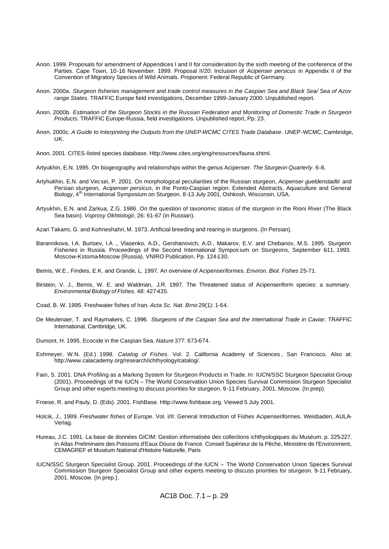- Anon. 1999. Proposals for amendment of Appendices I and II for consideration by the sixth meeting of the conference of the Parties. Cape Town, 10-16 November. 1999. Proposal II/20: Inclusion of *Acipenser persicus* in Appendix II of the Convention of Migratory Species of Wild Animals. Proponent: Federal Republic of Germany.
- Anon. 2000a. *Sturgeon fisheries management and trade control measures in the Caspian Sea and Black Sea/ Sea of Azov range States*. TRAFFIC Europe field investigations, December 1999-January 2000. Unpublished report.
- Anon. 2000b. *Estimation of the Sturgeon Stocks in the Russian Federation and Monitoring of Domestic Trade in Sturgeon Products*. TRAFFIC Europe-Russia, field investigations. Unpublished report, Pp. 23.
- Anon. 2000c. *A Guide to Interpreting the Outputs from the UNEP-WCMC CITES Trade Database*. UNEP-WCMC, Cambridge, UK.
- Anon. 2001. CITES-listed species database. Http://www.cites.org/eng/resources/fauna.shtml.
- Artyukhin, E.N. 1995. On biogeography and relationships within the genus Acipenser. *The Sturgeon Quarterly*. 6-8.
- Artyhukhin, E.N. and Vecsei, P. 2001. On morphological peculiarities of the Russian sturgeon, *Acipenser gueldenstadtii* and Persian sturgeon, *Acipenser persicus*, in the Ponto-Caspian region. Extended Abstracts, Aquaculture and General Biology, 4<sup>th</sup> International Symposium on Sturgeon. 8-13 July 2001, Oshkosh, Wisconsin, USA.
- Artyukhin, E.N. and Zarkua, Z.G. 1986. On the question of taxonomic status of the sturgeon in the Rioni River (The Black Sea basin). *Voprosy Okhtiologii*, 26: 61-67 (in Russian).
- Azari Takami, G. and Kohneshahri, M. 1973. Artificial breeding and rearing in sturgeons. (In Persian).
- Barannikova, I.A. Burtsev, I.A ., Vlasenko, A.D., Gershanovich, A.D., Makarov, E.V. and Chebanov, M.S. 1995. Sturgeon Fisheries in Russia. Proceedings of the Second International Symposium on Sturgeons, September 611, 1993. Moscow-Kstoma-Moscow (Russia). VNIRO Publication. Pp. 124-130.
- Bemis, W.E., Findeis, E.K. and Grande, L. 1997. An overview of Acipenseriformes. *Environ. Biol. Fishes* 25-71.
- Birstein, V. J., Bemis, W. E. and Waldman, J.R. 1997. The Threatened status of Acipenseriform species: a summary. *Environmental Biology of Fishes*. 48: 427-435.
- Coad, B. W. 1995. Freshwater fishes of Iran. *Acta Sc. Nat. Brno* 29(1): 1-64.
- De Meulenaer, T. and Raymakers, C. 1996. *Sturgeons of the Caspian Sea and the International Trade in Caviar*. TRAFFIC International, Cambridge, UK.
- Dumont, H. 1995. Ecocide in the Caspian Sea. *Nature* 377: 673-674.
- Eshmeyer, W.N. (Ed.) 1998. *Catalog of Fishes*. Vol. 2. California Academy of Sciences *,* San Francisco. Also at: http://www.calacademy.org/research/ichthyology/catalog/.
- Fain, S. 2001. DNA Profiling as a Marking System for Sturgeon Products in Trade. *In*: IUCN/SSC Sturgeon Specialist Group (2001). Proceedings of the IUCN – The World Conservation Union Species Survival Commission Sturgeon Specialist Group and other experts meeting to discuss priorities for sturgeon. 9-11 February, 2001. Moscow. (In prep).
- Froese, R. and Pauly, D. (Eds). 2001. FishBase. Http://www.fishbase.org. Viewed 5 July 2001.
- Holcik, J., 1989. *Freshwater fishes of Europe*. Vol. I/II: General Introduction of Fishes Acipenseriformes. Weisbaden, AULA-Verlag.
- Hureau, J.C. 1991. La base de données GICIM: Gestion informatisée des collections ichthyologiques du Muséum. p. 225-227. In Atlas Preliminaire des Poissons d'Eaux Douce de France. Conseil Supérieur de la Pêche, Ministère de l'Environment, CEMAGREF et Muséum National d'Histoire Naturelle, Paris
- IUCN/SSC Sturgeon Specialist Group. 2001. Proceedings of the IUCN The World Conservation Union Species Survival Commission Sturgeon Specialist Group and other experts meeting to discuss priorities for sturgeon. 9-11 February, 2001. Moscow. (In prep.).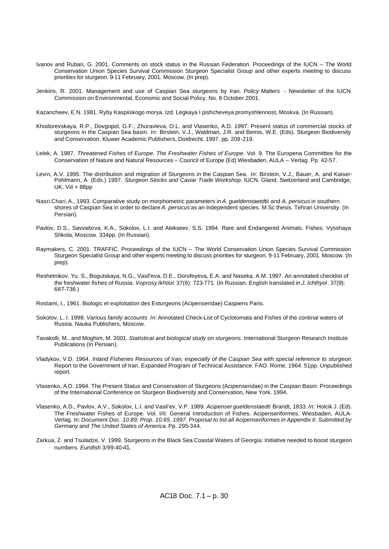- Ivanov and Ruban, G. 2001. Comments on stock status in the Russian Federation. Proceedings of the IUCN The World Conservation Union Species Survival Commission Sturgeon Specialist Group and other experts meeting to discuss priorities for sturgeon. 9-11 February, 2001. Moscow. (In prep).
- Jenkins, R. 2001. Management and use of Caspian Sea sturgeons by Iran. *Policy Matters -* Newsletter of the IUCN Commission on Environmental, Economic and Social Policy. No. 8 October 2001.

Kazancheev, E.N. 1981. Ryby Kaspiiskogo morya. Izd. Lëgkaya I pishcheveya promyshlennost, Moskva. (In Russian).

- Khodorevskaya, R.P., Dovgopol, G.F., Zhuravleva, O.L. and Vlasenko, A.D. 1997. Present status of commercial stocks of sturgeons in the Caspian Sea basin. *In*: Birstein, V.J., Waldman, J.R. and Bemis, W.E. (Eds). Sturgeon Biodiversity and Conservation. Kluwer Academic Publishers, Dordrecht. 1997. pp. 209-219.
- Lelek, A. 1987. *Threatened Fishes of Europe. The Freshwater Fishes of Europe*. Vol. 9. The Europena Committtee for the Conservation of Nature and Natural Resources – Council of Europe (Ed) Wiesbaden, AULA – Verlag. Pp. 42-57.
- Levin, A.V. 1995. The distribution and migration of Sturgeons in the Caspian Sea. *In*: Birstein, V.J., Bauer, A. and Kaiser-Pohlmann, A. (Eds.) 1997. *Sturgeon Stocks and Caviar Trade Workshop*. IUCN. Gland, Switzerland and Cambridge, UK. Viii + 88pp
- Nasri Chari, A., 1993. Comparative study on morphometric parameters in *A. gueldenstaetdtii* and *A. persicus* in southern shores of Caspian Sea in order to declare *A. persicus* as an independent species. M.Sc thesis. Tehran University. (In Persian).
- Pavlov, D.S., Savvaitova, K.A., Sokolov, L.I. and Alekseev, S.S. 1994. Rare and Endangered Animals. Fishes. Vysshaya Shkola, Moscow. 334pp. (In Russian).
- Raymakers, C. 2001. TRAFFIC. Proceedings of the IUCN The World Conservation Union Species Survival Commission Sturgeon Specialist Group and other experts meeting to discuss priorities for sturgeon. 9-11 February, 2001. Moscow. (In prep).
- Reshetnikov, Yu. S., Bogutskaya, N.G., Vasil'eva, D.E., Dorofeyeva, E.A. and Naseka, A.M. 1997. An annotated checklist of the freshwater fishes of Russia. *Voprosy Ikhtiol*. 37(6): 723-771. (In Russian. English translated in *J. Ichthyol*. 37(9): 687-736.)
- Rostami, I., 1961. Biologic et exploitation des Esturgeons (Acipenseridae) Caspiens Paris.
- Sokolov, L. I. 1998. *Various family accounts*. *In*: Annotated Check-List of Cyclotomata and Fishes of the continal waters of Russia. Nauka Publishers, Moscow.
- Tavakolli, M., and Moghim, M. 2001. *Statistical and biological study on sturgeons*. International Sturgeon Research Institute Publications (In Persian).
- Vladykov, V.D. 1964. *Inland Fisheries Resources of Iran, especially of the Caspian Sea with special reference to sturgeon*. Report to the Government of Iran. Expanded Program of Technical Assistance. FAO. Rome, 1964. 51pp. Unpublished report.
- Vlasenko, A.D. 1994. The Present Status and Conservation of Sturgeons (Acipenseridae) in the Caspian Basin. Proceedings of the International Conference on Sturgeon Biodiversity and Conservation, New York. 1994.
- Vlasenko, A.D., Pavlov, A.V., Sokolov, L.I. and Vasil'ev, V.P. 1989. *Acipenser gueldenstaedti* Brandt, 1833. *In*: Holcik J. (Ed). The Freshwater Fishes of Europe. Vol. I/II: General Introduction of Fishes. Acipenseriformes. Wiesbaden, AULA-Verlag. In: *Document Doc. 10.89; Prop. 10.65. 1997. Proposal to list all Acipenseriformes in Appendix II. Submitted by Germany and The United States of America.* Pp. 295-344.
- Zarkua, Z. and Tsuladze, V. 1999. Sturgeons in the Black Sea Coastal Waters of Georgia: Initiative needed to boost sturgeon numbers. *Eurofish* 3/99:40-41.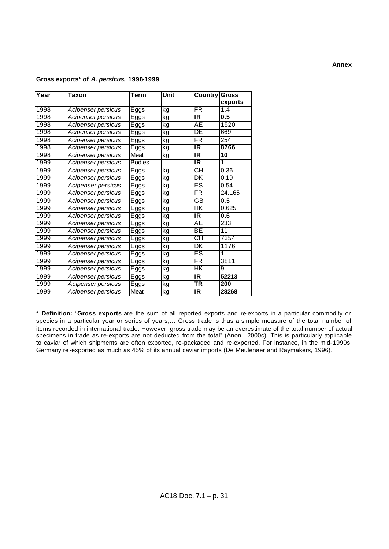# **Gross exports\* of** *A. persicus,* **1998-1999**

| Year | Taxon              | Term          | Unit | <b>Country Gross</b>     | exports |
|------|--------------------|---------------|------|--------------------------|---------|
| 1998 | Acipenser persicus | Eggs          | kg   | $\overline{\mathsf{FR}}$ | 1.4     |
| 1998 | Acipenser persicus | Eggs          | kg   | IR                       | 0.5     |
| 1998 | Acipenser persicus | Eggs          | kg   | AЕ                       | 1520    |
| 1998 | Acipenser persicus | Eggs          | kg   | DE                       | 669     |
| 1998 | Acipenser persicus | Eggs          | kg   | $\overline{\mathsf{FR}}$ | 254     |
| 1998 | Acipenser persicus | Eggs          | kg   | $\overline{\mathsf{IR}}$ | 8766    |
| 1998 | Acipenser persicus | Meat          | kg   | IR                       | 10      |
| 1999 | Acipenser persicus | <b>Bodies</b> |      | IR                       | 1       |
| 1999 | Acipenser persicus | Eggs          | kg   | СH                       | 0.36    |
| 1999 | Acipenser persicus | Eggs          | kg   | DK                       | 0.19    |
| 1999 | Acipenser persicus | Eggs          | kg   | ES                       | 0.54    |
| 1999 | Acipenser persicus | Eggs          | kg   | $\overline{\mathsf{FR}}$ | 24.165  |
| 1999 | Acipenser persicus | Eggs          | kg   | GВ                       | 0.5     |
| 1999 | Acipenser persicus | Eggs          | kg   | HΚ                       | 0.625   |
| 1999 | Acipenser persicus | Eggs          | kg   | IR                       | 0.6     |
| 1999 | Acipenser persicus | Eggs          | kg   | ĀЕ                       | 233     |
| 1999 | Acipenser persicus | Eggs          | kg   | ВE                       | 11      |
| 1999 | Acipenser persicus | Eggs          | kg   | СH                       | 7354    |
| 1999 | Acipenser persicus | Eggs          | kg   | DK                       | 1176    |
| 1999 | Acipenser persicus | Eggs          | kg   | $_{\rm ES}$              | 1       |
| 1999 | Acipenser persicus | Eggs          | kg   | $\overline{\mathsf{FR}}$ | 3811    |
| 1999 | Acipenser persicus | Eggs          | kg   | HΚ                       | 9       |
| 1999 | Acipenser persicus | Eggs          | kg   | IR                       | 52213   |
| 1999 | Acipenser persicus | Eggs          | kg   | ΤR                       | 200     |
| 1999 | Acipenser persicus | Meat          | kg   | IR                       | 28268   |

\* **Definition:** "**Gross exports** are the sum of all reported exports and re-exports in a particular commodity or species in a particular year or series of years;… Gross trade is thus a simple measure of the total number of items recorded in international trade. However, gross trade may be an overestimate of the total number of actual specimens in trade as re-exports are not deducted from the total" (Anon., 2000c). This is particularly applicable to caviar of which shipments are often exported, re-packaged and re-exported. For instance, in the mid-1990s, Germany re -exported as much as 45% of its annual caviar imports (De Meulenaer and Raymakers, 1996).

# **Annex**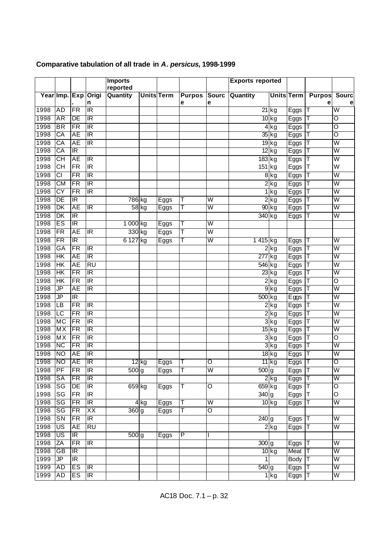|      |                           |                          |                              | <b>Imports</b>     |         |                   |               |                         | <b>Exports reported</b> |                    |                   |               |                         |
|------|---------------------------|--------------------------|------------------------------|--------------------|---------|-------------------|---------------|-------------------------|-------------------------|--------------------|-------------------|---------------|-------------------------|
|      |                           |                          |                              | reported           |         |                   |               |                         |                         |                    |                   |               |                         |
|      |                           |                          | Year Imp. Exp Origi          | Quantity           |         | <b>Units Term</b> | <b>Purpos</b> | <b>Sourc</b>            | Quantity                |                    | <b>Units Term</b> | <b>Purpos</b> | <b>Sourc</b>            |
|      |                           |                          | n<br>$\overline{\mathbb{R}}$ |                    |         |                   | е             | е                       |                         |                    |                   | e             | e                       |
| 1998 | <b>AD</b>                 | FR                       |                              |                    |         |                   |               |                         |                         | $\overline{21}$ kg | Eggs              | т             | W                       |
| 1998 | AR                        | DE                       | ΙR                           |                    |         |                   |               |                         |                         | $10$ kg            | Eggs              | Т             | ਠ                       |
| 1998 | <b>BR</b>                 | FR                       | $\overline{\mathbb{R}}$      |                    |         |                   |               |                         |                         | 4kg                | Eggs              | T             | $\overline{\rm o}$      |
| 1998 | CA                        | AE                       | ΙR                           |                    |         |                   |               |                         |                         | $35$ kg            | Eggs              | Т             | ਾ                       |
| 1998 | $\overline{CA}$           | <b>AE</b>                | $\overline{\mathbb{R}}$      |                    |         |                   |               |                         |                         | $\overline{19}$ kg | Eggs              | T             | $\overline{\mathsf{W}}$ |
| 1998 | CA                        | $\overline{\mathbb{R}}$  |                              |                    |         |                   |               |                         |                         | $12$ kg            | Eggs              | Т             | W                       |
| 1998 | $\overline{CH}$           | <b>AE</b>                | $\overline{\mathbb{R}}$      |                    |         |                   |               |                         | $\overline{183}$ kg     |                    | Eggs              | T             | $\overline{\mathsf{W}}$ |
| 1998 | <b>CH</b>                 | FR                       | IR.                          |                    |         |                   |               |                         | 151 kg                  |                    | Eggs              | Т             | W                       |
| 1998 | $\overline{c}$            | FR                       | $\overline{\mathsf{IR}}$     |                    |         |                   |               |                         |                         | $8$ kg             | Eggs              | T             | $\overline{W}$          |
| 1998 | $\overline{\text{CM}}$    | FR                       | $\overline{\mathsf{IR}}$     |                    |         |                   |               |                         |                         | $2$ kg             | Eggs              | Т             | $\overline{\mathsf{W}}$ |
| 1998 | $\overline{CY}$           | FR                       | $\overline{\mathbb{R}}$      |                    |         |                   |               |                         |                         | 1 <sub>kg</sub>    | Eggs              | Т             | $\overline{\mathsf{W}}$ |
| 1998 | DE                        | <b>IR</b>                |                              | $786$ kg           |         | Eggs              | T             | W                       |                         | $2$ $kg$           | Eggs              | Т             | $\overline{\mathsf{W}}$ |
| 1998 | DK                        | AE                       | $\overline{\mathbb{R}}$      | $58$ kg            |         | Eggs              | Τ             | $\overline{\mathsf{W}}$ |                         | $\overline{90}$ kg | Eggs              |               | $\overline{\mathsf{W}}$ |
| 1998 | $\overline{\mathsf{D}}$ K | $\overline{\mathbb{R}}$  |                              |                    |         |                   |               |                         | $340$ kg                |                    | Eggs              | Т             | $\overline{\mathsf{W}}$ |
| 1998 | ES                        | $\overline{\mathbb{R}}$  |                              | 1 000 kg           |         | Eggs              | Τ             | $\overline{\mathsf{W}}$ |                         |                    |                   |               |                         |
| 1998 | FR                        | <b>AE</b>                | $\overline{\mathbb{R}}$      | 330 kg             |         | Eggs              | T             | $\overline{\mathsf{W}}$ |                         |                    |                   |               |                         |
| 1998 | FR                        | $\overline{\mathbb{R}}$  |                              | 6 1 2 7            | kg      | Eggs              | Т             | W                       | 1415 kg                 |                    | Eggs              | Т             | $\overline{\mathsf{W}}$ |
| 1998 | $G$ A                     | FR                       | $\overline{\mathbb{R}}$      |                    |         |                   |               |                         |                         | $2$ $kg$           | Eggs              | T             | $\overline{\mathsf{W}}$ |
| 1998 | HK                        | AE                       | $\overline{\mathbb{R}}$      |                    |         |                   |               |                         | 277 kg                  |                    | Eggs              | Т             | W                       |
| 1998 | $\overline{\mathsf{HK}}$  | <b>AE</b>                | $\overline{RU}$              |                    |         |                   |               |                         | $\overline{546}$ kg     |                    | Eggs              | Т             | $\overline{\mathsf{W}}$ |
| 1998 | HK                        | FR                       | ΙR                           |                    |         |                   |               |                         |                         | $23$ $kg$          | Eggs              | Т             | W                       |
| 1998 | $\overline{\mathsf{HK}}$  | FR                       | $\overline{\mathsf{IR}}$     |                    |         |                   |               |                         |                         | $2$ $kg$           | Eggs              | Τ             | O                       |
| 1998 | JP                        | <b>AE</b>                | $\overline{\mathbb{R}}$      |                    |         |                   |               |                         |                         | $9$ kg             | Eggs              | Т             | $\overline{W}$          |
| 1998 | JP                        | $\overline{\mathbb{R}}$  |                              |                    |         |                   |               |                         | $\overline{500}$ kg     |                    | Eggs              | Τ             | $\overline{\mathsf{W}}$ |
| 1998 | LB                        | FR                       | $\overline{\mathbb{R}}$      |                    |         |                   |               |                         |                         | $\overline{2}$ kg  | Eggs              | Τ             | $\overline{\mathsf{W}}$ |
| 1998 | LC                        | FR                       | $\overline{\mathbb{R}}$      |                    |         |                   |               |                         |                         | $2$ kg             | Eggs              | Т             | $\overline{\mathsf{W}}$ |
| 1998 | <b>MC</b>                 | $\overline{\mathsf{FR}}$ | $\overline{\mathbb{R}}$      |                    |         |                   |               |                         |                         | $3$ $kg$           | Eggs              | Т             | $\overline{\mathsf{W}}$ |
| 1998 | МX                        | FR                       | $\overline{\mathbb{R}}$      |                    |         |                   |               |                         |                         | $15$ $kg$          | Eggs              | Т             | W                       |
| 1998 | <b>MX</b>                 | FR                       | $\overline{\mathbb{R}}$      |                    |         |                   |               |                         |                         | $\overline{3}$ kg  | Eggs              | Ŧ             | O                       |
| 1998 | <b>NC</b>                 | FR                       | ΙR                           |                    |         |                   |               |                         |                         | $3$ $kg$           | Eggs              | T             | W                       |
| 1998 | <b>NO</b>                 | AE                       | $\overline{\mathbb{R}}$      |                    |         |                   |               |                         |                         | $18$ kg            | Eggs              | T             | $\overline{W}$          |
| 1998 | ΝO                        | AE                       | ΙR                           |                    | $12$ kg | Eggs              | П             | O                       |                         | $11$ kg            | Eggs              | Τ             | Ō                       |
| 1998 | <b>PF</b>                 | FR                       | <b>IR</b>                    | 500g               |         | Eggs              | π             | W                       | 500 <sub>g</sub>        |                    | Eggs T            |               | W                       |
| 1998 | <b>SA</b>                 | $\overline{\mathsf{FR}}$ | $\overline{\mathbb{R}}$      |                    |         |                   |               |                         |                         | $2$ $kg$           | Eggs              | IТ            | W                       |
| 1998 | $\overline{\text{SG}}$    | DE                       | $\overline{\mathbb{R}}$      | 659 kg             |         | Eggs              | T             | O                       | $659$ kg                |                    |                   | T             | O                       |
| 1998 | SG                        | <b>FR</b>                | IR                           |                    |         |                   |               |                         | 340 g                   |                    | Eggs              | Т             | O                       |
| 1998 | $\overline{\text{SG}}$    | FR                       | $\overline{\mathbb{R}}$      |                    |         |                   |               | $\overline{\mathsf{W}}$ |                         | $10$ kg            | Eggs              | Т             | $\overline{W}$          |
| 1998 | $\overline{\text{SG}}$    | $\overline{\mathsf{FR}}$ | XX                           |                    | 4 kg    | Eggs              | IТ<br>T       | $\overline{\circ}$      |                         |                    | Eggs              |               |                         |
|      |                           |                          |                              | $\overline{360}$ g |         | Eggs              |               |                         |                         |                    |                   |               |                         |
| 1998 | $\overline{\text{SN}}$    | $\overline{\mathsf{FR}}$ | IR                           |                    |         |                   |               |                         | $\overline{240}$ g      |                    | Eggs              | Τ             | W                       |
| 1998 | $\overline{\mathsf{US}}$  | AE                       | $\overline{RU}$              |                    |         |                   |               |                         |                         | $\overline{2}$ kg  | Eggs              | Τ             | $\overline{\mathsf{W}}$ |
| 1998 | US                        | ΙR                       |                              | $500$ g            |         | Eggs              | P             |                         |                         |                    |                   |               |                         |
| 1998 | $\overline{ZA}$           | $\overline{\mathsf{FR}}$ | $\overline{\mathbb{R}}$      |                    |         |                   |               |                         | $\overline{300}$ g      |                    | Eggs              | Τ             | $\overline{\mathsf{W}}$ |
| 1998 | GB                        | $\overline{\mathbb{R}}$  |                              |                    |         |                   |               |                         |                         | $10$ kg            | Meat              | IΤ            | W                       |
| 1999 | JP                        | $\overline{\mathbb{R}}$  |                              |                    |         |                   |               |                         | $\mathbf{1}$            |                    | Body              | T             | $\overline{\mathsf{W}}$ |
| 1999 | <b>AD</b>                 | ES                       | $\overline{\mathbb{R}}$      |                    |         |                   |               |                         | $540$ g                 |                    | Eggs              | Т             | W                       |
| 1999 | AD                        | ES                       | $\overline{\mathbb{R}}$      |                    |         |                   |               |                         |                         | $1$ kg             | Eggs              | T             | $\overline{\mathsf{W}}$ |

# **Comparative tabulation of all trade in** *A. persicus,* **1998-1999**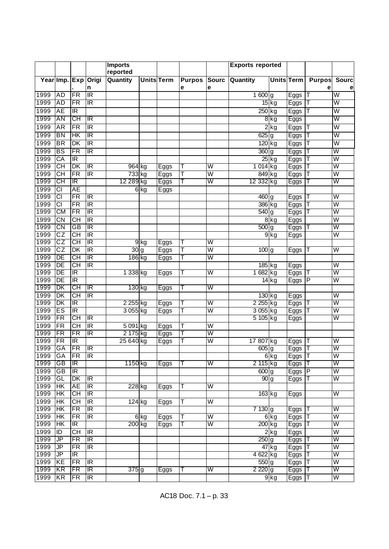|              |                                    |                                                     |                                   | <b>Imports</b>    |        |                   |               |                         | <b>Exports reported</b> |                   |              |               |                         |
|--------------|------------------------------------|-----------------------------------------------------|-----------------------------------|-------------------|--------|-------------------|---------------|-------------------------|-------------------------|-------------------|--------------|---------------|-------------------------|
|              |                                    |                                                     |                                   | reported          |        |                   |               |                         |                         |                   |              |               |                         |
|              |                                    |                                                     | Year Imp. Exp   Origi             | Quantity          |        | <b>Units Term</b> | <b>Purpos</b> | <b>Sourc</b>            | Quantity                | <b>Units Term</b> |              | <b>Purpos</b> | Sourc                   |
|              |                                    |                                                     | n                                 |                   |        |                   | е             | е                       |                         |                   |              | е             | е                       |
| 1999         | AD                                 | $\overline{\textsf{FR}}$                            | $\overline{\mathbb{R}}$           |                   |        |                   |               |                         | 1600g                   |                   | Eggs         | Τ             | $\overline{\mathsf{W}}$ |
| 1999         | AD                                 | FR                                                  | ΙR                                |                   |        |                   |               |                         |                         | $15$ kg           | Eggs         |               | W                       |
| 1999         | <b>AE</b>                          | $\overline{\mathbb{R}}$                             |                                   |                   |        |                   |               |                         | $250$ kg                |                   | Eggs         | Τ             | W                       |
| 1999         | AN                                 | СH                                                  | ΙR                                |                   |        |                   |               |                         |                         | 8kg               | Eggs         |               | W                       |
| 1999         | <b>AR</b>                          | $\overline{\mathsf{FR}}$                            | $\overline{\mathbb{R}}$           |                   |        |                   |               |                         |                         | $2$ kg            | Eggs         | Τ             | $\overline{\mathsf{w}}$ |
| 1999         | BN                                 | HК                                                  | ΙR                                |                   |        |                   |               |                         | $625$ g                 |                   | Eggs         | Τ             | W                       |
| 1999         | $\overline{\mathsf{BR}}$           | $\overline{\mathsf{D}}$ K                           | $\overline{\mathbb{R}}$           |                   |        |                   |               |                         | $\overline{120}$ kg     |                   | Eggs         | Τ             | $\overline{\mathsf{W}}$ |
| 1999         | <b>BS</b>                          | FR                                                  | $\overline{\mathbb{R}}$           |                   |        |                   |               |                         | $360$ g                 |                   | Eggs         |               | W                       |
| 1999         | $\overline{CA}$                    | $\overline{\mathbb{R}}$                             |                                   |                   |        |                   |               |                         |                         | $25$ kg           | Eggs         | Τ             | $\overline{\mathsf{W}}$ |
| 1999         | СH                                 | DK                                                  | ΙR                                | 964 kg            |        | Eggs              | Т             | $\overline{\mathsf{W}}$ | 1 014 kg                |                   | <b>Eggs</b>  |               | W                       |
| 1999         | $\overline{CH}$                    | FR                                                  | $\overline{\mathbb{R}}$           | 733 kg            |        | Eggs              | Т             | $\overline{\mathsf{W}}$ | 849 kg                  |                   | Eggs         | Τ             | $\overline{\mathsf{W}}$ |
| 1999         | СH                                 | $\overline{\mathbb{R}}$                             |                                   | 12 289 kg         |        | Eggs              | Т             | W                       | 12 332 kg               |                   | Eggs         |               | W                       |
| 1999         | $\overline{c}$                     | <b>AE</b>                                           |                                   |                   | 6 kg   | Eggs              |               |                         |                         |                   |              |               |                         |
| 1999         | $\overline{\text{CI}}$             | FR                                                  | $\overline{\mathbb{R}}$           |                   |        |                   |               |                         | $460$ g                 |                   | Eggs         | $\mathbf{I}$  | W                       |
| 1999         | $\overline{CI}$                    | FR                                                  | $\overline{\mathbb{R}}$           |                   |        |                   |               |                         | 386 kg                  |                   | Eggs         | T             | $\overline{\mathsf{W}}$ |
| 1999         | <b>CM</b>                          | FR                                                  | ΙR                                |                   |        |                   |               |                         | $540$ g                 |                   | <b>Eggs</b>  |               | W                       |
| 1999         | $\overline{C}N$                    | $\overline{CH}$                                     | IR                                |                   |        |                   |               |                         |                         | 8kg               | Eggs         |               | $\overline{\mathsf{W}}$ |
| 1999         | CN                                 | <b>GB</b>                                           | ΙR                                |                   |        |                   |               |                         | 500 <sub>g</sub>        |                   | Eggs         | T             | W                       |
| 1999         | $\overline{c}$                     | $\overline{CH}$                                     | IR                                |                   |        |                   |               |                         |                         | $9$ kg            | Eggs         |               | $\overline{\mathsf{W}}$ |
| 1999         | CZ                                 | СH                                                  | $\overline{\mathbb{R}}$           |                   | $9$ kg | Eggs              | Τ             | $\overline{\mathsf{W}}$ |                         |                   |              |               |                         |
| 1999         | $\overline{\text{CZ}}$             | $\overline{\mathsf{DK}}$                            | Œ                                 | $\overline{30}$ g |        | Eggs              | Т             | $\overline{\mathsf{W}}$ | $\overline{100}$ g      |                   | Eggs         | T             | $\overline{\mathsf{W}}$ |
| 1999         | $\overline{DE}$                    | CН                                                  | $\overline{\mathbb{R}}$           | 186 kg            |        | Eggs              | т             | W                       |                         |                   |              |               |                         |
| 1999         | $\overline{DE}$                    | $\overline{\overline{\mathsf{CH}}}$                 | $\overline{\mathbb{R}}$           |                   |        |                   |               |                         | $\overline{185}$ kg     |                   | Eggs         |               | W                       |
| 1999         | DE                                 | $\overline{\mathbb{R}}$                             |                                   | 1 338 kg          |        | Eggs              | Т             | $\overline{\mathsf{W}}$ | 1 682 kg                |                   | Eggs         |               | W                       |
| 1999         | $\overline{DE}$                    | $\overline{\mathbb{R}}$                             |                                   |                   |        |                   |               |                         |                         | $14$ kg           | Eggs         | $\mathsf P$   | $\overline{\mathsf{W}}$ |
| 1999         | DK                                 | CН                                                  | ΙR                                | 130 kg            |        | Eggs              | Т             | W                       |                         |                   |              |               |                         |
| 1999         | $\overline{\mathsf{D}\mathsf{K}}$  | $\overline{\overline{\text{CH}}}$                   | $\overline{\mathbb{R}}$           |                   |        |                   |               |                         | $\overline{130}$ kg     |                   | Eggs         |               | $\overline{\mathsf{W}}$ |
| 1999         | DK                                 | $\overline{\mathbb{R}}$                             |                                   | 2 255 kg          |        | Eggs              | Т             | $\overline{\mathsf{W}}$ | $2255$ kg               |                   | Eggs         | Τ             | W                       |
| 1999         | ES                                 | $\overline{\mathbb{R}}$                             |                                   | 3 055 kg          |        | Eggs              | Т             | $\overline{\mathsf{W}}$ | 3 055 kg                |                   | Eggs         | Τ             | $\overline{\mathsf{W}}$ |
| 1999         | FR                                 | CН                                                  | $\overline{\mathbb{R}}$           |                   |        |                   |               |                         | 5 105 kg                |                   | Eggs         |               | W                       |
| 1999         | $\overline{\mathsf{FR}}$           | $\overline{\text{CH}}$                              | $\overline{\mathbb{R}}$           | 5 091 kg          |        | Eggs              | Τ             | $\overline{\mathsf{W}}$ |                         |                   |              |               |                         |
| 1999         | FR                                 | FR                                                  | $\overline{\mathbb{R}}$           | 2 175 kg          |        | Eggs              | T             | W                       |                         |                   |              |               |                         |
| 1999         | FR                                 | $\overline{\mathbb{R}}$                             |                                   | 25 640 kg         |        | Eggs              | T             | $\overline{\mathsf{W}}$ | 17 807 kg               |                   | Eggs         | Т             | $\overline{\mathsf{W}}$ |
| 1999         | GA                                 | FR                                                  | $\overline{\mathbb{R}}$           |                   |        |                   |               |                         | $605$ g                 |                   | $E$ ggs      | Т             | W                       |
| 1999         | <b>GA</b>                          | <b>IFR</b>                                          | IIR.                              |                   |        |                   |               |                         |                         | 6kg               | Eggs  T      |               | W                       |
| 1999         | $\overline{GB}$                    | IR                                                  |                                   | 1150 kg           |        | Eggs              | т             | W                       | 2 115 kg                |                   | Eggs         | Т             | W                       |
| 1999         | $\overline{GB}$                    | IR.                                                 |                                   |                   |        |                   |               |                         | $600$ g                 |                   | Eggs P       |               | $\overline{\mathsf{W}}$ |
| 1999         | GL                                 | DK                                                  | IR.                               |                   |        |                   |               |                         | 90 <sub>g</sub>         |                   | Eggs         | Τ             | W                       |
| 1999         | HK                                 | AE                                                  | $\ensuremath{\mathsf{IR}}\xspace$ | 228 kg            |        | Eggs              | Τ             | W                       |                         |                   |              |               |                         |
| 1999         | HК                                 | CН                                                  | $\overline{\mathbb{R}}$           |                   |        |                   |               |                         | 163 kg                  |                   | Eggs         |               | W                       |
| 1999         | $\overline{\mathsf{HK}}$           | $\overline{\overline{\mathsf{CH}}}$                 | $\overline{\mathbb{R}}$           | 124 kg            |        | Eggs              | Т             | $\overline{\mathsf{W}}$ |                         |                   |              |               | $\overline{\mathsf{W}}$ |
| 1999         | HК                                 | FR                                                  | $\overline{\mathbb{R}}$           |                   |        |                   |               | $\overline{\mathsf{W}}$ | 7 130 g                 |                   | Eggs         | Τ             | $\overline{\mathsf{w}}$ |
| 1999<br>1999 | HK<br>HК                           | $\overline{\mathsf{FR}}$<br>$\overline{\mathbb{R}}$ | $\overline{\mathbb{R}}$           | 200 kg            | 6 kg   | Eggs              | T             | W                       | 200 kg                  | 6kg               | Eggs         | IΤ            | W                       |
| 1999         | $\overline{1}$                     | $\overline{\overline{\text{CH}}}$                   | $\overline{\mathbb{R}}$           |                   |        | Eggs              | Τ             |                         |                         | $2$ kg            | Eggs         | Τ             | $\overline{\mathsf{W}}$ |
| 1999         | JP                                 | FR                                                  | $\overline{\mathbb{R}}$           |                   |        |                   |               |                         | $250$ g                 |                   | Eggs         | ΙT            | W                       |
| 1999         | $\overline{\mathsf{J} \mathsf{P}}$ | FR                                                  | $\overline{\mathbb{R}}$           |                   |        |                   |               |                         |                         | 47 kg             | Eggs         | T             | $\overline{\mathsf{W}}$ |
| 1999         | JP                                 | ΙR                                                  |                                   |                   |        |                   |               |                         | 4 622 kg                |                   | Eggs<br>Eggs | Τ             | W                       |
| 1999         | KE                                 | FR                                                  | $\overline{\mathbb{R}}$           |                   |        |                   |               |                         | $\overline{550}$ g      |                   | Eggs         | T             | $\overline{\mathsf{w}}$ |
| 1999         | KR                                 | FR                                                  | $\overline{\mathbb{R}}$           | $375$ g           |        | Eggs              | Τ             | W                       | $2220$ g                |                   | Eggs         | Τ             | W                       |
| 1999         | KR                                 | $\overline{\mathsf{FR}}$                            | $\overline{\mathbb{R}}$           |                   |        |                   |               |                         |                         | $9$ kg            | Eggs         | IΤ            | $\overline{\mathsf{W}}$ |
|              |                                    |                                                     |                                   |                   |        |                   |               |                         |                         |                   |              |               |                         |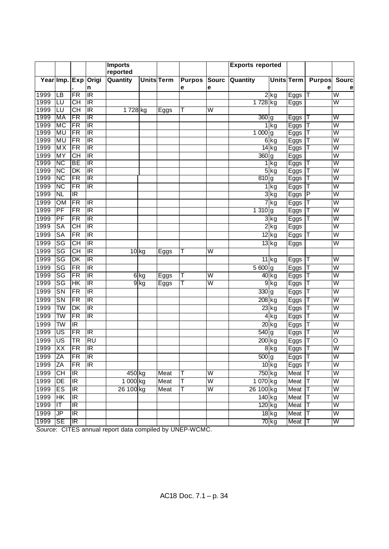|      |                          |                                   |                         | <b>Imports</b> |        |                   |               |                         | <b>Exports reported</b> |                    |             |               |                         |
|------|--------------------------|-----------------------------------|-------------------------|----------------|--------|-------------------|---------------|-------------------------|-------------------------|--------------------|-------------|---------------|-------------------------|
|      |                          |                                   |                         | reported       |        |                   |               |                         |                         |                    |             |               |                         |
|      |                          |                                   | Year Imp. Exp Origi     | Quantity       |        | <b>Units</b> Term | <b>Purpos</b> | <b>Sourc</b>            | Quantity                | <b>Units Term</b>  |             | <b>Purpos</b> | <b>Sourc</b>            |
|      |                          |                                   | n                       |                |        |                   | е             | е                       |                         |                    |             | е             |                         |
| 1999 | $\overline{\mathsf{LB}}$ | $\overline{\mathsf{FR}}$          | $\overline{\mathbb{R}}$ |                |        |                   |               |                         |                         | 2kg                | Eggs        | Т             | $\overline{\mathsf{w}}$ |
| 1999 | LU                       | СH                                | ΙR                      |                |        |                   |               |                         | 1 728 kg                |                    | Eggs        |               | W                       |
| 1999 | LU                       | $\overline{CH}$                   | $\overline{\mathbb{R}}$ | $1728$ kg      |        | Eggs              | Τ             | W                       |                         |                    |             |               |                         |
| 1999 | MA                       | FR                                | $\overline{\mathbb{R}}$ |                |        |                   |               |                         | 360g                    |                    | Eggs        | Τ             | W                       |
| 1999 | <b>MC</b>                | FR                                | $\overline{\mathbb{R}}$ |                |        |                   |               |                         |                         | $1$ kg             | Eggs        | Т             | $\overline{\mathsf{W}}$ |
| 1999 | MU                       | FR                                | ΙR                      |                |        |                   |               |                         | 1 000 g                 |                    | Eggs        | Т             | W                       |
| 1999 | <b>MU</b>                | FR                                | $\overline{\mathbb{R}}$ |                |        |                   |               |                         |                         | $6$ kg             | Eggs        | Τ             | $\overline{\mathsf{W}}$ |
| 1999 | МX                       | FR                                | $\overline{\mathbb{R}}$ |                |        |                   |               |                         |                         | $\overline{14}$ kg | <b>Eggs</b> |               | W                       |
| 1999 | MY                       | $\overline{CH}$                   | $\overline{\mathbb{R}}$ |                |        |                   |               |                         | $\overline{360}$ g      |                    | Eggs        |               | $\overline{\mathsf{W}}$ |
| 1999 | <b>NC</b>                | ВE                                | $\overline{\mathbb{R}}$ |                |        |                   |               |                         |                         | 1kg                | $E$ ggs     |               | W                       |
| 1999 | $\overline{\text{NC}}$   | DK                                | $\overline{\mathbb{R}}$ |                |        |                   |               |                         |                         | $5$ $kg$           | Eggs        |               | $\overline{\mathsf{W}}$ |
| 1999 | <b>NC</b>                | FR                                | $\overline{\mathbb{R}}$ |                |        |                   |               |                         | $810$ g                 |                    | <b>Eggs</b> |               | W                       |
| 1999 | $\overline{\text{NC}}$   | $\overline{\mathsf{FR}}$          | IR                      |                |        |                   |               |                         |                         | $1$ kg             | Eggs        | T             | W                       |
| 1999 | <b>NL</b>                | $\overline{\mathbb{R}}$           |                         |                |        |                   |               |                         |                         | 3kg                | <b>Eggs</b> | P             | W                       |
| 1999 | <b>OM</b>                | FR                                | $\overline{\mathbb{R}}$ |                |        |                   |               |                         |                         | ' kg               | Eggs        | T             | $\overline{\mathsf{W}}$ |
| 1999 | PF                       | FR                                | $\overline{\mathbb{R}}$ |                |        |                   |               |                         | $1310$ g                |                    | Eggs        |               | W                       |
| 1999 | PF                       | $\overline{\mathsf{FR}}$          | $\overline{\mathbb{R}}$ |                |        |                   |               |                         |                         | $3$ kg             | Eggs        | Т             | $\overline{\mathsf{W}}$ |
| 1999 | <b>SA</b>                | СH                                | $\overline{\mathbb{R}}$ |                |        |                   |               |                         |                         | 2kg                | Eggs        |               | W                       |
| 1999 | $\overline{\text{SA}}$   | $\overline{\mathsf{FR}}$          | $\overline{\mathbb{R}}$ |                |        |                   |               |                         |                         | $12$ kg            | Eggs        | Т             | $\overline{\mathsf{W}}$ |
| 1999 | $\overline{\text{SG}}$   | $\overline{CH}$                   | $\overline{\mathbb{R}}$ |                |        |                   |               |                         |                         | $13$ kg            | Eggs        |               | $\overline{\mathsf{W}}$ |
| 1999 | $\overline{\text{SG}}$   | $\overline{\text{CH}}$            | $\overline{\mathbb{R}}$ | $10$ kg        |        | Eggs              | Τ             | $\overline{\mathsf{W}}$ |                         |                    |             |               |                         |
| 1999 | $\overline{\text{SG}}$   | $\overline{\mathsf{D}}$ K         | $\overline{\mathbb{R}}$ |                |        |                   |               |                         |                         | $11$ kg            | Eggs        | Τ             | $\overline{\mathsf{W}}$ |
| 1999 | $\overline{\text{SG}}$   | $\overline{\mathsf{FR}}$          | $\overline{\mathbb{R}}$ |                |        |                   |               |                         | $\overline{5600}$ g     |                    | Eggs        | Т             | $\overline{\mathsf{W}}$ |
| 1999 | $\overline{\text{SG}}$   | $\overline{\mathsf{FR}}$          | $\overline{\mathbb{R}}$ |                | $6$ kg | Eggs              | Τ             | $\overline{\mathsf{W}}$ |                         | 40 kg              | Eggs        | Т             | $\overline{\mathsf{W}}$ |
| 1999 | SG                       | HК                                | $\overline{\mathbb{R}}$ |                | 9kg    | Eggs              | Τ             | W                       |                         | 9kg                | Eggs        | Т             | W                       |
| 1999 | $\overline{\text{SN}}$   | $\overline{\mathsf{FR}}$          | $\overline{\mathbb{R}}$ |                |        |                   |               |                         | 330 g                   |                    | Eggs        | Т             | $\overline{\mathsf{W}}$ |
| 1999 | SN                       | FR                                | $\overline{\mathbb{R}}$ |                |        |                   |               |                         | 208 kg                  |                    | <b>Eggs</b> | Т             | W                       |
| 1999 | $\overline{\mathsf{TW}}$ | $\overline{\mathsf{D}\mathsf{K}}$ | $\overline{\mathbb{R}}$ |                |        |                   |               |                         |                         |                    |             | Т             | $\overline{\mathsf{W}}$ |
| 1999 | TW                       | FR                                | $\overline{\mathbb{R}}$ |                |        |                   |               |                         |                         | $\overline{23}$ kg | Eggs        |               | W                       |
|      |                          |                                   |                         |                |        |                   |               |                         |                         | $4$ $kg$           | Eggs        | T             |                         |
| 1999 | $\overline{\mathsf{TW}}$ | IR                                |                         |                |        |                   |               |                         |                         | $20$ kg            | Eggs        | Т             | $\overline{\mathsf{W}}$ |
| 1999 | US                       | FR                                | $\overline{\mathbb{R}}$ |                |        |                   |               |                         | $540$ g                 |                    | Eggs        | Т             | W                       |
| 1999 | $\overline{\mathsf{US}}$ | $\overline{\textsf{TR}}$          | $\overline{RU}$         |                |        |                   |               |                         | $\overline{200}$ kg     |                    | Eggs        | Τ             | O                       |
| 1999 | XX                       | FR                                | $\overline{\mathbb{R}}$ |                |        |                   |               |                         |                         | 8kg                | Eggs        |               | W                       |
| 1999 | <b>ZA</b>                | <b>FR</b>                         | <b>IR</b>               |                |        |                   |               |                         | $500$ g                 |                    | Eggs  T     |               | $\overline{\mathsf{W}}$ |
| 1999 | ZA                       | $\overline{\text{FR}}$            | $\overline{\mathbb{R}}$ |                |        |                   |               |                         |                         | $10$ kg            | Eggs        | T             | $\overline{\mathsf{w}}$ |
| 1999 | $\overline{CH}$          | Œ                                 |                         | 450 kg         |        | Meat              | T             | $\overline{\mathsf{W}}$ | 750 kg                  |                    | Meat        | T             | $\overline{\mathsf{W}}$ |
| 1999 | DE                       | $\overline{\mathbb{R}}$           |                         | 1 000 kg       |        | Meat              | T             | $\overline{\mathsf{W}}$ | 1 070 kg                |                    | Meat        | T             | $\overline{\mathsf{W}}$ |
| 1999 | ES                       | $\overline{\mathbb{R}}$           |                         | 26 100 kg      |        | Meat              | T             | W                       | 26 100 kg               |                    | Meat        | Τ             | $\overline{\mathsf{W}}$ |
| 1999 | $\overline{\mathsf{H}}$  | $\overline{\mathbb{R}}$           |                         |                |        |                   |               |                         | 140 kg                  |                    | Meat        | Т             | $\overline{\mathsf{W}}$ |
| 1999 | $\mathsf{I}\mathsf{T}$   | $\overline{\mathbb{R}}$           |                         |                |        |                   |               |                         | 120 kg                  |                    | Meat        | Т             | W                       |
| 1999 | $\overline{\mathsf{P}}$  | IR                                |                         |                |        |                   |               |                         |                         | $18$ kg            | Meat        | Τ             | $\overline{\mathsf{W}}$ |
| 1999 | SE                       | $\overline{\mathbb{R}}$           |                         |                |        |                   |               |                         |                         | 70 kg              | Meat        | Τ             | W                       |

*Source*: CITES annual report data compiled by UNEP-WCMC.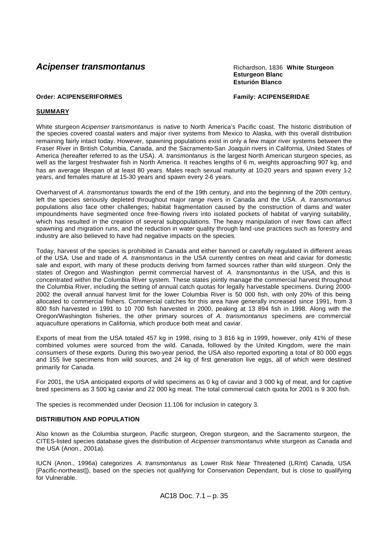# **Acipenser transmontanus Richardson, 1836 White Sturgeon**

**Esturgeon Blanc Esturión Blanco**

# **Order: ACIPENSERIFORMES Family: ACIPENSERIDAE**

# **SUMMARY**

White sturgeon *Acipenser transmontanus* is native to North America's Pacific coast. The historic distribution of the species covered coastal waters and major river systems from Mexico to Alaska, with this overall distribution remaining fairly intact today. However, spawning populations exist in only a few major river systems between the Fraser River in British Columbia, Canada, and the Sacramento-San Joaquin rivers in California, United States of America (hereafter referred to as the USA). *A. transmontanus* is the largest North American sturgeon species, as well as the largest freshwater fish in North America. It reaches lengths of 6 m, weights approaching 907 kg, and has an average lifespan of at least 80 years. Males reach sexual maturity at 10-20 years and spawn every 1-2 years, and females mature at 15-30 years and spawn every 2-6 years.

Overharvest of *A. transmontanus* towards the end of the 19th century, and into the beginning of the 20th century, left the species seriously depleted throughout major range rivers in Canada and the USA. *A. transmontanus* populations also face other challenges; habitat fragmentation caused by the construction of dams and water impoundments have segmented once free-flowing rivers into isolated pockets of habitat of varying suitability, which has resulted in the creation of several subpopulations. The heavy manipulation of river flows can affect spawning and migration runs, and the reduction in water quality through land -use practices such as forestry and industry are also believed to have had negative impacts on the species.

Today, harvest of the species is prohibited in Canada and either banned or carefully regulated in different areas of the USA. Use and trade of *A. transmontanus* in the USA currently centres on meat and caviar for domestic sale and export, with many of these products deriving from farmed sources rather than wild sturgeon. Only the states of Oregon and Washington permit commercial harvest of *A. transmontantus* in the USA, and this is concentrated within the Columbia River system. These states jointly manage the commercial harvest throughout the Columbia River, including the setting of annual catch quotas for legally harvestable specimens. During 2000- 2002 the overall annual harvest limit for the lower Columbia River is 50 000 fish, with only 20% of this being allocated to commercial fishers. Commercial catches for this area have generally increased since 1991, from 3 800 fish harvested in 1991 to 10 700 fish harvested in 2000, peaking at 13 894 fish in 1998. Along with the Oregon/Washington fisheries, the other primary sources of *A. transmontanus* specimens are commercial aquaculture operations in California, which produce both meat and caviar.

Exports of meat from the USA totaled 457 kg in 1998, rising to 3 816 kg in 1999, however, only 41% of these combined volumes were sourced from the wild. Canada, followed by the United Kingdom, were the main consumers of these exports. During this two-year period, the USA also reported exporting a total of 80 000 eggs and 155 live specimens from wild sources, and 24 kg of first generation live eggs, all of which were destined primarily for Canada.

For 2001, the USA anticipated exports of wild specimens as 0 kg of caviar and 3 000 kg of meat, and for captive bred specimens as 3 500 kg caviar and 22 000 kg meat. The total commercial catch quota for 2001 is 9 300 fish.

The species is recommended under Decision 11.106 for inclusion in category 3.

# **DISTRIBUTION AND POPULATION**

Also known as the Columbia sturgeon, Pacific sturgeon, Oregon sturgeon, and the Sacramento sturgeon, the CITES-listed species database gives the distribution of *Acipenser transmontanus* white sturgeon as Canada and the USA (Anon., 2001a).

IUCN (Anon., 1996a) categorizes *A. transmontanus* as Lower Risk Near Threatened (LR/nt) Canada, USA [Pacific-northeast]), based on the species not qualifying for Conservation Dependant, but is close to qualifying for Vulnerable.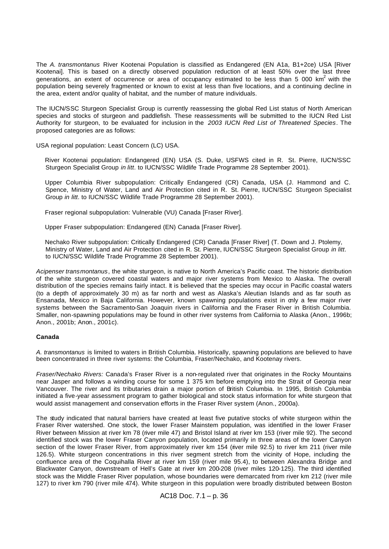The *A. transmontanus* River Kootenai Population is classified as Endangered (EN A1a, B1+2ce) USA [River Kootenai]. This is based on a directly observed population reduction of at least 50% over the last three generations, an extent of occurrence or area of occupancy estimated to be less than 5 000 km<sup>2</sup> with the population being severely fragmented or known to exist at less than five locations, and a continuing decline in the area, extent and/or quality of habitat, and the number of mature individuals.

The IUCN/SSC Sturgeon Specialist Group is currently reassessing the global Red List status of North American species and stocks of sturgeon and paddlefish. These reassessments will be submitted to the IUCN Red List Authority for sturgeon, to be evaluated for inclusion in the *2003 IUCN Red List of Threatened Species*. The proposed categories are as follows:

USA regional population: Least Concern (LC) USA.

River Kootenai population: Endangered (EN) USA (S. Duke, USFWS cited in R. St. Pierre, IUCN/SSC Sturgeon Specialist Group *in litt*. to IUCN/SSC Wildlife Trade Programme 28 September 2001).

Upper Columbia River subpopulation: Critically Endangered (CR) Canada, USA (J. Hammond and C. Spence, Ministry of Water, Land and Air Protection cited in R. St. Pierre, IUCN/SSC Sturgeon Specialist Group *in litt*. to IUCN/SSC Wildlife Trade Programme 28 September 2001).

Fraser regional subpopulation: Vulnerable (VU) Canada [Fraser River].

Upper Fraser subpopulation: Endangered (EN) Canada [Fraser River].

Nechako River subpopulation: Critically Endangered (CR) Canada [Fraser River] (T. Down and J. Ptolemy, Ministry of Water, Land and Air Protection cited in R. St. Pierre, IUCN/SSC Sturgeon Specialist Group *in litt*. to IUCN/SSC Wildlife Trade Programme 28 September 2001).

*Acipenser transmontanus*, the white sturgeon, is native to North America's Pacific coast. The historic distribution of the white sturgeon covered coastal waters and major river systems from Mexico to Alaska. The overall distribution of the species remains fairly intact. It is believed that the species may occur in Pacific coastal waters (to a depth of approximately 30 m) as far north and west as Alaska's Aleutian Islands and as far south as Ensanada, Mexico in Baja California. However, known spawning populations exist in only a few major river systems between the Sacramento-San Joaquin rivers in California and the Fraser River in British Columbia. Smaller, non-spawning populations may be found in other river systems from California to Alaska (Anon., 1996b; Anon., 2001b; Anon., 2001c).

# **Canada**

*A. transmontanus* is limited to waters in British Columbia. Historically, spawning populations are believed to have been concentrated in three river systems: the Columbia, Fraser/Nechako, and Kootenay rivers.

*Fraser/Nechako Rivers:* Canada's Fraser River is a non-regulated river that originates in the Rocky Mountains near Jasper and follows a winding course for some 1 375 km before emptying into the Strait of Georgia near Vancouver. The river and its tributaries drain a major portion of British Columbia. In 1995, British Columbia initiated a five-year assessment program to gather biological and stock status information for white sturgeon that would assist management and conservation efforts in the Fraser River system (Anon., 2000a).

The study indicated that natural barriers have created at least five putative stocks of white sturgeon within the Fraser River watershed. One stock, the lower Fraser Mainstem population, was identified in the lower Fraser River between Mission at river km 78 (river mile 47) and Bristol Island at river km 153 (river mile 92). The second identified stock was the lower Fraser Canyon population, located primarily in three areas of the lower Canyon section of the lower Fraser River, from approximately river km 154 (river mile 92.5) to river km 211 (river mile 126.5). White sturgeon concentrations in this river segment stretch from the vicinity of Hope, including the confluence area of the Coquihalla River at river km 159 (river mile 95.4), to between Alexandra Bridge and Blackwater Canyon, downstream of Hell's Gate at river km 200-208 (river miles 120-125). The third identified stock was the Middle Fraser River population, whose boundaries were demarcated from river km 212 (river mile 127) to river km 790 (river mile 474). White sturgeon in this population were broadly distributed between Boston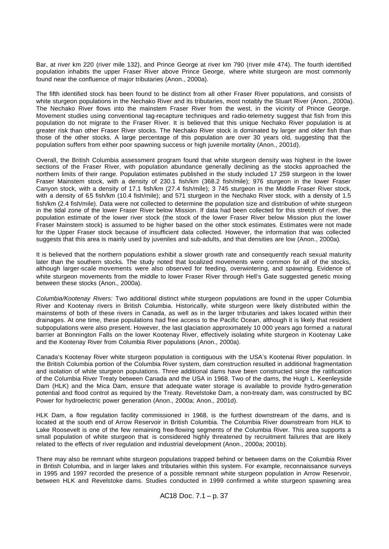Bar, at river km 220 (river mile 132), and Prince George at river km 790 (river mile 474). The fourth identified population inhabits the upper Fraser River above Prince George, where white sturgeon are most commonly found near the confluence of major tributaries (Anon., 2000a).

The fifth identified stock has been found to be distinct from all other Fraser River populations, and consists of white sturgeon populations in the Nechako River and its tributaries, most notably the Stuart River (Anon., 2000a). The Nechako River flows into the mainstem Fraser River from the west, in the vicinity of Prince George. Movement studies using conventional tag-recapture techniques and radio-telemetry suggest that fish from this population do not migrate to the Fraser River. It is believed that this unique Nechako River population is at greater risk than other Fraser River stocks. The Nechako River stock is dominated by larger and older fish than those of the other stocks. A large percentage of this population are over 30 years old, suggesting that the population suffers from either poor spawning success or high juvenile mortality (Anon., 2001d).

Overall, the British Columbia assessment program found that white sturgeon density was highest in the lower sections of the Fraser River, with population abundance generally declining as the stocks approached the northern limits of their range. Population estimates published in the study included 17 259 sturgeon in the lower Fraser Mainstem stock, with a density of 230.1 fish/km (368.2 fish/mile); 976 sturgeon in the lower Fraser Canyon stock, with a density of 17.1 fish/km (27.4 fish/mile); 3 745 sturgeon in the Middle Fraser River stock, with a density of 6.5 fish/km (10.4 fish/mile); and 571 sturgeon in the Nechako River stock, with a density of 1.5 fish/km (2.4 fish/mile). Data were not collected to determine the population size and distribution of white sturgeon in the tidal zone of the lower Fraser River below Mission. If data had been collected for this stretch of river, the population estimate of the lower river stock (the stock of the lower Fraser River below Mission plus the lower Fraser Mainstem stock) is assumed to be higher based on the other stock estimates. Estimates were not made for the Upper Fraser stock because of insufficient data collected. However, the information that was collected suggests that this area is mainly used by juveniles and sub-adults, and that densities are low (Anon., 2000a).

It is believed that the northern populations exhibit a slower growth rate and consequently reach sexual maturity later than the southern stocks. The study noted that localized movements were common for all of the stocks, although larger-scale movements were also observed for feeding, overwintering, and spawning. Evidence of white sturgeon movements from the middle to lower Fraser River through Hell's Gate suggested genetic mixing between these stocks (Anon., 2000a).

*Columbia/Kootenay Rivers:* Two additional distinct white sturgeon populations are found in the upper Columbia River and Kootenay rivers in British Columbia. Historically, white sturgeon were likely distributed within the mainstems of both of these rivers in Canada, as well as in the larger tributaries and lakes located within their drainages. At one time, these populations had free access to the Pacific Ocean, although it is likely that resident subpopulations were also present. However, the last glaciation approximately 10 000 years ago formed a natural barrier at Bonnington Falls on the lower Kootenay River, effectively isolating white sturgeon in Kootenay Lake and the Kootenay River from Columbia River populations (Anon., 2000a).

Canada's Kootenay River white sturgeon population is contiguous with the USA's Kootenai River population. In the British Columbia portion of the Columbia River system, dam construction resulted in additional fragmentation and isolation of white sturgeon populations. Three additional dams have been constructed since the ratification of the Columbia River Treaty between Canada and the USA in 1968. Two of the dams, the Hugh L. Keenleyside Dam (HLK) and the Mica Dam, ensure that adequate water storage is available to provide hydro-generation potential and flood control as required by the Treaty. Revelstoke Dam, a non-treaty dam, was constructed by BC Power for hydroelectric power generation (Anon., 2000a; Anon., 2001d).

HLK Dam, a flow regulation facility commissioned in 1968, is the furthest downstream of the dams, and is located at the south end of Arrow Reservoir in British Columbia. The Columbia River downstream from HLK to Lake Roosevelt is one of the few remaining free-flowing segments of the Columbia River. This area supports a small population of white sturgeon that is considered highly threatened by recruitment failures that are likely related to the effects of river regulation and industrial development (Anon., 2000a; 2001b).

There may also be remnant white sturgeon populations trapped behind or between dams on the Columbia River in British Columbia, and in larger lakes and tributaries within this system. For example, reconnaissance surveys in 1995 and 1997 recorded the presence of a possible remnant white sturgeon population in Arrow Reservoir, between HLK and Revelstoke dams. Studies conducted in 1999 confirmed a white sturgeon spawning area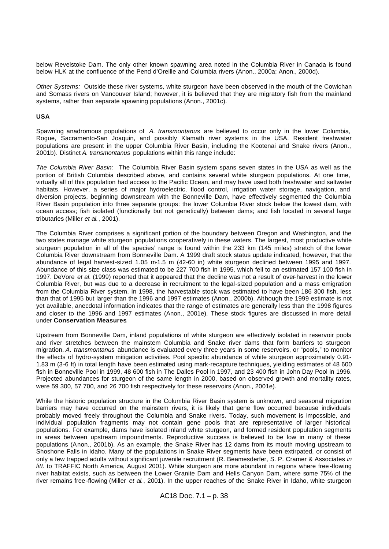below Revelstoke Dam. The only other known spawning area noted in the Columbia River in Canada is found below HLK at the confluence of the Pend d'Oreille and Columbia rivers (Anon., 2000a; Anon., 2000d).

*Other Systems:* Outside these river systems, white sturgeon have been observed in the mouth of the Cowichan and Somass rivers on Vancouver Island; however, it is believed that they are migratory fish from the mainland systems, rather than separate spawning populations (Anon., 2001c).

#### **USA**

Spawning anadromous populations of *A. transmontanus* are believed to occur only in the lower Columbia, Rogue, Sacramento-San Joaquin, and possibly Klamath river systems in the USA. Resident freshwater populations are present in the upper Columbia River Basin, including the Kootenai and Snake rivers (Anon., 2001b). Distinct *A. transmontanus* populations within this range include:

*The Columbia River Basin:* The Columbia River Basin system spans seven states in the USA as well as the portion of British Columbia described above, and contains several white sturgeon populations. At one time, virtually all of this population had access to the Pacific Ocean, and may have used both freshwater and saltwater habitats. However, a series of major hydroelectric, flood control, irrigation water storage, navigation, and diversion projects, beginning downstream with the Bonneville Dam, have effectively segmented the Columbia River Basin population into three separate groups: the lower Columbia River stock below the lowest dam, with ocean access; fish isolated (functionally but not genetically) between dams; and fish located in several large tributaries (Miller *et al.*, 2001).

The Columbia River comprises a significant portion of the boundary between Oregon and Washington, and the two states manage white sturgeon populations cooperatively in these waters. The largest, most productive white sturgeon population in all of the species' range is found within the 233 km (145 miles) stretch of the lower Columbia River downstream from Bonneville Dam. A 1999 draft stock status update indicated, however, that the abundance of legal harvest-sized 1.05 m-1.5 m (42-60 in) white sturgeon declined between 1995 and 1997. Abundance of this size class was estimated to be 227 700 fish in 1995, which fell to an estimated 157 100 fish in 1997. DeVore *et al*. (1999) reported that it appeared that the decline was not a result of over-harvest in the lower Columbia River, but was due to a decrease in recruitment to the legal-sized population and a mass emigration from the Columbia River system. In 1998, the harvestable stock was estimated to have been 186 300 fish, less than that of 1995 but larger than the 1996 and 1997 estimates (Anon., 2000b). Although the 1999 estimate is not yet available, anecdotal information indicates that the range of estimates are generally less than the 1998 figures and closer to the 1996 and 1997 estimates (Anon., 2001e). These stock figures are discussed in more detail under **Conservation Measures**.

Upstream from Bonneville Dam, inland populations of white sturgeon are effectively isolated in reservoir pools and river stretches between the mainstem Columbia and Snake river dams that form barriers to sturgeon migration. *A. transmontanus* abundance is evaluated every three years in some reservoirs, or "pools," to monitor the effects of hydro-system mitigation activities. Pool specific abundance of white sturgeon approximately 0.91- 1.83 m (3-6 ft) in total length have been estimated using mark-recapture techniques, yielding estimates of 48 600 fish in Bonneville Pool in 1999, 48 600 fish in The Dalles Pool in 1997, and 23 400 fish in John Day Pool in 1996. Projected abundances for sturgeon of the same length in 2000, based on observed growth and mortality rates, were 59 300, 57 700, and 26 700 fish respectively for these reservoirs (Anon., 2001e).

While the historic population structure in the Columbia River Basin system is unknown, and seasonal migration barriers may have occurred on the mainstem rivers, it is likely that gene flow occurred because individuals probably moved freely throughout the Columbia and Snake rivers. Today, such movement is impossible, and individual population fragments may not contain gene pools that are representative of larger historical populations. For example, dams have isolated inland white sturgeon, and formed resident population segments in areas between upstream impoundments. Reproductive success is believed to be low in many of these populations (Anon., 2001b). As an example, the Snake River has 12 dams from its mouth moving upstream to Shoshone Falls in Idaho. Many of the populations in Snake River segments have been extirpated, or consist of only a few trapped adults without significant juvenile recruitment (R. Beamesderfer, S. P. Cramer & Associates *in litt.* to TRAFFIC North America, August 2001). White sturgeon are more abundant in regions where free -flowing river habitat exists, such as between the Lower Granite Dam and Hells Canyon Dam, where some 75% of the river remains free -flowing (Miller *et al.*, 2001). In the upper reaches of the Snake River in Idaho, white sturgeon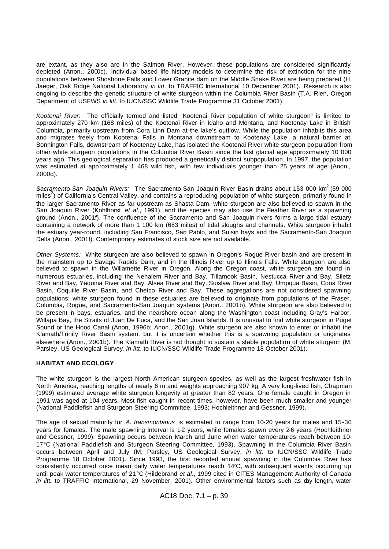are extant, as they also are in the Salmon River. However, these populations are considered significantly depleted (Anon., 2000c). Individual based life history models to determine the risk of extinction for the nine populations between Shoshone Falls and Lower Granite dam on the Middle Snake River are being prepared (H. Jaeger, Oak Ridge National Laboratory *in litt.* to TRAFFIC International 10 December 2001). Research is also ongoing to describe the genetic structure of white sturgeon within the Columbia River Basin (T.A. Rien, Oregon Department of USFWS *in litt*. to IUCN/SSC Wildlife Trade Programme 31 October 2001).

*Kootenai River:* The officially termed and listed "Kootenai River population of white sturgeon" is limited to approximately 270 km (168 miles) of the Kootenai River in Idaho and Montana, and Kootenay Lake in British Columbia, primarily upstream from Cora Linn Dam at the lake's outflow. While the population inhabits this area and migrates freely from Kootenai Falls in Montana downstream to Kootenay Lake, a natural barrier at Bonnington Falls, downstream of Kootenay Lake, has isolated the Kootenai River white sturgeon po pulation from other white sturgeon populations in the Columbia River Basin since the last glacial age approximately 10 000 years ago. This geological separation has produced a genetically distinct subpopulation. In 1997, the population was estimated at approximately 1 468 wild fish, with few individuals younger than 25 years of age (Anon., 2000d).

*Sacramento-San Joaquin Rivers:* The Sacramento-San Joaquin River Basin drains about 153 000 km<sup>2</sup>(59 000 entrality can be a provided to the container of the contains of the computation of white sturgeon, primarily found in the larger Sacramento River as far upstream as Shasta Dam. white sturgeon are also believed to spawn in the San Joaquin River (Kohlhorst *et al.*, 1991), and the species may also use the Feather River as a spawning ground (Anon., 2001f). The confluence of the Sacramento and San Joaquin rivers forms a large tidal estuary containing a network of more than 1 100 km (683 miles) of tidal sloughs and channels. White sturgeon inhabit the estuary year-round, including San Francisco, San Pablo, and Suisin bays and the Sacramento-San Joaquin Delta (Anon., 2001f). Contemporary estimates of stock size are not available.

*Other Systems:* White sturgeon are also believed to spawn in Oregon's Rogue River basin and are present in the mainstem up to Savage Rapids Dam, and in the Illinois River up to Illinois Falls. White sturgeon are also believed to spawn in the Willamette River in Oregon. Along the Oregon coast, white sturgeon are found in numerous estuaries, including the Nehalem River and Bay, Tillamook Basin, Nestucca River and Bay, Siletz River and Bay, Yaquina River and Bay, Alsea River and Bay, Suislaw River and Bay, Umpqua Basin, Coos River Basin, Coquille River Basin, and Chetco River and Bay. These aggregations are not considered spawning populations; white sturgeon found in these estuaries are believed to originate from populations of the Fraser, Columbia, Rogue, and Sacramento-San Joaquin systems (Anon., 2001b). White sturgeon are also believed to be present in bays, estuaries, and the nearshore ocean along the Washington coast including Gray's Harbor, Willapa Bay, the Straits of Juan De Fuca, and the San Juan Islands. It is unusual to find white sturgeon in Puget Sound or the Hood Canal (Anon, 1996b; Anon., 2001g). White sturgeon are also known to enter or inhabit the Klamath/Trinity River Basin system, but it is uncertain whether this is a spawning population or originates elsewhere (Anon., 2001b). The Klamath River is not thought to sustain a stable population of white sturgeon (M. Parsley, US Geological Survey, *in litt*. to IUCN/SSC Wildlife Trade Programme 18 October 2001).

# **HABITAT AND ECOLOGY**

The white sturgeon is the largest North American sturgeon species, as well as the largest freshwater fish in North America, reaching lengths of nearly 6 m and weights approaching 907 kg. A very long-lived fish, Chapman (1999) estimated average white sturgeon longevity at greater than 82 years. One female caught in Oregon in 1991 was aged at 104 years. Most fish caught in recent times, however, have been much smaller and younger (National Paddlefish and Sturgeon Steering Committee, 1993; Hochleithner and Gessner, 1999).

The age of sexual maturity for *A. transmontanus* is estimated to range from 10-20 years for males and 15-30 years for females. The male spawning interval is 1-2 years, while females spawn every 2-6 years (Hochleithner and Gessner, 1999). Spawning occurs between March and June when water temperatures reach between 10- 17°C (National Paddlefish and Sturgeon Steering Committee, 1993). Spawning in the Columbia River Basin occurs between April and July (M. Parsley, US Geological Survey, *in litt*. to IUCN/SSC Wildlife Trade Programme 18 October 2001). Since 1993, the first recorded annual spawning in the Columbia River has consistently occurred once mean daily water temperatures reach 14°C, with subsequent events occurring up until peak water temperatures of 21°C (Hildebrand *et al*., 1999 cited in CITES Management Authority of Canada *in litt.* to TRAFFIC International, 29 November, 2001). Other environmental factors such as day length, water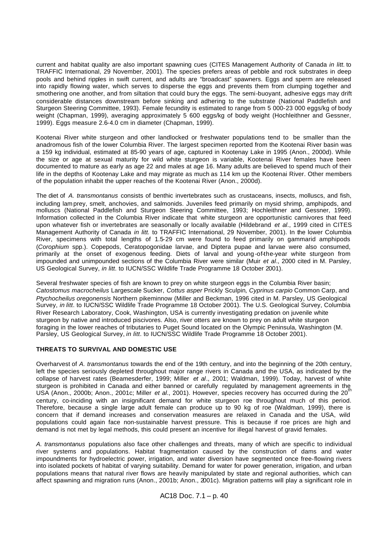current and habitat quality are also important spawning cues (CITES Management Authority of Canada *in litt.* to TRAFFIC International, 29 November, 2001). The species prefers areas of pebble and rock substrates in deep pools and behind ripples in swift current, and adults are "broadcast" spawners. Eggs and sperm are released into rapidly flowing water, which serves to disperse the eggs and prevents them from clumping together and smothering one another, and from siltation that could bury the eggs. The semi-buoyant, adhesive eggs may drift considerable distances downstream before sinking and adhering to the substrate (National Paddlefish and Sturgeon Steering Committee, 1993). Female fecundity is estimated to range from 5 000-23 000 eggs/kg of body weight (Chapman, 1999), averaging approximately 5 600 eggs/kg of body weight (Hochleithner and Gessner, 1999). Eggs measure 2.6-4.0 cm in diameter (Chapman, 1999).

Kootenai River white sturgeon and other landlocked or freshwater populations tend to be smaller than the anadromous fish of the lower Columbia River. The largest specimen reported from the Kootenai River basin was a 159 kg individual, estimated at 85-90 years of age, captured in Kootenay Lake in 1995 (Anon., 2000d). While the size or age at sexual maturity for wild white sturgeon is variable, Kootenai River females have been documented to mature as early as age 22 and males at age 16. Many adults are believed to spend much of their life in the depths of Kootenay Lake and may migrate as much as 114 km up the Kootenai River. Other members of the population inhabit the upper reaches of the Kootenai River (Anon., 2000d).

The diet of *A. transmontanus* consists of benthic invertebrates such as crustaceans, insects, molluscs, and fish, including lam prey, smelt, anchovies, and salmonids. Juveniles feed primarily on mysid shrimp, amphipods, and molluscs (National Paddlefish and Sturgeon Steering Committee, 1993; Hochleithner and Gessner, 1999). Information collected in the Columbia River indicate that white sturgeon are opportunistic carnivores that feed upon whatever fish or invertebrates are seasonally or locally available (Hildebrand *et al*., 1999 cited in CITES Management Authority of Canada *in litt.* to TRAFFIC International, 29 November, 2001). In the lower Columbia River, specimens with total lengths of 1.5-29 cm were found to feed primarily on gammarid amphipods (*Corophium* spp.). Copepods, Ceratopogonidae larvae, and Diptera pupae and larvae were also consumed, primarily at the onset of exogenous feeding. Diets of larval and young -of-the-year white sturgeon from impounded and unimpounded sections of the Columbia River were similar (Muir *et al*., 2000 cited in M. Parsley, US Geological Survey, *in litt*. to IUCN/SSC Wildlife Trade Programme 18 October 2001).

Several freshwater species of fish are known to prey on white sturgeon eggs in the Columbia River basin; *Catostomus macrocheilus* Largescale Sucker, *Cottus asper* Prickly Sculpin*, Cyprinus carpio* Common Carp, and *Ptychocheilus oregonensis* Northern pikeminnow (Miller and Beckman, 1996 cited in M. Parsley, US Geological Survey, *in litt*. to IUCN/SSC Wildlife Trade Programme 18 October 2001). The U.S. Geological Survey, Columbia River Research Laboratory, Cook, Washington, USA is currently investigating predation on juvenile white sturgeon by native and introduced piscivores. Also, river otters are known to prey on adult white sturgeon foraging in the lower reaches of tributaries to Puget Sound located on the Olympic Peninsula, Washington (M. Parsley, US Geological Survey, *in litt*. to IUCN/SSC Wildlife Trade Programme 18 October 2001).

# **THREATS TO SURVIVAL AND DOMESTIC USE**

Overharvest of *A. transmontanus* towards the end of the 19th century, and into the beginning of the 20th century, left the species seriously depleted throughout major range rivers in Canada and the USA, as indicated by the collapse of harvest rates (Beamesderfer, 1999; Miller *et al*., 2001; Waldman, 1999). Today, harvest of white sturgeon is prohibited in Canada and either banned or carefully regulated by management agreements in the USA (Anon., 2000b; Anon., 2001c; Miller *et al.*, 2001). However, species recovery has occurred during the 20<sup>th</sup> century, co-inciding with an insignificant demand for white sturgeon roe throughout much of this period. Therefore, because a single large adult female can produce up to 90 kg of roe (Waldman, 1999), there is concern that if demand increases and conservation measures are relaxed in Canada and the USA, wild populations could again face non-sustainable harvest pressure. This is because if roe prices are high and demand is not met by legal methods, this could present an incentive for illegal harvest of gravid females.

*A. transmontanus* populations also face other challenges and threats, many of which are specific to individual river systems and populations. Habitat fragmentation caused by the construction of dams and water impoundments for hydroelectric power, irrigation, and water diversion have segmented once free-flowing rivers into isolated pockets of habitat of varying suitability. Demand for water for power generation, irrigation, and urban populations means that natural river flows are heavily manipulated by state and regional authorities, which can affect spawning and migration runs (Anon., 2001b; Anon., 2001c). Migration patterns will play a significant role in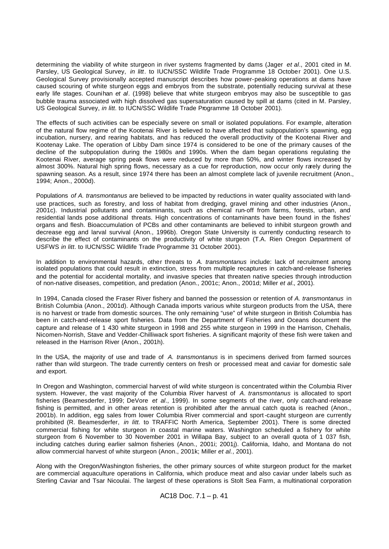determining the viability of white sturgeon in river systems fragmented by dams (Jager *et al*., 2001 cited in M. Parsley, US Geological Survey, *in litt*. to IUCN/SSC Wildlife Trade Programme 18 October 2001). One U.S. Geological Survey provisionally accepted manuscript describes how power-peaking operations at dams have caused scouring of white sturgeon eggs and embryos from the substrate, potentially reducing survival at these early life stages. Counihan *et al*. (1998) believe that white sturgeon embryos may also be susceptible to gas bubble trauma associated with high dissolved gas supersaturation caused by spill at dams (cited in M. Parsley, US Geological Survey, *in litt*. to IUCN/SSC Wildlife Trade Programme 18 October 2001).

The effects of such activities can be especially severe on small or isolated populations. For example, alteration of the natural flow regime of the Kootenai River is believed to have affected that subpopulation's spawning, egg incubation, nursery, and rearing habitats, and has reduced the overall productivity of the Kootenai River and Kootenay Lake. The operation of Libby Dam since 1974 is considered to be one of the primary causes of the decline of the subpopulation during the 1980s and 1990s. When the dam began operations regulating the Kootenai River, average spring peak flows were reduced by more than 50%, and winter flows increased by almost 300%. Natural high spring flows, necessary as a cue for reproduction, now occur only rarely during the spawning season. As a result, since 1974 there has been an almost complete lack of juvenile recruitment (Anon., 1994; Anon., 2000d).

Populations *of A. transmontanus* are believed to be impacted by reductions in water quality associated with landuse practices, such as forestry, and loss of habitat from dredging, gravel mining and other industries (Anon., 2001c). Industrial pollutants and contaminants, such as chemical run-off from farms, forests, urban, and residential lands pose additional threats. High concentrations of contaminants have been found in the fishes' organs and flesh. Bioaccumulation of PCBs and other contaminants are believed to inhibit sturgeon growth and decrease egg and larval survival (Anon., 1996b). Oregon State University is currently conducting research to describe the effect of contaminants on the productivity of white sturgeon (T.A. Rien Oregon Department of USFWS *in litt*. to IUCN/SSC Wildlife Trade Programme 31 October 2001).

In addition to environmental hazards, other threats to *A. transmontanus* include: lack of recruitment among isolated populations that could result in extinction, stress from multiple recaptures in catch-and-release fisheries and the potential for accidental mortality, and invasive species that threaten native species through introduction of non-native diseases, competition, and predation (Anon., 2001c; Anon., 2001d; Miller *et al.*, 2001).

In 1994, Canada closed the Fraser River fishery and banned the possession or retention of *A. transmontanus* in British Columbia (Anon., 2001d). Although Canada imports various white sturgeon products from the USA, there is no harvest or trade from domestic sources. The only remaining "use" of white sturgeon in British Columbia has been in catch-and-release sport fisheries. Data from the Department of Fisheries and Oceans document the capture and release of 1 430 white sturgeon in 1998 and 255 white sturgeon in 1999 in the Harrison, Chehalis, Nicomen-Norrish, Stave and Vedder-Chilliwack sport fisheries. A significant majority of these fish were taken and released in the Harrison River (Anon., 2001h).

In the USA, the majority of use and trade of *A. transmontanus* is in specimens derived from farmed sources rather than wild sturgeon. The trade currently centers on fresh or processed meat and caviar for domestic sale and export.

In Oregon and Washington, commercial harvest of wild white sturgeon is concentrated within the Columbia River system. However, the vast majority of the Columbia River harvest of *A. transmontanus* is allocated to sport fisheries (Beamesderfer, 1999; DeVore *et al*., 1999). In some segments of the river, only catch-and-release fishing is permitted, and in other areas retention is prohibited after the annual catch quota is reached (Anon., 2001b). In addition, egg sales from lower Columbia River commercial and sport -caught sturgeon are currently prohibited (R. Beamesderfer, *in litt.* to TRAFFIC North America, September 2001). There is some directed commercial fishing for white sturgeon in coastal marine waters. Washington scheduled a fishery for white sturgeon from 6 November to 30 November 2001 in Willapa Bay, subject to an overall quota of 1 037 fish, including catches during earlier salmon fisheries (Anon., 2001i; 2001j). California, Idaho, and Montana do not allow commercial harvest of white sturgeon (Anon., 2001k; Miller *et al.*, 2001).

Along with the Oregon/Washington fisheries, the other primary sources of white sturgeon product for the market are commercial aquaculture operations in California, which produce meat and also caviar under labels such as Sterling Caviar and Tsar Nicoulai. The largest of these operations is Stolt Sea Farm, a multinational corporation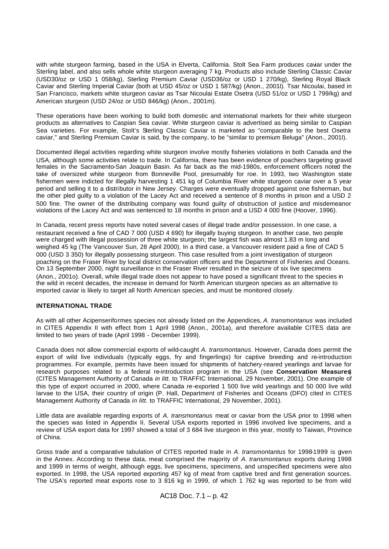with white sturgeon farming, based in the USA in Elverta, California. Stolt Sea Farm produces caviar under the Sterling label, and also sells whole white sturgeon averaging 7 kg. Products also include Sterling Classic Caviar (USD30/oz or USD 1 058/kg), Sterling Premium Caviar (USD36/oz or USD 1 270/kg), Sterling Royal Black Caviar and Sterling Imperial Caviar (both at USD 45/oz or USD 1 587/kg) (Anon., 2001l). Tsar Nicoulai, based in San Francisco, markets white sturgeon caviar as Tsar Nicoulai Estate Osetra (USD 51/oz or USD 1 799/kg) and American sturgeon (USD 24/oz or USD 846/kg) (Anon., 2001m).

These operations have been working to build both domestic and international markets for their white sturgeon products as alternatives to Caspian Sea caviar. White sturgeon caviar is advertised as being similar to Caspian Sea varieties. For example, Stolt's Sterling Classic Caviar is marketed as "comparable to the best Osetra caviar," and Sterling Premium Caviar is said, by the company, to be "similar to premium Beluga" (Anon., 2001l).

Documented illegal activities regarding white sturgeon involve mostly fisheries violations in both Canada and the USA, although some activities relate to trade. In California, there has been evidence of poachers targeting gravid females in the Sacramento-San Joaquin Basin. As far back as the mid-1980s, enforcement officers noted the take of oversized white sturgeon from Bonneville Pool, presumably for roe. In 1993, two Washington state fishermen were indicted for illegally harvesting 1 451 kg of Columbia River white sturgeon caviar over a 5 year period and selling it to a distributor in New Jersey. Charges were eventually dropped against one fisherman, but the other pled guilty to a violation of the Lacey Act and received a sentence of 8 months in prison and a USD 2 500 fine. The owner of the distributing company was found guilty of obstruction of justice and misdemeanor violations of the Lacey Act and was sentenced to 18 months in prison and a USD 4 000 fine (Hoover, 1996).

In Canada, recent press reports have noted several cases of illegal trade and/or possession. In one case, a restaurant received a fine of CAD 7 000 (USD 4 690) for illegally buying sturgeon. In another case, two people were charged with illegal possession of three white sturgeon; the largest fish was almost 1.83 m long and weighed 45 kg (The Vancouver Sun, 28 April 2000). In a third case, a Vancouver resident paid a fine of CAD 5 000 (USD 3 350) for illegally possessing sturgeon. This case resulted from a joint investigation of sturgeon poaching on the Fraser River by local district conservation officers and the Department of Fisheries and Oceans. On 13 September 2000, night surveillance in the Fraser River resulted in the seizure of six live specimens (Anon., 2001o). Overall, while illegal trade does not appear to have posed a significant threat to the species in the wild in recent decades, the increase in demand for North American sturgeon species as an alternative to imported caviar is likely to target all North American species, and must be monitored closely.

#### **INTERNATIONAL TRADE**

As with all other Acipenseriformes species not already listed on the Appendices, *A. transmontanus* was included in CITES Appendix II with effect from 1 April 1998 (Anon., 2001a), and therefore available CITES data are limited to two years of trade (April 1998 - December 1999).

Canada does not allow commercial exports of wild-caught *A. transmontanus*. However, Canada does permit the export of wild live individuals (typically eggs, fry and fingerlings) for captive breeding and re-introduction programmes. For example, permits have been issued for shipments of hatchery-reared yearlings and larvae for research purposes related to a federal re-introduction program in the USA (see **Conservation Measures**) (CITES Management Authority of Canada *in litt.* to TRAFFIC International, 29 November, 2001). One example of this type of export occurred in 2000, where Canada re-exported 1 500 live wild yearlings and 50 000 live wild larvae to the USA, their country of origin (P. Hall, Department of Fisheries and Oceans (DFO) cited in CITES Management Authority of Canada *in litt.* to TRAFFIC International, 29 November, 2001).

Little data are available regarding exports of *A. transmontanus* meat or caviar from the USA prior to 1998 when the species was listed in Appendix II. Several USA exports reported in 1996 involved live specimens, and a review of USA export data for 1997 showed a total of 3 684 live sturgeon in this year, mostly to Taiwan, Province of China.

Gross trade and a comparative tabulation of CITES reported trade in *A. transmontantus* for 1998-1999 is given in the Annex. According to these data, meat comprised the majority of *A. transmontanus* exports during 1998 and 1999 in terms of weight, although eggs, live specimens, specimens, and unspecified specimens were also exported. In 1998, the USA reported exporting 457 kg of meat from captive bred and first generation sources. The USA's reported meat exports rose to 3 816 kg in 1999, of which 1 762 kg was reported to be from wild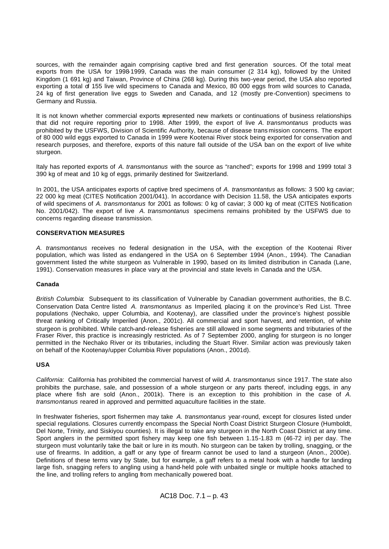sources, with the remainder again comprising captive bred and first generation sources. Of the total meat exports from the USA for 1998-1999, Canada was the main consumer (2 314 kg), followed by the United Kingdom (1 691 kg) and Taiwan, Province of China (268 kg). During this two-year period, the USA also reported exporting a total of 155 live wild specimens to Canada and Mexico, 80 000 eggs from wild sources to Canada, 24 kg of first generation live eggs to Sweden and Canada, and 12 (mostly pre-Convention) specimens to Germany and Russia.

It is not known whether commercial exports represented new markets or continuations of business relationships that did not require reporting prior to 1998. After 1999, the export of live *A. transmontanus* products was prohibited by the USFWS, Division of Scientific Authority, because of disease trans mission concerns. The export of 80 000 wild eggs exported to Canada in 1999 were Kootenai River stock being exported for conservation and research purposes, and therefore, exports of this nature fall outside of the USA ban on the export of live white sturgeon.

Italy has reported exports of *A. transmontanus* with the source as "ranched"; exports for 1998 and 1999 total 3 390 kg of meat and 10 kg of eggs, primarily destined for Switzerland.

In 2001, the USA anticipates exports of captive bred specimens of *A. transmontantus* as follows: 3 500 kg caviar; 22 000 kg meat (CITES Notification 2001/041). In accordance with Decision 11.58, the USA anticipates exports of wild specimens of *A. transmontanus* for 2001 as follows: 0 kg of caviar; 3 000 kg of meat (CITES Notification No. 2001/042). The export of live *A. transmontanus* specimens remains prohibited by the USFWS due to concerns regarding disease transmission.

### **CONSERVATION MEASURES**

*A. transmontanus* receives no federal designation in the USA, with the exception of the Kootenai River population, which was listed as endangered in the USA on 6 September 1994 (Anon., 1994). The Canadian government listed the white sturgeon as Vulnerable in 1990, based on its limited distribution in Canada (Lane, 1991). Conservation measures in place vary at the provincial and state levels in Canada and the USA.

#### **Canada**

*British Columbia*: Subsequent to its classification of Vulnerable by Canadian government authorities, the B.C. Conservation Data Centre listed *A. transmontanus* as Imperiled, placing it on the province's Red List. Three populations (Nechako, upper Columbia, and Kootenay), are classified under the province's highest possible threat ranking of Critically Imperiled (Anon., 2001c). All commercial and sport harvest, and retention, of white sturgeon is prohibited. While catch-and-release fisheries are still allowed in some segments and tributaries of the Fraser River, this practice is increasingly restricted. As of 7 September 2000, angling for sturgeon is no longer permitted in the Nechako River or its tributaries, including the Stuart River. Similar action was previously taken on behalf of the Kootenay/upper Columbia River populations (Anon., 2001d).

#### **USA**

*California*: California has prohibited the commercial harvest of wild *A. transmontanus* since 1917. The state also prohibits the purchase, sale, and possession of a whole sturgeon or any parts thereof, including eggs, in any place where fish are sold (Anon., 2001k). There is an exception to this prohibition in the case of *A. transmontanus* reared in approved and permitted aquaculture facilities in the state.

In freshwater fisheries, sport fishermen may take *A. transmontanus* year-round, except for closures listed under special regulations. Closures currently encompass the Special North Coast District Sturgeon Closure (Humboldt, Del Norte, Trinity, and Siskiyou counties). It is illegal to take any sturgeon in the North Coast District at any time. Sport anglers in the permitted sport fishery may keep one fish between 1.15-1.83 m (46-72 in) per day. The sturgeon must voluntarily take the bait or lure in its mouth. No sturgeon can be taken by trolling, snagging, or the use of firearms. In addition, a gaff or any type of firearm cannot be used to land a sturgeon (Anon., 2000e). Definitions of these terms vary by State, but for example, a gaff refers to a metal hook with a handle for landing large fish, snagging refers to angling using a hand-held pole with unbaited single or multiple hooks attached to the line, and trolling refers to angling from mechanically powered boat.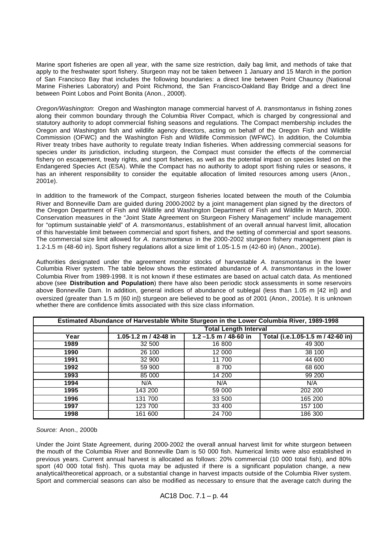Marine sport fisheries are open all year, with the same size restriction, daily bag limit, and methods of take that apply to the freshwater sport fishery. Sturgeon may not be taken between 1 January and 15 March in the portion of San Francisco Bay that includes the following boundaries: a direct line between Point Chauncy (National Marine Fisheries Laboratory) and Point Richmond, the San Francisco-Oakland Bay Bridge and a direct line between Point Lobos and Point Bonita (Anon., 2000f).

*Oregon/Washington*: Oregon and Washington manage commercial harvest of *A. transmontanus* in fishing zones along their common boundary through the Columbia River Compact, which is charged by congressional and statutory authority to adopt commercial fishing seasons and regulations. The Compact membership includes the Oregon and Washington fish and wildlife agency directors, acting on behalf of the Oregon Fish and Wildlife Commission (OFWC) and the Washington Fish and Wildlife Commission (WFWC). In addition, the Columbia River treaty tribes have authority to regulate treaty Indian fisheries. When addressing commercial seasons for species under its jurisdiction, including sturgeon, the Compact must consider the effects of the commercial fishery on escapement, treaty rights, and sport fisheries, as well as the potential impact on species listed on the Endangered Species Act (ESA). While the Compact has no authority to adopt sport fishing rules or seasons, it has an inherent responsibility to consider the equitable allocation of limited resources among users (Anon., 2001e).

In addition to the framework of the Compact, sturgeon fisheries located between the mouth of the Columbia River and Bonneville Dam are guided during 2000-2002 by a joint management plan signed by the directors of the Oregon Department of Fish and Wildlife and Washington Department of Fish and Wildlife in March, 2000. Conservation measures in the "Joint State Agreement on Sturgeon Fishery Management" include management for "optimum sustainable yield" of *A. transmontanus*, establishment of an overall annual harvest limit, allocation of this harvestable limit between commercial and sport fishers, and the setting of commercial and sport seasons. The commercial size limit allowed for *A. transmontanus* in the 2000-2002 sturgeon fishery management plan is 1.2-1.5 m (48-60 in). Sport fishery regulations allot a size limit of 1.05-1.5 m (42-60 in) (Anon., 2001e).

Authorities designated under the agreement monitor stocks of harvestable *A. transmontanus* in the lower Columbia River system. The table below shows the estimated abundance of *A. transmontanus* in the lower Columbia River from 1989-1998. It is not known if these estimates are based on actual catch data. As mentioned above (see **Distribution and Population**) there have also been periodic stock assessments in some reservoirs above Bonneville Dam. In addition, general indices of abundance of sublegal (less than 1.05 m [42 in]) and oversized (greater than 1.5 m [60 in]) sturgeon are believed to be good as of 2001 (Anon., 2001e). It is unknown whether there are confidence limits associated with this size class information.

|      | Estimated Abundance of Harvestable White Sturgeon in the Lower Columbia River, 1989-1998 |                          |                                   |  |  |  |  |  |  |
|------|------------------------------------------------------------------------------------------|--------------------------|-----------------------------------|--|--|--|--|--|--|
|      | <b>Total Length Interval</b>                                                             |                          |                                   |  |  |  |  |  |  |
| Year | 1.05-1.2 m / 42-48 in                                                                    | $1.2 - 1.5$ m / 48-60 in | Total (i.e.1.05-1.5 m / 42-60 in) |  |  |  |  |  |  |
| 1989 | 32 500                                                                                   | 16 800                   | 49 300                            |  |  |  |  |  |  |
| 1990 | 26 100                                                                                   | 12 000                   | 38 100                            |  |  |  |  |  |  |
| 1991 | 32 900                                                                                   | 11 700                   | 44 600                            |  |  |  |  |  |  |
| 1992 | 59 900                                                                                   | 8700                     | 68 600                            |  |  |  |  |  |  |
| 1993 | 85 000                                                                                   | 14 200                   | 99 200                            |  |  |  |  |  |  |
| 1994 | N/A                                                                                      | N/A                      | N/A                               |  |  |  |  |  |  |
| 1995 | 143 200                                                                                  | 59 000                   | 202 200                           |  |  |  |  |  |  |
| 1996 | 131 700                                                                                  | 33 500                   | 165 200                           |  |  |  |  |  |  |
| 1997 | 123 700                                                                                  | 33 400                   | 157 100                           |  |  |  |  |  |  |
| 1998 | 161 600                                                                                  | 24 700                   | 186 300                           |  |  |  |  |  |  |

*Source:* Anon., 2000b

Under the Joint State Agreement, during 2000-2002 the overall annual harvest limit for white sturgeon between the mouth of the Columbia River and Bonneville Dam is 50 000 fish. Numerical limits were also established in previous years. Current annual harvest is allocated as follows: 20% commercial (10 000 total fish), and 80% sport (40 000 total fish). This quota may be adjusted if there is a significant population change, a new analytical/theoretical approach, or a substantial change in harvest impacts outside of the Columbia River system. Sport and commercial seasons can also be modified as necessary to ensure that the average catch during the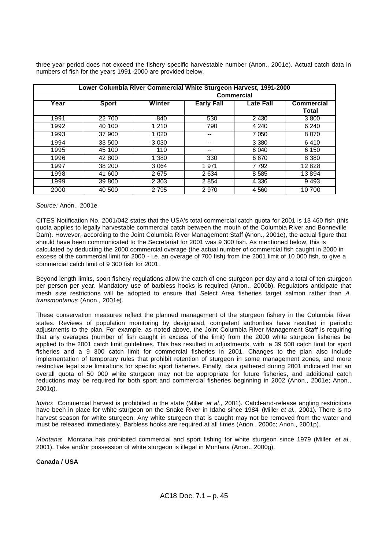three-year period does not exceed the fishery-specific harvestable number (Anon., 2001e). Actual catch data in numbers of fish for the years 1991 -2000 are provided below.

|      | Lower Columbia River Commercial White Sturgeon Harvest, 1991-2000 |         |                   |                  |              |  |  |  |  |  |
|------|-------------------------------------------------------------------|---------|-------------------|------------------|--------------|--|--|--|--|--|
|      |                                                                   |         | Commercial        |                  |              |  |  |  |  |  |
| Year | <b>Sport</b>                                                      | Winter  | <b>Early Fall</b> | <b>Late Fall</b> | Commercial   |  |  |  |  |  |
|      |                                                                   |         |                   |                  | <b>Total</b> |  |  |  |  |  |
| 1991 | 22 700                                                            | 840     | 530               | 2 4 3 0          | 3800         |  |  |  |  |  |
| 1992 | 40 100                                                            | 1 2 1 0 | 790               | 4 2 4 0          | 6 2 4 0      |  |  |  |  |  |
| 1993 | 37 900                                                            | 1 0 20  | --                | 7 0 5 0          | 8070         |  |  |  |  |  |
| 1994 | 33 500                                                            | 3 0 3 0 |                   | 3 3 8 0          | 6410         |  |  |  |  |  |
| 1995 | 45 100                                                            | 110     | --                | 6 0 4 0          | 6 150        |  |  |  |  |  |
| 1996 | 42 800                                                            | 1 380   | 330               | 6670             | 8 3 8 0      |  |  |  |  |  |
| 1997 | 38 200                                                            | 3 0 64  | 1 971             | 7 7 9 2          | 12828        |  |  |  |  |  |
| 1998 | 41 600                                                            | 2675    | 2 6 3 4           | 8 5 8 5          | 13894        |  |  |  |  |  |
| 1999 | 39 800                                                            | 2 3 0 3 | 2 8 5 4           | 4 3 3 6          | 9493         |  |  |  |  |  |
| 2000 | 40 500                                                            | 2 7 9 5 | 2 9 7 0           | 4 5 6 0          | 10700        |  |  |  |  |  |

#### *Source:* Anon., 2001e

CITES Notification No. 2001/042 states that the USA's total commercial catch quota for 2001 is 13 460 fish (this quota applies to legally harvestable commercial catch between the mouth of the Columbia River and Bonneville Dam). However, according to the Joint Columbia River Management Staff (Anon., 2001e), the actual figure that should have been communicated to the Secretariat for 2001 was 9 300 fish. As mentioned below, this is calculated by deducting the 2000 commercial overage (the actual number of commercial fish caught in 2000 in excess of the commercial limit for 2000 - i.e. an overage of 700 fish) from the 2001 limit of 10 000 fish, to give a commercial catch limit of 9 300 fish for 2001.

Beyond length limits, sport fishery regulations allow the catch of one sturgeon per day and a total of ten sturgeon per person per year. Mandatory use of barbless hooks is required (Anon., 2000b). Regulators anticipate that mesh size restrictions will be adopted to ensure that Select Area fisheries target salmon rather than *A. transmontanus* (Anon., 2001e).

These conservation measures reflect the planned management of the sturgeon fishery in the Columbia River states. Reviews of population monitoring by designated, competent authorities have resulted in periodic adjustments to the plan. For example, as noted above, the Joint Columbia River Management Staff is requiring that any overages (number of fish caught in excess of the limit) from the 2000 white sturgeon fisheries be applied to the 2001 catch limit guidelines. This has resulted in adjustments, with a 39 500 catch limit for sport fisheries and a 9 300 catch limit for commercial fisheries in 2001. Changes to the plan also include implementation of temporary rules that prohibit retention of sturgeon in some management zones, and more restrictive legal size limitations for specific sport fisheries. Finally, data gathered during 2001 indicated that an overall quota of 50 000 white sturgeon may not be appropriate for future fisheries, and additional catch reductions may be required for both sport and commercial fisheries beginning in 2002 (Anon., 2001e; Anon., 2001q).

*Idaho*: Commercial harvest is prohibited in the state (Miller *et al.*, 2001). Catch-and-release angling restrictions have been in place for white sturgeon on the Snake River in Idaho since 1984 (Miller *et al.*, 2001). There is no harvest season for white sturgeon. Any white sturgeon that is caught may not be removed from the water and must be released immediately. Barbless hooks are required at all times (Anon., 2000c; Anon., 2001p).

*Montana*: Montana has prohibited commercial and sport fishing for white sturgeon since 1979 (Miller *et al.*, 2001). Take and/or possession of white sturgeon is illegal in Montana (Anon., 2000g).

#### **Canada / USA**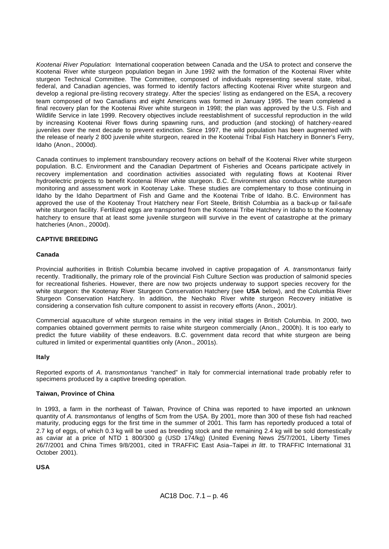*Kootenai River Population*: International cooperation between Canada and the USA to protect and conserve the Kootenai River white sturgeon population began in June 1992 with the formation of the Kootenai River white sturgeon Technical Committee. The Committee, composed of individuals representing several state, tribal, federal, and Canadian agencies, was formed to identify factors affecting Kootenai River white sturgeon and develop a regional pre-listing recovery strategy. After the species' listing as endangered on the ESA, a recovery team composed of two Canadians and eight Americans was formed in January 1995. The team completed a final recovery plan for the Kootenai River white sturgeon in 1998; the plan was approved by the U.S. Fish and Wildlife Service in late 1999. Recovery objectives include reestablishment of successful reproduction in the wild by increasing Kootenai River flows during spawning runs, and production (and stocking) of hatchery-reared juveniles over the next decade to prevent extinction. Since 1997, the wild population has been augmented with the release of nearly 2 800 juvenile white sturgeon, reared in the Kootenai Tribal Fish Hatchery in Bonner's Ferry, Idaho (Anon., 2000d).

Canada continues to implement transboundary recovery actions on behalf of the Kootenai River white sturgeon population. B.C. Environment and the Canadian Department of Fisheries and Oceans participate actively in recovery implementation and coordination activities associated with regulating flows at Kootenai River hydroelectric projects to benefit Kootenai River white sturgeon. B.C. Environment also conducts white sturgeon monitoring and assessment work in Kootenay Lake. These studies are complementary to those continuing in Idaho by the Idaho Department of Fish and Game and the Kootenai Tribe of Idaho. B.C. Environment has approved the use of the Kootenay Trout Hatchery near Fort Steele, British Columbia as a back-up or fail-safe white sturgeon facility. Fertilized eggs are transported from the Kootenai Tribe Hatchery in Idaho to the Kootenay hatchery to ensure that at least some juvenile sturgeon will survive in the event of catastrophe at the primary hatcheries (Anon., 2000d).

# **CAPTIVE BREEDING**

## **Canada**

Provincial authorities in British Columbia became involved in captive propagation of *A. transmontanus* fairly recently. Traditionally, the primary role of the provincial Fish Culture Section was production of salmonid species for recreational fisheries. However, there are now two projects underway to support species recovery for the white sturgeon: the Kootenay River Sturgeon Conservation Hatchery (see **USA** below), and the Columbia River Sturgeon Conservation Hatchery. In addition, the Nechako River white sturgeon Recovery initiative is considering a conservation fish culture component to assist in recovery efforts (Anon., 2001r).

Commercial aquaculture of white sturgeon remains in the very initial stages in British Columbia. In 2000, two companies obtained government permits to raise white sturgeon commercially (Anon., 2000h). It is too early to predict the future viability of these endeavors. B.C. government data record that white sturgeon are being cultured in limited or experimental quantities only (Anon., 2001s).

# **Italy**

Reported exports of *A. transmontanus* "ranched" in Italy for commercial international trade probably refer to specimens produced by a captive breeding operation.

#### **Taiwan, Province of China**

In 1993, a farm in the northeast of Taiwan, Province of China was reported to have imported an unknown quantity of *A. transmontanus* of lengths of 5cm from the USA. By 2001, more than 300 of these fish had reached maturity, producing eggs for the first time in the summer of 2001. This farm has reportedly produced a total of 2.7 kg of eggs, of which 0.3 kg will be used as breeding stock and the remaining 2.4 kg will be sold domestically as caviar at a price of NTD 1 800/300 g (USD 174/kg) (United Evening News 25/7/2001, Liberty Times 26/7/2001 and China Times 9/8/2001, cited in TRAFFIC East Asia–Taipei *in litt*. to TRAFFIC International 31 October 2001).

**USA**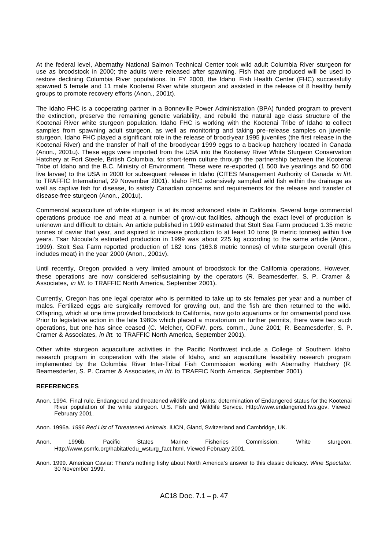At the federal level, Abernathy National Salmon Technical Center took wild adult Columbia River sturgeon for use as broodstock in 2000; the adults were released after spawning. Fish that are produced will be used to restore declining Columbia River populations. In FY 2000, the Idaho Fish Health Center (FHC) successfully spawned 5 female and 11 male Kootenai River white sturgeon and assisted in the release of 8 healthy family groups to promote recovery efforts (Anon., 2001t).

The Idaho FHC is a cooperating partner in a Bonneville Power Administration (BPA) funded program to prevent the extinction, preserve the remaining genetic variability, and rebuild the natural age class structure of the Kootenai River white sturgeon population. Idaho FHC is working with the Kootenai Tribe of Idaho to collect samples from spawning adult sturgeon, as well as monitoring and taking pre-release samples on juvenile sturgeon. Idaho FHC played a significant role in the release of brood-year 1995 juveniles (the first release in the Kootenai River) and the transfer of half of the brood-year 1999 eggs to a back-up hatchery located in Canada (Anon., 2001u). These eggs were imported from the USA into the Kootenay River White Sturgeon Conservation Hatchery at Fort Steele, British Columbia, for short-term culture through the partnership between the Kootenai Tribe of Idaho and the B.C. Ministry of Environment. These were re-exported (1 500 live yearlings and 50 000 live larvae) to the USA in 2000 for subsequent release in Idaho (CITES Management Authority of Canada *in litt.* to TRAFFIC International, 29 November 2001). Idaho FHC extensively sampled wild fish within the drainage as well as captive fish for disease, to satisfy Canadian concerns and requirements for the release and transfer of disease-free sturgeon (Anon., 2001u).

Commercial aquaculture of white sturgeon is at its most advanced state in California. Several large commercial operations produce roe and meat at a number of grow-out facilities, although the exact level of production is unknown and difficult to obtain. An article published in 1999 estimated that Stolt Sea Farm produced 1.35 metric tonnes of caviar that year, and aspired to increase production to at least 10 tons (9 metric tonnes) within five years. Tsar Nicoulai's estimated production in 1999 was about 225 kg according to the same article (Anon., 1999). Stolt Sea Farm reported production of 182 tons (163.8 metric tonnes) of white sturgeon overall (this includes meat) in the year 2000 (Anon., 2001v).

Until recently, Oregon provided a very limited amount of broodstock for the California operations. However, these operations are now considered self-sustaining by the operators (R. Beamesderfer, S. P. Cramer & Associates, *in litt.* to TRAFFIC North America, September 2001).

Currently, Oregon has one legal operator who is permitted to take up to six females per year and a number of males. Fertilized eggs are surgically removed for growing out, and the fish are then returned to the wild. Offspring, which at one time provided broodstock to California, now go to aquariums or for ornamental pond use. Prior to legislative action in the late 1980s which placed a moratorium on further permits, there were two such operations, but one has since ceased (C. Melcher, ODFW, pers. comm., June 2001; R. Beamesderfer, S. P. Cramer & Associates, *in litt.* to TRAFFIC North America, September 2001).

Other white sturgeon aquaculture activities in the Pacific Northwest include a College of Southern Idaho research program in cooperation with the state of Idaho, and an aquaculture feasibility research program implemented by the Columbia River Inter-Tribal Fish Commission working with Abernathy Hatchery (R. Beamesderfer, S. P. Cramer & Associates, *in litt.* to TRAFFIC North America, September 2001).

#### **REFERENCES**

- Anon. 1994. Final rule. Endangered and threatened wildlife and plants; determination of Endangered status for the Kootenai River population of the white sturgeon. U.S. Fish and Wildlife Service. Http://www.endangered.fws.gov. Viewed February 2001.
- Anon. 1996a. *1996 Red List of Threatened Animals*. IUCN, Gland, Switzerland and Cambridge, UK.
- Anon. 1996b. Pacific States Marine Fisheries Commission: White sturgeon. Http://www.psmfc.org/habitat/edu\_wsturg\_fact.html. Viewed February 2001.
- Anon. 1999. American Caviar: There's nothing fishy about North America's answer to this classic delicacy. *Wine Spectator.* 30 November 1999.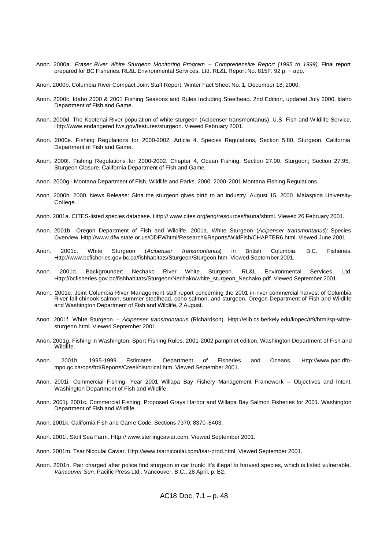- Anon. 2000a. *Fraser River White Sturgeon Monitoring Program Comprehensive Report (1995 to 1999)*. Final report prepared for BC Fisheries. RL&L Environmental Servi ces, Ltd. RL&L Report No. 815F. 92 p. + app.
- Anon. 2000b. Columbia River Compact Joint Staff Report, Winter Fact Sheet No. 1, December 18, 2000.
- Anon. 2000c. Idaho 2000 & 2001 Fishing Seasons and Rules Including Steelhead. 2nd Edition, updated July 2000. Idaho Department of Fish and Game.
- Anon. 2000d. The Kootenai River population of white sturgeon (Acipenser transmontanus). U.S. Fish and Wildlife Service. Http://www.endangered.fws.gov/features/sturgeon. Viewed February 2001.
- Anon. 2000e. Fishing Regulations for 2000-2002. Article 4. Species Regulations, Section 5.80, Sturgeon. California Department of Fish and Game.
- Anon. 2000f. Fishing Regulations for 2000-2002. Chapter 4, Ocean Fishing, Section 27.90, Sturgeon; Section 27.95, Sturgeon Closure. California Department of Fish and Game.
- Anon. 2000g Montana Department of Fish, Wildlife and Parks. 2000. 2000-2001 Montana Fishing Regulations.
- Anon. 2000h. 2000. News Release: Gina the sturgeon gives birth to an industry. August 15, 2000. Malaspina University-College.
- Anon. 2001a. CITES-listed species database. Http:// www.cites.org/eng/resources/fauna/shtml. Viewed 26 February 2001.
- Anon. 2001b -Oregon Department of Fish and Wildlife. 2001a. White Sturgeon (*Acipenser transmontanus*): Species Overview. Http://www.dfw.state.or.us/ODFWhtml/Research&Reports/WildFish/CHAPTER6.html. Viewed June 2001.
- Anon. 2001c. White Sturgeon (*Acipenser transmontanus*) in British Columbia. B.C. Fisheries. Http://www.bcfisheries.gov.bc.ca/fishhabitats/Sturgeon/Sturgeon.htm. Viewed September 2001.
- Anon. 2001d. Backgrounder: Nechako River White Sturgeon. RL&L Environmental Services, Ltd. Http://bcfisheries.gov.bc/fishhabitats/Sturgeon/Nechako/white\_sturgeon\_Nechako.pdf. Viewed September 2001.
- Anon., 2001e. Joint Columbia River Management staff report concerning the 2001 in-river commercial harvest of Columbia River fall chinook salmon, summer steelhead, coho salmon, and sturgeon. Oregon Department of Fish and Wildlife and Washington Department of Fish and Wildlife, 2 August.
- Anon. 2001f. White Sturgeon *Acipenser transmontanus* (Richardson). Http://elib.cs.berkely.edu/kopec/tr9/html/sp-whitesturgeon.html. Viewed September 2001.
- Anon. 2001g. Fishing in Washington: Sport Fishing Rules. 2001-2002 pamphlet edition. Washington Department of Fish and Wildlife.
- Anon. 2001h. 1995-1999 Estimates. Department of Fisheries and Oceans. Http://www.pac.dfompo.gc.ca/ops/frd/Reports/Creel/historical.htm. Viewed September 2001.
- Anon. 2001i. Commercial Fishing. Year 2001 Willapa Bay Fishery Management Framework Objectives and Intent. Washington Department of Fish and Wildlife.
- Anon. 2001j. 2001c. Commercial Fishing. Proposed Grays Harbor and Willapa Bay Salmon Fisheries for 2001. Washington Department of Fish and Wildlife.
- Anon. 2001k. California Fish and Game Code. Sections 7370, 8370 -8403.
- Anon. 2001l. Stolt Sea Farm. Http:// www.sterlingcaviar.com. Viewed September 2001.
- Anon. 2001m. Tsar Nicoulai Caviar. Http://www.tsarnicoulai.com/tsar-prod.html. Viewed September 2001.
- Anon. 2001n. Pair charged after police find sturgeon in car trunk: It's illegal to harvest species, which is listed vulnerable. *Vancouver Sun*. Pacific Press Ltd., Vancouver, B.C., 28 April, p. B2.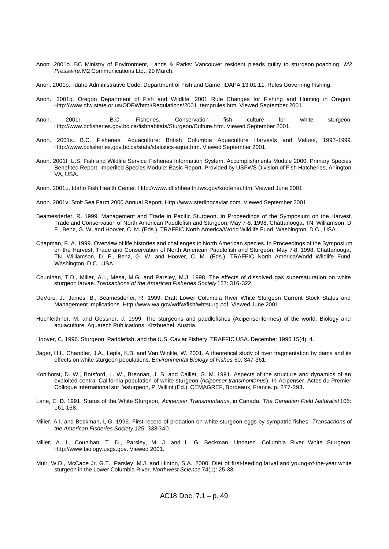- Anon. 2001o. BC Ministry of Environment, Lands & Parks: Vancouver resident pleads guilty to sturgeon poaching. *M2 Presswire.* M2 Communications Ltd., 29 March.
- Anon. 2001p. Idaho Administrative Code. Department of Fish and Game, IDAPA 13.01.11, Rules Governing Fishing.
- Anon., 2001q. Oregon Department of Fish and Wildlife. 2001 Rule Changes for Fishing and Hunting in Oregon. Http://www.dfw.state.or.us/ODFWhtml/Regulations/2001\_temprules.htm. Viewed September 2001.
- Anon. 2001r B.C. Fisheries. Conservation fish culture for white sturgeon. Http://www.bcfisheries.gov.bc.ca/fishhabitats/Sturgeon/Culture.htm. Viewed September 2001.
- Anon. 2001s. B.C. Fisheries. Aquaculture: British Columbia Aquaculture Harvests and Values, 1997-1999. Http://www.bcfisheries.gov.bc.ca/stats/statistics-aqua.htm. Viewed September 2001.
- Anon. 2001t. U.S. Fish and Wildlife Service Fisheries Information System. Accomplishments Module 2000: Primary Species Benefited Report; Imperiled Species Module: Basic Report. Provided by USFWS Division of Fish Hatcheries, Arlington, VA, USA.
- Anon. 2001u. Idaho Fish Health Center. Http://www.idfishhealth.fws.gov/kootenai.htm. Viewed June 2001.
- Anon. 2001v. Stolt Sea Farm 2000 Annual Report. Http://www.sterlingcaviar.com. Viewed September 2001.
- Beamesderfer, R. 1999. Management and Trade in Pacific Sturgeon. In Proceedings of the Symposium on the Harvest, Trade and Conservation of North American Paddlefish and Sturgeon, May 7-8, 1998, Chattanooga, TN. Williamson, D. F., Benz, G. W. and Hoover, C. M. (Eds.). TRAFFIC North America/World Wildlife Fund, Washington, D.C., USA.
- Chapman, F. A. 1999. Overview of life histories and challenges to North American species. In Proceedings of the Symposium on the Harvest, Trade and Conservation of North American Paddlefish and Sturgeon, May 7-8, 1998, Chattanooga, TN. Williamson, D. F., Benz, G. W. and Hoover, C. M. (Eds.). TRAFFIC North America/World Wildlife Fund, Washington, D.C., USA.
- Counihan, T.D., Miller, A.I., Mesa, M.G. and Parsley, M.J. 1998. The effects of dissolved gas supersaturation on white sturgeon larvae. *Transactions of the American Fisheries Society* 127: 316-322.
- DeVore, J., James, B., Beamesderfer, R. 1999. Draft Lower Columbia River White Sturgeon Current Stock Status and Management Implications. Http://www.wa.gov/wdfw/fish/whtsturg.pdf. Viewed June 2001.
- Hochleithner, M. and Gessner, J. 1999. The sturgeons and paddlefishes (Acipenseriformes) of the world: Biology and aquaculture. Aquatech Publications, Kitzbuehel, Austria.
- Hoover, C. 1996. Sturgeon, Paddlefish, and the U.S. Caviar Fishery. TRAFFIC USA. December 1996 15(4): 4.
- Jager, H.I., Chandler, J.A., Lepla, K.B. and Van Winkle, W. 2001. A theoretical study of river fragmentation by dams and its effects on white sturgeon populations. *Environmental Biology of Fishes* 60: 347-361.
- Kohlhorst, D. W., Botsford, L. W., Brennan, J. S. and Caillet, G. M. 1991. Aspects of the structure and dynamics of an exploited central California population of white sturgeon (*Acipenser transmontanus*). *In* Acipenser, Actes du Premier Colloque International sur l'esturgeon, P. Williot (Ed.). CEMAGREF, Bordeaux, France. p. 277-293.
- Lane, E. D. 1991. Status of the White Sturgeon, *Acipenser Transmontanus*, in Canada. *The Canadian Field Naturalist* 105: 161-168.
- Miller, A.I. and Beckman, L.G. 1996. First record of predation on white sturgeon eggs by sympatric fishes. *Transactions of the American Fisheries Society* 125: 338-340.
- Miller, A. I., Counihan, T. D., Parsley, M. J. and L. G. Beckman. Undated. Columbia River White Sturgeon. Http://www.biology.usgs.gov. Viewed 2001.
- Muir, W.D., McCabe Jr. G.T., Parsley, M.J. and Hinton, S.A. 2000. Diet of first-feeding larval and young-of-the-year white sturgeon in the Lower Columbia River. *Northwest Science* 74(1): 25-33.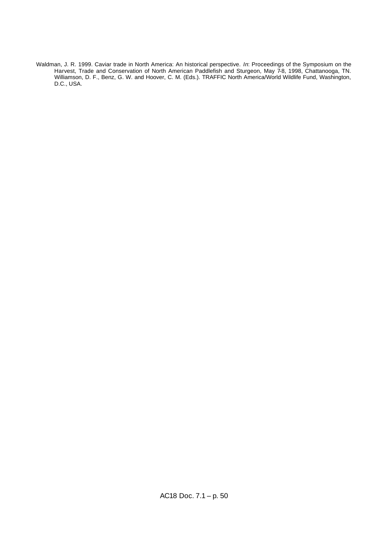Waldman, J. R. 1999. Caviar trade in North America: An historical perspective. *In*: Proceedings of the Symposium on the Harvest, Trade and Conservation of North American Paddlefish and Sturgeon, May 7-8, 1998, Chattanooga, TN. Williamson, D. F., Benz, G. W. and Hoover, C. M. (Eds.). TRAFFIC North America/World Wildlife Fund, Washington, D.C., USA.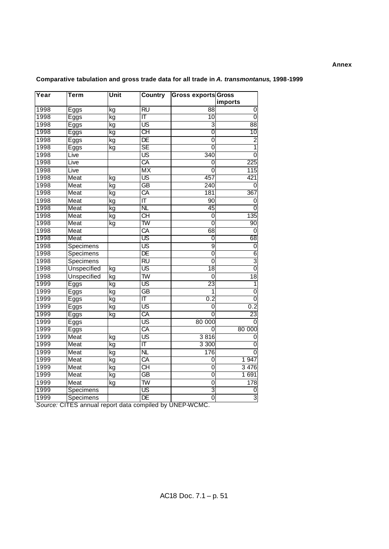# **Annex**

| Year | Term                     | Unit | Country                  | <b>Gross exports Gross</b> |                 |
|------|--------------------------|------|--------------------------|----------------------------|-----------------|
|      |                          |      |                          |                            | imports         |
| 1998 | Eggs                     | kg   | <b>RU</b>                | 88                         | 0               |
| 1998 | Eggs                     | kg   | ΙΤ                       | 10                         | $\overline{0}$  |
| 1998 | Eggs                     | kg   | $\overline{\mathsf{US}}$ | 3                          | 88              |
| 1998 | Eggs                     | kg   | CН                       | 0                          | 10              |
| 1998 | Eggs                     | kg   | $\overline{DE}$          | $\overline{0}$             | $\overline{2}$  |
| 1998 | Eggs                     | kg   | $\overline{\text{SE}}$   | $\overline{0}$             | 1               |
| 1998 | Live                     |      | $\overline{\mathsf{US}}$ | 340                        | 0               |
| 1998 | Live                     |      | CA                       | 0                          | 225             |
| 1998 | Live                     |      | $\overline{MX}$          | 0                          | 115             |
| 1998 | Meat                     | kg   | US                       | 457                        | 421             |
| 1998 | Meat                     | kg   | $\overline{GB}$          | 240                        | 0               |
| 1998 | Meat                     | kg   | CA                       | 181                        | 367             |
| 1998 | Meat                     | kg   | $\overline{\mathsf{T}}$  | 90                         | 0               |
| 1998 | Meat                     | kg   | NL                       | 45                         | 0               |
| 1998 | Meat                     | kg   | $\overline{CH}$          | $\mathbf 0$                | 135             |
| 1998 | Meat                     | kg   | <u>TW</u>                | 0                          | 90              |
| 1998 | Meat                     |      | CA                       | 68                         | 0               |
| 1998 | Meat                     |      | US                       | 0                          | 68              |
| 1998 | Specimens                |      | $\overline{\mathsf{US}}$ | $\overline{9}$             | 0               |
| 1998 | Specimens                |      | DE                       | $\overline{0}$             | 6               |
| 1998 | Specimens                |      | <b>RU</b>                | 0                          | $\overline{3}$  |
| 1998 | <b>Unspecified</b>       | kg   | US                       | 18                         | $\overline{0}$  |
| 1998 | <b>Unspecified</b>       | kg   | $\overline{\text{TW}}$   | 0                          | $\overline{18}$ |
| 1999 | $\overline{\text{Eggs}}$ | kg   | US                       | $\overline{23}$            |                 |
| 1999 | Eggs                     | kg   | $\overline{GB}$          | 1                          | 0               |
| 1999 | Eggs                     | kg   | ΙΤ                       | 0.2                        | $\overline{0}$  |
| 1999 | Eggs                     | kg   | US                       | 0                          | 0.2             |
| 1999 | Eggs                     | kg   | CA                       | $\overline{0}$             | 23              |
| 1999 | Eggs                     |      | $\overline{\mathsf{US}}$ | 80 000                     | 0               |
| 1999 | Eggs                     |      | CA                       | 0                          | 80 000          |
| 1999 | Meat                     | kg   | <b>US</b>                | 3816                       | 0               |
| 1999 | Meat                     | kg   | ΙΤ                       | 3 300                      | 0               |
| 1999 | Meat                     | kg   | $\overline{\sf NL}$      | $\overline{176}$           | $\Omega$        |
| 1999 | Meat                     | kg   | CA                       | 0                          | 1 947           |
| 1999 | Meat                     | kg   | $\overline{CH}$          | 0                          | 3 4 7 6         |
| 1999 | Meat                     | kg   | $\overline{GB}$          | 0                          | 1691            |
| 1999 | Meat                     | kg   | $\overline{\mathsf{TW}}$ | 0                          | 178             |
| 1999 | Specimens                |      | US                       | 3                          | 0               |
| 1999 | Specimens                |      | DE                       | $\overline{0}$             | 3               |

# **Comparative tabulation and gross trade data for all trade in** *A. transmontanus***, 1998-1999**

*Source:* CITES annual report data compiled by UNEP-WCMC.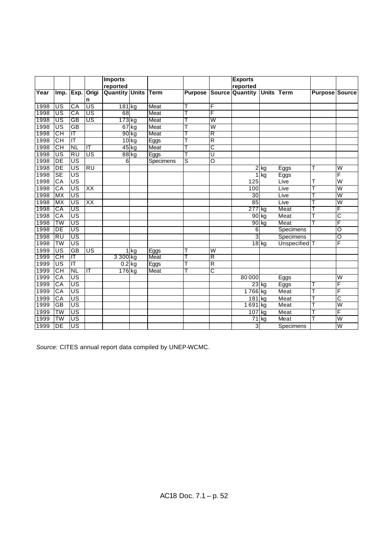|      |                        |                                   |                          | <b>Imports</b>        |          |             |                |   | <b>Exports</b>         |                    |                          |                       |                         |
|------|------------------------|-----------------------------------|--------------------------|-----------------------|----------|-------------|----------------|---|------------------------|--------------------|--------------------------|-----------------------|-------------------------|
|      |                        |                                   |                          | reported              |          |             |                |   | reported               |                    |                          |                       |                         |
| Year | Imp.                   | Exp.                              | Origi                    | <b>Quantity Units</b> |          | <b>Term</b> | <b>Purpose</b> |   | <b>Source Quantity</b> |                    | <b>Units Term</b>        | <b>Purpose Source</b> |                         |
|      |                        |                                   | n                        |                       |          |             |                |   |                        |                    |                          |                       |                         |
| 1998 | US                     | CA                                | US                       | 181kg                 |          | Meat        |                | F |                        |                    |                          |                       |                         |
| 1998 | US                     | CA                                | US                       | 68                    |          | <b>Meat</b> |                | F |                        |                    |                          |                       |                         |
| 1998 | US                     | GB                                | US                       | 173 kg                |          | Meat        |                | W |                        |                    |                          |                       |                         |
| 1998 | US                     | GB                                |                          | $67$ kg               |          | <b>Meat</b> |                | W |                        |                    |                          |                       |                         |
| 1998 | CН                     | ΙΤ                                |                          | 90 kg                 |          | Meat        |                | R |                        |                    |                          |                       |                         |
| 1998 | $\overline{\text{CH}}$ | $\overline{\mathsf{I}\mathsf{T}}$ |                          |                       | $10$ kg  | Eggs        |                | R |                        |                    |                          |                       |                         |
| 1998 | CН                     | NL                                | ΤT                       |                       | 45 kg    | Meat        |                | C |                        |                    |                          |                       |                         |
| 1998 | US                     | <b>RU</b>                         | $\overline{\mathsf{US}}$ |                       | $88$ kg  | Eggs        |                | U |                        |                    |                          |                       |                         |
| 1998 | DE                     | US                                |                          | 6                     |          | Specimens   | S              | O |                        |                    |                          |                       |                         |
| 1998 | DE                     | $\overline{US}$                   | RU                       |                       |          |             |                |   | 2                      | kg                 | Eggs                     | т                     | W                       |
| 1998 | <b>SE</b>              | US                                |                          |                       |          |             |                |   |                        | kg                 | Eggs                     |                       | F                       |
| 1998 | CA                     | US                                |                          |                       |          |             |                |   | 125                    |                    | Live                     |                       | W                       |
| 1998 | CA                     | US                                | $\overline{XX}$          |                       |          |             |                |   | 100                    |                    | Live                     | Т                     | W                       |
| 1998 | МX                     | US                                |                          |                       |          |             |                |   | 30                     |                    | Live                     |                       | W                       |
| 1998 | <b>MX</b>              | US                                | $\overline{XX}$          |                       |          |             |                |   | 85                     |                    | Live                     |                       | $\overline{\mathsf{w}}$ |
| 1998 | СA                     | US                                |                          |                       |          |             |                |   | $277$ kg               |                    | Meat                     |                       | F                       |
| 1998 | $\overline{\text{CA}}$ | US                                |                          |                       |          |             |                |   | $90$ kg                |                    | Meat                     |                       | С                       |
| 1998 | TW                     | US                                |                          |                       |          |             |                |   |                        | 90 kg              | Meat                     |                       | F                       |
| 1998 | DE                     | $\overline{\mathsf{US}}$          |                          |                       |          |             |                |   | 6                      |                    | Specimens                |                       | O                       |
| 1998 | $\overline{RU}$        | $\overline{\mathsf{US}}$          |                          |                       |          |             |                |   | 3                      |                    | Specimens                |                       | $\overline{\rm o}$      |
| 1998 | <b>TW</b>              | US                                |                          |                       |          |             |                |   |                        | $18$ kg            | Unspecified <sup>T</sup> |                       | F                       |
| 1999 | US                     | $\overline{GB}$                   | $\overline{\mathsf{US}}$ |                       | $1$ $kg$ | Eggs        |                | W |                        |                    |                          |                       |                         |
| 1999 | СH                     | ΙT                                |                          | 3 300 kg              |          | Meat        |                | R |                        |                    |                          |                       |                         |
| 1999 | US                     | $\overline{\mathsf{I}\mathsf{T}}$ |                          | $\overline{0.2}$ kg   |          | Eggs        |                | R |                        |                    |                          |                       |                         |
| 1999 | СH                     | NL                                | ΙT                       | 176 kg                |          | Meat        |                | C |                        |                    |                          |                       |                         |
| 1999 | $\overline{CA}$        | US                                |                          |                       |          |             |                |   | 80000                  |                    | Eggs                     |                       | W                       |
| 1999 | СA                     | US                                |                          |                       |          |             |                |   |                        | $23$ <sub>kg</sub> | Eggs                     |                       | F                       |
| 1999 | $\overline{CA}$        | $\overline{\mathsf{US}}$          |                          |                       |          |             |                |   | 1766 kg                |                    | Meat                     | т                     | F                       |
| 1999 | $\overline{CA}$        | US                                |                          |                       |          |             |                |   | 181                    | ka                 | Meat                     |                       | C                       |
| 1999 | $\overline{GB}$        | $\overline{\mathsf{US}}$          |                          |                       |          |             |                |   | 1691                   | <b>kg</b>          | Meat                     | Т                     | $\overline{\mathsf{w}}$ |
| 1999 | TW                     | $\overline{\mathsf{US}}$          |                          |                       |          |             |                |   | 107                    | kg                 | Meat                     |                       | F                       |
| 1999 | <b>TW</b>              | $\overline{US}$                   |                          |                       |          |             |                |   | 71                     | kg                 | Meat                     | т                     | Ŵ                       |
| 1999 | DE                     | $\overline{US}$                   |                          |                       |          |             |                |   | 3                      |                    | Specimens                |                       | $\overline{\mathsf{W}}$ |

*Source:* CITES annual report data compiled by UNEP-WCMC.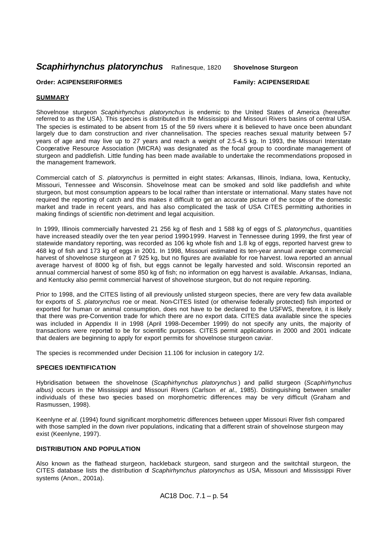*Scaphirhynchus platorynchus* Rafinesque, 1820 **Shovelnose Sturgeon** 

### **Order: ACIPENSERIFORMES Family: ACIPENSERIDAE**

# **SUMMARY**

Shovelnose sturgeon *Scaphirhynchus platorynchus* is endemic to the United States of America (hereafter referred to as the USA). This species is distributed in the Mississippi and Missouri Rivers basins of central USA. The species is estimated to be absent from 15 of the 59 rivers where it is believed to have once been abundant largely due to dam construction and river channelisation. The species reaches sexual maturity between 57 years of age and may live up to 27 years and reach a weight of 2.5-4.5 kg. In 1993, the Missouri Interstate Cooperative Resource Association (MICRA) was designated as the focal group to coordinate management of sturgeon and paddlefish. Little funding has been made available to undertake the recommendations proposed in the management framework.

Commercial catch of *S. platorynchus* is permitted in eight states: Arkansas, Illinois, Indiana, Iowa, Kentucky, Missouri, Tennessee and Wisconsin. Shovelnose meat can be smoked and sold like paddlefish and white sturgeon, but most consumption appears to be local rather than interstate or international. Many states have not required the reporting of catch and this makes it difficult to get an accurate picture of the scope of the domestic market and trade in recent years, and has also complicated the task of USA CITES permitting authorities in making findings of scientific non-detriment and legal acquisition.

In 1999, Illinois commercially harvested 21 256 kg of flesh and 1 588 kg of eggs of *S. platorynchus*, quantities have increased steadily over the ten year period 1990-1999. Harvest in Tennessee during 1999, the first year of statewide mandatory reporting, was recorded as 106 kg whole fish and 1.8 kg of eggs, reported harvest grew to 468 kg of fish and 173 kg of eggs in 2001. In 1998, Missouri estimated its ten-year annual average commercial harvest of shovelnose sturgeon at 7 925 kg, but no figures are available for roe harvest. Iowa reported an annual average harvest of 8000 kg of fish, but eggs cannot be legally harvested and sold. Wisconsin reported an annual commercial harvest of some 850 kg of fish; no information on egg harvest is available. Arkansas, Indiana, and Kentucky also permit commercial harvest of shovelnose sturgeon, but do not require reporting.

Prior to 1998, and the CITES listing of all previously unlisted sturgeon species, there are very few data available for exports of *S. platorynchus* roe or meat. Non-CITES listed (or otherwise federally protected) fish imported or exported for human or animal consumption, does not have to be declared to the USFWS, therefore, it is likely that there was pre-Convention trade for which there are no export data. CITES data available since the species was included in Appendix II in 1998 (April 1998-December 1999) do not specify any units, the majority of transactions were reported to be for scientific purposes. CITES permit applications in 2000 and 2001 indicate that dealers are beginning to apply for export permits for shovelnose sturgeon caviar.

The species is recommended under Decision 11.106 for inclusion in category 1/2.

#### **SPECIES IDENTIFICATION**

Hybridisation between the shovelnose (*Scaphirhynchus platorynchus* ) and pallid sturgeon (*Scaphirhynchus albus)* occurs in the Mississippi and Missouri Rivers (Carlson *et al*., 1985). Distinguishing between smaller individuals of these two species based on morphometric differences may be very difficult (Graham and Rasmussen, 1998).

Keenlyne *et al*. (1994) found significant morphometric differences between upper Missouri River fish compared with those sampled in the down river populations, indicating that a different strain of shovelnose sturgeon may exist (Keenlyne, 1997).

### **DISTRIBUTION AND POPULATION**

Also known as the flathead sturgeon, hackleback sturgeon, sand sturgeon and the switchtail sturgeon, the CITES database lists the distribution of *Scaphirhynchus platorynchus* as USA, Missouri and Mississippi River systems (Anon., 2001a).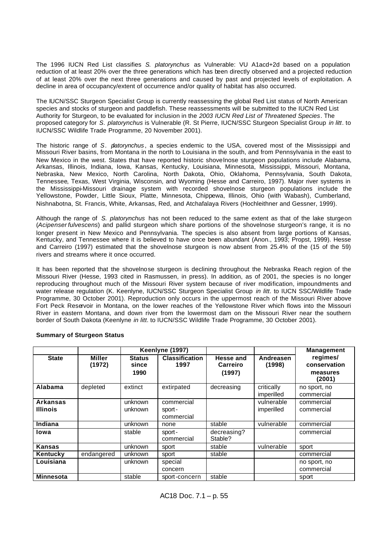The 1996 IUCN Red List classifies *S. platorynchus* as Vulnerable: VU A1acd+2d based on a population reduction of at least 20% over the three generations which has been directly observed and a projected reduction of at least 20% over the next three generations and caused by past and projected levels of exploitation. A decline in area of occupancy/extent of occurrence and/or quality of habitat has also occurred.

The IUCN/SSC Sturgeon Specialist Group is currently reassessing the global Red List status of North American species and stocks of sturgeon and paddlefish. These reassessments will be submitted to the IUCN Red List Authority for Sturgeon, to be evaluated for inclusion in the *2003 IUCN Red List of Threatened Species*. The proposed category for *S. platorynchus* is Vulnerable (R. St Pierre, IUCN/SSC Sturgeon Specialist Group *in litt*. to IUCN/SSC Wildlife Trade Programme, 20 November 2001).

The historic range of *S. platorynchus* , a species endemic to the USA, covered most of the Mississippi and Missouri River basins, from Montana in the north to Louisiana in the south, and from Pennsylvania in the east to New Mexico in the west. States that have reported historic shovelnose sturgeon populations include Alabama, Arkansas, Illinois, Indiana, Iowa, Kansas, Kentucky, Louisiana, Minnesota, Mississippi, Missouri, Montana, Nebraska, New Mexico, North Carolina, North Dakota, Ohio, Oklahoma, Pennsylvania, South Dakota, Tennessee, Texas, West Virginia, Wisconsin, and Wyoming (Hesse and Carreiro, 1997). Major river systems in the Mississippi-Missouri drainage system with recorded shovelnose sturgeon populations include the Yellowstone, Powder, Little Sioux, Platte, Minnesota, Chippewa, Illinois, Ohio (with Wabash), Cumberland, Nishnabotna, St. Francis, White, Arkansas, Red, and Atchafalaya Rivers (Hochleithner and Gessner, 1999).

Although the range of *S. platorynchus* has not been reduced to the same extent as that of the lake sturgeon (*Acipenser fulvescens*) and pallid sturgeon which share portions of the shovelnose sturgeon's range, it is no longer present in New Mexico and Pennsylvania. The species is also absent from large portions of Kansas, Kentucky, and Tennessee where it is believed to have once been abundant (Anon., 1993; Propst, 1999). Hesse and Carreiro (1997) estimated that the shovelnose sturgeon is now absent from 25.4% of the (15 of the 59) rivers and streams where it once occurred.

It has been reported that the shovelnose sturgeon is declining throughout the Nebraska Reach region of the Missouri River (Hesse, 1993 cited in Rasmussen, in press). In addition, as of 2001, the species is no longer reproducing throughout much of the Missouri River system because of river modification, impoundments and water release regulation (K. Keenlyne, IUCN/SSC Sturgeon Specialist Group *in litt*. to IUCN SSC/Wildlife Trade Programme, 30 October 2001). Reproduction only occurs in the uppermost reach of the Missouri River above Fort Peck Reservoir in Montana, on the lower reaches of the Yellowstone River which flows into the Missouri River in eastern Montana, and down river from the lowermost dam on the Missouri River near the southern border of South Dakota (Keenlyne *in litt*. to IUCN/SSC Wildlife Trade Programme, 30 October 2001).

|                                    |                  |                                | Keenlyne (1997)                    |                                 |                          | <b>Management</b>                              |
|------------------------------------|------------------|--------------------------------|------------------------------------|---------------------------------|--------------------------|------------------------------------------------|
| <b>State</b>                       | Miller<br>(1972) | <b>Status</b><br>since<br>1990 | <b>Classification</b><br>1997      | Hesse and<br>Carreiro<br>(1997) | Andreasen<br>(1998)      | regimes/<br>conservation<br>measures<br>(2001) |
| Alabama                            | depleted         | extinct                        | extirpated                         | decreasing                      | critically<br>imperilled | no sport, no<br>commercial                     |
| <b>Arkansas</b><br><b>Illinois</b> |                  | unknown<br>unknown             | commercial<br>sport-<br>commercial |                                 | vulnerable<br>imperilled | commercial<br>commercial                       |
| Indiana                            |                  | unknown                        | none                               | stable                          | vulnerable               | commercial                                     |
| lowa                               |                  | stable                         | sport-<br>commercial               | decreasing?<br>Stable?          |                          | commercial                                     |
| <b>Kansas</b>                      |                  | unknown                        | sport                              | stable                          | vulnerable               | sport                                          |
| Kentucky                           | endangered       | unknown                        | sport                              | stable                          |                          | commercial                                     |
| Louisiana                          |                  | unknown                        | special<br>concern                 |                                 |                          | no sport, no<br>commercial                     |
| <b>Minnesota</b>                   |                  | stable                         | sport-concern                      | stable                          |                          | sport                                          |

# **Summary of Sturgeon Status**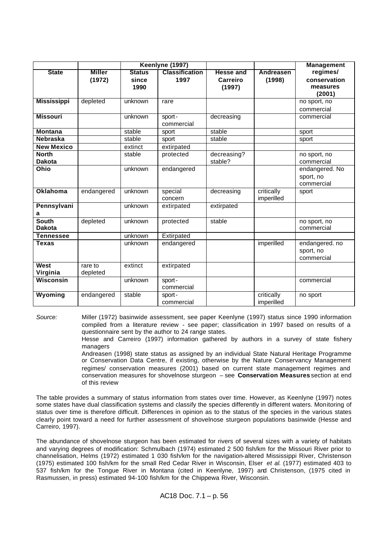|                    | Keenlyne (1997) |               |                       |                  | <b>Management</b> |                |
|--------------------|-----------------|---------------|-----------------------|------------------|-------------------|----------------|
| <b>State</b>       | <b>Miller</b>   | <b>Status</b> | <b>Classification</b> | <b>Hesse and</b> | Andreasen         | regimes/       |
|                    | (1972)          | since         | 1997                  | Carreiro         | (1998)            | conservation   |
|                    |                 | 1990          |                       | (1997)           |                   | measures       |
|                    |                 |               |                       |                  |                   | (2001)         |
| <b>Mississippi</b> | depleted        | unknown       | rare                  |                  |                   | no sport, no   |
|                    |                 |               |                       |                  |                   | commercial     |
| <b>Missouri</b>    |                 | unknown       | sport-                | decreasing       |                   | commercial     |
|                    |                 |               | commercial            |                  |                   |                |
| <b>Montana</b>     |                 | stable        | sport                 | stable           |                   | sport          |
| <b>Nebraska</b>    |                 | stable        | sport                 | stable           |                   | sport          |
| <b>New Mexico</b>  |                 | extinct       | extirpated            |                  |                   |                |
| <b>North</b>       |                 | stable        | protected             | decreasing?      |                   | no sport, no   |
| <b>Dakota</b>      |                 |               |                       | stable?          |                   | commercial     |
| Ohio               |                 | unknown       | endangered            |                  |                   | endangered. No |
|                    |                 |               |                       |                  |                   | sport, no      |
|                    |                 |               |                       |                  |                   | commercial     |
| <b>Oklahoma</b>    | endangered      | unknown       | special               | decreasing       | critically        | sport          |
|                    |                 |               | concern               |                  | imperilled        |                |
| Pennsylvani        |                 | unknown       | extirpated            | extirpated       |                   |                |
| a                  |                 |               |                       |                  |                   |                |
| <b>South</b>       | depleted        | unknown       | protected             | stable           |                   | no sport, no   |
| <b>Dakota</b>      |                 |               |                       |                  |                   | commercial     |
| <b>Tennessee</b>   |                 | unknown       | Extirpated            |                  |                   |                |
| <b>Texas</b>       |                 | unknown       | endangered            |                  | imperilled        | endangered. no |
|                    |                 |               |                       |                  |                   | sport, no      |
|                    |                 |               |                       |                  |                   | commercial     |
| West               | rare to         | extinct       | extirpated            |                  |                   |                |
| Virginia           | depleted        |               |                       |                  |                   |                |
| Wisconsin          |                 | unknown       | sport-                |                  |                   | commercial     |
|                    |                 |               | commercial            |                  |                   |                |
| Wyoming            | endangered      | stable        | sport-                |                  | critically        | no sport       |
|                    |                 |               | commercial            |                  | imperilled        |                |

*Source:* Miller (1972) basinwide assessment, see paper Keenlyne (1997) status since 1990 information compiled from a literature review - see paper; classification in 1997 based on results of a questionnaire sent by the author to 24 range states.

> Hesse and Carreiro (1997) information gathered by authors in a survey of state fishery managers

> Andreasen (1998) state status as assigned by an individual State Natural Heritage Programme or Conservation Data Centre, if existing, otherwise by the Nature Conservancy Management regimes/ conservation measures (2001) based on current state management regimes and conservation measures for shovelnose sturgeon – see **Conservation Measures** section at end of this review

The table provides a summary of status information from states over time. However, as Keenlyne (1997) notes some states have dual classification systems and classify the species differently in different waters. Monitoring of status over time is therefore difficult. Differences in opinion as to the status of the species in the various states clearly point toward a need for further assessment of shovelnose sturgeon populations basinwide (Hesse and Carreiro, 1997).

The abundance of shovelnose sturgeon has been estimated for rivers of several sizes with a variety of habitats and varying degrees of modification: Schmulbach (1974) estimated 2 500 fish/km for the Missouri River prior to channelisation, Helms (1972) estimated 1 030 fish/km for the navigation-altered Mississippi River, Christenson (1975) estimated 100 fish/km for the small Red Cedar River in Wisconsin, Elser *et al*. (1977) estimated 403 to 537 fish/km for the Tongue River in Montana (cited in Keenlyne, 1997) and Christenson, (1975 cited in Rasmussen, in press) estimated 94-100 fish/km for the Chippewa River, Wisconsin.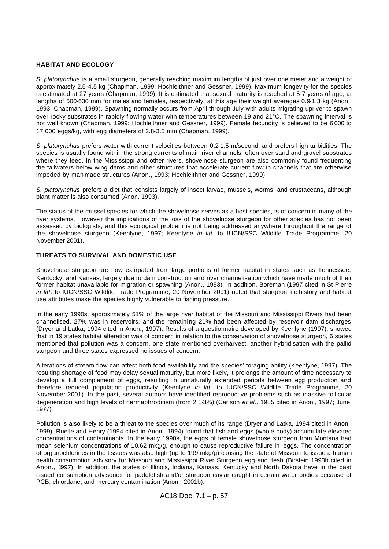#### **HABITAT AND ECOLOGY**

*S. platorynchus* is a small sturgeon, generally reaching maximum lengths of just over one meter and a weight of approximately 2.5-4.5 kg (Chapman, 1999; Hochleithner and Gessner, 1999). Maximum longevity for the species is estimated at 27 years (Chapman, 1999). It is estimated that sexual maturity is reached at 5-7 years of age, at lengths of 500-630 mm for males and females, respectively, at this age their weight averages 0.9-1.3 kg (Anon., 1993; Chapman, 1999). Spawning normally occurs from April through July with adults migrating upriver to spawn over rocky substrates in rapidly flowing water with temperatures between 19 and 21°C. The spawning interval is not well known (Chapman, 1999; Hochleithner and Gessner, 1999). Female fecundity is believed to be 6 000 to 17 000 eggs/kg, with egg diameters of 2.8-3.5 mm (Chapman, 1999).

*S. platorynchus* prefers water with current velocities between 0.2-1.5 m/second, and prefers high turbidities. The species is usually found within the strong currents of main river channels, often over sand and gravel substrates where they feed. In the Mississippi and other rivers, shovelnose sturgeon are also commonly found frequenting the tailwaters below wing dams and other structures that accelerate current flow in channels that are otherwise impeded by man-made structures (Anon., 1993; Hochleithner and Gessner, 1999).

*S. platorynchus* prefers a diet that consists largely of insect larvae, mussels, worms, and crustaceans, although plant matter is also consumed (Anon, 1993).

The status of the mussel species for which the shovelnose serves as a host species, is of concern in many of the river systems. Howeve r the implications of the loss of the shovelnose sturgeon for other species has not been assessed by biologists, and this ecological problem is not being addressed anywhere throughout the range of the shovelnose sturgeon (Keenlyne, 1997; Keenlyne *in litt*. to IUCN/SSC Wildlife Trade Programme, 20 November 2001).

# **THREATS TO SURVIVAL AND DOMESTIC USE**

Shovelnose sturgeon are now extirpated from large portions of former habitat in states such as Tennessee, Kentucky, and Kansas, largely due to dam construction and river channelisation which have made much of their former habitat unavailable for migration or spawning (Anon., 1993). In addition, Boreman (1997 cited in St Pierre *in litt*. to IUCN/SSC Wildlife Trade Programme, 20 November 2001) noted that sturgeon life history and habitat use attributes make the species highly vulnerable to fishing pressure.

In the early 1990s, approximately 51% of the large river habitat of the Missouri and Mississippi Rivers had been channelised, 27% was in reservoirs, and the remaini ng 21% had been affected by reservoir dam discharges (Dryer and Latka, 1994 cited in Anon., 1997). Results of a questionnaire developed by Keenlyne (1997), showed that in 19 states habitat alteration was of concern in relation to the conservation of shovelnose sturgeon, 6 states mentioned that pollution was a concern, one state mentioned overharvest, another hybridisation with the pallid sturgeon and three states expressed no issues of concern.

Alterations of stream flow can affect both food availability and the species' foraging ability (Keenlyne, 1997). The resulting shortage of food may delay sexual maturity, but more likely, it prolongs the amount of time necessary to develop a full complement of eggs, resulting in unnaturally extended periods between egg production and therefore reduced population productivity (Keenlyne *in litt*. to IUCN/SSC Wildlife Trade Programme, 20 November 2001). In the past, several authors have identified reproductive problems such as massive follicular degeneration and high levels of hermaphroditism (from 2.1-3%) (Carlson *et al.,* 1985 cited in Anon., 1997; June, 1977).

Pollution is also likely to be a threat to the species over much of its range (Dryer and Latka, 1994 cited in Anon., 1999). Ruelle and Henry (1994 cited in Anon., 1994) found that fish and eggs (whole body) accumulate elevated concentrations of contaminants. In the early 1990s, the eggs of female shovelnose sturgeon from Montana had mean selenium concentrations of 10.62 mkg/g, enough to cause reproductive failure in eggs. The concentration of organochlorines in the tissues was also high (up to 199 mkg/g) causing the state of Missouri to issue a human health consumption advisory for Missouri and Mississippi River Sturgeon egg and flesh (Birstein 1993b cited in Anon., 1997). In addition, the states of Illinois, Indiana, Kansas, Kentucky and North Dakota have in the past issued consumption advisories for paddlefish and/or sturgeon caviar caught in certain water bodies because of PCB, chlordane, and mercury contamination (Anon., 2001b).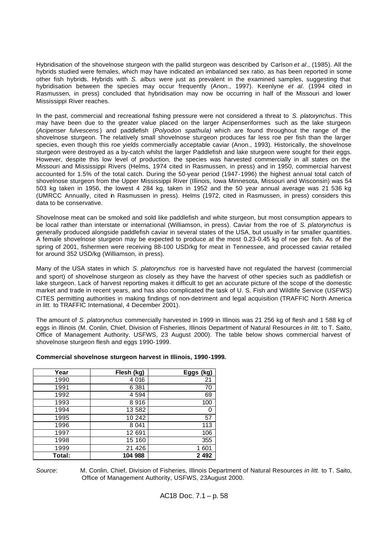Hybridisation of the shovelnose sturgeon with the pallid sturgeon was described by Carlson *et al*., (1985). All the hybrids studied were females, which may have indicated an imbalanced sex ratio, as has been reported in some other fish hybrids. Hybrids with *S. albus* were just as prevalent in the examined samples, suggesting that hybridisation between the species may occur frequently (Anon., 1997). Keenlyne *et al*. (1994 cited in Rasmussen, in press) concluded that hybridisation may now be occurring in half of the Missouri and lower Mississippi River reaches.

In the past, commercial and recreational fishing pressure were not considered a threat to *S. platorynchus*. This may have been due to the greater value placed on the larger Acipenseriformes such as the lake sturgeon (*Acipenser fulvescens* ) and paddlefish (*Polyodon spathula)* which are found throughout the range of the shovelnose sturgeon. The relatively small shovelnose sturgeon produces far less roe per fish than the larger species, even though this roe yields commercially acceptable caviar (Anon., 1993). Historically, the shovelnose sturgeon were destroyed as a by-catch whilst the larger Paddlefish and lake sturgeon were sought for their eggs. However, despite this low level of production, the species was harvested commercially in all states on the Missouri and Mississippi Rivers (Helms, 1974 cited in Rasmussen, in press) and in 1950, commercial harvest accounted for 1.5% of the total catch. During the 50-year period (1947-1996) the highest annual total catch of shovelnose sturgeon from the Upper Mississippi River (Illinois, Iowa Minnesota, Missouri and Wisconsin) was 54 503 kg taken in 1956, the lowest 4 284 kg, taken in 1952 and the 50 year annual average was 21 536 kg (UMRCC Annually, cited in Rasmussen in press). Helms (1972, cited in Rasmussen, in press) considers this data to be conservative.

Shovelnose meat can be smoked and sold like paddlefish and white sturgeon, but most consumption appears to be local rather than interstate or international (Williamson, in press). Caviar from the roe of *S. platorynchus* is generally produced alongside paddlefish caviar in several states of the USA, but usually in far smaller quantities. A female shovelnose sturgeon may be expected to produce at the most 0.23-0.45 kg of roe per fish. As of the spring of 2001, fishermen were receiving 88-100 USD/kg for meat in Tennessee, and processed caviar retailed for around 352 USD/kg (Williamson, in press).

Many of the USA states in which *S. platorynchus* roe is harvested have not regulated the harvest (commercial and sport) of shovelnose sturgeon as closely as they have the harvest of other species such as paddlefish or lake sturgeon. Lack of harvest reporting makes it difficult to get an accurate picture of the scope of the domestic market and trade in recent years, and has also complicated the task of U. S. Fish and Wildlife Service (USFWS) CITES permitting authorities in making findings of non-detriment and legal acquisition (TRAFFIC North America *in litt.* to TRAFFIC International, 4 December 2001).

The amount of *S. platorynchus* commercially harvested in 1999 in Illinois was 21 256 kg of flesh and 1 588 kg of eggs in Illinois (M. Conlin, Chief, Division of Fisheries, Illinois Department of Natural Resources *in litt.* to T. Saito, Office of Management Authority, USFWS, 23 August 2000). The table below shows commercial harvest of shovelnose sturgeon flesh and eggs 1990-1999.

#### **Commercial shovelnose sturgeon harvest in Illinois, 1990-1999.**

| Year   | Flesh (kg) | Eggs (kg) |
|--------|------------|-----------|
| 1990   | 4 0 1 6    | 21        |
| 1991   | 6 3 8 1    | 70        |
| 1992   | 4 5 9 4    | 69        |
| 1993   | 8916       | 100       |
| 1994   | 13 582     | O         |
| 1995   | 10 242     | 57        |
| 1996   | 8 0 4 1    | 113       |
| 1997   | 12 691     | 106       |
| 1998   | 15 160     | 355       |
| 1999   | 21 4 26    | 1 601     |
| Total: | 104 988    | 2 4 9 2   |

*Source*: M. Conlin, Chief, Division of Fisheries, Illinois Department of Natural Resources *in litt.* to T. Saito, Office of Management Authority, USFWS, 23August 2000.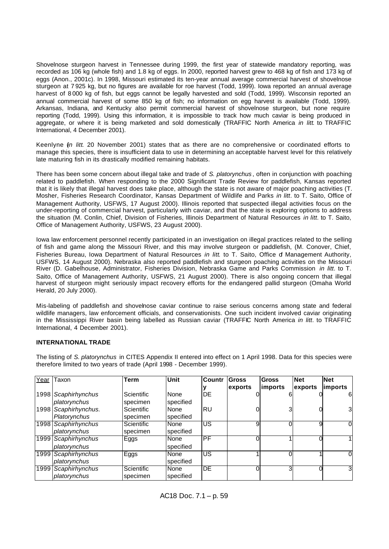Shovelnose sturgeon harvest in Tennessee during 1999, the first year of statewide mandatory reporting, was recorded as 106 kg (whole fish) and 1.8 kg of eggs. In 2000, reported harvest grew to 468 kg of fish and 173 kg of eggs (Anon., 2001c). In 1998, Missouri estimated its ten-year annual average commercial harvest of shovelnose sturgeon at 7 925 kg, but no figures are available for roe harvest (Todd, 1999). Iowa reported an annual average harvest of 8 000 kg of fish, but eggs cannot be legally harvested and sold (Todd, 1999). Wisconsin reported an annual commercial harvest of some 850 kg of fish; no information on egg harvest is available (Todd, 1999). Arkansas, Indiana, and Kentucky also permit commercial harvest of shovelnose sturgeon, but none require reporting (Todd, 1999). Using this information, it is impossible to track how much caviar is being produced in aggregate, or where it is being marketed and sold domestically (TRAFFIC North America *in litt*. to TRAFFIC International, 4 December 2001).

Keenlyne (*in litt*. 20 November 2001) states that as there are no comprehensive or coordinated efforts to manage this species, there is insufficient data to use in determining an acceptable harvest level for this relatively late maturing fish in its drastically modified remaining habitats.

There has been some concern about illegal take and trade of *S. platorynchus* , often in conjunction with poaching related to paddlefish. When responding to the 2000 Significant Trade Review for paddlefish, Kansas reported that it is likely that illegal harvest does take place, although the state is not aware of major poaching activities (T. Mosher, Fisheries Research Coordinator, Kansas Department of Wildlife and Parks *in litt*. to T. Saito, Office of Management Authority, USFWS, 17 August 2000). Illinois reported that suspected illegal activities focus on the under-reporting of commercial harvest, particularly with caviar, and that the state is exploring options to address the situation (M. Conlin, Chief, Division of Fisheries, Illinois Department of Natural Resources *in litt.* to T. Saito, Office of Management Authority, USFWS, 23 August 2000).

Iowa law enforcement personnel recently participated in an investigation on illegal practices related to the selling of fish and game along the Missouri River, and this may involve sturgeon or paddlefish, (M. Conover, Chief, Fisheries Bureau, Iowa Department of Natural Resources *in litt*, to T. Saito, Office of Management Authority, USFWS, 14 August 2000). Nebraska also reported paddlefish and sturgeon poaching activities on the Missouri River (D. Gabelhouse, Administrator, Fisheries Division, Nebraska Game and Parks Commission *in litt*. to T. Saito, Office of Management Authority, USFWS, 21 August 2000). There is also ongoing concern that illegal harvest of sturgeon might seriously impact recovery efforts for the endangered pallid sturgeon (Omaha World Herald, 20 July 2000).

Mis-labeling of paddlefish and shovelnose caviar continue to raise serious concerns among state and federal wildlife managers, law enforcement officials, and conservationists. One such incident involved caviar originating in the Mississippi River basin being labelled as Russian caviar (TRAFFIC North America *in litt*. to TRAFFIC International, 4 December 2001).

#### **INTERNATIONAL TRADE**

therefore limited to two years of trade (April 1998 - December 1999). **Tear Taxon Term Unit Countr Gross Gross Net Net**  ٦ **y exports imports exports imports** 1998 *Scaphirhynchus*  Scientific None DE | 0 6 0 6

The listing of *S. platorynchus* in CITES Appendix II entered into effect on 1 April 1998. Data for this species were

| $\overline{\phantom{a}}$ |                      |                   |           |           |         |         |         |                 |
|--------------------------|----------------------|-------------------|-----------|-----------|---------|---------|---------|-----------------|
|                          |                      |                   |           |           | exports | imports | exports | <b>limports</b> |
|                          | 1998 Scaphirhynchus  | Scientific        | None      | DE        |         |         |         | 61              |
|                          | platorynchus         | specimen          | specified |           |         |         |         |                 |
|                          | 1998 Scaphirhynchus. | <b>Scientific</b> | None      | <b>RU</b> |         |         |         | 3 <sub>l</sub>  |
|                          | Platorynchus         | specimen          | specified |           |         |         |         |                 |
|                          | 1998 Scaphirhynchus  | <b>Scientific</b> | None      | US        | 9       |         |         | OI              |
|                          | platorynchus         | specimen          | specified |           |         |         |         |                 |
|                          | 1999 Scaphirhynchus  | Eggs              | None      | РF        |         |         |         |                 |
|                          | platorynchus         |                   | specified |           |         |         |         |                 |
|                          | 1999 Scaphirhynchus  | Eggs              | None      | US        |         |         |         |                 |
|                          | platorynchus         |                   | specified |           |         |         |         |                 |
|                          | 1999 Scaphirhynchus  | Scientific        | None      | DE        | 0       |         |         |                 |
|                          | platorynchus         | specimen          | specified |           |         |         |         |                 |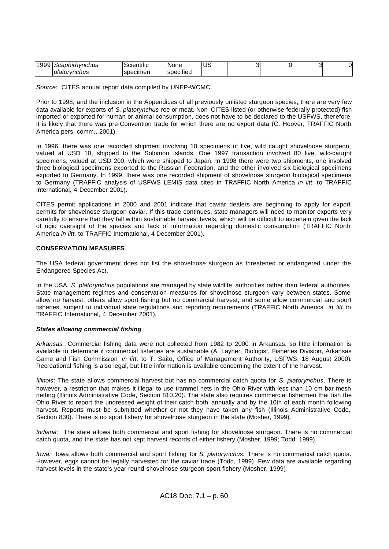| 1000 | caphirhvnchus         | .<br>Scientific | INone                        | $\epsilon$<br>◡ | ∼ | . )I |
|------|-----------------------|-----------------|------------------------------|-----------------|---|------|
|      | <b>I</b> platorynchus | specimen        | $\cdots$<br><b>Specified</b> |                 |   |      |

*Source*: CITES annual report data compiled by UNEP-WCMC.

Prior to 1998, and the inclusion in the Appendices of all previously unlisted sturgeon species, there are very few data available for exports of *S. platorynchus* roe or meat. Non -CITES listed (or otherwise federally protected) fish imported or exported for human or animal consumption, does not have to be declared to the USFWS, therefore, it is likely that there was pre-Convention trade for which there are no export data (C. Hoover, TRAFFIC North America pers. comm., 2001).

In 1996, there was one recorded shipment involving 10 specimens of live, wild caught shovelnose sturgeon, valued at USD 10, shipped to the Solomon Islands. One 1997 transaction involved 80 live, wild-caught specimens, valued at USD 200, which were shipped to Japan. In 1998 there were two shipments, one involved three biological specimens exported to the Russian Federation, and the other involved six biological specimens exported to Germany. In 1999, there was one recorded shipment of shovelnose sturgeon biological specimens to Germany (TRAFFIC analysis of USFWS LEMIS data cited in TRAFFIC North America *in litt*. to TRAFFIC International, 4 December 2001).

CITES permit applications in 2000 and 2001 indicate that caviar dealers are beginning to apply for export permits for shovelnose sturgeon caviar. If this trade continues, state managers will need to monitor exports very carefully to ensure that they fall within sustainable harvest levels, which will be difficult to ascertain given the lack of rigid oversight of the species and lack of information regarding domestic consumption (TRAFFIC North America *in litt*. to TRAFFIC International, 4 December 2001).

## **CONSERVATION MEASURES**

The USA federal government does not list the shovelnose sturgeon as threatened or endangered under the Endangered Species Act.

In the USA, *S. platorynchus* populations are managed by state wildlife authorities rather than federal authorities. State management regimes and conservation measures for shovelnose sturgeon vary between states. Some allow no harvest, others allow sport fishing but no commercial harvest, and some allow commercial and sport fisheries, subject to individual state regulations and reporting requirements (TRAFFIC North America *in litt.* to TRAFFIC International, 4 December 2001).

#### *States allowing commercial fishing*

*Arkansas*: Commercial fishing data were not collected from 1982 to 2000 in Arkansas, so little information is available to determine if commercial fisheries are sustainable (A. Layher, Biologist, Fisheries Division, Arkansas Game and Fish Commission *in litt.* to T. Saito, Office of Management Authority, USFWS, 18 August 2000). Recreational fishing is also legal, but little information is available concerning the extent of the harvest.

*Illinois*: The state allows commercial harvest but has no commercial catch quota for *S. platorynchus*. There is however, a restriction that makes it illegal to use trammel nets in the Ohio River with less than 10 cm bar mesh netting (Illinois Administrative Code, Section 810.20). The state also requires commercial fishermen that fish the Ohio River to report the undressed weight of their catch both annually and by the 10th of each month following harvest. Reports must be submitted whether or not they have taken any fish (Illinois Administrative Code, Section 830). There is no sport fishery for shovelnose sturgeon in the state (Mosher, 1999).

*Indiana:* The state allows both commercial and sport fishing for shovelnose sturgeon. There is no commercial catch quota, and the state has not kept harvest records of either fishery (Mosher, 1999; Todd, 1999).

*Iowa:* Iowa allows both commercial and sport fishing for *S. platorynchus.* There is no commercial catch quota. However, eggs cannot be legally harvested for the caviar trade (Todd, 1999). Few data are available regarding harvest levels in the state's year-round shovelnose sturgeon sport fishery (Mosher, 1999).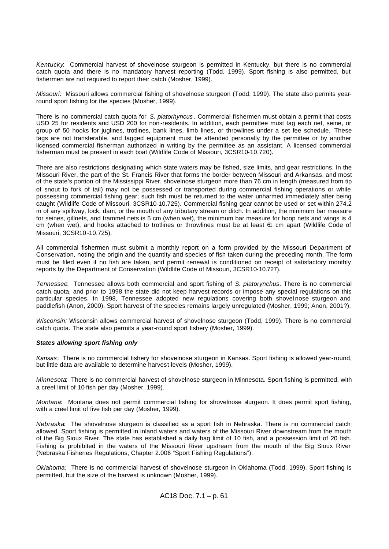*Kentucky*: Commercial harvest of shovelnose sturgeon is permitted in Kentucky, but there is no commercial catch quota and there is no mandatory harvest reporting (Todd, 1999). Sport fishing is also permitted, but fishermen are not required to report their catch (Mosher, 1999).

*Missouri*: Missouri allows commercial fishing of shovelnose sturgeon (Todd, 1999). The state also permits yearround sport fishing for the species (Mosher, 1999).

There is no commercial catch quota for *S. platorhyncus* . Commercial fishermen must obtain a permit that costs USD 25 for residents and USD 200 for non -residents. In addition, each permittee must tag each net, seine, or group of 50 hooks for juglines, trotlines, bank lines, limb lines, or throwlines under a set fee schedule. These tags are not transferable, and tagged equipment must be attended personally by the permittee or by another licensed commercial fisherman authorized in writing by the permittee as an assistant. A licensed commercial fisherman must be present in each boat (Wildlife Code of Missouri, 3CSR10-10.720).

There are also restrictions designating which state waters may be fished, size limits, and gear restrictions. In the Missouri River, the part of the St. Francis River that forms the border between Missouri and Arkansas, and most of the state's portion of the Mississippi River, shovelnose sturgeon more than 76 cm in length (measured from tip of snout to fork of tail) may not be possessed or transported during commercial fishing operations or while possessing commercial fishing gear; such fish must be returned to the water unharmed immediately after being caught (Wildlife Code of Missouri, 3CSR10-10.725). Commercial fishing gear cannot be used or set within 274.2 m of any spillway, lock, dam, or the mouth of any tributary stream or ditch. In addition, the minimum bar measure for seines, gillnets, and trammel nets is 5 cm (when wet), the minimum bar measure for hoop nets and wings is 4 cm (when wet), and hooks attached to trotlines or throwlines must be at least 61 cm apart (Wildlife Code of Missouri, 3CSR10 -10.725).

All commercial fishermen must submit a monthly report on a form provided by the Missouri Department of Conservation, noting the origin and the quantity and species of fish taken during the preceding month. The form must be filed even if no fish are taken, and permit renewal is conditioned on receipt of satisfactory monthly reports by the Department of Conservation (Wildlife Code of Missouri, 3CSR10-10.727).

*Tennessee*: Tennessee allows both commercial and sport fishing of *S. platorynchus*. There is no commercial catch quota, and prior to 1998 the state did not keep harvest records or impose any special regulations on this particular species. In 1998, Tennessee adopted new regulations covering both shovel nose sturgeon and paddlefish (Anon, 2000). Sport harvest of the species remains largely unregulated (Mosher, 1999; Anon, 2001?).

*Wisconsin:* Wisconsin allows commercial harvest of shovelnose sturgeon (Todd, 1999). There is no commercial catch quota. The state also permits a year-round sport fishery (Mosher, 1999).

#### *States allowing sport fishing only*

*Kansas*: There is no commercial fishery for shovelnose sturgeon in Kansas. Sport fishing is allowed year-round, but little data are available to determine harvest levels (Mosher, 1999).

*Minnesota*: There is no commercial harvest of shovelnose sturgeon in Minnesota. Sport fishing is permitted, with a creel limit of 10-fish per day (Mosher, 1999).

*Montana*: Montana does not permit commercial fishing for shovelnose sturgeon. It does permit sport fishing, with a creel limit of five fish per day (Mosher, 1999).

*Nebraska*: The shovelnose sturgeon is classified as a sport fish in Nebraska. There is no commercial catch allowed. Sport fishing is permitted in inland waters and waters of the Missouri River downstream from the mouth of the Big Sioux River. The state has established a daily bag limit of 10 fish, and a possession limit of 20 fish. Fishing is prohibited in the waters of the Missouri River upstream from the mouth of the Big Sioux River (Nebraska Fisheries Regulations, Chapter 2.006 "Sport Fishing Regulations").

*Oklahoma:* There is no commercial harvest of shovelnose sturgeon in Oklahoma (Todd, 1999). Sport fishing is permitted, but the size of the harvest is unknown (Mosher, 1999).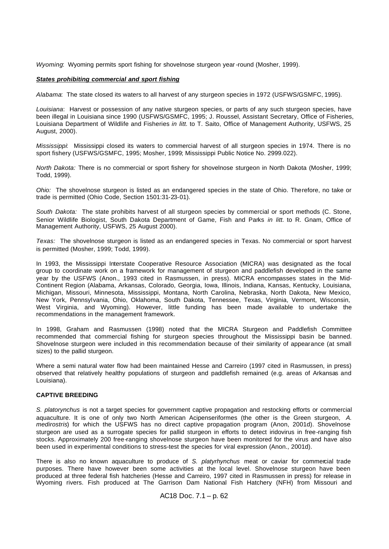*Wyoming*:Wyoming permits sport fishing for shovelnose sturgeon year-round (Mosher, 1999).

#### *States prohibiting commercial and sport fishing*

*Alabama*: The state closed its waters to all harvest of any sturgeon species in 1972 (USFWS/GSMFC, 1995).

*Louisiana*: Harvest or possession of any native sturgeon species, or parts of any such sturgeon species, have been illegal in Louisiana since 1990 (USFWS/GSMFC, 1995; J. Roussel, Assistant Secretary, Office of Fisheries, Louisiana Department of Wildlife and Fisheries *in litt.* to T. Saito, Office of Management Authority, USFWS, 25 August, 2000).

*Mississippi*: Mississippi closed its waters to commercial harvest of all sturgeon species in 1974. There is no sport fishery (USFWS/GSMFC, 1995; Mosher, 1999; Mississippi Public Notice No. 2999.022).

*North Dakota:* There is no commercial or sport fishery for shovelnose sturgeon in North Dakota (Mosher, 1999; Todd, 1999).

*Ohio:* The shovelnose sturgeon is listed as an endangered species in the state of Ohio. Therefore, no take or trade is permitted (Ohio Code, Section 1501:31-23-01).

*South Dakota:* The state prohibits harvest of all sturgeon species by commercial or sport methods (C. Stone, Senior Wildlife Biologist, South Dakota Department of Game, Fish and Parks *in litt.* to R. Gnam, Office of Management Authority, USFWS, 25 August 2000).

*Texas:* The shovelnose sturgeon is listed as an endangered species in Texas. No commercial or sport harvest is permitted (Mosher, 1999; Todd, 1999).

In 1993, the Mississippi Interstate Cooperative Resource Association (MICRA) was designated as the focal group to coordinate work on a framework for management of sturgeon and paddlefish developed in the same year by the USFWS (Anon., 1993 cited in Rasmussen, in press). MICRA encompasses states in the Mid-Continent Region (Alabama, Arkansas, Colorado, Georgia, Iowa, Illinois, Indiana, Kansas, Kentucky, Louisiana, Michigan, Missouri, Minnesota, Mississippi, Montana, North Carolina, Nebraska, North Dakota, New Mexico, New York, Pennsylvania, Ohio, Oklahoma, South Dakota, Tennessee, Texas, Virginia, Vermont, Wisconsin, West Virginia, and Wyoming). However, little funding has been made available to undertake the recommendations in the management framework.

In 1998, Graham and Rasmussen (1998) noted that the MICRA Sturgeon and Paddlefish Committee recommended that commercial fishing for sturgeon species throughout the Mississippi basin be banned. Shovelnose sturgeon were included in this recommendation because of their similarity of appearance (at small sizes) to the pallid sturgeon.

Where a semi natural water flow had been maintained Hesse and Carreiro (1997 cited in Rasmussen, in press) observed that relatively healthy populations of sturgeon and paddlefish remained (e.g. areas of Arkansas and Louisiana).

#### **CAPTIVE BREEDING**

*S. platorynchus* is not a target species for government captive propagation and restocking efforts or commercial aquaculture. It is one of only two North American Acipenseriformes (the other is the Green sturgeon, *A. medirostris*) for which the USFWS has no direct captive propagation program (Anon, 2001d). Shovelnose sturgeon are used as a surrogate species for pallid sturgeon in efforts to detect iridovirus in free-ranging fish stocks. Approximately 200 free-ranging shovelnose sturgeon have been monitored for the virus and have also been used in experimental conditions to stress-test the species for viral expression (Anon., 2001d).

There is also no known aquaculture to produce of *S. platyrhynchus* meat or caviar for commercial trade purposes. There have however been some activities at the local level. Shovelnose sturgeon have been produced at three federal fish hatcheries (Hesse and Carreiro, 1997 cited in Rasmussen in press) for release in Wyoming rivers. Fish produced at The Garrison Dam National Fish Hatchery (NFH) from Missouri and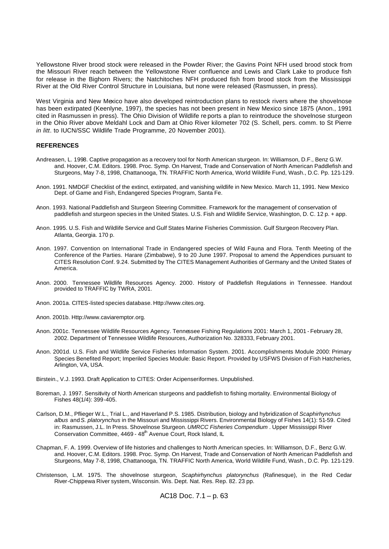Yellowstone River brood stock were released in the Powder River; the Gavins Point NFH used brood stock from the Missouri River reach between the Yellowstone River confluence and Lewis and Clark Lake to produce fish for release in the Bighorn Rivers; the Natchitoches NFH produced fish from brood stock from the Mississippi River at the Old River Control Structure in Louisiana, but none were released (Rasmussen, in press).

West Virginia and New Mexico have also developed reintroduction plans to restock rivers where the shovelnose has been extirpated (Keenlyne, 1997), the species has not been present in New Mexico since 1875 (Anon., 1991 cited in Rasmussen in press). The Ohio Division of Wildlife re ports a plan to reintroduce the shovelnose sturgeon in the Ohio River above Meldahl Lock and Dam at Ohio River kilometer 702 (S. Schell, pers. comm. to St Pierre *in litt*. to IUCN/SSC Wildlife Trade Programme, 20 November 2001).

#### **REFERENCES**

- Andreasen, L. 1998. Captive propagation as a recovery tool for North American sturgeon. In: Williamson, D.F., Benz G.W. and. Hoover, C.M. Editors. 1998. Proc. Symp. On Harvest, Trade and Conservation of North American Paddlefish and Sturgeons, May 7-8, 1998, Chattanooga, TN. TRAFFIC North America, World Wildlife Fund, Wash., D.C. Pp. 121-129.
- Anon. 1991. NMDGF Checklist of the extinct, extirpated, and vanishing wildlife in New Mexico. March 11, 1991. New Mexico Dept. of Game and Fish, Endangered Species Program, Santa Fe.
- Anon. 1993. National Paddlefish and Sturgeon Steering Committee. Framework for the management of conservation of paddlefish and sturgeon species in the United States. U.S. Fish and Wildlife Service, Washington, D. C. 12 p. + app.
- Anon. 1995. U.S. Fish and Wildlife Service and Gulf States Marine Fisheries Commission. Gulf Sturgeon Recovery Plan. Atlanta, Georgia. 170 p.
- Anon. 1997. Convention on International Trade in Endangered species of Wild Fauna and Flora. Tenth Meeting of the Conference of the Parties. Harare (Zimbabwe), 9 to 20 June 1997. Proposal to amend the Appendices pursuant to CITES Resolution Conf. 9.24. Submitted by The CITES Management Authorities of Germany and the United States of America.
- Anon. 2000. Tennessee Wildlife Resources Agency. 2000. History of Paddlefish Regulations in Tennessee. Handout provided to TRAFFIC by TWRA, 2001.
- Anon. 2001a. CITES-listed species database. Http://www.cites.org.
- Anon. 2001b. Http://www.caviaremptor.org.
- Anon. 2001c. Tennessee Wildlife Resources Agency. Tennessee Fishing Regulations 2001: March 1, 2001 February 28, 2002. Department of Tennessee Wildlife Resources, Authorization No. 328333, February 2001.
- Anon. 2001d. U.S. Fish and Wildlife Service Fisheries Information System. 2001. Accomplishments Module 2000: Primary Species Benefited Report; Imperiled Species Module: Basic Report. Provided by USFWS Division of Fish Hatcheries, Arlington, VA, USA.
- Birstein., V.J. 1993. Draft Application to CITES: Order Acipenseriformes. Unpublished.
- Boreman, J. 1997. Sensitivity of North American sturgeons and paddlefish to fishing mortality. Environmental Biology of Fishes 48(1/4): 399-405.
- Carlson, D.M., Pflieger W.L., Trial L., and Haverland P.S. 1985. Distribution, biology and hybridization of *Scaphirhynchus albus* and *S. platorynchus* in the Missouri and Mississippi Rivers. Environmental Biology of Fishes 14(1): 51-59. Cited in: Rasmussen, J.L. In Press. Shovelnose Sturgeon. *UMRCC Fisheries Compendium* . Upper Mississippi River Conservation Committee, 4469 - 48<sup>th</sup> Avenue Court, Rock Island, IL
- Chapman, F. A. 1999. Overview of life histories and challenges to North American species. In: Williamson, D.F., Benz G.W. and. Hoover, C.M. Editors. 1998. Proc. Symp. On Harvest, Trade and Conservation of North American Paddlefish and Sturgeons, May 7-8, 1998, Chattanooga, TN. TRAFFIC North America, World Wildlife Fund, Wash., D.C. Pp. 121-129.
- Christenson, L.M. 1975. The shovelnose sturgeon, *Scaphirhynchus platorynchus* (Rafinesque), in the Red Cedar River-Chippewa River system, Wisconsin. Wis. Dept. Nat. Res. Rep. 82. 23 pp.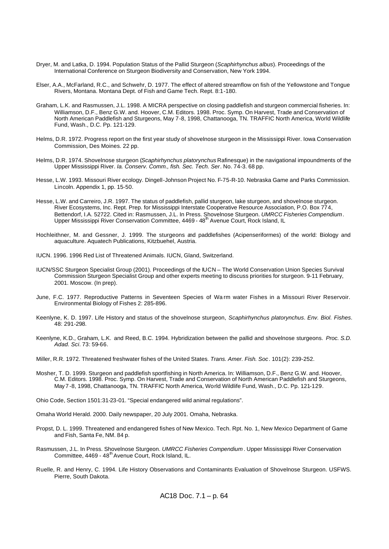- Dryer, M. and Latka, D. 1994. Population Status of the Pallid Sturgeon (*Scaphirhynchus albus*). Proceedings of the International Conference on Sturgeon Biodiversity and Conservation, New York 1994.
- Elser, A.A., McFarland, R.C., and Schwehr, D. 1977. The effect of altered streamflow on fish of the Yellowstone and Tongue Rivers, Montana. Montana Dept. of Fish and Game Tech. Rept. 8:1-180.
- Graham, L.K. and Rasmussen, J.L. 1998. A MICRA perspective on closing paddlefish and sturgeon commercial fisheries. In: Williamson, D.F., Benz G.W. and. Hoover, C.M. Editors. 1998. Proc. Symp. On Harvest, Trade and Conservation of North American Paddlefish and Sturgeons, May 7-8, 1998, Chattanooga, TN. TRAFFIC North America, World Wildlife Fund, Wash., D.C. Pp. 121-129.
- Helms, D.R. 1972. Progress report on the first year study of shovelnose sturgeon in the Mississippi River. Iowa Conservation Commission, Des Moines. 22 pp.
- Helms, D.R. 1974. Shovelnose sturgeon (*Scaphirhynchus platorynchus* Rafinesque) in the navigational impoundments of the Upper Mississippi River. *Ia. Conserv. Comm., fish. Sec. Tech. Ser*. No. 74-3. 68 pp.
- Hesse, L.W. 1993. Missouri River ecology. Dingell-Johnson Project No. F-75-R-10. Nebraska Game and Parks Commission. Lincoln. Appendix 1, pp. 15-50.
- Hesse, L.W. and Carreiro, J.R. 1997. The status of paddlefish, pallid sturgeon, lake sturgeon, and shovelnose sturgeon. River Ecosystems, Inc. Rept. Prep. for Mississippi Interstate Cooperative Resource Association, P.O. Box 774, Bettendorf, I.A. 52722. Cited in: Rasmussen, J.L. In Press. Shovelnose Sturgeon. *UMRCC Fisheries Compendium*. Upper Mississippi River Conservation Committee, 4469 - 48<sup>th</sup> Avenue Court, Rock Island, IL
- Hochleithner, M. and Gessner, J. 1999. The sturgeons and paddlefishes (Acipenseriformes) of the world: Biology and aquaculture. Aquatech Publications, Kitzbuehel, Austria.
- IUCN. 1996. 1996 Red List of Threatened Animals. IUCN, Gland, Switzerland.
- IUCN/SSC Sturgeon Specialist Group (2001). Proceedings of the IUCN The World Conservation Union Species Survival Commission Sturgeon Specialist Group and other experts meeting to discuss priorities for sturgeon. 9-11 February, 2001. Moscow. (In prep).
- June, F.C. 1977. Reproductive Patterns in Seventeen Species of Wa rm water Fishes in a Missouri River Reservoir. Environmental Biology of Fishes 2: 285-896.
- Keenlyne, K. D. 1997. Life History and status of the shovelnose sturgeon, *Scaphirhynchus platorynchus*. *Env. Biol. Fishes*. 48: 291-298.
- Keenlyne, K.D., Graham, L.K. and Reed, B.C. 1994. Hybridization between the pallid and shovelnose sturgeons. *Proc. S.D. Adad. Sci*. 73: 59-66.
- Miller, R.R. 1972. Threatened freshwater fishes of the United States. *Trans. Amer. Fish. Soc*. 101(2): 239-252.
- Mosher, T. D. 1999. Sturgeon and paddlefish sportfishing in North America. In: Williamson, D.F., Benz G.W. and. Hoover, C.M. Editors. 1998. Proc. Symp. On Harvest, Trade and Conservation of North American Paddlefish and Sturgeons, May 7 -8, 1998, Chattanooga, TN. TRAFFIC North America, World Wildlife Fund, Wash., D.C. Pp. 121-129.

Ohio Code, Section 1501:31-23-01. "Special endangered wild animal regulations".

Omaha World Herald. 2000. Daily newspaper, 20 July 2001. Omaha, Nebraska.

- Propst, D. L. 1999. Threatened and endangered fishes of New Mexico. Tech. Rpt. No. 1, New Mexico Department of Game and Fish, Santa Fe, NM. 84 p.
- Rasmussen, J.L. In Press. Shovelnose Sturgeon. *UMRCC Fisheries Compendium* . Upper Mississippi River Conservation Committee, 4469 - 48<sup>th</sup> Avenue Court, Rock Island, IL.
- Ruelle, R. and Henry, C. 1994. Life History Observations and Contaminants Evaluation of Shovelnose Sturgeon. USFWS. Pierre, South Dakota.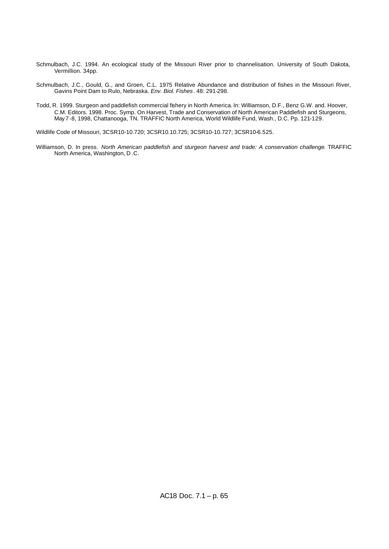- Schmulbach, J.C. 1994. An ecological study of the Missouri River prior to channelisation. University of South Dakota, Vermillion. 34pp.
- Schmulbach, J.C., Gould, G., and Groen, C.L. 1975 Relative Abundance and distribution of fishes in the Missouri River, Gavins Point Dam to Rulo, Nebraska. *Env. Biol. Fishes*. 48: 291-298.
- Todd, R. 1999. Sturgeon and paddlefish commercial fishery in North America. In: Williamson, D.F., Benz G.W. and. Hoover, C.M. Editors. 1998. Proc. Symp. On Harvest, Trade and Conservation of North American Paddlefish and Sturgeons, May 7 -8, 1998, Chattanooga, TN. TRAFFIC North America, World Wildlife Fund, Wash., D.C. Pp. 121-129.

Wildlife Code of Missouri, 3CSR10-10.720; 3CSR10.10.725; 3CSR10-10.727; 3CSR10-6.525.

Williamson, D. In press. *North American paddlefish and sturgeon harvest and trade: A conservation challenge*. TRAFFIC North America, Washington, D .C.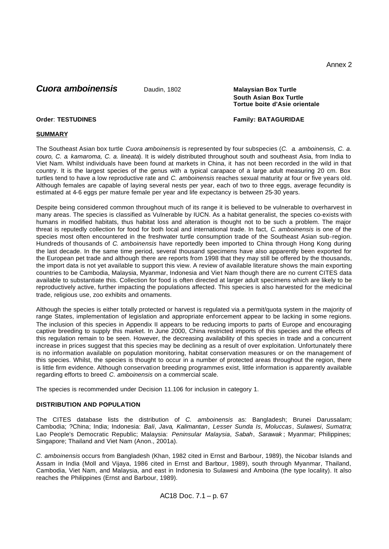Annex 2

# **Cuora amboinensis** Daudin, 1802 **Malaysian Box Turtle**

# **South Asian Box Turtle Tortue boite d'Asie orientale**

### **Order**: **TESTUDINES Family: BATAGURIDAE**

## **SUMMARY**

The Southeast Asian box turtle *Cuora amboinensis* is represented by four subspecies (*C. a. amboinensis, C. a. couro, C. a. kamaroma, C. a. lineata*). It is widely distributed throughout south and southeast Asia, from India to Viet Nam. Whilst individuals have been found at markets in China, it has not been recorded in the wild in that country. It is the largest species of the genus with a typical carapace of a large adult measuring 20 cm. Box turtles tend to have a low reproductive rate and *C. amboinensis* reaches sexual maturity at four or five years old. Although females are capable of laying several nests per year, each of two to three eggs, average fecundity is estimated at 4-6 eggs per mature female per year and life expectancy is between 25-30 years.

Despite being considered common throughout much of its range it is believed to be vulnerable to overharvest in many areas. The species is classified as Vulnerable by IUCN. As a habitat generalist, the species co-exists with humans in modified habitats, thus habitat loss and alteration is thought not to be such a problem. The major threat is reputedly collection for food for both local and international trade. In fact, *C. amboinensis* is one of the species most often encountered in the freshwater turtle consumption trade of the Southeast Asian sub-region. Hundreds of thousands of *C. amboinensis* have reportedly been imported to China through Hong Kong during the last decade. In the same time period, several thousand specimens have also apparently been exported for the European pet trade and although there are reports from 1998 that they may still be offered by the thousands, the import data is not yet available to support this view. A review of available literature shows the main exporting countries to be Cambodia, Malaysia, Myanmar, Indonesia and Viet Nam though there are no current CITES data available to substantiate this. Collection for food is often directed at larger adult specimens which are likely to be reproductively active, further impacting the populations affected. This species is also harvested for the medicinal trade, religious use, zoo exhibits and ornaments.

Although the species is either totally protected or harvest is regulated via a permit/quota system in the majority of range States, implementation of legislation and appropriate enforcement appear to be lacking in some regions. The inclusion of this species in Appendix II appears to be reducing imports to parts of Europe and encouraging captive breeding to supply this market. In June 2000, China restricted imports of this species and the effects of this regulation remain to be seen. However, the decreasing availability of this species in trade and a concurrent increase in prices suggest that this species may be declining as a result of over exploitation. Unfortunately there is no information available on population monitoring, habitat conservation measures or on the management of this species. Whilst, the species is thought to occur in a number of protected areas throughout the region, there is little firm evidence. Although conservation breeding programmes exist, little information is apparently available regarding efforts to breed *C. amboinensis* on a commercial scale.

The species is recommended under Decision 11.106 for inclusion in category 1.

#### **DISTRIBUTION AND POPULATION**

The CITES database lists the distribution of *C. amboinensis* as: Bangladesh; Brunei Darussalam; Cambodia; ?China; India; Indonesia: *Bali*, *Java*, *Kalimantan*, *Lesser Sunda Is*, *Moluccas*, *Sulawesi*, *Sumatra*; Lao People's Democratic Republic; Malaysia: *Peninsular Malaysia*, *Sabah*, *Sarawak* ; Myanmar; Philippines; Singapore; Thailand and Viet Nam (Anon., 2001a).

*C. amboinensis* occurs from Bangladesh (Khan, 1982 cited in Ernst and Barbour, 1989), the Nicobar Islands and Assam in India (Moll and Vijaya, 1986 cited in Ernst and Barbour, 1989), south through Myanmar, Thailand, Cambodia, Viet Nam, and Malaysia, and east in Indonesia to Sulawesi and Amboina (the type locality). It also reaches the Philippines (Ernst and Barbour, 1989).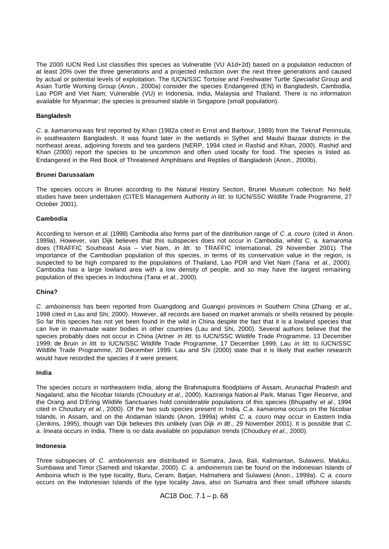The 2000 IUCN Red List classifies this species as Vulnerable (VU A1d+2d) based on a population reduction of at least 20% over the three generations and a projected reduction over the next three generations and caused by actual or potential levels of exploitation. The IUCN/SSC Tortoise and Freshwater Turtle *Specialist* Group and Asian Turtle Working Group (Anon., 2000a) consider the species Endangered (EN) in Bangladesh, Cambodia, Lao PDR and Viet Nam; Vulnerable (VU) in Indonesia, India, Malaysia and Thailand. There is no information available for Myanmar; the species is presumed stable in Singapore (small population).

#### **Bangladesh**

*C. a. kamaroma* was first reported by Khan (1982a cited in Ernst and Barbour, 1989) from the Teknaf Peninsula, in southeastern Bangladesh. It was found later in the wetlands in Sylhet and Maulvi Bazaar districts in the northeast areas, adjoining forests and tea gardens (NERP, 1994 cited in Rashid and Khan, 2000). Rashid and Khan (2000) report the species to be uncommon and often used locally for food. The species is listed as Endangered in the Red Book of Threatened Amphibians and Reptiles of Bangladesh (Anon., 2000b).

#### **Brunei Darussalam**

The species occurs in Brunei according to the Natural History Section, Brunei Museum collection. No field studies have been undertaken (CITES Management Authority *in litt*. to IUCN/SSC Wildlife Trade Programme, 27 October 2001).

#### **Cambodia**

According to Iverson *et al.* (1998) Cambodia also forms part of the distribution range of *C .a. couro* (cited in Anon. 1999a). However, van Dijk believes that this subspecies does not occur in Cambodia, whilst C. a. *kamaroma*  does (TRAFFIC Southeast Asia – Viet Nam, *in litt*. to TRAFFIC International, 29 November 2001). The importance of the Cambodian population of this species, in terms of its conservation value in the region, is suspected to be high compared to the populations of Thailand, Lao PDR and Viet Nam (Tana *et al.*, 2000). Cambodia has a large lowland area with a low density of people, and so may have the largest remaining population of this species in Indochina (Tana *et al.*, 2000).

#### **China?**

*C. amboinensis* has been reported from Guangdong and Guangxi provinces in Southern China (Zhang *et al*., 1998 cited in Lau and Shi, 2000). However, all records are based on market animals or shells retained by people. So far this species has not yet been found in the wild in China despite the fact that it is a lowland species that can live in man-made water bodies in other countries (Lau and Shi, 2000). Several authors believe that the species probably does not occur in China (Artner *in litt*. to IUCN/SSC Wildlife Trade Programme, 13 December 1999; de Bruin *in litt*. to IUCN/SSC Wildlife Trade Programme, 17 December 1999; Lau *in litt*. to IUCN/SSC Wildlife Trade Programme, 20 December 1999. Lau and Shi (2000) state that it is likely that earlier research would have recorded the species if it were present.

#### **India**

The species occurs in northeastern India, along the Brahmaputra floodplains of Assam, Arunachal Pradesh and Nagaland; also the Nicobar Islands (Choudury *et al*., 2000), Kaziranga Nation al Park, Manas Tiger Reserve, and the Orang and D'Ering Wildlife Sanctuaries hold considerable populations of this species (Bhupathy *et al*., 1994 cited in Choudury *et al*., 2000). Of the two sub species present in India*, C.a. kamaroma* occurs on the Nicobar Islands, in Assam, and on the Andaman Islands (Anon, 1999a) whilst *C. a. couro* may occur in Eastern India (Jenkins, 1995), though van Dijk believes this unlikely (van Dijk *in litt*., 29 November 2001). It is possible that *C. a. lineata* occurs in India. There is no data available on population trends (Choudury *et al*., 2000).

#### **Indonesia**

Three subspecies of *C. amboinensis* are distributed in Sumatra, Java, Bali, Kalimantan, Sulawesi, Maluku, Sumbawa and Timor (Samedi and Iskandar, 2000). *C. a. amboinensis* can be found on the Indonesian Islands of Amboina which is the type locality, Buru, Ceram, Batjan, Halmahera and Sulawesi (Anon., 1999a). *C. a. couro*  occurs on the Indonesian Islands of the type locality Java, also on Sumatra and their small offshore islands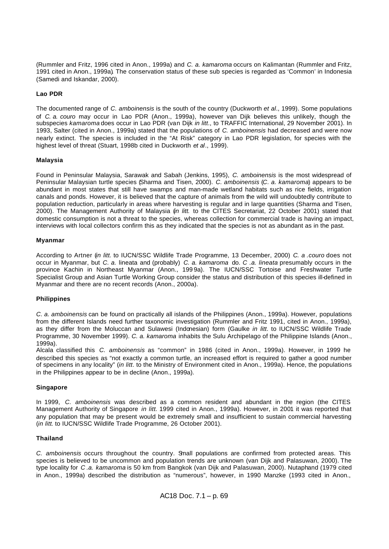(Rummler and Fritz, 1996 cited in Anon., 1999a) and *C. a. kamaroma* occurs on Kalimantan (Rummler and Fritz, 1991 cited in Anon., 1999a). The conservation status of these sub species is regarded as 'Common' in Indonesia (Samedi and Iskandar, 2000).

# **Lao PDR**

The documented range of *C. amboinensis* is the south of the country (Duckworth *et al*., 1999). Some populations of *C. a. couro* may occur in Lao PDR (Anon., 1999a), however van Dijk believes this unlikely, though the subspecies *kamaroma* does occur in Lao PDR (van Dijk *in litt*., to TRAFFIC International, 29 November 2001). In 1993, Salter (cited in Anon., 1999a) stated that the populations of *C. amboinensis* had decreased and were now nearly extinct. The species is included in the "At Risk" category in Lao PDR legislation, for species with the highest level of threat (Stuart, 1998b cited in Duckworth *et al*., 1999).

## **Malaysia**

Found in Peninsular Malaysia, Sarawak and Sabah (Jenkins, 1995), *C. amboinensis* is the most widespread of Peninsular Malaysian turtle species (Sharma and Tisen, 2000). *C. amboinensis* (*C. a. kamaroma*) appears to be abundant in most states that still have swamps and man-made wetland habitats such as rice fields, irrigation canals and ponds. However, it is believed that the capture of animals from the wild will undoubtedly contribute to population reduction, particularly in areas where harvesting is regular and in large quantities (Sharma and Tisen, 2000). The Management Authority of Malaysia (*in litt.* to the CITES Secretariat, 22 October 2001) stated that domestic consumption is not a threat to the species, whereas collection for commercial trade is having an impact, interviews with local collectors confirm this as they indicated that the species is not as abundant as in the past.

### **Myanmar**

According to Artner (*in litt.* to IUCN/SSC Wildlife Trade Programme, 13 December, 2000) *C. a .couro* does not occur in Myanmar, but *C. a.* lineata and (probably) *C. a. kamaroma* do. *C .a. lineata* presumably occurs in the province Kachin in Northeast Myanmar (Anon., 1999a). The IUCN/SSC Tortoise and Freshwater Turtle Specialist Group and Asian Turtle Working Group consider the status and distribution of this species ill-defined in Myanmar and there are no recent records (Anon., 2000a).

#### **Philippines**

*C. a. amboinensis* can be found on practically all islands of the Philippines (Anon., 1999a). However, populations from the different Islands need further taxonomic investigation (Rummler and Fritz 1991, cited in Anon., 1999a), as they differ from the Moluccan and Sulawesi (Indonesian) form (Gaulke *in litt*. to IUCN/SSC Wildlife Trade Programme, 30 November 1999). *C. a. kamaroma* inhabits the Sulu Archipelago of the Philippine Islands (Anon., 1999a).

Alcala classified this *C. amboinensis* as "common" in 1986 (cited in Anon., 1999a). However, in 1999 he described this species as "not exactly a common turtle, an increased effort is required to gather a good number of specimens in any locality" (*in litt*. to the Ministry of Environment cited in Anon., 1999a). Hence, the populations in the Philippines appear to be in decline (Anon., 1999a).

#### **Singapore**

In 1999, *C. amboinensis* was described as a common resident and abundant in the region (the CITES Management Authority of Singapore *in litt.* 1999 cited in Anon., 1999a). However, in 2001 it was reported that any population that may be present would be extremely small and insufficient to sustain commercial harvesting (*in litt*. to IUCN/SSC Wildlife Trade Programme, 26 October 2001).

# **Thailand**

*C. amboinensis* occurs throughout the country. Small populations are confirmed from protected areas. This species is believed to be uncommon and population trends are unknown (van Dijk and Palasuwan, 2000). The type locality for *C .a. kamaroma* is 50 km from Bangkok (van Dijk and Palasuwan, 2000). Nutaphand (1979 cited in Anon., 1999a) described the distribution as "numerous", however, in 1990 Manzke (1993 cited in Anon.,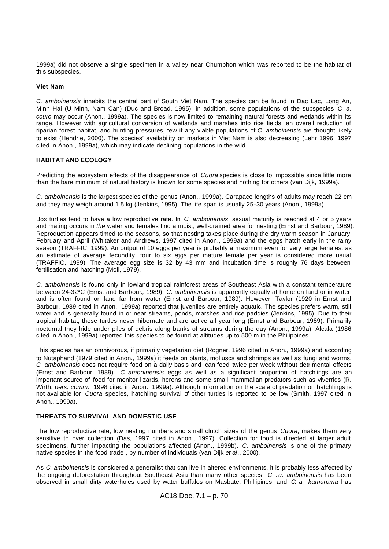1999a) did not observe a single specimen in a valley near Chumphon which was reported to be the habitat of this subspecies.

#### **Viet Nam**

*C. amboinensis* inhabits the central part of South Viet Nam. The species can be found in Dac Lac, Long An, Minh Hai (U Minh, Nam Can) (Duc and Broad, 1995), in addition, some populations of the subspecies *C .a. couro* may occur (Anon., 1999a). The species is now limited to remaining natural forests and wetlands within its range. However with agricultural conversion of wetlands and marshes into rice fields, an overall reduction of riparian forest habitat, and hunting pressures, few if any viable populations of *C. amboinensis* are thought likely to exist (Hendrie, 2000). The species' availability on markets in Viet Nam is also decreasing (Lehr 1996, 1997 cited in Anon., 1999a), which may indicate declining populations in the wild.

## **HABITAT AND ECOLOGY**

Predicting the ecosystem effects of the disappearance of *Cuora* species is close to impossible since little more than the bare minimum of natural history is known for some species and nothing for others (van Dijk, 1999a).

*C. amboinensis* is the largest species of the genus (Anon., 1999a). Carapace lengths of adults may reach 22 cm and they may weigh around 1.5 kg (Jenkins, 1995). The life span is usually 25-30 years (Anon., 1999a).

Box turtles tend to have a low reproductive rate. In *C. amboinensis*, sexual maturity is reached at 4 or 5 years and mating occurs in *the* water and females find a moist, well-drained area for nesting (Ernst and Barbour, 1989). Reproduction appears timed to the seasons, so that nesting takes place during the dry warm season in January, February and April (Whitaker and Andrews, 1997 cited in Anon., 1999a) and the eggs hatch early in the rainy season (TRAFFIC, 1999). An output of 10 eggs per year is probably a maximum even for very large females; as an estimate of average fecundity, four to six eggs per mature female per year is considered more usual (TRAFFIC, 1999). The average egg size is 32 by 43 mm and incubation time is roughly 76 days between fertilisation and hatching (Moll, 1979).

*C. amboinensis* is found only in lowland tropical rainforest areas of Southeast Asia with a constant temperature between 24-32ºC (Ernst and Barbour*.,* 1989). *C. amboinensis* is apparently equally at home on land or in water, and is often found on land far from water (Ernst and Barbour, 1989). However, Taylor (1920 in Ernst and Barbour, 1989 cited in Anon., 1999a) reported that juveniles are entirely aquatic. The species prefers warm, still water and is generally found in or near streams, ponds, marshes and rice paddies (Jenkins, 1995). Due to their tropical habitat, these turtles never hibernate and are active all year long (Ernst and Barbour, 1989). Primarily nocturnal they hide under piles of debris along banks of streams during the day (Anon., 1999a). Alcala (1986 cited in Anon., 1999a) reported this species to be found at altitudes up to 500 m in the Philippines.

This species has an omnivorous, if primarily vegetarian diet (Rogner, 1996 cited in Anon., 1999a) and according to Nutaphand (1979 cited in Anon., 1999a) it feeds on plants, molluscs and shrimps as well as fungi and worms. *C. amboinensis* does not require food on a daily basis and can feed twice per week without detrimental effects (Ernst and Barbour, 1989). *C. amboinensis* eggs as well as a significant proportion of hatchlings are an important source of food for monitor lizards, herons and some small mammalian predators such as viverrids (R. Wirth, *pers. comm.* 1998 cited in Anon., 1999a). Although information on the scale of predation on hatchlings is not available for *Cuora* species, hatchling survival of other turtles is reported to be low (Smith, 1997 cited in Anon., 1999a).

#### **THREATS TO SURVIVAL AND DOMESTIC USE**

The low reproductive rate, low nesting numbers and small clutch sizes of the genus *Cuora*, makes them very sensitive to over collection (Das, 1997 cited in Anon., 1997). Collection for food is directed at larger adult specimens, further impacting the populations affected (Anon., 1999b). *C. amboinensis* is one of the primary native species in the food trade , by number of individuals (van Dijk *et al*., 2000).

As *C. amboinensis* is considered a generalist that can live in altered environments, it is probably less affected by the ongoing deforestation throughout Southeast Asia than many other species. *C . a. amboinensis* has been observed in small dirty waterholes used by water buffalos on Masbate, Phillipines, and *C. a. kamaroma* has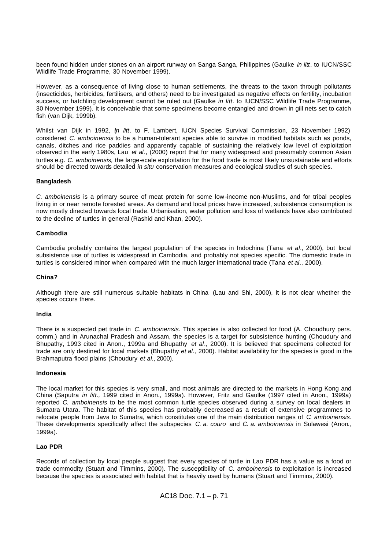been found hidden under stones on an airport runway on Sanga Sanga, Philippines (Gaulke *in litt*. to IUCN/SSC Wildlife Trade Programme, 30 November 1999).

However, as a consequence of living close to human settlements, the threats to the taxon through pollutants (insecticides, herbicides, fertilisers, and others) need to be investigated as negative effects on fertility, incubation success, or hatchling development cannot be ruled out (Gaulke *in litt*. to IUCN/SSC Wildlife Trade Programme, 30 November 1999). It is conceivable that some specimens become entangled and drown in gill nets set to catch fish (van Dijk, 1999b).

Whilst van Dijk in 1992, (*in litt*. to F. Lambert, IUCN Species Survival Commission, 23 November 1992) considered *C. amboinensis* to be a human-tolerant species able to survive in modified habitats such as ponds, canals, ditches and rice paddies and apparently capable of sustaining the relatively low level of exploitation observed in the early 1980s, Lau *et al*., (2000) report that for many widespread and presumably common Asian turtles e.g. *C. amboinensis,* the large-scale exploitation for the food trade is most likely unsustainable and efforts should be directed towards detailed *in situ* conservation measures and ecological studies of such species.

#### **Bangladesh**

*C. amboinensis* is a primary source of meat protein for some low -income non-Muslims, and for tribal peoples living in or near remote forested areas. As demand and local prices have increased, subsistence consumption is now mostly directed towards local trade. Urbanisation, water pollution and loss of wetlands have also contributed to the decline of turtles in general (Rashid and Khan, 2000).

#### **Cambodia**

Cambodia probably contains the largest population of the species in Indochina (Tana *et al*., 2000), but local subsistence use of turtles is widespread in Cambodia, and probably not species specific. The domestic trade in turtles is considered minor when compared with the much larger international trade (Tana *et al*., 2000).

#### **China?**

Although there are still numerous suitable habitats in China (Lau and Shi, 2000), it is not clear whether the species occurs there.

#### **India**

There is a suspected pet trade in *C. amboinensis.* This species is also collected for food (A. Choudhury pers. comm.) and in Arunachal Pradesh and Assam, the species is a target for subsistence hunting (Choudury and Bhupathy, 1993 cited in Anon., 1999a and Bhupathy *et al*., 2000). It is believed that specimens collected for trade are only destined for local markets (Bhupathy *et al*., 2000). Habitat availability for the species is good in the Brahmaputra flood plains (Choudury *et al.*, 2000).

#### **Indonesia**

The local market for this species is very small, and most animals are directed to the markets in Hong Kong and China (Saputra *in litt.,* 1999 cited in Anon., 1999a). However, Fritz and Gaulke (1997 cited in Anon., 1999a) reported *C. amboinensis* to be the most common turtle species observed during a survey on local dealers in Sumatra Utara. The habitat of this species has probably decreased as a result of extensive programmes to relocate people from Java to Sumatra, which constitutes one of the main distribution ranges of *C. amboinensis*. These developments specifically affect the subspecies *C. a. couro* and *C. a. amboinensis* in Sulawesi (Anon., 1999a)*.*

#### **Lao PDR**

Records of collection by local people suggest that every species of turtle in Lao PDR has a value as a food or trade commodity (Stuart and Timmins, 2000). The susceptibility of *C. amboinensis* to exploitation is increased because the spec ies is associated with habitat that is heavily used by humans (Stuart and Timmins, 2000).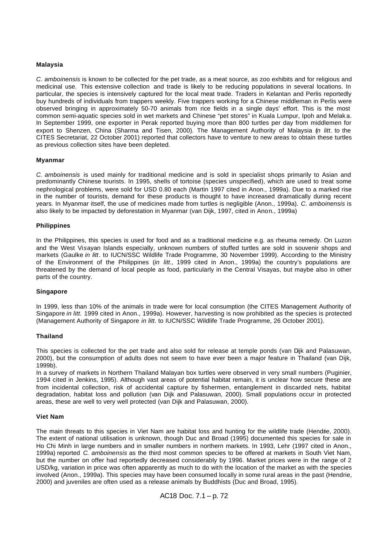#### **Malaysia**

*C. amboinensis* is known to be collected for the pet trade, as a meat source, as zoo exhibits and for religious and medicinal use. This extensive collection and trade is likely to be reducing populations in several locations. In particular, the species is intensively captured for the local meat trade. Traders in Kelantan and Perlis reportedly buy hundreds of individuals from trappers weekly. Five trappers working for a Chinese middleman in Perlis were observed bringing in approximately 50-70 animals from rice fields in a single days' effort. This is the most common semi-aquatic species sold in wet markets and Chinese "pet stores" in Kuala Lumpur, Ipoh and Melak a. In September 1999, one exporter in Perak reported buying more than 800 turtles per day from middlemen for export to Shenzen, China (Sharma and Tisen, 2000). The Management Authority of Malaysia (*in litt*. to the CITES Secretariat, 22 October 2001) reported that collectors have to venture to new areas to obtain these turtles as previous collection sites have been depleted.

#### **Myanmar**

*C. amboinensis* is used mainly for traditional medicine and is sold in specialist shops primarily to Asian and predominantly Chinese tourists. In 1995, shells of tortoise (species unspecified), which are used to treat some nephrological problems, were sold for USD 0.80 each (Martin 1997 cited in Anon., 1999a). Due to a marked rise in the number of tourists, demand for these products is thought to have increased dramatically during recent years. In Myanmar itself, the use of medicines made from turtles is negligible (Anon., 1999a). *C. amboinensis* is also likely to be impacted by deforestation in Myanmar (van Dijk, 1997, cited in Anon., 1999a)

#### **Philippines**

In the Philippines, this species is used for food and as a traditional medicine e.g. as rheuma remedy. On Luzon and the West Vi*s*ayan Islands especially, unknown numbers of stuffed turtles are sold in souvenir shops and markets (Gaulke *in litt*. to IUCN/SSC Wildlife Trade Programme, 30 November 1999). According to the Ministry of the Environment of the Philippines (*in litt.,* 1999 cited in Anon., 1999a) the country's populations are threatened by the demand of local people as food, particularly in the Central Visayas, but maybe also in other parts of the country.

#### **Singapore**

In 1999, less than 10% of the animals in trade were for local consumption (the CITES Management Authority of Singapore *in litt.* 1999 cited in Anon., 1999a). However, harvesting is now prohibited as the species is protected (Management Authority of Singapore *in litt*. to IUCN/SSC Wildlife Trade Programme, 26 October 2001).

#### **Thailand**

This species is collected for the pet trade and also sold for release at temple ponds (van Dijk and Palasuwan, 2000), but the consumption of adults does not seem to have ever been a major feature in Thailand (van Dijk, 1999b).

In a survey of markets in Northern Thailand Malayan box turtles were observed in very small numbers (Puginier, 1994 cited in Jenkins, 1995). Although vast areas of potential habitat remain, it is unclear how secure these are from incidental collection, risk of accidental capture by fishermen, entanglement in discarded nets, habitat degradation, habitat loss and pollution (van Dijk and Palasuwan, 2000). Small populations occur in protected areas, these are well to very well protected (van Dijk and Palasuwan, 2000).

#### **Viet Nam**

The main threats to this species in Viet Nam are habitat loss and hunting for the wildlife trade (Hendrie, 2000). The extent of national utilisation is unknown, though Duc and Broad (1995) documented this species for sale in Ho Chi Minh in large numbers and in smaller numbers in northern markets. In 1993, Lehr (1997 cited in Anon., 1999a) reported *C. amboinensis* as the third most common species to be offered at markets in South Viet Nam, but the number on offer had reportedly decreased considerably by 1996. Market prices were in the range of 2 USD/kg, variation in price was often apparently as much to do with the location of the market as with the species involved (Anon., 1999a). This species may have been consumed locally in some rural areas in the past (Hendrie, 2000) and juveniles are often used as a release animals by Buddhists (Duc and Broad, 1995).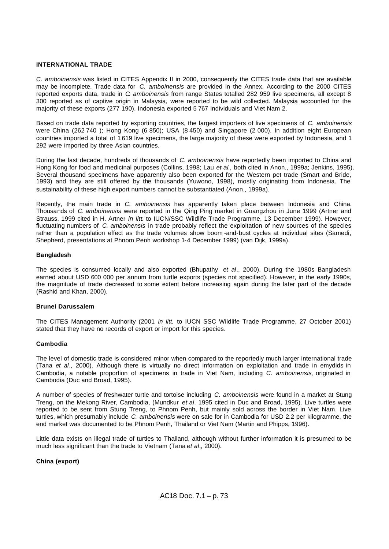## **INTERNATIONAL TRADE**

*C. amboinensis* was listed in CITES Appendix II in 2000, consequently the CITES trade data that are available may be incomplete. Trade data for *C. amboinensis* are provided in the Annex. According to the 2000 CITES reported exports data, trade in *C. amboinensis* from range States totalled 282 959 live specimens, all except 8 300 reported as of captive origin in Malaysia, were reported to be wild collected. Malaysia accounted for the majority of these exports (277 190). Indonesia exported 5 767 individuals and Viet Nam 2.

Based on trade data reported by exporting countries, the largest importers of live specimens of *C. amboinensis* were China (262 740 ); Hong Kong (6 850); USA (8 450) and Singapore (2 000). In addition eight European countries imported a total of 1 619 live specimens, the large majority of these were exported by Indonesia, and 1 292 were imported by three Asian countries.

During the last decade, hundreds of thousands of *C. amboinensis* have reportedly been imported to China and Hong Kong for food and medicinal purposes (Collins, 1998; Lau *et al.,* both cited in Anon., 1999a; Jenkins, 1995). Several thousand specimens have apparently also been exported for the Western pet trade (Smart and Bride, 1993) and they are still offered by the thousands (Yuwono, 1998), mostly originating from Indonesia. The sustainability of these high export numbers cannot be substantiated (Anon., 1999a).

Recently, the main trade in *C. amboinensis* has apparently taken place between Indonesia and China. Thousands of *C. amboinensis* were reported in the Qing Ping market in Guangzhou in June 1999 (Artner and Strauss, 1999 cited in H. Artner *in litt*. to IUCN/SSC Wildlife Trade Programme, 13 December 1999). However, fluctuating numbers of *C. amboinensis* in trade probably reflect the exploitation of new sources of the species rather than a population effect as the trade volumes show boom -and-bust cycles at individual sites (Samedi, Shepherd, presentations at Phnom Penh workshop 1-4 December 1999) (van Dijk, 1999a).

#### **Bangladesh**

The species is consumed locally and also exported (Bhupathy *et al*., 2000). During the 1980s Bangladesh earned about USD 600 000 per annum from turtle exports (species not specified). However, in the early 1990s, the magnitude of trade decreased to some extent before increasing again during the later part of the decade (Rashid and Khan, 2000).

#### **Brunei Darussalem**

The CITES Management Authority (2001 *in litt.* to IUCN SSC Wildlife Trade Programme, 27 October 2001) stated that they have no records of export or import for this species.

#### **Cambodia**

The level of domestic trade is considered minor when compared to the reportedly much larger international trade (Tana *et al*., 2000). Although there is virtually no direct information on exploitation and trade in emydids in Cambodia, a notable proportion of specimens in trade in Viet Nam, including *C. amboinensis*, originated in Cambodia (Duc and Broad, 1995).

A number of species of freshwater turtle and tortoise including *C. amboinensis* were found in a market at Stung Treng, on the Mekong River, Cambodia, (Mundkur *et al*. 1995 cited in Duc and Broad, 1995). Live turtles were reported to be sent from Stung Treng, to Phnom Penh, but mainly sold across the border in Viet Nam. Live turtles, which presumably include *C. amboinensis* were on sale for in Cambodia for USD 2.2 per kilogramme, the end market was documented to be Phnom Penh, Thailand or Viet Nam (Martin and Phipps, 1996).

Little data exists on illegal trade of turtles to Thailand, although without further information it is presumed to be much less significant than the trade to Vietnam (Tana *et al*., 2000).

## **China (export)**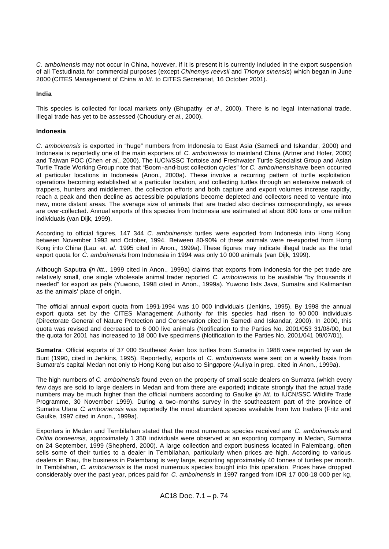*C. amboinensis* may not occur in China, however, if it is present it is currently included in the export suspension of all Testudinata for commercial purposes (except *Chinemys reevsii* and *Trionyx sinensis*) which began in June 2000 (CITES Management of China *in litt.* to CITES Secretariat, 16 October 2001).

# **India**

This species is collected for local markets only (Bhupathy *et al*., 2000). There is no legal international trade. Illegal trade has yet to be assessed (Choudury *et al*., 2000).

# **Indonesia**

*C. amboinensis* is exported in "huge" numbers from Indonesia to East Asia (Samedi and Iskandar, 2000) and Indonesia is reportedly one of the main exporters of *C. amboinensis* to mainland China (Artner and Hofer, 2000) and Taiwan POC (Chen *et al*., 2000). The IUCN/SSC Tortoise and Freshwater Turtle Specialist Group and Asian Turtle Trade Working Group note that "Boom -and-bust collection cycles" for *C. amboinensis* have been occurred at particular locations in Indonesia (Anon., 2000a). These involve a recurring pattern of turtle exploitation operations becoming established at a particular location, and collecting turtles through an extensive network of trappers, hunters and middlemen. the collection efforts and both capture and export volumes increase rapidly, reach a peak and then decline as accessible populations become depleted and collectors need to venture into new, more distant areas. The average size of animals that are traded also declines correspondingly, as areas are over-collected. Annual exports of this species from Indonesia are estimated at about 800 tons or one million individuals (van Dijk, 1999).

According to official figures, 147 344 *C. amboinensis* turtles were exported from Indonesia into Hong Kong between November 1993 and October, 1994. Between 80-90% of these animals were re-exported from Hong Kong into China (Lau *et. al.* 1995 cited in Anon., 1999a). These figures may indicate illegal trade as the total export quota for *C. amboinensis* from Indonesia in 1994 was only 10 000 animals (van Dijk, 1999).

Although Saputra (*in litt.,* 1999 cited in Anon., 1999a) claims that exports from Indonesia for the pet trade are relatively small, one single wholesale animal trader reported *C. amboinensis* to be available "by thousands if needed" for export as pets (Yuwono, 1998 cited in Anon., 1999a). Yuwono lists Java, Sumatra and Kalimantan as the animals' place of origin.

The official annual export quota from 1991-1994 was 10 000 individuals (Jenkins, 1995). By 1998 the annual export quota set by the CITES Management Authority for this species had risen to 90 000 individuals (Directorate General of Nature Protection and Conservation cited in Samedi and Iskandar, 2000). In 2000, this quota was revised and decreased to 6 000 live animals (Notification to the Parties No. 2001/053 31/08/00, but the quota for 2001 has increased to 18 000 live specimens (Notification to the Parties No. 2001/041 09/07/01).

**Sumatra**: Official exports of 37 000 Southeast Asian box turtles from Sumatra in 1988 were reported by van de Bunt (1990, cited in Jenkins, 1995). Reportedly, exports of *C. amboinensis* were sent on a weekly basis from Sumatra's capital Medan not only to Hong Kong but also to Singapore (Auliya in prep*.* cited in Anon., 1999a).

The high numbers of *C. amboinensis* found even on the property of small scale dealers on Sumatra (which every few days are sold to large dealers in Medan and from there are exported) indicate strongly that the actual trade numbers may be much higher than the official numbers according to Gaulke (*in litt.* to IUCN/SSC Wildlife Trade Programme, 30 November 1999). During a two-months survey in the southeastern part of the province of Sumatra Utara *C. amboinensis* was reportedly the most abundant species available from two traders (Fritz and Gaulke, 1997 cited in Anon., 1999a).

Exporters in Medan and Tembilahan stated that the most numerous species received are *C. amboinensis* and *Orlitia borneensis,* approximately 1 350 individuals were observed at an exporting company in Medan, Sumatra on 24 September, 1999 (Shepherd, 2000). A large collection and export business located in Palembang, often sells some of their turtles to a dealer in Tembilahan, particularly when prices are high. According to various dealers in Riau, the business in Palembang is very large, exporting approximately 40 tonnes of turtles per month. In Tembilahan, *C. amboinensis* is the most numerous species bought into this operation. Prices have dropped considerably over the past year, prices paid for *C. amboinensis* in 1997 ranged from IDR 17 000-18 000 per kg,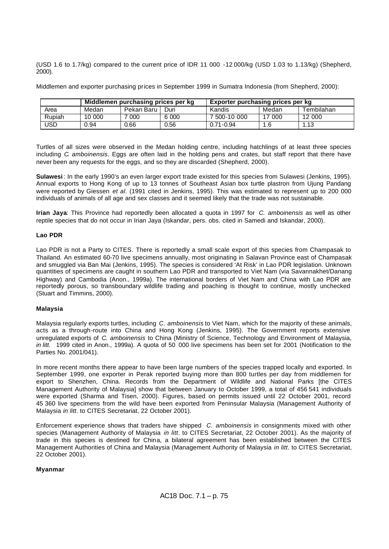(USD 1.6 to 1.7/kg) compared to the current price of IDR 11 000 -12 000/kg (USD 1.03 to 1.13/kg) (Shepherd, 2000).

Middlemen and exporter purchasing prices in September 1999 in Sumatra Indonesia (from Shepherd, 2000):

|        |        | Middlemen purchasing prices per kg |       | Exporter purchasing prices per kg |       |            |  |  |  |
|--------|--------|------------------------------------|-------|-----------------------------------|-------|------------|--|--|--|
| Area   | Medan  | Pekan Baru                         | Duri  | Kandis                            | Medan | Tembilahan |  |  |  |
| Rupiah | 10 000 | 000                                | 6 000 | 7 500-10 000                      | 000   | 12 000     |  |  |  |
| USD    | 0.94   | 0.66                               | 0.56  | $0.71 - 0.94$                     | 1.6   | 1.13       |  |  |  |

Turtles of all sizes were observed in the Medan holding centre, including hatchlings of at least three species including *C. amboinensis*. Eggs are often laid in the holding pens and crates, but staff report that there have never been any requests for the eggs, and so they are discarded (Shepherd, 2000).

**Sulawesi** : In the early 1990's an even larger export trade existed for this species from Sulawesi (Jenkins, 1995). Annual exports to Hong Kong of up to 13 tonnes of Southeast Asian box turtle plastron from Ujung Pandang were reported by Giessen *et al*. (1991 cited in Jenkins, 1995). This was estimated to represent up to 200 000 individuals of animals of all age and sex classes and it seemed likely that the trade was not sustainable.

**Irian Jaya**: This Province had reportedly been allocated a quota in 1997 for *C. amboinensis* as well as other reptile species that do not occur in Irian Jaya (Iskandar, pers. obs. cited in Samedi and Iskandar, 2000).

# **Lao PDR**

Lao PDR is not a Party to CITES. There is reportedly a small scale export of this species from Champasak to Thailand. An estimated 60-70 live specimens annually, most originating in Salavan Province east of Champasak and smuggled via Ban Mai (Jenkins, 1995). The species is considered 'At Risk' in Lao PDR legislation. Unknown quantities of specimens are caught in southern Lao PDR and transported to Viet Nam (via Savannakhet/Danang Highway) and Cambodia (Anon., 1999a). The international borders of Viet Nam and China with Lao PDR are reportedly porous, so transboundary wildlife trading and poaching is thought to continue, mostly unchecked (Stuart and Timmins, 2000).

# **Malaysia**

Malaysia regularly exports turtles, including *C. amboinensis* to Viet Nam, which for the majority of these animals, acts as a through-route into China and Hong Kong (Jenkins, 1995). The Government reports extensive unregulated exports of *C. amboinensis* to China (Ministry of Science, Technology and Environment of Malaysia, *in litt.* 1999 cited in Anon., 1999a). A quota of 50 000 live specimens has been set for 2001 (Notification to the Parties No. 2001/041).

In more recent months there appear to have been large numbers of the species trapped locally and exported. In September 1999, one exporter in Perak reported buying more than 800 turtles per day from middlemen for export to Shenzhen, China. Records from the Department of Wildlife and National Parks [the CITES Management Authority of Malaysia] show that between January to October 1999, a total of 456 541 individuals were exported (Sharma and Tisen, 2000). Figures, based on permits issued until 22 October 2001, record 45 360 live specimens from the wild have been exported from Peninsular Malaysia (Management Authority of Malaysia *in litt*. to CITES Secretariat, 22 October 2001).

Enforcement experience shows that traders have shipped *C. amboinensis* in consignments mixed with other species (Management Authority of Malaysia *in litt*. to CITES Secretariat, 22 October 2001). As the majority of trade in this species is destined for China, a bilateral agreement has been established between the CITES Management Authorities of China and Malaysia (Management Authority of Malaysia *in litt*. to CITES Secretariat, 22 October 2001).

## **Myanmar**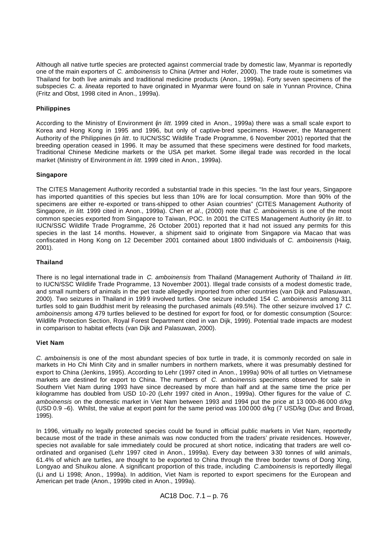Although all native turtle species are protected against commercial trade by domestic law, Myanmar is reportedly one of the main exporters of *C. amboinensis* to China (Artner and Hofer, 2000). The trade route is sometimes via Thailand for both live animals and traditional medicine products (Anon., 1999a). Forty seven specimens of the subspecies *C. a. lineata* reported to have originated in Myanmar were found on sale in Yunnan Province, China (Fritz and Obst, 1998 cited in Anon., 1999a).

# **Philippines**

According to the Ministry of Environment (*in litt.* 1999 cited in Anon., 1999a) there was a small scale export to Korea and Hong Kong in 1995 and 1996, but only of captive-bred specimens. However, the Management Authority of the Philippines (*in litt*. to IUCN/SSC Wildlife Trade Programme, 6 November 2001) reported that the breeding operation ceased in 1996. It may be assumed that these specimens were destined for food markets, Traditional Chinese Medicine markets or the USA pet market. Some illegal trade was recorded in the local market (Ministry of Environment *in litt.* 1999 cited in Anon., 1999a).

# **Singapore**

The CITES Management Authority recorded a substantial trade in this species. "In the last four years, Singapore has imported quantities of this species but less than 10% are for local consumption. More than 90% of the specimens are either re-exported or trans-shipped to other Asian countries" (CITES Management Authority of Singapore, *in litt*. 1999 cited in Anon., 1999a). Chen *et al*., (2000) note that *C. amboinensis* is one of the most common species exported from Singapore to Taiwan, POC. In 2001 the CITES Management Authority (*in litt*. to IUCN/SSC Wildlife Trade Programme, 26 October 2001) reported that it had not issued any permits for this species in the last 14 months. However, a shipment said to originate from Singapore via Macao that was confiscated in Hong Kong on 12 December 2001 contained about 1800 individuals of *C. amboinensis* (Haig, 2001).

# **Thailand**

There is no legal international trade in *C. amboinensis* from Thailand (Management Authority of Thailand *in litt*. to IUCN/SSC Wildlife Trade Programme, 13 November 2001). Illegal trade consists of a modest domestic trade, and small numbers of animals in the pet trade allegedly imported from other countries (van Dijk and Palasuwan, 2000). Two seizures in Thailand in 199 9 involved turtles. One seizure included 154 *C. amboinensis* among 311 turtles sold to gain Buddhist merit by releasing the purchased animals (49.5%). The other seizure involved 17 *C. amboinensis* among 479 turtles believed to be destined for export for food, or for domestic consumption (Source: Wildlife Protection Section, Royal Forest Department cited in van Dijk, 1999). Potential trade impacts are modest in comparison to habitat effects (van Dijk and Palasuwan, 2000).

## **Viet Nam**

*C. amboinensis* is one of the most abundant species of box turtle in trade, it is commonly recorded on sale in markets in Ho Chi Minh City and in smaller numbers in northern markets, where it was presumably destined for export to China (Jenkins, 1995). According to Lehr (1997 cited in Anon., 1999a) 90% of all turtles on Vietnamese markets are destined for export to China. The numbers of *C. amboinensis* specimens observed for sale in Southern Viet Nam during 1993 have since decreased by more than half and at the same time the price per kilogramme has doubled from USD 10-20 (Lehr 1997 cited in Anon., 1999a). Other figures for the value of *C. amboinensis* on the domestic market in Viet Nam between 1993 and 1994 put the price at 13 000-86 000 d/kg (USD 0.9 –6). Whilst, the value at export point for the same period was 100 000 d/kg (7 USD/kg (Duc and Broad, 1995).

In 1996, virtually no legally protected species could be found in official public markets in Viet Nam, reportedly because most of the trade in these animals was now conducted from the traders' private residences. However, species not available for sale immediately could be procured at short notice, indicating that traders are well coordinated and organised (Lehr 1997 cited in Anon., 1999a). Every day between 330 tonnes of wild animals, 61.4% of which are turtles, are thought to be exported to China through the three border towns of Dong Xing, Longyao and Shuikou alone. A significant proportion of this trade, including *C.amboinensis* is reportedly illegal (Li and Li 1998; Anon., 1999a). In addition, Viet Nam is reported to export specimens for the European and American pet trade (Anon., 1999b cited in Anon., 1999a).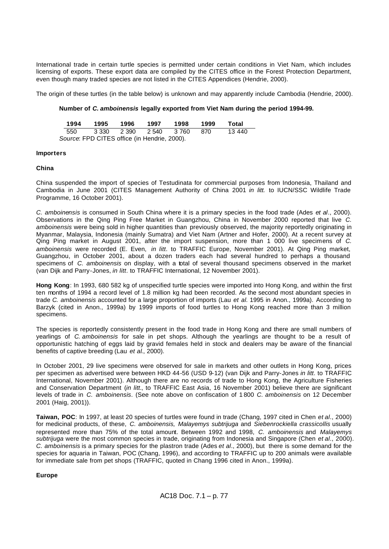International trade in certain turtle species is permitted under certain conditions in Viet Nam, which includes licensing of exports. These export data are compiled by the CITES office in the Forest Protection Department, even though many traded species are not listed in the CITES Appendices (Hendrie, 2000).

The origin of these turtles (in the table below) is unknown and may apparently include Cambodia (Hendrie, 2000).

# **Number of** *C. amboinensis* **legally exported from Viet Nam during the period 1994-99.**

| 1994                                         | 1995                        | 1996 | 1997 | 1998 1999 |      | Total  |  |  |  |  |
|----------------------------------------------|-----------------------------|------|------|-----------|------|--------|--|--|--|--|
|                                              | 550 3.330 2.390 2.540 3.760 |      |      |           | -870 | 13 440 |  |  |  |  |
| Source: FPD CITES office (in Hendrie, 2000). |                             |      |      |           |      |        |  |  |  |  |

## **Importers**

## **China**

China suspended the import of species of Testudinata for commercial purposes from Indonesia, Thailand and Cambodia in June 2001 (CITES Management Authority of China 2001 *in litt.* to IUCN/SSC Wildlife Trade Programme, 16 October 2001).

*C. amboinensis* is consumed in South China where it is a primary species in the food trade (Ades *et al*., 2000). Observations in the Qing Ping Free Market in Guangzhou, China in November 2000 reported that live *C. amboinensis* were being sold in higher quantities than previously observed, the majority reportedly originating in Myanmar, Malaysia, Indonesia (mainly Sumatra) and Viet Nam (Artner and Hofer, 2000). At a recent survey at Qing Ping market in August 2001, after the import suspension, more than 1 000 live specimens of *C. amboinensis* were recorded (E. Even, *in litt*. to TRAFFIC Europe, November 2001). At Qing Ping market, Guangzhou, in October 2001, about a dozen traders each had several hundred to perhaps a thousand specimens of *C. amboinensis* on display, with a total of several thousand specimens observed in the market (van Dijk and Parry-Jones, *in litt*. to TRAFFIC International, 12 November 2001).

**Hong Kong**: In 1993, 680 582 kg of unspecified turtle species were imported into Hong Kong, and within the first ten months of 1994 a record level of 1.8 million kg had been recorded. As the second most abundant species in trade *C. amboinensis* accounted for a large proportion of imports (Lau *et al.* 1995 in Anon., 1999a). According to Barzyk (cited in Anon., 1999a) by 1999 imports of food turtles to Hong Kong reached more than 3 million specimens.

The species is reportedly consistently present in the food trade in Hong Kong and there are small numbers of yearlings of *C. amboinensis* for sale in pet shops. Although the yearlings are thought to be a result of opportunistic hatching of eggs laid by gravid females held in stock and dealers may be aware of the financial benefits of captive breeding (Lau *et al*., 2000).

In October 2001, 29 live specimens were observed for sale in markets and other outlets in Hong Kong, prices per specimen as advertised were between HKD 44-56 (USD 9-12) (van Dijk and Parry-Jones *in litt*. to TRAFFIC International, November 2001). Although there are no records of trade to Hong Kong, the Agriculture Fisheries and Conservation Department (*in litt.*, to TRAFFIC East Asia, 16 November 2001) believe there are significant levels of trade in *C. amboinensis*. (See note above on confiscation of 1 800 *C. amboinensis* on 12 December 2001 (Haig, 2001)).

**Taiwan, POC**: In 1997, at least 20 species of turtles were found in trade (Chang, 1997 cited in Chen *et al*., 2000) for medicinal products, of these, *C. amboinensis, Malayemys subtrijuga* and *Siebenrockiella crassicollis* usually represented more than 75% of the total amount. Between 1992 and 1998, *C. amboinensis* and *Malayemys subtrijuga* were the most common species in trade, originating from Indonesia and Singapore (Chen *et al*., 2000). *C. amboinensis* is a primary species for the plastron trade (Ades *et al*., 2000), but there is some demand for the species for aquaria in Taiwan, POC (Chang, 1996), and according to TRAFFIC up to 200 animals were available for immediate sale from pet shops (TRAFFIC, quoted in Chang 1996 cited in Anon., 1999a).

## **Europe**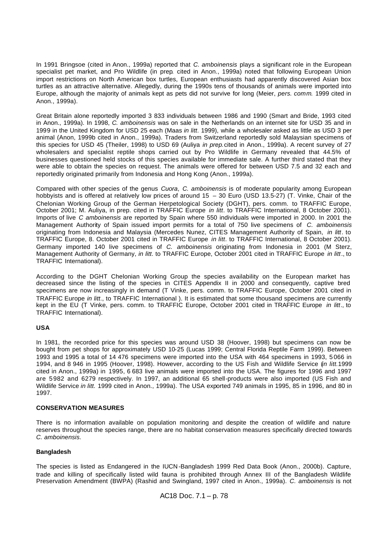In 1991 Bringsoe (cited in Anon., 1999a) reported that *C. amboinensis* plays a significant role in the European specialist pet market, and Pro Wildlife (in prep*.* cited in Anon., 1999a) noted that following European Union import restrictions on North American box turtles, European enthusiasts had apparently discovered Asian box turtles as an attractive alternative. Allegedly, during the 1990s tens of thousands of animals were imported into Europe, although the majority of animals kept as pets did not survive for long (Meier, *pers. comm.* 1999 cited in Anon., 1999a).

Great Britain alone reportedly imported 3 833 individuals between 1986 and 1990 (Smart and Bride, 1993 cited in Anon., 1999a). In 1998, *C. amboinensis* was on sale in the Netherlands on an internet site for USD 35 and in 1999 in the United Kingdom for USD 25 each (Maas *in litt*. 1999), while a wholesaler asked as little as USD 3 per animal (Anon, 1999b cited in Anon., 1999a). Traders from Switzerland reportedly sold Malaysian specimens of this species for USD 45 (Theiler, 1998) to USD 69 (Auliya *in prep.*cited in Anon., 1999a). A recent survey of 27 wholesalers and specialist reptile shops carried out by Pro Wildlife in Germany revealed that 44.5% of businesses questioned held stocks of this species available for immediate sale. A further third stated that they were able to obtain the species on request. The animals were offered for between USD 7.5 and 32 each and reportedly originated primarily from Indonesia and Hong Kong (Anon., 1999a).

Compared with other species of the genus *Cuora*, *C. amboinensis* is of moderate popularity among European hobbyists and is offered at relatively low prices of around 15 – 30 Euro (USD 13.5-27) (T. Vinke, Chair of the Chelonian Working Group of the German Herpetological Society (DGHT), pers. comm. to TRAFFIC Europe, October 2001; M. Auliya, in prep. cited in TRAFFIC Europe *in litt*. to TRAFFIC International, 8 October 2001). Imports of live *C amboinensis* are reported by Spain where 550 individuals were imported in 2000. In 2001 the Management Authority of Spain issued import permits for a total of 750 live specimens of *C. amboinensis* originating from Indonesia and Malaysia (Mercedes Nunez, CITES Management Authority of Spain, *in litt*. to TRAFFIC Europe, 8. October 2001 cited in TRAFFIC Europe *in litt*. to TRAFFIC International, 8 October 2001). Germany imported 140 live specimens of *C. amboinensis* originating from Indonesia in 2001 (M Sterz, Management Authority of Germany, *in litt*. to TRAFFIC Europe, October 2001 cited in TRAFFIC Europe *in litt*., to TRAFFIC International).

According to the DGHT Chelonian Working Group the species availability on the European market has decreased since the listing of the species in CITES Appendix II in 2000 and consequently, captive bred specimens are now increasingly in demand (T Vinke, pers. comm. to TRAFFIC Europe, October 2001 cited in TRAFFIC Europe *in litt*., to TRAFFIC International ). It is estimated that some thousand specimens are currently kept in the EU (T Vinke, pers. comm. to TRAFFIC Europe, October 2001 cited in TRAFFIC Europe *in litt*., to TRAFFIC International).

## **USA**

In 1981, the recorded price for this species was around USD 38 (Hoover, 1998) but specimens can now be bought from pet shops for approximately USD 10-25 (Lucas 1999; Central Florida Reptile Farm 1999). Between 1993 and 1995 a total of 14 476 specimens were imported into the USA with 464 specimens in 1993, 5 066 in 1994, and 8 946 in 1995 (Hoover, 1998). However, according to the US Fish and Wildlife Service (*in litt.*1999 cited in Anon., 1999a) in 1995, 6 683 live animals were imported into the USA. The figures for 1996 and 1997 are 5982 and 6279 respectively. In 1997, an additional 65 shell-products were also imported (US Fish and Wildlife Service *in litt.* 1999 cited in Anon., 1999a). The USA exported 749 animals in 1995, 85 in 1996, and 80 in 1997.

## **CONSERVATION MEASURES**

There is no information available on population monitoring and despite the creation of wildlife and nature reserves throughout the species range, there are no habitat conservation measures specifically directed towards *C. amboinensis.* 

# **Bangladesh**

The species is listed as Endangered in the IUCN -Bangladesh 1999 Red Data Book (Anon., 2000b). Capture, trade and killing of specifically listed wild fauna is prohibited through Annex III of the Bangladesh Wildlife Preservation Amendment (BWPA) (Rashid and Swingland, 1997 cited in Anon., 1999a). *C. amboinensis* is not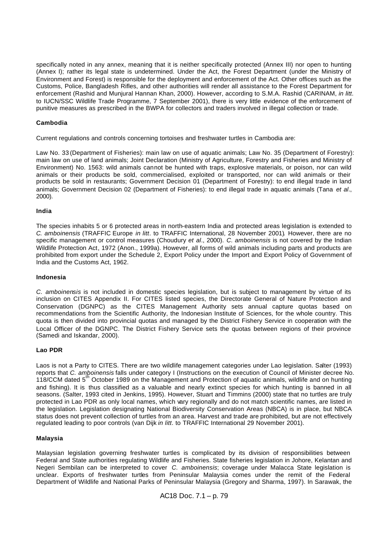specifically noted in any annex, meaning that it is neither specifically protected (Annex III) nor open to hunting (Annex I); rather its legal state is undetermined. Under the Act, the Forest Department (under the Ministry of Environment and Forest) is responsible for the deployment and enforcement of the Act. Other offices such as the Customs, Police, Bangladesh Rifles, and other authorities will render all assistance to the Forest Department for enforcement (Rashid and Munjural Hannan Khan, 2000). However, according to S.M.A. Rashid (CARINAM, *in litt*. to IUCN/SSC Wildlife Trade Programme, 7 September 2001), there is very little evidence of the enforcement of punitive measures as prescribed in the BWPA for collectors and traders involved in illegal collection or trade.

# **Cambodia**

Current regulations and controls concerning tortoises and freshwater turtles in Cambodia are:

Law No. 33 (Department of Fisheries): main law on use of aquatic animals; Law No. 35 (Department of Forestry): main law on use of land animals; Joint Declaration (Ministry of Agriculture, Forestry and Fisheries and Ministry of Environment) No. 1563: wild animals cannot be hunted with traps, explosive materials, or poison, nor can wild animals or their products be sold, commercialised, exploited or transported, nor can wild animals or their products be sold in restaurants; Government Decision 01 (Department of Forestry): to end illegal trade in land animals; Government Decision 02 (Department of Fisheries): to end illegal trade in aquatic animals (Tana *et al*., 2000).

## **India**

The species inhabits 5 or 6 protected areas in north-eastern India and protected areas legislation is extended to *C. amboinensis* (TRAFFIC Europe *in litt*. to TRAFFIC International, 28 November 2001)*.* However, there are no specific management or control measures (Choudury *et al*., 2000). *C. amboinensis* is not covered by the Indian Wildlife Protection Act, 1972 (Anon., 1999a). However, all forms of wild animals including parts and products are prohibited from export under the Schedule 2, Export Policy under the Import and Export Policy of Government of India and the Customs Act, 1962.

#### **Indonesia**

*C. amboinensis* is not included in domestic species legislation, but is subject to management by virtue of its inclusion on CITES Appendix II. For CITES listed species, the Directorate General of Nature Protection and Conservation (DGNPC) as the CITES Management Authority sets annual capture quotas based on recommendations from the Scientific Authority, the Indonesian Institute of Sciences, for the whole country. This quota is then divided into provincial quotas and managed by the District Fishery Service in cooperation with the Local Officer of the DGNPC. The District Fishery Service sets the quotas between regions of their province (Samedi and Iskandar, 2000).

# **Lao PDR**

Laos is not a Party to CITES. There are two wildlife management categories under Lao legislation. Salter (1993) reports that *C. amboinensis* falls under category I (Instructions on the execution of Council of Minister decree No. 118/CCM dated 5<sup>th</sup> October 1989 on the Management and Protection of aquatic animals, wildlife and on hunting and fishing). It is thus classified as a valuable and nearly extinct species for which hunting is banned in all seasons. (Salter, 1993 cited in Jenkins, 1995). However, Stuart and Timmins (2000) state that no turtles are truly protected in Lao PDR as only local names, which vary regionally and do not match scientific names, are listed in the legislation. Legislation designating National Biodiversity Conservation Areas (NBCA) is in place, but NBCA status does not prevent collection of turtles from an area. Harvest and trade are prohibited, but are not effectively regulated leading to poor controls (van Dijk *in litt*. to TRAFFIC International 29 November 2001).

#### **Malaysia**

Malaysian legislation governing freshwater turtles is complicated by its division of responsibilities between Federal and State authorities regulating Wildlife and Fisheries. State fisheries legislation in Johore, Kelantan and Negeri Sembilan can be interpreted to cover *C. amboinensis*; coverage under Malacca State legislation is unclear. Exports of freshwater turtles from Peninsular Malaysia comes under the remit of the Federal Department of Wildlife and National Parks of Peninsular Malaysia (Gregory and Sharma, 1997). In Sarawak, the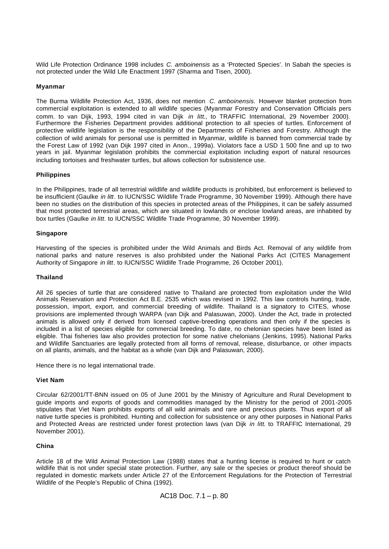Wild Life Protection Ordinance 1998 includes *C. amboinensis* as a 'Protected Species'. In Sabah the species is not protected under the Wild Life Enactment 1997 (Sharma and Tisen, 2000).

## **Myanmar**

The Burma Wildlife Protection Act, 1936, does not mention *C. amboinensis.* However blanket protection from commercial exploitation is extended to all wildlife species (Myanmar Forestry and Conservation Officials pers comm. to van Dijk, 1993, 1994 cited in van Dijk *in litt*., to TRAFFIC International, 29 November 2000). Furthermore the Fisheries Department provides additional protection to all species of turtles. Enforcement of protective wildlife legislation is the responsibility of the Departments of Fisheries and Forestry. Although the collection of wild animals for personal use is permitted in Myanmar, wildlife is banned from commercial trade by the Forest Law of 1992 (van Dijk 1997 cited in Anon., 1999a). Violators face a USD 1 500 fine and up to two years in jail. Myanmar legislation prohibits the commercial exploitation including export of natural resources including tortoises and freshwater turtles, but allows collection for subsistence use.

## **Philippines**

In the Philippines, trade of all terrestrial wildlife and wildlife products is prohibited, but enforcement is believed to be insufficient (Gaulke *in litt*. to IUCN/SSC Wildlife Trade Programme, 30 November 1999). Although there have been no studies on the distribution of this species in protected areas of the Philippines, it can be safely assumed that most protected terrestrial areas, which are situated in lowlands or enclose lowland areas, are inhabited by box turtles (Gaulke *in litt*. to IUCN/SSC Wildlife Trade Programme, 30 November 1999).

#### **Singapore**

Harvesting of the species is prohibited under the Wild Animals and Birds Act. Removal of any wildlife from national parks and nature reserves is also prohibited under the National Parks Act (CITES Management Authority of Singapore *in litt*. to IUCN/SSC Wildlife Trade Programme, 26 October 2001).

#### **Thailand**

All 26 species of turtle that are considered native to Thailand are protected from exploitation under the Wild Animals Reservation and Protection Act B.E. 2535 which was revised in 1992. This law controls hunting, trade, possession, import, export, and commercial breeding of wildlife. Thailand is a signatory to CITES, whose provisions are implemented through WARPA (van Dijk and Palasuwan, 2000). Under the Act, trade in protected animals is allowed only if derived from licensed captive-breeding operations and then only if the species is included in a list of species eligible for commercial breeding. To date, no chelonian species have been listed as eligible. Thai fisheries law also provides protection for some native chelonians (Jenkins, 1995). National Parks and Wildlife Sanctuaries are legally protected from all forms of removal, release, disturbance, or other impacts on all plants, animals, and the habitat as a whole (van Dijk and Palasuwan, 2000).

Hence there is no legal international trade.

#### **Viet Nam**

Circular 62/2001/TT-BNN issued on 05 of June 2001 by the Ministry of Agriculture and Rural Development to guide imports and exports of goods and commodities managed by the Ministry for the period of 2001-2005 stipulates that Viet Nam prohibits exports of all wild animals and rare and precious plants. Thus export of all native turtle species is prohibited. Hunting and collection for subsistence or any other purposes in National Parks and Protected Areas are restricted under forest protection laws (van Dijk *in litt*. to TRAFFIC International, 29 November 2001).

#### **China**

Article 18 of the Wild Animal Protection Law (1988) states that a hunting license is required to hunt or catch wildlife that is not under special state protection. Further, any sale or the species or product thereof should be regulated in domestic markets under Article 27 of the Enforcement Regulations for the Protection of Terrestrial Wildlife of the People's Republic of China (1992).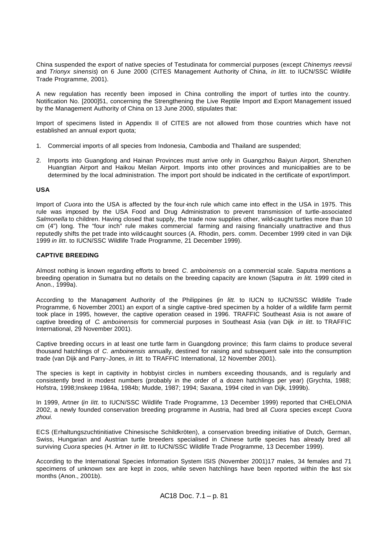China suspended the export of native species of Testudinata for commercial purposes (except *Chinemys reevsii* and *Trionyx sinensis*) on 6 June 2000 (CITES Management Authority of China, *in litt.* to IUCN/SSC Wildlife Trade Programme, 2001).

A new regulation has recently been imposed in China controlling the import of turtles into the country. Notification No. [2000]51, concerning the Strengthening the Live Reptile Import and Export Management issued by the Management Authority of China on 13 June 2000, stipulates that:

Import of specimens listed in Appendix II of CITES are not allowed from those countries which have not established an annual export quota;

- 1. Commercial imports of all species from Indonesia, Cambodia and Thailand are suspended;
- 2. Imports into Guangdong and Hainan Provinces must arrive only in Guangzhou Baiyun Airport, Shenzhen Huangtian Airport and Haikou Meilan Airport. Imports into other provinces and municipalities are to be determined by the local administration. The import port should be indicated in the certificate of export/import.

## **USA**

Import of *Cuora* into the USA is affected by the four-inch rule which came into effect in the USA in 1975. This rule was imposed by the USA Food and Drug Administration to prevent transmission of turtle-associated *Salmonella* to children. Having closed that supply, the trade now supplies other, wild-caught turtles more than 10 cm (4") long. The "four inch" rule makes commercial farming and raising financially unattractive and thus reputedly shifts the pet trade into wild-caught sources (A. Rhodin, pers. comm. December 1999 cited in van Dijk 1999 *in litt*. to IUCN/SSC Wildlife Trade Programme, 21 December 1999).

# **CAPTIVE BREEDING**

Almost nothing is known regarding efforts to breed *C. amboinensis* on a commercial scale. Saputra mentions a breeding operation in Sumatra but no details on the breeding capacity are known (Saputra *in litt.* 1999 cited in Anon., 1999a).

According to the Management Authority of the Philippines (*in litt.* to IUCN to IUCN/SSC Wildlife Trade Programme, 6 November 2001) an export of a single captive -bred specimen by a holder of a wildlife farm permit took place in 1995, however, the captive operation ceased in 1996. TRAFFIC Southeast Asia is not aware of captive breeding of *C. amboinensis* for commercial purposes in Southeast Asia (van Dijk *in litt*. to TRAFFIC International, 29 November 2001).

Captive breeding occurs in at least one turtle farm in Guangdong province; this farm claims to produce several thousand hatchlings of *C. amboinensis* annually, destined for raising and subsequent sale into the consumption trade (van Dijk and Parry-Jones, *in litt*. to TRAFFIC International, 12 November 2001).

The species is kept in captivity in hobbyist circles in numbers exceeding thousands, and is regularly and consistently bred in modest numbers (probably in the order of a dozen hatchlings per year) (Grychta, 1988; Hofstra, 1998;Inskeep 1984a, 1984b; Mudde, 1987; 1994; Saxana, 1994 cited in van Dijk, 1999b).

In 1999, Artner (*in litt*. to IUCN/SSC Wildlife Trade Programme, 13 December 1999) reported that CHELONIA 2002, a newly founded conservation breeding programme in Austria, had bred all *Cuora* species except *Cuora zhoui.*

ECS (Erhaltungszuchtinitiative Chinesische Schildkröten), a conservation breeding initiative of Dutch, German, Swiss, Hungarian and Austrian turtle breeders specialised in Chinese turtle species has already bred all surviving *Cuora* species (H. Artner *in litt*. to IUCN/SSC Wildlife Trade Programme, 13 December 1999).

According to the International Species Information System ISIS (November 2001)17 males, 34 females and 71 specimens of unknown sex are kept in zoos, while seven hatchlings have been reported within the last six months (Anon., 2001b).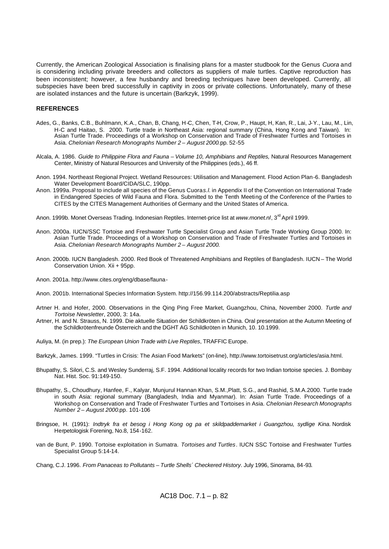Currently, the American Zoological Association is finalising plans for a master studbook for the Genus *Cuora* and is considering including private breeders and collectors as suppliers of male turtles. Captive reproduction has been inconsistent; however, a few husbandry and breeding techniques have been developed. Currently, all subspecies have been bred successfully in captivity in zoos or private collections. Unfortunately, many of these are isolated instances and the future is uncertain (Barkzyk, 1999).

#### **REFERENCES**

- Ades, G., Banks, C.B., Buhlmann, K.A., Chan, B, Chang, H-C, Chen, T-H, Crow, P., Haupt, H, Kan, R., Lai, J-Y., Lau, M., Lin, H-C and Haitao, S. 2000. Turtle trade in Northeast Asia: regional summary (China, Hong Kong and Taiwan). In: Asian Turtle Trade. Proceedings of a Workshop on Conservation and Trade of Freshwater Turtles and Tortoises in Asia. *Chelonian Research Monographs Number 2 – August 2000.*pp. 52-55
- Alcala, A. 1986. *Guide to Philippine Flora and Fauna – Volume 10, Amphibians and Reptiles,* Natural Resources Management Center, Ministry of Natural Resources and University of the Philippines (eds.), 46 ff.
- Anon. 1994. Northeast Regional Project. Wetland Resources: Utilisation and Management. Flood Action Plan-6. Bangladesh Water Development Board/CIDA/SLC, 190pp.
- Anon. 1999a. Proposal to include all species of the Genus Cuora *s.l.* in Appendix II of the Convention on International Trade in Endangered Species of Wild Fauna and Flora. Submitted to the Tenth Meeting of the Conference of the Parties to CITES by the CITES Management Authorities of Germany and the United States of America.
- Anon. 1999b. Monet Overseas Trading. Indonesian Reptiles. Internet-price list at *www.monet.nl*, 3rd April 1999.
- Anon. 2000a. IUCN/SSC Tortoise and Freshwater Turtle Specialist Group and Asian Turtle Trade Working Group 2000. In: Asian Turtle Trade. Proceedings of a Workshop on Conservation and Trade of Freshwater Turtles and Tortoises in Asia. *Chelonian Research Monographs Number 2 – August 2000.*
- Anon. 2000b. IUCN Bangladesh. 2000. Red Book of Threatened Amphibians and Reptiles of Bangladesh. IUCN The World Conservation Union. Xii + 95pp.
- Anon. 2001a. http://www.cites.org/eng/dbase/fauna-
- Anon. 2001b. International Species Information System. http://156.99.114.200/abstracts/Reptilia.asp
- Artner H. and Hofer, 2000. Observations in the Qing Ping Free Market, Guangzhou, China, November 2000. *Turtle and Tortoise Newsletter*, 2000, 3: 14a.
- Artner, H. and N. Strauss, N. 1999. Die aktuelle Situation der Schildkröten in China. Oral presentation at the Autumn Meeting of the Schildkrötenfreunde Österreich and the DGHT AG Schildkröten in Munich, 10. 10.1999.
- Auliya, M. (in prep.): *The European Union Trade with Live Reptiles*, TRAFFIC Europe.
- Barkzyk, James. 1999. "Turtles in Crisis: The Asian Food Markets" (on-line), http://www.tortoisetrust.org/articles/asia.html.
- Bhupathy, S. Silori, C.S. and Wesley Sunderraj, S.F. 1994. Additional locality records for two Indian tortoise species. J. Bombay Nat. Hist. Soc. 91:149-150.
- Bhupathy, S., Choudhury, Hanfee, F., Kalyar, Munjurul Hannan Khan, S.M.,Platt, S.G., and Rashid, S.M.A.2000. Turtle trade in south Asia: regional summary (Bangladesh, India and Myanmar). In: Asian Turtle Trade. Proceedings of a Workshop on Conservation and Trade of Freshwater Turtles and Tortoises in Asia. *Chelonian Research Monographs Number 2 – August 2000.*pp. 101-106
- Bringsoe, H. (1991): *Indtryk fra et besog i Hong Kong og pa et skildpaddemarket i Guangzhou, sydlige Kina.* Nordisk Herpetologisk Forening, No.8, 154-162.
- van de Bunt, P. 1990. Tortoise exploitation in Sumatra. *Tortoises and Turtles*. IUCN SSC Tortoise and Freshwater Turtles Specialist Group 5:14-14.
- Chang, C.J. 1996. *From Panaceas to Pollutants Turtle Shells´ Checkered History*. July 1996, Sinorama, 84-93*.*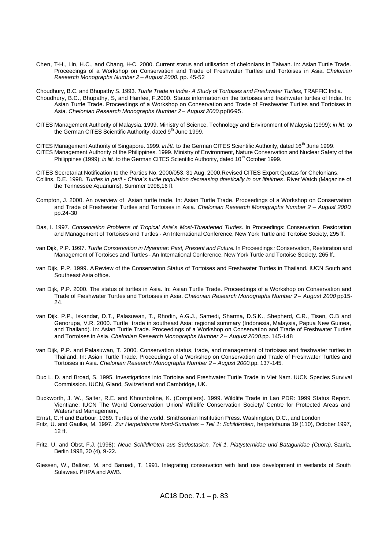- Chen, T-H., Lin, H.C., and Chang, H-C. 2000. Current status and utilisation of chelonians in Taiwan. In: Asian Turtle Trade. Proceedings of a Workshop on Conservation and Trade of Freshwater Turtles and Tortoises in Asia. *Chelonian Research Monographs Number 2 – August 2000.* pp. 45-52
- Choudhury, B.C. and Bhupathy S. 1993. *Turtle Trade in India A Study of Tortoises and Freshwater Turtles*, TRAFFIC India. Choudhury, B.C., Bhupathy, S, and Hanfee, F.2000. Status information on the tortoises and freshwater turtles of India. In: Asian Turtle Trade. Proceedings of a Workshop on Conservation and Trade of Freshwater Turtles and Tortoises in Asia. *Chelonian Research Monographs Number 2 – August 2000.*pp86-95.
- CITES Management Authority of Malaysia. 1999. Ministry of Science, Technology and Environment of Malaysia (1999): *in litt*. to the German CITES Scientific Authority, dated  $9<sup>h</sup>$  June 1999.

CITES Management Authority of Singapore. 1999. *in litt.* to the German CITES Scientific Authority, dated 16<sup>th</sup> June 1999. CITES Management Authority of the Philippines. 1999. Ministry of Environment, Nature Conservation and Nuclear Safety of the Philippines (1999): *in litt*. to the German CITES Scientific Authority, dated 10<sup>th</sup> October 1999.

CITES Secretariat Notification to the Parties No. 2000/053, 31 Aug. 2000.Revised CITES Export Quotas for Chelonians. Collins, D.E. 1998. *Turtles in peril - China´s turtle population decreasing drastically in our lifetimes*. River Watch (Magazine of the Tennessee Aquariums), Summer 1998,16 ff.

- Compton, J. 2000. An overview of Asian turtle trade. In: Asian Turtle Trade. Proceedings of a Workshop on Conservation and Trade of Freshwater Turtles and Tortoises in Asia. *Chelonian Research Monographs Number 2 – August 2000.*  pp.24-30
- Das, I. 1997. *Conservation Problems of Tropical Asia´s Most-Threatened Turtles*. In Proceedings: Conservation, Restoration and Management of Tortoises and Turtles - An International Conference, New York Turtle and Tortoise Society, 295 ff.
- van Dijk, P.P. 1997. *Turtle Conservation in Myanmar: Past, Present and Future*. In Proceedings *:* Conservation, Restoration and Management of Tortoises and Turtles - An International Conference, New York Turtle and Tortoise Society, 265 ff..
- van Dijk, P.P. 1999. A Review of the Conservation Status of Tortoises and Freshwater Turtles in Thailand. IUCN South and Southeast Asia office.
- van Dijk, P.P. 2000. The status of turtles in Asia. In: Asian Turtle Trade. Proceedings of a Workshop on Conservation and Trade of Freshwater Turtles and Tortoises in Asia. *Chelonian Research Monographs Number 2 – August 2000* pp15- 24.
- van Dijk, P.P., Iskandar, D.T., Palasuwan, T., Rhodin, A.G.J., Samedi, Sharma, D.S.K., Shepherd, C.R., Tisen, O.B and Genorupa, V.R. 2000. Turtle trade in southeast Asia: regional summary (Indonesia, Malaysia, Papua New Guinea, and Thailand). In: Asian Turtle Trade. Proceedings of a Workshop on Conservation and Trade of Freshwater Turtles and Tortoises in Asia. *Chelonian Research Monographs Number 2 – August 2000.*pp. 145-148
- van Dijk, P.P. and Palasuwan, T. 2000. Conservation status, trade, and management of tortoises and freshwater turtles in Thailand. In: Asian Turtle Trade. Proceedings of a Workshop on Conservation and Trade of Freshwater Turtles and Tortoises in Asia. *Chelonian Research Monographs Number 2 – August 2000.*pp. 137-145.
- Duc L. D. and Broad, S. 1995. Investigations into Tortoise and Freshwater Turtle Trade in Viet Nam. IUCN Species Survival Commission. IUCN, Gland, Switzerland and Cambridge, UK.
- Duckworth, J. W., Salter, R.E. and Khounboline, K. (Compilers). 1999. Wildlife Trade in Lao PDR: 1999 Status Report. Vientiane: IUCN The World Conservation Union/ Wildlife Conservation Society/ Centre for Protected Areas and Watershed Management,
- Ernst, C.H and Barbour. 1989. Turtles of the world. Smithsonian Institution Press. Washington, D.C., and London
- Fritz, U. and Gaulke, M. 1997. *Zur Herpetofauna Nord-Sumatras Teil 1: Schildkröten*, herpetofauna 19 (110), October 1997, 12 ff.
- Fritz, U. and Obst, F.J. (1998): *Neue Schildkröten aus Südostasien. Teil 1. Platysternidae und Bataguridae (Cuora)*, Sauria, Berlin 1998, 20 (4), 9-22.
- Giessen, W., Baltzer, M. and Baruadi, T. 1991. Integrating conservation with land use development in wetlands of South Sulawesi. PHPA and AWB.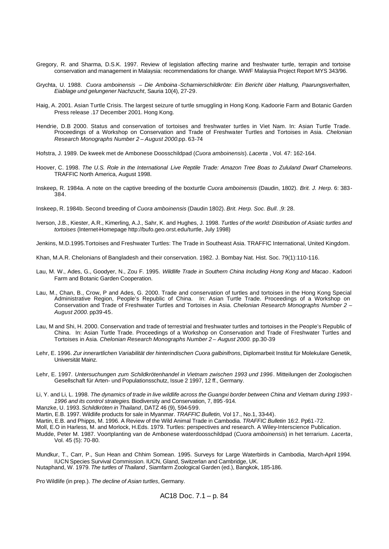- Gregory, R. and Sharma, D.S.K. 1997. Review of legislation affecting marine and freshwater turtle, terrapin and tortoise conservation and management in Malaysia: recommendations for change. WWF Malaysia Project Report MYS 343/96.
- Grychta, U. 1988. *Cuora amboinensis Die Amboina -Scharnierschildkröte: Ein Bericht über Haltung, Paarungsverhalten, Eiablage und gelungener Nachzucht*, Sauria 10(4), 27-29.
- Haig, A. 2001. Asian Turtle Crisis. The largest seizure of turtle smuggling in Hong Kong. Kadoorie Farm and Botanic Garden Press release .17 December 2001. Hong Kong.
- Hendrie, D.B 2000. Status and conservation of tortoises and freshwater turtles in Viet Nam. In: Asian Turtle Trade. Proceedings of a Workshop on Conservation and Trade of Freshwater Turtles and Tortoises in Asia. *Chelonian Research Monographs Number 2 – August 2000.*pp. 63-74
- Hofstra, J. 1989. De kweek met de Ambonese Doosschildpad (*Cuora amboinensis*). *Lacerta* , Vol. 47: 162-164.
- Hoover, C. 1998. *The U.S. Role in the International Live Reptile Trade: Amazon Tree Boas to Zululand Dwarf Chameleons*. TRAFFIC North America, August 1998.
- Inskeep, R. 1984a. A note on the captive breeding of the boxturtle *Cuora amboinensis* (Daudin, 1802). *Brit. J. Herp*. 6: 383- 384.
- Inskeep, R. 1984b. Second breeding of *Cuora amboinensis* (Daudin 1802). *Brit. Herp. Soc. Bull*. ,9: 28.
- Iverson, J.B., Kiester, A.R., Kimerling, A.J., Sahr, K. and Hughes, J. 1998. *Turtles of the world: Distribution of Asiatic turtles and tortoises* (Internet-Homepage http://bufo.geo.orst.edu/turtle, July 1998)
- Jenkins, M.D.1995.Tortoises and Freshwater Turtles: The Trade in Southeast Asia. TRAFFIC International, United Kingdom.
- Khan, M.A.R. Chelonians of Bangladesh and their conservation. 1982. J. Bombay Nat. Hist. Soc. 79(1):110-116.
- Lau, M. W., Ades, G., Goodyer, N., Zou F. 1995. *Wildlife Trade in Southern China Including Hong Kong and Macao* . Kadoori Farm and Botanic Garden Cooperation.
- Lau, M., Chan, B., Crow, P and Ades, G. 2000. Trade and conservation of turtles and tortoises in the Hong Kong Special Administrative Region, People's Republic of China. In: Asian Turtle Trade. Proceedings of a Workshop on Conservation and Trade of Freshwater Turtles and Tortoises in Asia. *Chelonian Research Monographs Number 2 – August 2000.* pp39-45.
- Lau, M and Shi, H. 2000. Conservation and trade of terrestrial and freshwater turtles and tortoises in the People's Republic of China. In: Asian Turtle Trade. Proceedings of a Workshop on Conservation and Trade of Freshwater Turtles and Tortoises in Asia. *Chelonian Research Monographs Number 2 – August 2000.* pp.30-39
- Lehr, E. 1996. *Zur innerartlichen Variabilität der hinterindischen Cuora galbinifrons*, Diplomarbeit Institut für Molekulare Genetik, Universität Mainz.
- Lehr, E. 1997. *Untersuchungen zum Schildkrötenhandel in Vietnam zwischen 1993 und 1996*. Mitteilungen der Zoologischen Gesellschaft für Arten- und Populationsschutz, Issue 2 1997, 12 ff., Germany.
- Li, Y. and Li, L. 1998. *The dynamics of trade in live wildlife across the Guangxi border between China and Vietnam during 1993 - 1996 and its control strategies*. Biodiversity and Conservation, 7, 895 -914.
- Manzke, U. 1993. *Schildkröten in Thailand*, DATZ 46 (9), 594-599.
- Martin, E.B. 1997. Wildlife products for sale in Myanmar. *TRAFFIC Bulletin,* Vol 17., No.1, 33-44).
- Martin, E.B. and Phipps, M. 1996. A Review of the Wild Animal Trade in Cambodia. *TRAFFIC Bulletin* 16:2. Pp61 -72.
- Moll, E.O in Harless, M. and Morlock, H.Eds. 1979. Turtles: perspectives and research. A Wiley-Interscience Publication.
- Mudde, Peter M. 1987. Voortplanting van de Ambonese waterdoosschildpad (*Cuora amboinensis*) in het terrarium. *Lacerta*, Vol. 45 (5): 70-80.
- Mundkur, T., Carr, P., Sun Hean and Chhim Somean. 1995. Surveys for Large Waterbirds in Cambodia, March-April 1994. IUCN Species Survival Commission. IUCN, Gland, Switzerlan and Cambridge, UK.

Nutaphand, W. 1979. *The turtles of Thailand* , Siamfarm Zoological Garden (ed.), Bangkok, 185-186.

Pro Wildlife (in prep.). *The decline of Asian turtles*, Germany.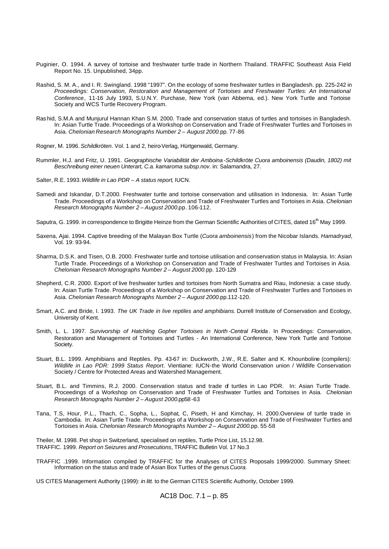- Puginier, O. 1994. A survey of tortoise and freshwater turtle trade in Northern Thailand. TRAFFIC Southeast Asia Field Report No. 15. Unpublished, 34pp.
- Rashid, S. M. A., and I. R. Swingland. 1998 "1997". On the ecology of some freshwater turtles in Bangladesh. pp. 225-242 in *Proceedings: Conservation, Restoration and Management of Tortoises and Freshwater Turtles: An International Conference*, 11-16 July 1993, S.U.N.Y. Purchase, New York (van Abbema, ed.). New York Turtle and Tortoise Society and WCS Turtle Recovery Program.
- Ras hid, S.M.A and Munjurul Hannan Khan S.M. 2000. Trade and conservation status of turtles and tortoises in Bangladesh. In: Asian Turtle Trade. Proceedings of a Workshop on Conservation and Trade of Freshwater Turtles and Tortoises in Asia. *Chelonian Research Monographs Number 2 – August 2000.*pp. 77-86
- Rogner, M. 1996. *Schildkröten*. Vol. 1 and 2, heiro-Verlag, Hürtgenwald, Germany.
- Rummler, H.J. and Fritz, U. 1991. *Geographische Variabilität der Amboina -Schildkröte Cuora amboinensis (Daudin, 1802) mit Beschreibung einer neuen Unterart, C.a. kamaroma subsp.nov*. in: Salamandra, 27.
- Salter, R.E. 1993. *Wildlife in Lao PDR A status report*, IUCN.
- Samedi and Iskandar, D.T.2000. Freshwater turtle and tortoise conservation and utilisation in Indonesia. In: Asian Turtle Trade. Proceedings of a Workshop on Conservation and Trade of Freshwater Turtles and Tortoises in Asia. *Chelonian Research Monographs Number 2 – August 2000.*pp. 106-112.
- Saputra, G. 1999. in correspondence to Brigitte Heinze from the German Scientific Authorities of CITES, dated 16<sup>th</sup> May 1999.
- Saxena, Ajai. 1994. Captive breeding of the Malayan Box Turtle (*Cuora amboinensis*) from the Nicobar Islands. *Hamadryad*, Vol. 19: 93-94.
- Sharma, D.S.K. and Tisen, O.B. 2000. Freshwater turtle and tortoise utilisation and conservation status in Malaysia. In: Asian Turtle Trade. Proceedings of a Workshop on Conservation and Trade of Freshwater Turtles and Tortoises in Asia. *Chelonian Research Monographs Number 2 – August 2000.*pp. 120-129
- Shepherd, C.R. 2000. Export of live freshwater turtles and tortoises from North Sumatra and Riau, Indonesia: a case study. In: Asian Turtle Trade. Proceedings of a Workshop on Conservation and Trade of Freshwater Turtles and Tortoises in Asia. *Chelonian Research Monographs Number 2 – August 2000.*pp.112-120.
- Smart, A.C. and Bride, I. 1993. *The UK Trade in live reptiles and amphibians*. Durrell Institute of Conservation and Ecology, University of Kent.
- Smith, L. L. 1997. *Survivorship of Hatchling Gopher Tortoises in North -Central Florida* . In Proceedings: Conservation, Restoration and Management of Tortoises and Turtles - An International Conference, New York Turtle and Tortoise Society.
- Stuart, B.L. 1999. Amphibians and Reptiles. Pp. 43-67 in: Duckworth, J.W., R.E. Salter and K. Khounboline (compilers): *Wildlife in Lao PDR: 1999 Status Report*. Vientiane: IUCN-the World Conservation union / Wildlife Conservation Society / Centre for Protected Areas and Watershed Management.
- Stuart, B.L. and Timmins, R.J. 2000. Conservation status and trade of turtles in Lao PDR. In: Asian Turtle Trade. Proceedings of a Workshop on Conservation and Trade of Freshwater Turtles and Tortoises in Asia. *Chelonian Research Monographs Number 2 – August 2000.*pp58-63
- Tana, T.S, Hour, P.L., Thach, C., Sopha, L., Sophat, C, Piseth, H and Kimchay, H. 2000.Overview of turtle trade in Cambodia. In: Asian Turtle Trade. Proceedings of a Workshop on Conservation and Trade of Freshwater Turtles and Tortoises in Asia. *Chelonian Research Monographs Number 2 – August 2000.*pp. 55-58

Theiler, M. 1998. Pet shop in Switzerland, specialised on reptiles, Turtle Price List, 15.12.98. TRAFFIC. 1999. *Report on Seizures and Prosecutions*, TRAFFIC Bulletin Vol. 17 No.3

- TRAFFIC .1999. Information compiled by TRAFFIC for the Analyses of CITES Proposals 1999/2000. Summary Sheet: Information on the status and trade of Asian Box Turtles of the genus *Cuora.*
- US CITES Management Authority (1999): *in litt.* to the German CITES Scientific Authority, October 1999.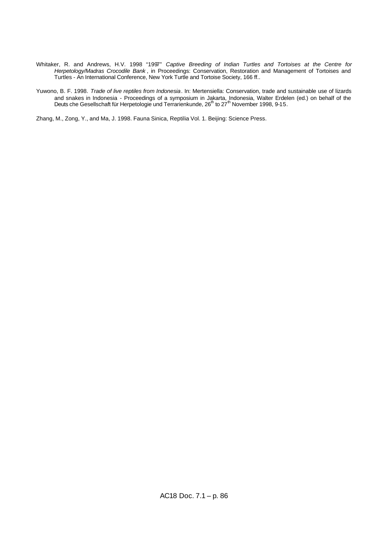- Whitaker, R. and Andrews, H.V. 1998 "1997" *Captive Breeding of Indian Turtles and Tortoises at the Centre for Herpetology/Madras Crocodile Bank* , in Proceedings: Conservation, Restoration and Management of Tortoises and Turtles - An International Conference, New York Turtle and Tortoise Society, 166 ff..
- Yuwono, B. F. 1998. *Trade of live reptiles from Indonesia*. In: Mertensiella: Conservation, trade and sustainable use of lizards and snakes in Indonesia - Proceedings of a symposium in Jakarta, Indonesia, Walter Erdelen (ed.) on behalf of the<br>Deuts che Gesellschaft für Herpetologie und Terrarienkunde, 26<sup>th</sup> to 27<sup>th</sup> November 1998, 9-15.

Zhang, M., Zong, Y., and Ma, J. 1998. Fauna Sinica, Reptilia Vol. 1. Beijing: Science Press.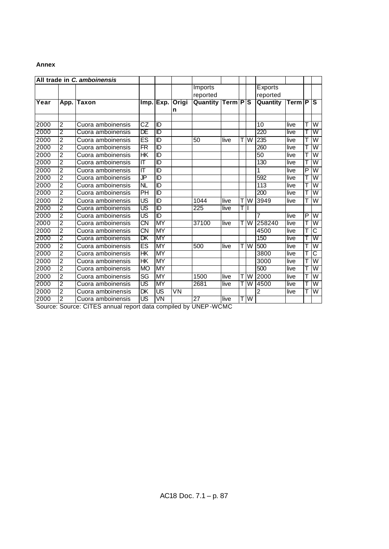# **Annex**

|      |                | All trade in C. amboinensis |                          |                         |       |                  |                 |    |     |                |                    |   |                         |
|------|----------------|-----------------------------|--------------------------|-------------------------|-------|------------------|-----------------|----|-----|----------------|--------------------|---|-------------------------|
|      |                |                             |                          |                         |       | Imports          |                 |    |     | <b>Exports</b> |                    |   |                         |
|      |                |                             |                          |                         |       | reported         |                 |    |     | reported       |                    |   |                         |
| Year | App.           | lTaxon                      | Imp.                     | Exp.                    | Origi | Quantity         | <b>Term PIS</b> |    |     | Quantity       | Term <sup>IP</sup> |   | TS.                     |
|      |                |                             |                          |                         | n     |                  |                 |    |     |                |                    |   |                         |
|      |                |                             |                          |                         |       |                  |                 |    |     |                |                    |   |                         |
| 2000 | $\overline{2}$ | Cuora amboinensis           | CZ                       | ID                      |       |                  |                 |    |     | 10             | live               | T | W                       |
| 2000 | 2              | Cuora amboinensis           | DE                       | īD                      |       |                  |                 |    |     | 220            | live               | Т | W                       |
| 2000 | 2              | Cuora amboinensis           | ES                       | ID                      |       | 50               | live            |    | W   | 235            | live               | T | W                       |
| 2000 | 2              | Cuora amboinensis           | $\overline{\textsf{FR}}$ | $\overline{\mathbb{D}}$ |       |                  |                 |    |     | 260            | live               | T | $\overline{\mathsf{W}}$ |
| 2000 | 2              | Cuora amboinensis           | НK                       | ID                      |       |                  |                 |    |     | 50             | live               | T | W                       |
| 2000 | 2              | Cuora amboinensis           | π                        | īD                      |       |                  |                 |    |     | 130            | live               | Т | W                       |
| 2000 | $\overline{2}$ | Cuora amboinensis           | ΙT                       | ID                      |       |                  |                 |    |     | 1              | live               | P | W                       |
| 2000 | 2              | Cuora amboinensis           | ர                        | $\overline{\mathbb{D}}$ |       |                  |                 |    |     | 592            | live               |   | W                       |
| 2000 | 2              | Cuora amboinensis           | <b>NL</b>                | ID                      |       |                  |                 |    |     | 113            | live               | т | W                       |
| 2000 | 2              | Cuora amboinensis           | PH                       | īD                      |       |                  |                 |    |     | 200            | live               | Т | $\overline{\mathsf{w}}$ |
| 2000 | 2              | Cuora amboinensis           | $\overline{\mathsf{US}}$ | ID                      |       | 1044             | live            | Τ  | W   | 3949           | live               | Т | W                       |
| 2000 | 2              | Cuora amboinensis           | US                       | $\overline{\mathbb{D}}$ |       | $\overline{225}$ | live            | ΤI |     |                |                    |   |                         |
| 2000 | $\overline{2}$ | Cuora amboinensis           | $\overline{\mathsf{US}}$ | ID                      |       |                  |                 |    |     | 7              | live               | P | $\overline{\mathsf{W}}$ |
| 2000 | 2              | Cuora amboinensis           | CΝ                       | MY                      |       | 37100            | live            |    | W   | 258240         | live               |   | $\overline{\mathsf{W}}$ |
| 2000 | $\overline{2}$ | Cuora amboinensis           | $\overline{\text{CN}}$   | <b>MY</b>               |       |                  |                 |    |     | 4500           | live               |   | C                       |
| 2000 | 2              | Cuora amboinensis           | DK                       | MY                      |       |                  |                 |    |     | 150            | live               |   | $\overline{\mathsf{w}}$ |
| 2000 | 2              | Cuora amboinensis           | $\overline{\mathsf{ES}}$ | <b>MY</b>               |       | 500              | live            |    | T W | 500            | live               | T | $\overline{\mathsf{W}}$ |
| 2000 | $\overline{2}$ | Cuora amboinensis           | HК                       | ΜY                      |       |                  |                 |    |     | 3800           | live               | T | C                       |
| 2000 | 2              | Cuora amboinensis           | HK                       | <b>MY</b>               |       |                  |                 |    |     | 3000           | live               | T | W                       |
| 2000 | 2              | Cuora amboinensis           | <b>MO</b>                | MY                      |       |                  |                 |    |     | 500            | live               |   | $\overline{\mathsf{w}}$ |
| 2000 | 2              | Cuora amboinensis           | $\overline{\text{SG}}$   | <b>MY</b>               |       | 1500             | live            |    | W   | 2000           | live               | т | W                       |
| 2000 | 2              | Cuora amboinensis           | US                       | MY                      |       | 2681             | live            |    | W   | 4500           | live               |   | $\overline{\mathsf{w}}$ |
| 2000 | $\overline{2}$ | Cuora amboinensis           | DK                       | US                      | VN    |                  |                 |    |     | 2              | live               | Т | W                       |
| 2000 | 2              | Cuora amboinensis           | US                       | VN                      |       | 27               | llive           |    | W   |                |                    |   |                         |

Source: Source: CITES annual report data compiled by UNEP-WCMC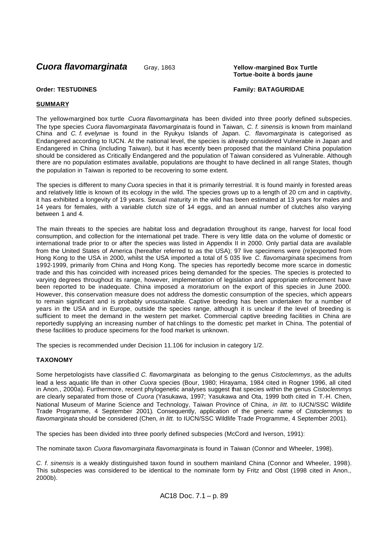**Cuora flavomarginata** Gray, 1863 **Yellow -margined Box Turtle** 

**Tortue -boite à bords jaune**

# **Order: TESTUDINES Family: BATAGURIDAE**

# **SUMMARY**

The yellow-margined box turtle *Cuora flavomarginata* has been divided into three poorly defined subspecies. The type species *Cuora flavomarginata flavomarginata* is found in Taiwan, *C. f. sinensis* is known from mainland China and *C. f. evelynae* is found in the Ryukyu Islands of Japan. *C. flavomarginata* is categorised as Endangered according to IUCN. At the national level, the species is already considered Vulnerable in Japan and Endangered in China (including Taiwan), but it has recently been proposed that the mainland China population should be considered as Critically Endangered and the population of Taiwan considered as Vulnerable. Although there are no population estimates available, populations are thought to have declined in all range States, though the population in Taiwan is reported to be recovering to some extent.

The species is different to many *Cuora* species in that it is primarily terrestrial. It is found mainly in forested areas and relatively little is known of its ecology in the wild. The species grows up to a length of 20 cm and in captivity, it has exhibited a longevity of 19 years. Sexual maturity in the wild has been estimated at 13 years for males and 14 years for females, with a variable clutch size of 14 eggs, and an annual number of clutches also varying between 1 and 4.

The main threats to the species are habitat loss and degradation throughout its range, harvest for local food consumption, and collection for the international pet trade. There is very little data on the volume of domestic or international trade prior to or after the species was listed in Appendix II in 2000. Only partial data are available from the United States of America (hereafter referred to as the USA); 97 live specimens were (re)exported from Hong Kong to the USA in 2000, whilst the USA imported a total of 5 035 live *C. flavomarginata* specimens from 1992-1999, primarily from China and Hong Kong. The species has reportedly become more scarce in domestic trade and this has coincided with increased prices being demanded for the species. The species is protected to varying degrees throughout its range, however, implementation of legislation and appropriate enforcement have been reported to be inadequate. China imposed a moratorium on the export of this species in June 2000. However, this conservation measure does not address the domestic consumption of the species, which appears to remain significant and is probably unsustainable. Captive breeding has been undertaken for a number of years in the USA and in Europe, outside the species range, although it is unclear if the level of breeding is sufficient to meet the demand in the western pet market. Commercial captive breeding facilities in China are reportedly supplying an increasing number of hat chlings to the domestic pet market in China. The potential of these facilities to produce specimens for the food market is unknown.

The species is recommended under Decision 11.106 for inclusion in category 1/2.

# **TAXONOMY**

Some herpetologists have classified *C. flavomarginata* as belonging to the genus *Cistoclemmys*, as the adults lead a less aquatic life than in other *Cuora* species (Bour, 1980; Hirayama, 1984 cited in Rogner 1996, all cited in Anon., 2000a). Furthermore, recent phylogenetic analyses suggest that species within the genus *Cistoclemmys* are clearly separated from those of *Cuora* (Yasukawa, 1997; Yasukawa and Ota, 1999 both cited in T.-H. Chen, National Museum of Marine Science and Technology, Taiwan Province of China, *in litt.* to IUCN/SSC Wildlife Trade Programme, 4 September 2001). Consequently, application of the generic name of *Cistoclemmys* to *flavomarginata* should be considered (Chen, *in litt.* to IUCN/SSC Wildlife Trade Programme, 4 September 2001).

The species has been divided into three poorly defined subspecies (McCord and Iverson, 1991):

The nominate taxon *Cuora flavomarginata flavomarginata* is found in Taiwan (Connor and Wheeler, 1998).

*C. f. sinensis* is a weakly distinguished taxon found in southern mainland China (Connor and Wheeler, 1998). This subspecies was considered to be identical to the nominate form by Fritz and Obst (1998 cited in Anon., 2000b).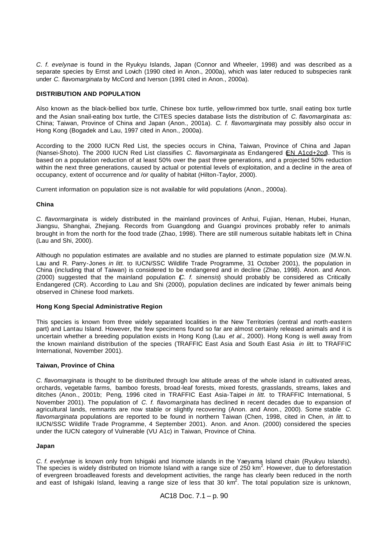*C. f. evelynae* is found in the Ryukyu Islands, Japan (Connor and Wheeler, 1998) and was described as a separate species by Ernst and Lovich (1990 cited in Anon., 2000a), which was later reduced to subspecies rank under *C. flavomarginata* by McCord and Iverson (1991 cited in Anon., 2000a).

# **DISTRIBUTION AND POPULATION**

Also known as the black-bellied box turtle, Chinese box turtle, yellow-rimmed box turtle, snail eating box turtle and the Asian snail-eating box turtle, the CITES species database lists the distribution of *C. flavomarginata* as: China; Taiwan, Province of China and Japan (Anon., 2001a). *C. f. flavomarginata* may possibly also occur in Hong Kong (Bogadek and Lau, 1997 cited in Anon., 2000a).

According to the 2000 IUCN Red List, the species occurs in China, Taiwan, Province of China and Japan (Nansei-Shoto). The 2000 IUCN Red List classifies *C. flavomarginata* as Endangered (EN A1cd+2cd). This is based on a population reduction of at least 50% over the past three generations, and a projected 50% reduction within the next three generations, caused by actual or potential levels of exploitation, and a decline in the area of occupancy, extent of occurrence and /or quality of habitat (Hilton-Taylor, 2000).

Current information on population size is not available for wild populations (Anon., 2000a).

## **China**

*C. flavormarginata* is widely distributed in the mainland provinces of Anhui, Fujian, Henan, Hubei, Hunan, Jiangsu, Shanghai, Zhejiang. Records from Guangdong and Guangxi provinces probably refer to animals brought in from the north for the food trade (Zhao, 1998). There are still numerous suitable habitats left in China (Lau and Shi, 2000).

Although no population estimates are available and no studies are planned to estimate population size (M.W.N. Lau and R. Parry-Jones *in litt.* to IUCN/SSC Wildlife Trade Programme, 31 October 2001), the population in China (including that of Taiwan) is considered to be endangered and in decline (Zhao, 1998). Anon. and Anon. (2000) suggested that the mainland population (*C. f. sinensis*) should probably be considered as Critically Endangered (CR). According to Lau and Shi (2000), population declines are indicated by fewer animals being observed in Chinese food markets.

## **Hong Kong Special Administrative Region**

This species is known from three widely separated localities in the New Territories (central and north-eastern part) and Lantau Island. However, the few specimens found so far are almost certainly released animals and it is uncertain whether a breeding population exists in Hong Kong (Lau *et al*., 2000). Hong Kong is well away from the known mainland distribution of the species (TRAFFIC East Asia and South East Asia *in litt*. to TRAFFIC International, November 2001).

## **Taiwan, Province of China**

*C. flavomarginata* is thought to be distributed through low altitude areas of the whole island in cultivated areas, orchards, vegetable farms, bamboo forests, broad-leaf forests, mixed forests, grasslands, streams, lakes and ditches (Anon., 2001b; Peng, 1996 cited in TRAFFIC East Asia-Taipei *in litt.* to TRAFFIC International, 5 November 2001). The population of *C. f. flavomarginata* has declined in recent decades due to expansion of agricultural lands, remnants are now stable or slightly recovering (Anon. and Anon., 2000). Some stable *C. flavomarginata* populations are reported to be found in northern Taiwan (Chen, 1998, cited in Chen, *in litt.* to IUCN/SSC Wildlife Trade Programme, 4 September 2001). Anon. and Anon. (2000) considered the species under the IUCN category of Vulnerable (VU A1c) in Taiwan, Province of China.

## **Japan**

*C. f. evelynae* is known only from Ishigaki and Iriomote islands in the Yaeyama Island chain (Ryukyu Islands). The species is widely distributed on Iriomote Island with a range size of 250 km<sup>2</sup>. However, due to deforestation of evergreen broadleaved forests and development activities, the range has clearly been reduced in the north and east of Ishigaki Island, leaving a range size of less that 30 km<sup>2</sup>. The total population size is unknown,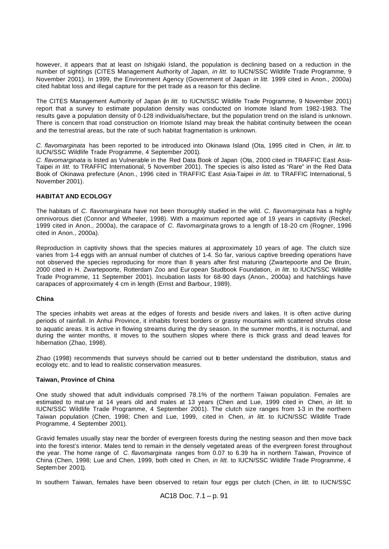however, it appears that at least on Ishigaki Island, the population is declining based on a reduction in the number of sightings (CITES Management Authority of Japan, *in litt.* to IUCN/SSC Wildlife Trade Programme, 9 November 2001). In 1999, the Environment Agency (Government of Japan *in litt.* 1999 cited in Anon., 2000a) cited habitat loss and illegal capture for the pet trade as a reason for this decline.

The CITES Management Authority of Japan (*in litt.* to IUCN/SSC Wildlife Trade Programme, 9 November 2001) report that a survey to estimate population density was conducted on Iriomote Island from 1982-1983. The results gave a population density of 0-128 individuals/hectare, but the population trend on the island is unknown. There is concern that road construction on Iriomote Island may break the habitat continuity between the ocean and the terrestrial areas, but the rate of such habitat fragmentation is unknown.

*C. flavomarginata* has been reported to be introduced into Okinawa Island (Ota, 1995 cited in Chen, *in litt.* to IUCN/SSC Wildlife Trade Programme, 4 September 2001)*.*

*C. flavomarginata* is listed as Vulnerable in the Red Data Book of Japan (Ota, 2000 cited in TRAFFIC East Asia-Taipei *in litt.* to TRAFFIC International, 5 November 2001). The species is also listed as "Rare" in the Red Data Book of Okinawa prefecture (Anon., 1996 cited in TRAFFIC East Asia-Taipei *in litt.* to TRAFFIC International, 5 November 2001).

# **HABITAT AND ECOLOGY**

The habitats of *C. flavomarginata* have not been thoroughly studied in the wild. *C. flavomarginata* has a highly omnivorous diet (Connor and Wheeler, 1998). With a maximum reported age of 19 years in captivity (Reckel, 1999 cited in Anon., 2000a), the carapace of *C. flavomarginata* grows to a length of 18-20 cm (Rogner, 1996 cited in Anon., 2000a).

Reproduction in captivity shows that the species matures at approximately 10 years of age. The clutch size varies from 1-4 eggs with an annual number of clutches of 1-4. So far, various captive breeding operations have not observed the species reproducing for more than 8 years after first maturing (Zwartepoorte and De Bruin, 2000 cited in H. Zwartepoorte, Rotterdam Zoo and Eur opean Studbook Foundation, *in litt*. to IUCN/SSC Wildlife Trade Programme, 11 September 2001). Incubation lasts for 68-90 days (Anon., 2000a) and hatchlings have carapaces of approximately 4 cm in length (Ernst and Barbour, 1989).

#### **China**

The species inhabits wet areas at the edges of forests and beside rivers and lakes. It is often active during periods of rainfall. In Anhui Province, it inhabits forest borders or grassy mountains with scattered shrubs close to aquatic areas. It is active in flowing streams during the dry season. In the summer months, it is nocturnal, and during the winter months, it moves to the southern slopes where there is thick grass and dead leaves for hibernation (Zhao, 1998).

Zhao (1998) recommends that surveys should be carried out to better understand the distribution, status and ecology etc. and to lead to realistic conservation measures.

#### **Taiwan, Province of China**

One study showed that adult individuals comprised 78.1% of the northern Taiwan population. Females are estimated to mat ure at 14 years old and males at 13 years (Chen and Lue, 1999 cited in Chen, *in litt.* to IUCN/SSC Wildlife Trade Programme, 4 September 2001). The clutch size ranges from 1-3 in the northern Taiwan population (Chen, 1998; Chen and Lue, 1999, cited in Chen, *in litt.* to IUCN/SSC Wildlife Trade Programme, 4 September 2001).

Gravid females usually stay near the border of evergreen forests during the nesting season and then move back into the forest's interior. Males tend to remain in the densely vegetated areas of the evergreen forest throughout the year. The home range of *C. flavomarginata* ranges from 0.07 to 6.39 ha in northern Taiwan, Province of China (Chen, 1998; Lue and Chen, 1999, both cited in Chen, *in litt.* to IUCN/SSC Wildlife Trade Programme, 4 Septem ber 2001).

In southern Taiwan, females have been observed to retain four eggs per clutch (Chen, *in litt.* to IUCN/SSC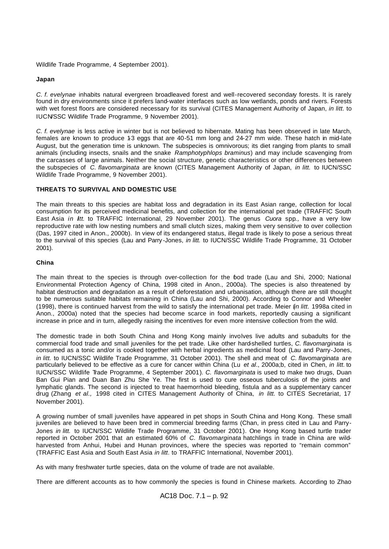Wildlife Trade Programme, 4 September 2001).

# **Japan**

*C. f. evelynae* inhabits natural evergreen broadleaved forest and well-recovered secondary forests. It is rarely found in dry environments since it prefers land-water interfaces such as low wetlands, ponds and rivers. Forests with wet forest floors are considered necessary for its survival (CITES Management Authority of Japan, *in litt.* to IUCN/SSC Wildlife Trade Programme, 9 November 2001).

*C. f. evelynae* is less active in winter but is not believed to hibernate. Mating has been observed in late March, females are known to produce 13 eggs that are 40-51 mm long and 24-27 mm wide. These hatch in mid-late August, but the generation time is unknown. The subspecies is omnivorous; its diet ranging from plants to small animals (including insects, snails and the snake *Ramphotyphlops braminus*) and may include scavenging from the carcasses of large animals. Neither the social structure, genetic characteristics or other differences between the subspecies of *C. flavomarginata* are known (CITES Management Authority of Japan, *in litt.* to IUCN/SSC Wildlife Trade Programme, 9 November 2001).

# **THREATS TO SURVIVAL AND DOMESTIC USE**

The main threats to this species are habitat loss and degradation in its East Asian range, collection for local consumption for its perceived medicinal benefits, and collection for the international pet trade (TRAFFIC South East Asia *in litt*. to TRAFFIC International, 29 November 2001). The genus *Cuora* spp*.,* have a very low reproductive rate with low nesting numbers and small clutch sizes, making them very sensitive to over collection (Das, 1997 cited in Anon., 2000b). In view of its endangered status, illegal trade is likely to pose a serious threat to the survival of this species (Lau and Parry -Jones, *in litt.* to IUCN/SSC Wildlife Trade Programme, 31 October 2001).

# **China**

The main threat to the species is through over-collection for the food trade (Lau and Shi, 2000; National Environmental Protection Agency of China, 1998 cited in Anon., 2000a). The species is also threatened by habitat destruction and degradation as a result of deforestation and urbanisation, although there are still thought to be numerous suitable habitats remaining in China (Lau and Shi, 2000). According to Connor and Wheeler (1998), there is continued harvest from the wild to satisfy the international pet trade. Meier (*in litt.* 1998a cited in Anon., 2000a) noted that the species had become scarce in food markets, reportedly causing a significant increase in price and in turn, allegedly raising the incentives for even more intensive collection from the wild.

The domestic trade in both South China and Hong Kong mainly involves live adults and subadults for the commercial food trade and small juveniles for the pet trade. Like other hard-shelled turtles, *C. flavomarginata* is consumed as a tonic and/or is cooked together with herbal ingredients as medicinal food (Lau and Parry-Jones, *in litt.* to IUCN/SSC Wildlife Trade Programme, 31 October 2001). The shell and meat of *C. flavomarginata* are particularly believed to be effective as a cure for cancer within China (Lu *et al*., 2000a;b, cited in Chen, *in litt.* to IUCN/SSC Wildlife Trade Programme, 4 September 2001). *C. flavomarginata* is used to make two drugs, Duan Ban Gui Pian and Duan Ban Zhu She Ye. The first is used to cure osseous tuberculosis of the joints and lymphatic glands. The second is injected to treat haemorrhoid bleeding, fistula and as a supplementary cancer drug (Zhang *et al.,* 1998 cited in CITES Management Authority of China, *in litt.* to CITES Secretariat, 17 November 2001).

A growing number of small juveniles have appeared in pet shops in South China and Hong Kong. These small juveniles are believed to have been bred in commercial breeding farms (Chan, in press cited in Lau and Parry-Jones *in litt.* to IUCN/SSC Wildlife Trade Programme, 31 October 2001). One Hong Kong based turtle trader reported in October 2001 that an estimated 60% of *C. flavomarginata* hatchlings in trade in China are wildharvested from Anhui, Hubei and Hunan provinces, where the species was reported to "remain common" (TRAFFIC East Asia and South East Asia *in litt*. to TRAFFIC International, November 2001).

As with many freshwater turtle species, data on the volume of trade are not available.

There are different accounts as to how commonly the species is found in Chinese markets. According to Zhao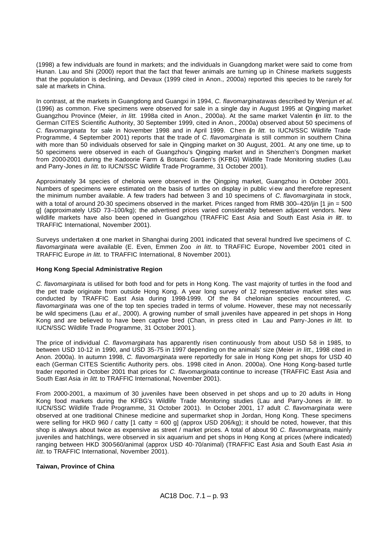(1998) a few individuals are found in markets; and the individuals in Guangdong market were said to come from Hunan. Lau and Shi (2000) report that the fact that fewer animals are turning up in Chinese markets suggests that the population is declining, and Devaux (1999 cited in Anon., 2000a) reported this species to be rarely for sale at markets in China.

In contrast, at the markets in Guangdong and Guangxi in 1994, *C. flavomarginata* was described by Wenjun *et al.* (1996) as common. Five specimens were observed for sale in a single day in August 1995 at Qingping market Guangzhou Province (Meier, *in litt.* 1998a cited in Anon., 2000a). At the same market Valentin (*in litt*. to the German CITES Scientific Authority, 30 September 1999, cited in Anon., 2000a) observed about 50 specimens of *C. flavomarginata* for sale in November 1998 and in April 1999. Chen (*in litt.* to IUCN/SSC Wildlife Trade Programme, 4 September 2001) reports that the trade of *C. flavomarginata* is still common in southern China with more than 50 individuals observed for sale in Qingping market on 30 August, 2001. At any one time, up to 50 specimens were observed in each of Guangzhou's Qingping market and in Shenzhen's Dongmen market from 2000-2001 during the Kadoorie Farm & Botanic Garden's (KFBG) Wildlife Trade Monitoring studies (Lau and Parry-Jones *in litt*. to IUCN/SSC Wildlife Trade Programme, 31 October 2001).

Approximately 34 species of chelonia were observed in the Qingping market, Guangzhou in October 2001. Numbers of specimens were estimated on the basis of turtles on display in public vi ew and therefore represent the minimum number available. A few traders had between 3 and 10 specimens of *C. flavomarginata* in stock, with a total of around 20-30 specimens observed in the market. Prices ranged from RMB 300–420/jin [1 jin = 500 g] (approximately USD 73–100/kg); the advertised prices varied considerably between adjacent vendors. New wildlife markets have also been opened in Guangzhou (TRAFFIC East Asia and South East Asia *in litt*. to TRAFFIC International, November 2001).

Surveys undertaken at one market in Shanghai during 2001 indicated that several hundred live specimens of *C. flavomarginata* were available (E. Even, Emmen Zoo *in litt*. to TRAFFIC Europe, November 2001 cited in TRAFFIC Europe *in litt.* to TRAFFIC International, 8 November 2001).

# **Hong Kong Special Administrative Region**

*C. flavomarginata* is utilised for both food and for pets in Hong Kong. The vast majority of turtles in the food and the pet trade originate from outside Hong Kong. A year long survey of 12 representative market sites was conducted by TRAFFIC East Asia during 1998-1999. Of the 84 chelonian species encountered, *C. flavomarginata* was one of the top ten species traded in terms of volume. However, these may not necessarily be wild specimens (Lau *et al*., 2000). A growing number of small juveniles have appeared in pet shops in Hong Kong and are believed to have been captive bred (Chan, in press cited in Lau and Parry-Jones *in litt.* to IUCN/SSC Wildlife Trade Programme, 31 October 2001 ).

The price of individual *C. flavomarginata* has apparently risen continuously from about USD 58 in 1985, to between USD 10-12 in 1990, and USD 35-75 in 1997 depending on the animals' size (Meier *in litt*., 1998 cited in Anon. 2000a). In autumn 1998, *C. flavomarginata* were reportedly for sale in Hong Kong pet shops for USD 40 each (German CITES Scientific Authority pers. obs*.* 1998 cited in Anon. 2000a). One Hong Kong-based turtle trader reported in October 2001 that prices for *C. flavomarginata* continue to increase (TRAFFIC East Asia and South East Asia *in litt*. to TRAFFIC International, November 2001).

From 2000-2001, a maximum of 30 juveniles have been observed in pet shops and up to 20 adults in Hong Kong food markets during the KFBG's Wildlife Trade Monitoring studies (Lau and Parry-Jones *in litt*. to IUCN/SSC Wildlife Trade Programme, 31 October 2001). In October 2001, 17 adult *C. flavomarginata* were observed at one traditional Chinese medicine and supermarket shop in Jordan, Hong Kong. These specimens were selling for HKD 960 / catty [1 catty = 600 g] (approx USD 206/kg); it should be noted, however, that this shop is always about twice as expensive as street / market prices. A total of about 90 *C. flavomarginata*, mainly juveniles and hatchlings, were observed in six aquarium and pet shops in Hong Kong at prices (where indicated) ranging between HKD 300-560/animal (approx USD 40-70/animal) (TRAFFIC East Asia and South East Asia *in litt*. to TRAFFIC International, November 2001).

# **Taiwan, Province of China**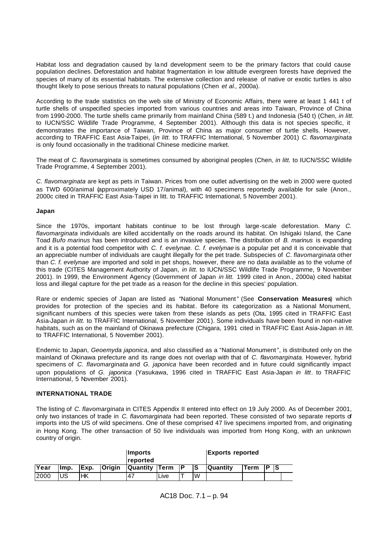Habitat loss and degradation caused by la nd development seem to be the primary factors that could cause population declines. Deforestation and habitat fragmentation in low altitude evergreen forests have deprived the species of many of its essential habitats. The extensive collection and release of native or exotic turtles is also thought likely to pose serious threats to natural populations (Chen *et al*., 2000a).

According to the trade statistics on the web site of Ministry of Economic Affairs, there were at least 1 441 t of turtle shells of unspecified species imported from various countries and areas into Taiwan, Province of China from 1990-2000. The turtle shells came primarily from mainland China (589 t.) and Indonesia (540 t) (Chen, *in litt.* to IUCN/SSC Wildlife Trade Programme, 4 September 2001). Although this data is not species specific, it demonstrates the importance of Taiwan, Province of China as major consumer of turtle shells. However, according to TRAFFIC East Asia-Taipei, (*in litt.* to TRAFFIC International, 5 November 2001) *C. flavomarginata* is only found occasionally in the traditional Chinese medicine market.

The meat of *C. flavomarginata* is sometimes consumed by aboriginal peoples (Chen, *in litt.* to IUCN/SSC Wildlife Trade Programme, 4 September 2001).

*C. flavomarginata* are kept as pets in Taiwan. Prices from one outlet advertising on the web in 2000 were quoted as TWD 600/animal (approximately USD 17/animal), with 40 specimens reportedly available for sale (Anon., 2000c cited in TRAFFIC East Asia-Taipei in litt. to TRAFFIC International, 5 November 2001).

## **Japan**

Since the 1970s, important habitats continue to be lost through large-scale deforestation. Many *C. flavomarginata* individuals are killed accidentally on the roads around its habitat. On Ishigaki Island, the Cane Toad *Bufo marinus* has been introduced and is an invasive species. The distribution of *B. marinus* is expanding and it is a potential food competitor with *C. f. evelynae. C. f. evelynae* is a popular pet and it is conceivable that an appreciable number of individuals are caught illegally for the pet trade. Subspecies of *C. flavomarginata* other than *C. f. evelynae* are imported and sold in pet shops, however, there are no data available as to the volume of this trade (CITES Management Authority of Japan, *in litt.* to IUCN/SSC Wildlife Trade Programme, 9 November 2001). In 1999, the Environment Agency (Government of Japan *in litt.* 1999 cited in Anon., 2000a) cited habitat loss and illegal capture for the pet trade as a reason for the decline in this species' population.

Rare or endemic species of Japan are listed as "National Monument" (See **Conservation Measures**) which provides for protection of the species and its habitat. Before its categorization as a National Monument, significant numbers of this species were taken from these islands as pets (Ota, 1995 cited in TRAFFIC East Asia-Japan *in litt.* to TRAFFIC International, 5 November 2001). Some individuals have been found in non-native habitats, such as on the mainland of Okinawa prefecture (Chigara, 1991 cited in TRAFFIC East Asia-Japan *in litt.* to TRAFFIC International, 5 November 2001).

Endemic to Japan, *Geoemyda japonica*, and also classified as a "National Monument", is distributed only on the mainland of Okinawa prefecture and its range does not overlap with that of *C. flavomarginata*. However, hybrid specimens of *C. flavomarginata* and *G. japonica* have been recorded and in future could significantly impact upon populations of *G. japonica* (Yasukawa, 1996 cited in TRAFFIC East Asia-Japan *in litt*. to TRAFFIC International, 5 November 2001).

#### **INTERNATIONAL TRADE**

The listing of *C. flavomarginata* in CITES Appendix II entered into effect on 19 July 2000. As of December 2001, only two instances of trade in *C. flavomarginata* had been reported. These consisted of two separate reports of imports into the US of wild specimens. One of these comprised 47 live specimens imported from, and originating in Hong Kong. The other transaction of 50 live individuals was imported from Hong Kong, with an unknown country of origin.

|      |      |       |                | <b>Imports</b>       |      |      | <b>Exports reported</b> |                  |      |    |    |  |
|------|------|-------|----------------|----------------------|------|------|-------------------------|------------------|------|----|----|--|
|      |      |       |                | <b>Ireported</b>     |      |      |                         |                  |      |    |    |  |
| Year | Imp. | IExp. | <b>IOrigin</b> | <b>Quantity Term</b> |      | . IP | IS                      | <b>IQuantity</b> | Term | םו | IS |  |
| 2000 | US   | HK    |                | .47                  | Live |      | lW                      |                  |      |    |    |  |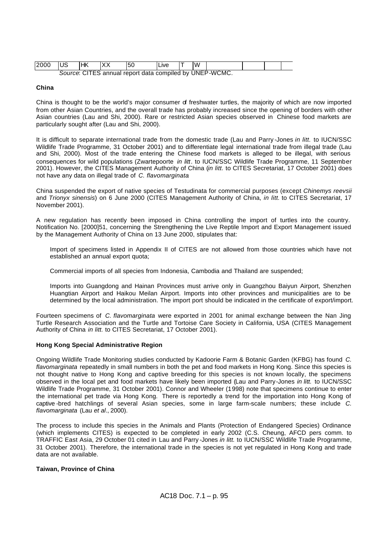| 2000                                                    | <b>IUS</b> | 'HK |  | -50 | .∟ive |  | lW |  |  |  |
|---------------------------------------------------------|------------|-----|--|-----|-------|--|----|--|--|--|
| Source: CITES annual report data compiled by UNEP-WCMC. |            |     |  |     |       |  |    |  |  |  |

#### **China**

China is thought to be the world's major consumer of freshwater turtles, the majority of which are now imported from other Asian Countries, and the overall trade has probably increased since the opening of borders with other Asian countries (Lau and Shi, 2000). Rare or restricted Asian species observed in Chinese food markets are particularly sought after (Lau and Shi, 2000).

It is difficult to separate international trade from the domestic trade (Lau and Parry -Jones *in litt.* to IUCN/SSC Wildlife Trade Programme, 31 October 2001) and to differentiate legal international trade from illegal trade (Lau and Shi, 2000). Most of the trade entering the Chinese food markets is alleged to be illegal, with serious consequences for wild populations (Zwartepoorte *in litt*. to IUCN/SSC Wildlife Trade Programme, 11 September 2001). However, the CITES Management Authority of China (*in litt.* to CITES Secretariat, 17 October 2001) does not have any data on illegal trade of *C. flavomarginata*.

China suspended the export of native species of Testudinata for commercial purposes (except *Chinemys reevsii* and *Trionyx sinensis*) on 6 June 2000 (CITES Management Authority of China, *in litt.* to CITES Secretariat, 17 November 2001).

A new regulation has recently been imposed in China controlling the import of turtles into the country. Notification No. [2000]51, concerning the Strengthening the Live Reptile Import and Export Management issued by the Management Authority of China on 13 June 2000, stipulates that:

Import of specimens listed in Appendix II of CITES are not allowed from those countries which have not established an annual export quota;

Commercial imports of all species from Indonesia, Cambodia and Thailand are suspended;

Imports into Guangdong and Hainan Provinces must arrive only in Guangzhou Baiyun Airport, Shenzhen Huangtian Airport and Haikou Meilan Airport. Imports into other provinces and municipalities are to be determined by the local administration. The import port should be indicated in the certificate of export/import.

Fourteen specimens of *C. flavomarginata* were exported in 2001 for animal exchange between the Nan Jing Turtle Research Association and the Turtle and Tortoise Care Society in California, USA (CITES Management Authority of China *in litt.* to CITES Secretariat, 17 October 2001).

## **Hong Kong Special Administrative Region**

Ongoing Wildlife Trade Monitoring studies conducted by Kadoorie Farm & Botanic Garden (KFBG) has found *C. flavomarginata* repeatedly in small numbers in both the pet and food markets in Hong Kong. Since this species is not thought native to Hong Kong and captive breeding for this species is not known locally, the specimens observed in the local pet and food markets have likely been imported (Lau and Parry-Jones *in litt.* to IUCN/SSC Wildlife Trade Programme, 31 October 2001). Connor and Wheeler (1998) note that specimens continue to enter the international pet trade via Hong Kong. There is reportedly a trend for the importation into Hong Kong of captive -bred hatchlings of several Asian species, some in large farm-scale numbers; these include *C. flavomarginata* (Lau *et al*., 2000).

The process to include this species in the Animals and Plants (Protection of Endangered Species) Ordinance (which implements CITES) is expected to be completed in early 2002 (C.S. Cheung, AFCD pers comm. to TRAFFIC East Asia, 29 October 01 cited in Lau and Parry -Jones *in litt.* to IUCN/SSC Wildlife Trade Programme, 31 October 2001). Therefore, the international trade in the species is not yet regulated in Hong Kong and trade data are not available.

# **Taiwan, Province of China**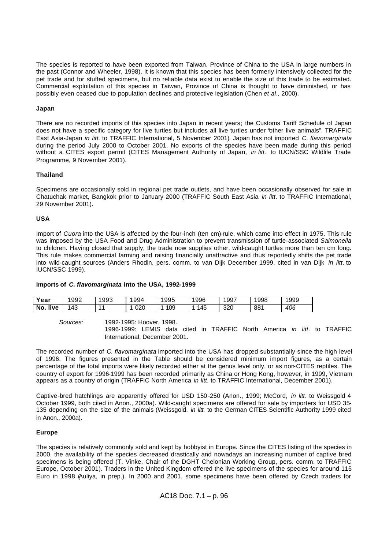The species is reported to have been exported from Taiwan, Province of China to the USA in large numbers in the past (Connor and Wheeler, 1998). It is known that this species has been formerly intensively collected for the pet trade and for stuffed specimens, but no reliable data exist to enable the size of this trade to be estimated. Commercial exploitation of this species in Taiwan, Province of China is thought to have diminished, or has possibly even ceased due to population declines and protective legislation (Chen *et al*., 2000).

#### **Japan**

There are no recorded imports of this species into Japan in recent years; the Customs Tariff Schedule of Japan does not have a specific category for live turtles but includes all live turtles under "other live animals". TRAFFIC East Asia-Japan *in litt.* to TRAFFIC International, 5 November 2001). Japan has not imported *C. flavomarginata*  during the period July 2000 to October 2001. No exports of the species have been made during this period without a CITES export permit (CITES Management Authority of Japan, *in litt.* to IUCN/SSC Wildlife Trade Programme, 9 November 2001).

#### **Thailand**

Specimens are occasionally sold in regional pet trade outlets, and have been occasionally observed for sale in Chatuchak market, Bangkok prior to January 2000 (TRAFFIC South East Asia *in litt*. to TRAFFIC International, 29 November 2001).

#### **USA**

Import of *Cuora* into the USA is affected by the four-inch (ten cm)-rule, which came into effect in 1975. This rule was imposed by the USA Food and Drug Administration to prevent transmission of turtle-associated *Salmonella* to children. Having closed that supply, the trade now supplies other, wild-caught turtles more than ten cm long. This rule makes commercial farming and raising financially unattractive and thus reportedly shifts the pet trade into wild-caught sources (Anders Rhodin, pers. comm. to van Dijk December 1999, cited in van Dijk *in litt*. to IUCN/SSC 1999).

#### **Imports of** *C. flavomarginata* **into the USA, 1992-1999**

| Year        | 1992 | 1993 | 1994 | 1995 | 1996 | 1997 | 1998 | 1999 |
|-------------|------|------|------|------|------|------|------|------|
| live<br>No. | 143  | 44   | 020  | 109  | 145  | 320  | 881  | 406  |

*Sources:* 1992-1995: Hoover, 1998.

1996-1999: LEMIS data cited in TRAFFIC North America *in litt*. to TRAFFIC International, December 2001.

The recorded number of *C. flavomarginata* imported into the USA has dropped substantially since the high level of 1996. The figures presented in the Table should be considered minimum import figures, as a certain percentage of the total imports were likely recorded either at the genus level only, or as non-CITES reptiles. The country of export for 1996-1999 has been recorded primarily as China or Hong Kong, however, in 1999, Vietnam appears as a country of origin (TRAFFIC North America *in litt*. to TRAFFIC International, December 2001).

Captive-bred hatchlings are apparently offered for USD 150 -250 (Anon., 1999; McCord, *in litt.* to Weissgold 4 October 1999, both cited in Anon., 2000a). Wild-caught specimens are offered for sale by importers for USD 35- 135 depending on the size of the animals (Weissgold, *in litt.* to the German CITES Scientific Authority 1999 cited in Anon., 2000a).

## **Europe**

The species is relatively commonly sold and kept by hobbyist in Europe. Since the CITES listing of the species in 2000, the availability of the species decreased drastically and nowadays an increasing number of captive bred specimens is being offered (T. Vinke, Chair of the DGHT Chelonian Working Group, pers. comm. to TRAFFIC Europe, October 2001). Traders in the United Kingdom offered the live specimens of the species for around 115 Euro in 1998 (Auliya, in prep.). In 2000 and 2001, some specimens have been offered by Czech traders for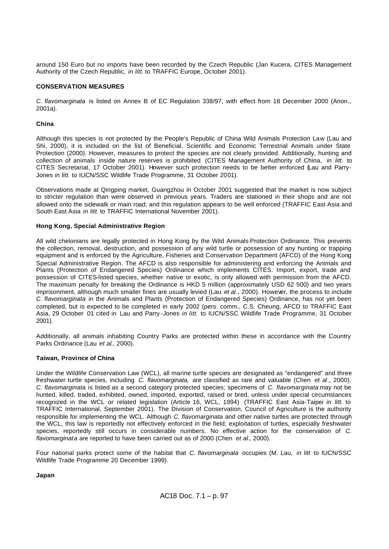around 150 Euro but no imports have been recorded by the Czech Republic (Jan Kucera, CITES Management Authority of the Czech Republic, *in litt*. to TRAFFIC Europe, October 2001).

# **CONSERVATION MEASURES**

*C. flavomarginata* is listed on Annex B of EC Regulation 338/97, with effect from 18 December 2000 (Anon., 2001a).

## **China**

Although this species is not protected by the People's Republic of China Wild Animals Protection Law (Lau and Shi, 2000), it is included on the list of Beneficial, Scientific and Economic Terrestrial Animals under State Protection (2000). However, measures to protect the species are not clearly provided. Additionally, hunting and collection of animals inside nature reserves is prohibited (CITES Management Authority of China, *in litt.* to CITES Secretariat, 17 October 2001). However such protection needs to be better enforced (Lau and Parry-Jones *in litt.* to IUCN/SSC Wildlife Trade Programme, 31 October 2001).

Observations made at Qingping market, Guangzhou in October 2001 suggested that the market is now subject to stricter regulation than were observed in previous years. Traders are stationed in their shops and are not allowed onto the sidewalk or main road; and this regulation appears to be well enforced (TRAFFIC East Asia and South East Asia *in litt*. to TRAFFIC International November 2001).

## **Hong Kong, Special Administrative Region**

All wild chelonians are legally protected in Hong Kong by the Wild Animals Protection Ordinance. This prevents the collection, removal, destruction, and possession of any wild turtle or possession of any hunting or trapping equipment and is enforced by the Agriculture, Fisheries and Conservation Department (AFCD) of the Hong Kong Special Administrative Region. The AFCD is also responsible for administering and enforcing the Animals and Plants (Protection of Endangered Species) Ordinance which implements CITES. Import, export, trade and possession of CITES-listed species, whether native or exotic, is only allowed with permission from the AFCD. The maximum penalty for breaking the Ordinance is HKD 5 million (approximately USD 62 500) and two years imprisonment, although much smaller fines are usually levied (Lau *et al*., 2000). However, the process to include *C. flavomarginata* in the Animals and Plants (Protection of Endangered Species) Ordinance, has not yet been completed, but is expected to be completed in early 2002 (pers. comm., C.S. Cheung, AFCD to TRAFFIC East Asia, 29 October 01 cited in Lau and Parry -Jones *in litt.* to IUCN/SSC Wildlife Trade Programme, 31 October 2001).

Additionally, all animals inhabiting Country Parks are protected within these in accordance with the Country Parks Ordinance (Lau *et al*., 2000).

## **Taiwan, Province of China**

Under the Wildlife Conservation Law (WCL), all marine turtle species are designated as "endangered" and three freshwater turtle species, including *C. flavomarginata,* are classified as rare and valuable (Chen *et al*., 2000). *C. flavomarginata* is listed as a second category protected species; specimens of *C. flavomarginata* may not be hunted, killed, traded, exhibited, owned, imported, exported, raised or bred, unless under special circumstances recognized in the WCL or related legislation (Article 16, WCL, 1994) (TRAFFIC East Asia-Taipei *in litt.* to TRAFFIC International, September 2001). The Division of Conservation, Council of Agriculture is the authority responsible for implementing the WCL. Although *C. flavomarginata* and other native turtles are protected through the WCL, this law is reportedly not effectively enforced in the field; exploitation of turtles, especially freshwater species, reportedly still occurs in considerable numbers. No effective action for the conservation of *C. flavomarginata* are reported to have been carried out as of 2000 (Chen *et al*., 2000).

Four national parks protect some of the habitat that *C. flavomarginata* occupies (M. Lau, *in litt* to IUCN/SSC Wildlife Trade Programme 20 December 1999).

## **Japan**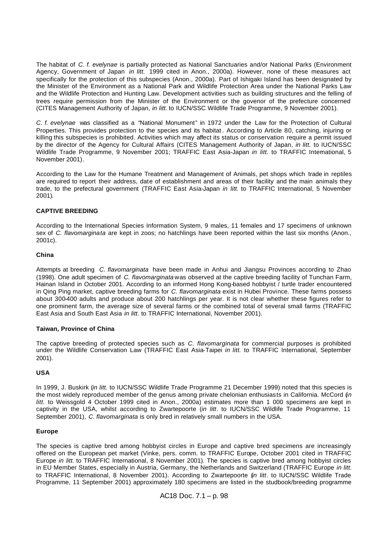The habitat of *C. f. evelynae* is partially protected as National Sanctuaries and/or National Parks (Environment Agency, Government of Japan *in litt.* 1999 cited in Anon., 2000a). However, none of these measures act specifically for the protection of this subspecies (Anon., 2000a). Part of Ishigaki Island has been designated by the Minister of the Environment as a National Park and Wildlife Protection Area under the National Parks Law and the Wildlife Protection and Hunting Law. Development activities such as building structures and the felling of trees require permission from the Minister of the Environment or the govenor of the prefecture concerned (CITES Management Authority of Japan, *in litt.* to IUCN/SSC Wildlife Trade Programme, 9 November 2001).

*C. f. evelynae* was classified as a "National Monument" in 1972 under the Law for the Protection of Cultural Properties. This provides protection to the species and its habitat . According to Article 80, catching, injuring or killing this subspecies is prohibited. Activities which may affect its status or conservation require a permit issued by the director of the Agency for Cultural Affairs (CITES Management Authority of Japan, *in litt.* to IUCN/SSC Wildlife Trade Programme, 9 November 2001; TRAFFIC East Asia-Japan *in litt.* to TRAFFIC International, 5 November 2001).

According to the Law for the Humane Treatment and Management of Animals, pet shops which trade in reptiles are required to report their address, date of establishment and areas of their facility and the main animals they trade, to the prefectural government (TRAFFIC East Asia-Japan *in litt.* to TRAFFIC International, 5 November 2001).

# **CAPTIVE BREEDING**

According to the International Species Information System, 9 males, 11 females and 17 specimens of unknown sex of *C. flavomarginata* are kept in zoos; no hatchlings have been reported within the last six months (Anon., 2001c).

## **China**

Attempts at breeding *C. flavomarginata* have been made in Anhui and Jiangsu Provinces according to Zhao (1998). One adult specimen of *C. flavomarginata* was observed at the captive breeding facility of Tunchan Farm, Hainan Island in October 2001. According to an informed Hong Kong-based hobbyist / turtle trader encountered in Qing Ping market, captive breeding farms for *C. flavomarginata* exist in Hubei Province. These farms possess about 300-400 adults and produce about 200 hatchlings per year. It is not clear whether these figures refer to one prominent farm, the average size of several farms or the combined total of several small farms (TRAFFIC East Asia and South East Asia *in litt*. to TRAFFIC International, November 2001).

## **Taiwan, Province of China**

The captive breeding of protected species such as *C. flavomarginata* for commercial purposes is prohibited under the Wildlife Conservation Law (TRAFFIC East Asia-Taipei *in litt.* to TRAFFIC International, September 2001).

## **USA**

In 1999, J. Buskirk (*in litt.* to IUCN/SSC Wildlife Trade Programme 21 December 1999) noted that this species is the most widely reproduced member of the genus among private chelonian enthusiasts in California. McCord (*in litt.* to Weissgold 4 October 1999 cited in Anon., 2000a) estimates more than 1 000 specimens are kept in captivity in the USA, whilst according to Zwartepoorte (*in litt*. to IUCN/SSC Wildlife Trade Programme, 11 September 2001), *C. flavomarginata* is only bred in relatively small numbers in the USA.

#### **Europe**

The species is captive bred among hobbyist circles in Europe and captive bred specimens are increasingly offered on the European pet market (Vinke, pers. comm. to TRAFFIC Europe, October 2001 cited in TRAFFIC Europe *in litt.* to TRAFFIC International, 8 November 2001). The species is captive bred among hobbyist circles in EU Member States, especially in Austria, Germany, the Netherlands and Switzerland (TRAFFIC Europe *in litt.* to TRAFFIC International, 8 November 2001). According to Zwartepoorte (*in litt*. to IUCN/SSC Wildlife Trade Programme, 11 September 2001) approximately 180 specimens are listed in the studbook/breeding programme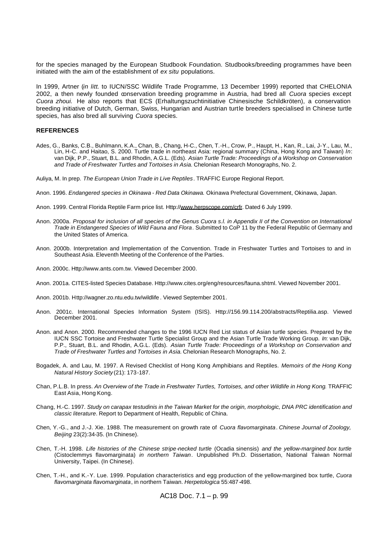for the species managed by the European Studbook Foundation. Studbooks/breeding programmes have been initiated with the aim of the establishment of *ex situ* populations.

In 1999, Artner (*in litt*. to IUCN/SSC Wildlife Trade Programme, 13 December 1999) reported that CHELONIA 2002, a then newly founded conservation breeding programme in Austria, had bred all *Cuora* species except *Cuora zhoui.* He also reports that ECS (Erhaltungszuchtinitiative Chinesische Schildkröten), a conservation breeding initiative of Dutch, German, Swiss, Hungarian and Austrian turtle breeders specialised in Chinese turtle species, has also bred all surviving *Cuora* species.

#### **REFERENCES**

- Ades, G., Banks, C.B., Buhlmann, K.A., Chan, B., Chang, H-C., Chen, T.-H., Crow, P., Haupt, H., Kan, R., Lai, J-Y., Lau, M., Lin, H-C. and Haitao, S. 2000. Turtle trade in northeast Asia: regional summary (China, Hong Kong and Taiwan) *In*: van Dijk, P.P., Stuart, B.L. and Rhodin, A.G.L. (Eds). *Asian Turtle Trade: Proceedings of a Workshop on Conservation and Trade of Freshwater Turtles and Tortoises in Asia.* Chelonian Research Monographs, No. 2.
- Auliya, M. In prep. *The European Union Trade in Live Reptiles*. TRAFFIC Europe Regional Report.
- Anon. 1996. *Endangered species in Okinawa - Red Data Okinawa.* Okinawa Prefectural Government, Okinawa, Japan.
- Anon. 1999. Central Florida Reptile Farm price list. Http://www.herpscope.com/crfr. Dated 6 July 1999.
- Anon. 2000a. *Proposal for inclusion of all species of the Genus Cuora s.l. in Appendix II of the Convention on International Trade in Endangered Species of Wild Fauna and Flora*. Submitted to CoP 11 by the Federal Republic of Germany and the United States of America.
- Anon. 2000b. Interpretation and Implementation of the Convention. Trade in Freshwater Turtles and Tortoises to and in Southeast Asia. Eleventh Meeting of the Conference of the Parties.
- Anon. 2000c. Http://www.ants.com.tw. Viewed December 2000.
- Anon. 2001a. CITES-listed Species Database. Http://www.cites.org/eng/resources/fauna.shtml. Viewed November 2001.
- Anon. 2001b. Http://wagner.zo.ntu.edu.tw/wildlife . Viewed September 2001.
- Anon. 2001c. International Species Information System (ISIS). Http://156.99.114.200/abstracts/Reptilia.asp. Viewed December 2001.
- Anon. and Anon. 2000. Recommended changes to the 1996 IUCN Red List status of Asian turtle species. Prepared by the IUCN SSC Tortoise and Freshwater Turtle Specialist Group and the Asian Turtle Trade Working Group. *In*: van Dijk, P.P., Stuart, B.L. and Rhodin, A.G.L. (Eds). *Asian Turtle Trade: Proceedings of a Workshop on Conservation and Trade of Freshwater Turtles and Tortoises in Asia.* Chelonian Research Monographs, No. 2.
- Bogadek, A. and Lau, M. 1997. A Revised Checklist of Hong Kong Amphibians and Reptiles. *Memoirs of the Hong Kong Natural History Society* (21): 173-187.
- Chan, P.L.B. In press. *An Overview of the Trade in Freshwater Turtles, Tortoises, and other Wildlife in Hong Kong*. TRAFFIC East Asia, Hong Kong.
- Chang, H.-C. 1997. *Study on carapax testudinis in the Taiwan Market for the origin, morphologic, DNA PRC identification and classic literature*. Report to Department of Health, Republic of China.
- Chen, Y.-G., and J.-J. Xie. 1988. The measurement on growth rate of *Cuora flavomarginata*. *Chinese Journal of Zoology, Beijing* 23(2):34-35. (In Chinese).
- Chen, T.-H. 1998. *Life histories of the Chinese stripe-necked turtle* (Ocadia sinensis) *and the yellow-margined box turtle*  (Cistoclemmys flavomarginata) *in northern Taiwan*. Unpublished Ph.D. Dissertation, National Taiwan Normal University, Taipei. (In Chinese).
- Chen, T.-H., and K.-Y. Lue. 1999. Population characteristics and egg production of the yellow-margined box turtle, *Cuora flavomarginata flavomarginata*, in northern Taiwan. *Herpetologica* 55:487-498.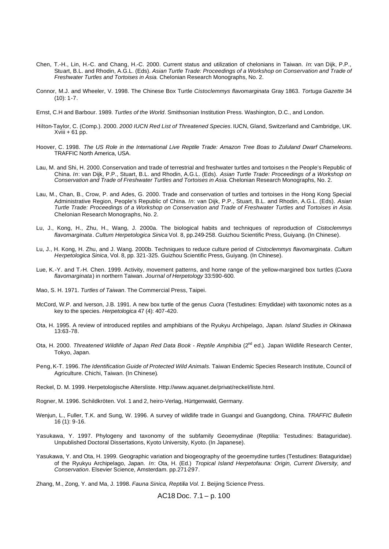- Chen, T.-H., Lin, H.-C. and Chang, H.-C. 2000. Current status and utilization of chelonians in Taiwan. *In*: van Dijk, P.P., Stuart, B.L. and Rhodin, A.G.L. (Eds). *Asian Turtle Trade: Proceedings of a Workshop on Conservation and Trade of Freshwater Turtles and Tortoises in Asia.* Chelonian Research Monographs, No. 2.
- Connor, M.J. and Wheeler, V. 1998. The Chinese Box Turtle *Cistoclemmys flavomarginata* Gray 1863. *Tortuga Gazette* 34  $(10): 1 - 7$ .
- Ernst, C.H and Barbour. 1989. *Turtles of the World*. Smithsonian Institution Press. Washington, D.C., and London.
- Hilton-Taylor, C. (Comp.). 2000. *2000 IUCN Red List of Threatened Species*. IUCN, Gland, Switzerland and Cambridge, UK. Xviii + 61 pp.
- Hoover, C. 1998. *The US Role in the International Live Reptile Trade: Amazon Tree Boas to Zululand Dwarf Chameleons*. TRAFFIC North America, USA.
- Lau, M. and Shi, H. 2000. Conservation and trade of terrestrial and freshwater turtles and tortoises n the People's Republic of China. *In*: van Dijk, P.P., Stuart, B.L. and Rhodin, A.G.L. (Eds). *Asian Turtle Trade: Proceedings of a Workshop on Conservation and Trade of Freshwater Turtles and Tortoises in Asia.* Chelonian Research Monographs, No. 2.
- Lau, M., Chan, B., Crow, P. and Ades, G. 2000. Trade and conservation of turtles and tortoises in the Hong Kong Special Administrative Region, People's Republic of China. *In*: van Dijk, P.P., Stuart, B.L. and Rhodin, A.G.L. (Eds). *Asian Turtle Trade: Proceedings of a Workshop on Conservation and Trade of Freshwater Turtles and Tortoises in Asia.* Chelonian Research Monographs, No. 2.
- Lu, J., Kong, H., Zhu, H., Wang, J. 2000a. The biological habits and techniques of reproduction of *Cistoclemmys flavomarginata*. *Cultum Herpetologica Sinica* Vol. 8, pp.249-258. Guizhou Scientific Press, Guiyang. (In Chinese).
- Lu, J., H. Kong, H. Zhu, and J. Wang. 2000b. Techniques to reduce culture period of *Cistoclemmys flavomarginata*. *Cultum Herpetologica Sinica*, Vol. 8, pp. 321-325. Guizhou Scientific Press, Guiyang. (In Chinese).
- Lue, K.-Y. and T.-H. Chen. 1999. Activity, movement patterns, and home range of the yellow-margined box turtles (*Cuora flavomarginata*) in northern Taiwan. *Journal of Herpetology* 33:590-600.
- Mao, S. H. 1971. *Turtles of Taiwan*. The Commercial Press, Taipei.
- McCord, W.P. and Iverson, J.B. 1991. A new box turtle of the genus *Cuora* (Testudines: Emydidae) with taxonomic notes as a key to the species. *Herpetologica* 47 (4): 407-420.
- Ota, H. 1995. A review of introduced reptiles and amphibians of the Ryukyu Archipelago, *Japan. Island Studies in Okinawa*  13:63-78.
- Ota, H. 2000. *Threatened Wildlife of Japan Red Data Book Reptile Amphibia* (2<sup>nd</sup> ed.). Japan Wildlife Research Center, Tokyo, Japan.
- Peng, K-T. 1996.*The Identification Guide of Protected Wild Animals.* Taiwan Endemic Species Research Institute, Council of Agriculture. Chichi, Taiwan. (In Chinese)*.*
- Reckel, D. M. 1999. Herpetologische Altersliste. Http://www.aquanet.de/privat/reckel/liste.html.
- Rogner, M. 1996. Schildkröten. Vol. 1 and 2, heiro-Verlag, Hürtgenwald, Germany.
- Wenjun, L., Fuller, T.K. and Sung, W. 1996. A survey of wildlife trade in Guangxi and Guangdong, China. *TRAFFIC Bulletin* 16 (1): 9-16.
- Yasukawa, Y. 1997. Phylogeny and taxonomy of the subfamily Geoemydinae (Reptilia: Testudines: Bataguridae). Unpublished Doctoral Dissertations, Kyoto University, Kyoto. (In Japanese).
- Yasukawa, Y. and Ota, H. 1999. Geographic variation and biogeography of the geoemydine turtles (Testudines: Bataguridae) of the Ryukyu Archipelago, Japan. *In*: Ota, H. (Ed.) *Tropical Island Herpetofauna: Origin, Current Diversity, and Conservation*. Elsevier Science, Amsterdam. pp.271-297.

Zhang, M., Zong, Y. and Ma, J. 1998. *Fauna Sinica, Reptilia Vol. 1*. Beijing Science Press.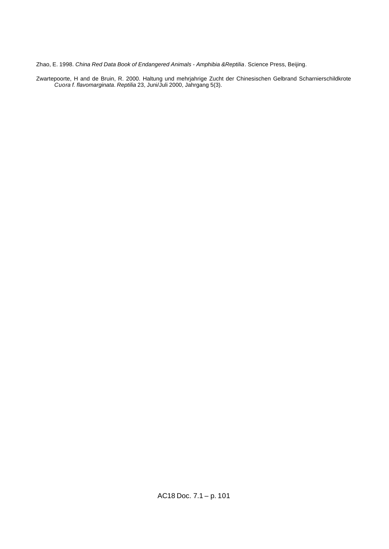Zhao, E. 1998. *China Red Data Book of Endangered Animals - Amphibia &Reptilia*. Science Press, Beijing.

Zwartepoorte, H and de Bruin, R. 2000. Haltung und mehrjahrige Zucht der Chinesischen Gelbrand Scharnierschildkrote *Cuora f. flavomarginata*. *Reptilia* 23, Juni/Juli 2000, Jahrgang 5(3).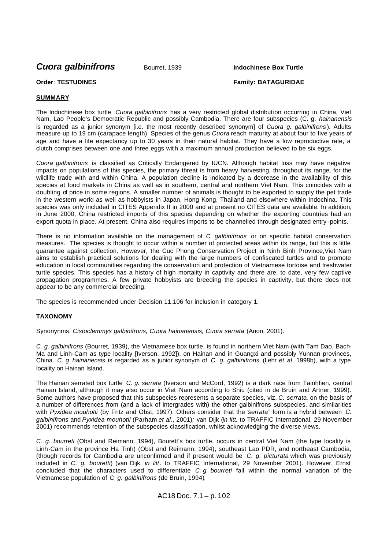*Cuora galbinifrons* Bourret, 1939 **Indochinese Box Turtle**

# **Order**: **TESTUDINES Family: BATAGURIDAE**

# **SUMMARY**

The Indochinese box turtle *Cuora galbinifrons* has a very restricted global distribution occurring in China, Viet Nam, Lao People's Democratic Republic and possibly Cambodia. There are four subspecies (C. g. *hainanensis*  is regarded as a junior synonym [i.e. the most recently described synonym] of *Cuora g. galbinifrons* ). Adults measure up to 19 cm (carapace length). Species of the genus *Cuora* reach maturity at about four to five years of age and have a life expectancy up to 30 years in their natural habitat. They have a low reproductive rate, a clutch comprises between one and three eggs wit h a maximum annual production believed to be six eggs.

*Cuora galbinifrons* is classified as Critically Endangered by IUCN. Although habitat loss may have negative impacts on populations of this species, the primary threat is from heavy harvesting, throughout its range, for the wildlife trade with and within China. A population decline is indicated by a decrease in the availability of this species at food markets in China as well as in southern, central and northern Viet Nam. This coincides with a doubling of price in some regions. A smaller number of animals is thought to be exported to supply the pet trade in the western world as well as hobbyists in Japan, Hong Kong, Thailand and elsewhere within Indochina. This species was only included in CITES Appendix II in 2000 and at present no CITES data are available. In addition, in June 2000, China restricted imports of this species depending on whether the exporting countries had an export quota in place. At present, China also requires imports to be channelled through designated entry -points.

There is no information available on the management of *C. galbinifrons* or on specific habitat conservation measures. The species is thought to occur within a number of protected areas within its range, but this is little guarantee against collection. However, the Cuc Phong Conservation Project in Ninh Binh Province,Viet Nam aims to establish practical solutions for dealing with the large numbers of confiscated turtles and to promote education in local communities regarding the conservation and protection of Vietnamese tortoise and freshwater turtle species. This species has a history of high mortality in captivity and there are, to date, very few captive propagation programmes. A few private hobbyists are breeding the species in captivity, but there does not appear to be any commercial breeding.

The species is recommended under Decision 11.106 for inclusion in category 1.

## **TAXONOMY**

Synonynms: *Cistoclemmys galbinifrons, Cuora hainanensis, Cuora serrata* (Anon, 2001).

*C. g. galbinifrons* (Bourret, 1939), the Vietnamese box turtle, is found in northern Viet Nam (with Tam Dao, Bach-Ma and Linh-Cam as type locality [Iverson, 1992]), on Hainan and in Guangxi and possibly Yunnan provinces, China. *C. g. hainanensis* is regarded as a junior synonym of *C. g. galbinifrons* (Lehr *et al*. 1998b), with a type locality on Hainan Island.

The Hainan serrated box turtle *C. g. serrata* (Iverson and McCord, 1992) is a dark race from Tainhfien, central Hainan Island, although it may also occur in Viet Nam according to Shiu (cited in de Bruin and Artner, 1999). Some authors have proposed that this subspecies represents a separate species, viz. *C. serrata*, on the basis of a number of differences from (and a lack of intergrades with) the other galbinifrons subspecies, and similarities with *Pyxidea mouhotii* (by Fritz and Obst, 1997). Others consider that the "*serrata"* form is a hybrid between *C. galbinifrons* and *Pyxidea mouhotii* (Parham *et al*., 2001)*;* van Dijk (*in litt.* to TRAFFIC International, 29 November 2001) recommends retention of the subspecies classification, whilst acknowledging the diverse views.

*C. g. bourreti* (Obst and Reimann, 1994), Bourett's box turtle, occurs in central Viet Nam (the type locality is Linh-Cam in the province Ha Tinh) (Obst and Reimann, 1994), southeast Lao PDR, and northeast Cambodia, (though records for Cambodia are unconfirmed and if present would be *C. g. picturata* which was previously included in *C. g. bouretti*) (van Dijk *in litt*. to TRAFFIC International, 29 November 2001). However, Ernst concluded that the characters used to differentiate *C. g. bourreti* fall within the normal variation of the Vietnamese population of *C. g. galbinifrons* (de Bruin, 1994)*.*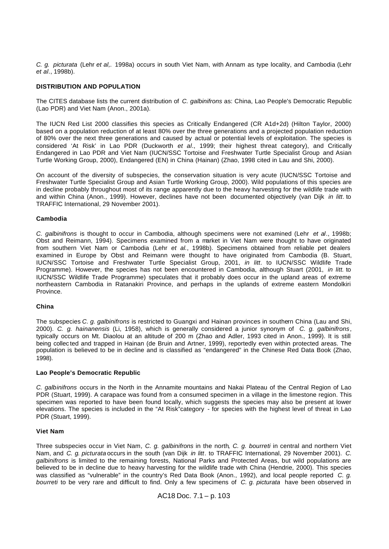*C. g. picturata* (Lehr *et al,.* 1998a) occurs in south Viet Nam, with Annam as type locality, and Cambodia (Lehr *et al*., 1998b).

## **DISTRIBUTION AND POPULATION**

The CITES database lists the current distribution of *C. galbinifrons* as: China, Lao People's Democratic Republic (Lao PDR) and Viet Nam (Anon., 2001a).

The IUCN Red List 2000 classifies this species as Critically Endangered (CR A1d+2d) (Hilton Taylor, 2000) based on a population reduction of at least 80% over the three generations and a projected population reduction of 80% over the next three generations and caused by actual or potential levels of exploitation. The species is considered 'At Risk' in Lao PDR (Duckworth *et al*., 1999; their highest threat category), and Critically Endangered in Lao PDR and Viet Nam (IUCN/SSC Tortoise and Freshwater Turtle Specialist Group and Asian Turtle Working Group, 2000), Endangered (EN) in China (Hainan) (Zhao, 1998 cited in Lau and Shi, 2000).

On account of the diversity of subspecies, the conservation situation is very acute (IUCN/SSC Tortoise and Freshwater Turtle Specialist Group and Asian Turtle Working Group, 2000). Wild populations of this species are in decline probably throughout most of its range apparently due to the heavy harvesting for the wildlife trade with and within China (Anon., 1999). However, declines have not been documented objectively (van Dijk *in litt*. to TRAFFIC International, 29 November 2001).

#### **Cambodia**

*C. galbinifrons* is thought to occur in Cambodia, although specimens were not examined (Lehr *et al*., 1998b; Obst and Reimann, 1994). Specimens examined from a market in Viet Nam were thought to have originated from southern Viet Nam or Cambodia (Lehr *et al.*, 1998b). Specimens obtained from reliable pet dealers examined in Europe by Obst and Reimann were thought to have originated from Cambodia (B. Stuart, IUCN/SSC Tortoise and Freshwater Turtle Specialist Group, 2001, *in litt*. to IUCN/SSC Wildlife Trade Programme). However, the species has not been encountered in Cambodia, although Stuart (2001, *in litt.* to IUCN/SSC Wildlife Trade Programme) speculates that it probably does occur in the upland areas of extreme northeastern Cambodia in Ratanakiri Province, and perhaps in the uplands of extreme eastern Mondolkiri **Province** 

#### **China**

The subspecies *C. g. galbinifrons* is restricted to Guangxi and Hainan provinces in southern China (Lau and Shi, 2000). *C. g. hainanensis* (Li, 1958), which is generally considered a junior synonym of *C. g. galbinifrons*, typically occurs on Mt. Diaolou at an altitude of 200 m (Zhao and Adler, 1993 cited in Anon., 1999). It is still being collec ted and trapped in Hainan (de Bruin and Artner, 1999), reportedly even within protected areas. The population is believed to be in decline and is classified as "endangered" in the Chinese Red Data Book (Zhao, 1998).

## **Lao People's Democratic Republic**

*C. galbinifrons* occurs in the North in the Annamite mountains and Nakai Plateau of the Central Region of Lao PDR (Stuart, 1999). A carapace was found from a consumed specimen in a village in the limestone region. This specimen was reported to have been found locally, which suggests the species may also be present at lower elevations. The species is included in the "At Risk"category - for species with the highest level of threat in Lao PDR (Stuart, 1999).

#### **Viet Nam**

Three subspecies occur in Viet Nam*, C. g. galbinifrons* in the north*, C. g. bourreti* in central and northern Viet Nam, and *C. g. picturata* occurs in the south (van Dijk *in litt*. to TRAFFIC International, 29 November 2001). *C. galbinifrons* is limited to the remaining forests, National Parks and Protected Areas, but wild populations are believed to be in decline due to heavy harvesting for the wildlife trade with China (Hendrie, 2000). This species was classified as "vulnerable" in the country's Red Data Book (Anon., 1992), and local people reported *C. g. bourreti* to be very rare and difficult to find. Only a few specimens of *C. g. picturata* have been observed in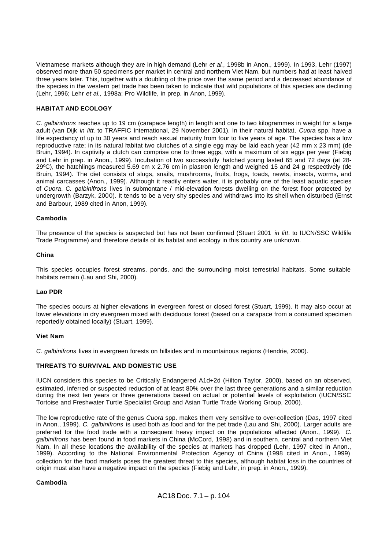Vietnamese markets although they are in high demand (Lehr *et al.,* 1998b in Anon., 1999). In 1993, Lehr (1997) observed more than 50 specimens per market in central and northern Viet Nam, but numbers had at least halved three years later. This, together with a doubling of the price over the same period and a decreased abundance of the species in the western pet trade has been taken to indicate that wild populations of this species are declining (Lehr, 1996; Lehr *et al.,* 1998a; Pro Wildlife, in prep*.* in Anon, 1999).

## **HABITAT AND ECOLOGY**

*C. galbinifrons* reaches up to 19 cm (carapace length) in length and one to two kilogrammes in weight for a large adult (van Dijk *in litt.* to TRAFFIC International, 29 November 2001). In their natural habitat, *Cuora* spp. have a life expectancy of up to 30 years and reach sexual maturity from four to five years of age. The species has a low reproductive rate; in its natural habitat two clutches of a single egg may be laid each year (42 mm x 23 mm) (de Bruin, 1994). In captivity a clutch can comprise one to three eggs, with a maximum of six eggs per year (Fiebig and Lehr in prep. in Anon., 1999). Incubation of two successfully hatched young lasted 65 and 72 days (at 28- 29ºC), the hatchlings measured 5.69 cm x 2.76 cm in plastron length and weighed 15 and 24 g respectively (de Bruin, 1994). The diet consists of slugs, snails, mushrooms, fruits, frogs, toads, newts, insects, worms, and animal carcasses (Anon., 1999). Although it readily enters water, it is probably one of the least aquatic species of *Cuora*. *C. galbinifrons* lives in submontane / mid-elevation forests dwelling on the forest floor protected by undergrowth (Barzyk, 2000). It tends to be a very shy species and withdraws into its shell when disturbed (Ernst and Barbour, 1989 cited in Anon, 1999).

## **Cambodia**

The presence of the species is suspected but has not been confirmed (Stuart 2001 *in litt*. to IUCN/SSC Wildlife Trade Programme) and therefore details of its habitat and ecology in this country are unknown.

#### **China**

This species occupies forest streams, ponds, and the surrounding moist terrestrial habitats. Some suitable habitats remain (Lau and Shi, 2000).

## **Lao PDR**

The species occurs at higher elevations in evergreen forest or closed forest (Stuart, 1999). It may also occur at lower elevations in dry evergreen mixed with deciduous forest (based on a carapace from a consumed specimen reportedly obtained locally) (Stuart, 1999).

## **Viet Nam**

*C. galbinifrons* lives in evergreen forests on hillsides and in mountainous regions (Hendrie, 2000).

## **THREATS TO SURVIVAL AND DOMESTIC USE**

IUCN considers this species to be Critically Endangered A1d+2d (Hilton Taylor, 2000), based on an observed, estimated, inferred or suspected reduction of at least 80% over the last three generations and a similar reduction during the next ten years or three generations based on actual or potential levels of exploitation (IUCN/SSC Tortoise and Freshwater Turtle Specialist Group and Asian Turtle Trade Working Group, 2000).

The low reproductive rate of the genus *Cuora* spp. makes them very sensitive to over-collection (Das, 1997 cited in Anon., 1999). *C. galbinifrons* is used both as food and for the pet trade (Lau and Shi, 2000). Larger adults are preferred for the food trade with a consequent heavy impact on the populations affected (Anon., 1999). *C. galbinifrons* has been found in food markets in China (McCord, 1998) and in southern, central and northern Viet Nam. In all these locations the availability of the species at markets has dropped (Lehr, 1997 cited in Anon., 1999). According to the National Environmental Protection Agency of China (1998 cited in Anon., 1999) collection for the food markets poses the greatest threat to this species, although habitat loss in the countries of origin must also have a negative impact on the species (Fiebig and Lehr, in prep*.* in Anon., 1999).

## **Cambodia**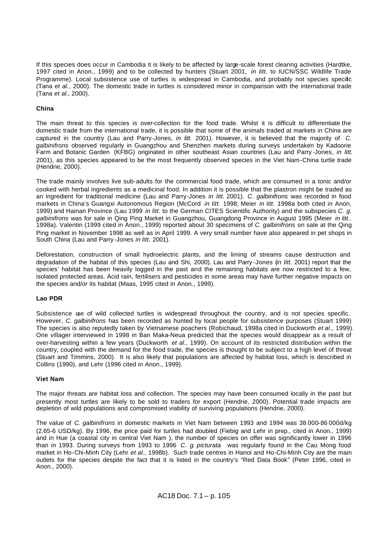If this species does occur in Cambodia it is likely to be affected by large-scale forest clearing activities (Hardtke, 1997 cited in Anon., 1999) and to be collected by hunters (Stuart 2001, *in litt.* to IUCN/SSC Wildlife Trade Programme). Local subsistence use of turtles is widespread in Cambodia, and probably not species specific (Tana *et al.*, 2000). The domestic trade in turtles is considered minor in comparison with the international trade (Tana *et al*., 2000).

# **China**

The main threat to this species is over-collection for the food trade. Whilst it is difficult to differentiate the domestic trade from the international trade, it is possible that some of the animals traded at markets in China are captured in the country (Lau and Parry-Jones, *in litt.* 2001). However, it is believed that the majority of *C. galbinifrons* observed regularly in Guangzhou and Shenzhen markets during surveys undertaken by Kadoorie Farm and Botanic Garden (KFBG) originated in other southeast Asian countries (Lau and Parry -Jones, *in litt*. 2001), as this species appeared to be the most frequently observed species in the Viet Nam-China turtle trade (Hendrie, 2000).

The trade mainly involves live sub-adults for the commercial food trade, which are consumed in a tonic and/or cooked with herbal ingredients as a medicinal food. In addition it is possible that the plastron might be traded as an ingredient for traditional medicine (Lau and Parry-Jones *in litt.* 2001). *C. galbinifrons* was recorded in food markets in China's Guangxi Autonomous Region (McCord *in litt.* 1998; Meier *in litt.* 1998a both cited in Anon, 1999) and Hainan Province (Lau 1999 *in litt.* to the German CITES Scientific Authority) and the subspecies *C. g. galbinifrons* was for sale in Qing Ping Market in Guangzhou, Guangdong Province in August 1995 (Meier *in litt..*  1998a). Valentin (1999 cited in Anon., 1999) reported about 30 specimens of *C. galbinifrons* on sale at the Qing Ping market in November 1998 as well as in April 1999. A very small number have also appeared in pet shops in South China (Lau and Parry -Jones *in litt.* 2001).

Deforestation, construction of small hydroelectric plants, and the liming of streams cause destruction and degradation of the habitat of this species (Lau and Shi, 2000). Lau and Parry -Jones (*in litt.* 2001) report that the species' habitat has been heavily logged in the past and the remaining habitats are now restricted to a few, isolated protected areas. Acid rain, fertilisers and pesticides in some areas may have further negative impacts on the species and/or its habitat (Maas, 1995 cited in Anon., 1999).

## **Lao PDR**

Subsistence use of wild collected turtles is widespread throughout the country, and is not species specific. However, *C. galbinifrons* has been recorded as hunted by local people for subsistence purposes (Stuart 1999) The species is also reputedly taken by Vietnamese poachers (Robichaud, 1998a cited in Duckworth *et al*., 1999). One villager interviewed in 1998 in Ban Maka-Neua predicted that the species would disappear as a result of over-harvesting within a few years (Duckworth *et al*., 1999). On account of its restricted distribution within the country, coupled with the demand for the food trade, the species is thought to be subject to a high level of threat (Stuart and Timmins, 2000).It is also likely that populations are affected by habitat loss, which is described in Collins (1990), and Lehr (1996 cited in Anon., 1999).

## **Viet Nam**

The major threats are habitat loss and collection. The species may have been consumed locally in the past but presently most turtles are likely to be sold to traders for export (Hendrie, 2000). Potential trade impacts are depletion of wild populations and compromised viability of surviving populations (Hendrie, 2000).

The value of *C. galbinifrons* in domestic markets in Viet Nam between 1993 and 1994 was 38 000-86 000d/kg (2.65-6 USD/kg). By 1996, the price paid for turtles had doubled (Fiebig and Lehr in prep., cited in Anon., 1999) and in Hue (a coastal city in central Viet Nam ), the number of species on offer was significantly lower in 1996 than in 1993. During surveys from 1993 to 1996 *C. g. picturata* was regularly found in the Cau Mong food market in Ho-Chi-Minh City (Lehr *et al.,* 1998b). Such trade centres in Hanoi and Ho-Chi-Minh City are the main outlets for the species despite the fact that it is listed in the country's "Red Data Book" (Peter 1996, cited in Anon., 2000).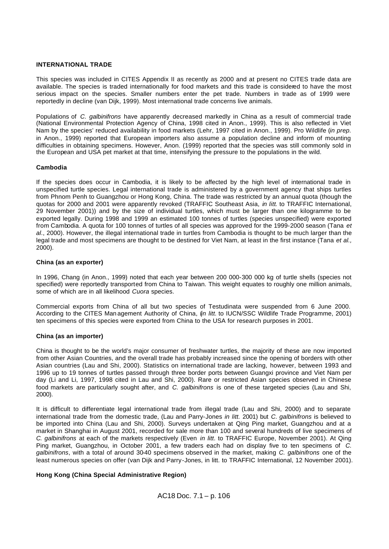## **INTERNATIONAL TRADE**

This species was included in CITES Appendix II as recently as 2000 and at present no CITES trade data are available. The species is traded internationally for food markets and this trade is considered to have the most serious impact on the species. Smaller numbers enter the pet trade. Numbers in trade as of 1999 were reportedly in decline (van Dijk, 1999). Most international trade concerns live animals.

Populations of *C. galbinifrons* have apparently decreased markedly in China as a result of commercial trade (National Environmental Protection Agency of China, 1998 cited in Anon., 1999). This is also reflected in Viet Nam by the species' reduced availability in food markets (Lehr, 1997 cited in Anon., 1999). Pro Wildlife (*in prep.* in Anon., 1999) reported that European importers also assume a population decline and inform of mounting difficulties in obtaining specimens. However, Anon. (1999) reported that the species was still commonly sold in the European and USA pet market at that time, intensifying the pressure to the populations in the wild.

#### **Cambodia**

If the species does occur in Cambodia, it is likely to be affected by the high level of international trade in unspecified turtle species. Legal international trade is administered by a government agency that ships turtles from Phnom Penh to Guangzhou or Hong Kong, China. The trade was restricted by an annual quota (though the quotas for 2000 and 2001 were apparently revoked (TRAFFIC Southeast Asia, *in litt*. to TRAFFIC International, 29 November 2001)) and by the size of individual turtles, which must be larger than one kilogramme to be exported legally. During 1998 and 1999 an estimated 100 tonnes of turtles (species unspecified) were exported from Cambodia. A quota for 100 tonnes of turtles of all species was approved for the 1999-2000 season (Tana *et al*., 2000). However, the illegal international trade in turtles from Cambodia is thought to be much larger than the legal trade and most specimens are thought to be destined for Viet Nam, at least in the first instance (Tana *et al.,* 2000).

#### **China (as an exporter)**

In 1996, Chang (in Anon., 1999) noted that each year between 200 000-300 000 kg of turtle shells (species not specified) were reportedly transported from China to Taiwan. This weight equates to roughly one million animals, some of which are in all likelihood *Cuora* species.

Commercial exports from China of all but two species of Testudinata were suspended from 6 June 2000. According to the CITES Man agement Authority of China, (*in litt.* to IUCN/SSC Wildlife Trade Programme, 2001) ten specimens of this species were exported from China to the USA for research purposes in 2001.

## **China (as an importer)**

China is thought to be the world's major consumer of freshwater turtles, the majority of these are now imported from other Asian Countries, and the overall trade has probably increased since the opening of borders with other Asian countries (Lau and Shi, 2000). Statistics on international trade are lacking, however, between 1993 and 1996 up to 19 tonnes of turtles passed through three border ports between Guangxi province and Viet Nam per day (Li and Li, 1997, 1998 cited in Lau and Shi, 2000). Rare or restricted Asian species observed in Chinese food markets are particularly sought after, and *C. galbinifrons* is one of these targeted species (Lau and Shi, 2000).

It is difficult to differentiate legal international trade from illegal trade (Lau and Shi, 2000) and to separate international trade from the domestic trade, (Lau and Parry-Jones *in litt.* 2001) but *C. galbinifrons* is believed to be imported into China (Lau and Shi, 2000). Surveys undertaken at Qing Ping market, Guangzhou and at a market in Shanghai in August 2001, recorded for sale more than 100 and several hundreds of live specimens of *C. galbinifrons* at each of the markets respectively (Even *in litt*. to TRAFFIC Europe, November 2001). At Qing Ping market, Guangzhou, in October 2001, a few traders each had on display five to ten specimens of *C. galbinifrons*, with a total of around 30-40 specimens observed in the market, making *C. galbinifrons* one of the least numerous species on offer (van Dijk and Parry-Jones, in litt. to TRAFFIC International, 12 November 2001).

## **Hong Kong (China Special Administrative Region)**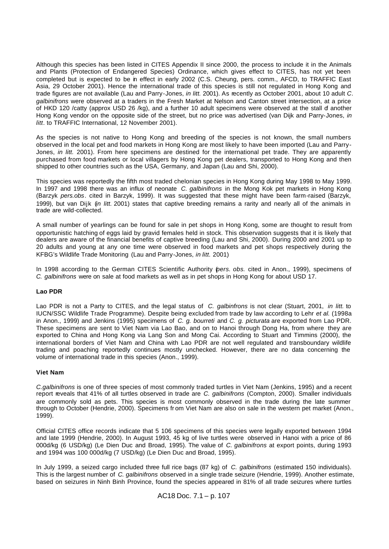Although this species has been listed in CITES Appendix II since 2000, the process to include it in the Animals and Plants (Protection of Endangered Species) Ordinance, which gives effect to CITES, has not yet been completed but is expected to be in effect in early 2002 (C.S. Cheung, pers. comm., AFCD, to TRAFFIC East Asia, 29 October 2001). Hence the international trade of this species is still not regulated in Hong Kong and trade figures are not available (Lau and Parry-Jones, *in litt.* 2001). As recently as October 2001, about 10 adult *C. galbinifrons* were observed at a traders in the Fresh Market at Nelson and Canton street intersection, at a price of HKD 120 /catty (approx USD 26 /kg), and a further 10 adult specimens were observed at the stall of another Hong Kong vendor on the opposite side of the street, but no price was advertised (van Dijk and Parry-Jones, *in litt*. to TRAFFIC International, 12 November 2001).

As the species is not native to Hong Kong and breeding of the species is not known, the small numbers observed in the local pet and food markets in Hong Kong are most likely to have been imported (Lau and Parry-Jones, *in litt.* 2001). From here specimens are destined for the international pet trade. They are apparently purchased from food markets or local villagers by Hong Kong pet dealers, transported to Hong Kong and then shipped to other countries such as the USA, Germany, and Japan (Lau and Shi, 2000).

This species was reportedly the fifth most traded chelonian species in Hong Kong during May 1998 to May 1999. In 1997 and 1998 there was an influx of neonate *C. galbinifrons* in the Mong Kok pet markets in Hong Kong (Barzyk *pers.obs*. cited in Barzyk, 1999). It was suggested that these might have been farm-raised (Barzyk, 1999), but van Dijk (*in litt.* 2001) states that captive breeding remains a rarity and nearly all of the animals in trade are wild-collected.

A small number of yearlings can be found for sale in pet shops in Hong Kong, some are thought to result from opportunistic hatching of eggs laid by gravid females held in stock. This observation suggests that it is likely that dealers are aware of the financial benefits of captive breeding (Lau and Shi, 2000). During 2000 and 2001 up to 20 adults and young at any one time were observed in food markets and pet shops respectively during the KFBG's Wildlife Trade Monitoring (Lau and Parry-Jones, *in litt.* 2001)

In 1998 according to the German CITES Scientific Authority (*pers. obs.* cited in Anon., 1999), specimens of *C. galbinifrons* were on sale at food markets as well as in pet shops in Hong Kong for about USD 17.

## **Lao PDR**

Lao PDR is not a Party to CITES, and the legal status of *C. galbinfrons* is not clear (Stuart, 2001, *in litt.* to IUCN/SSC Wildlife Trade Programme). Despite being excluded from trade by law according to Lehr *et al.* (1998a in Anon., 1999) and Jenkins (1995) specimens of *C. g. bourreti* and *C. g. picturata* are exported from Lao PDR. These specimens are sent to Viet Nam via Lao Bao, and on to Hanoi through Dong Ha, from where they are exported to China and Hong Kong via Lang Son and Mong Cai. According to Stuart and Timmins (2000), the international borders of Viet Nam and China with Lao PDR are not well regulated and transboundary wildlife trading and poaching reportedly continues mostly unchecked. However, there are no data concerning the volume of international trade in this species (Anon., 1999).

## **Viet Nam**

*C.galbinifrons* is one of three species of most commonly traded turtles in Viet Nam (Jenkins, 1995) and a recent report reveals that 41% of all turtles observed in trade are *C. galbinifrons* (Compton, 2000). Smaller individuals are commonly sold as pets. This species is most commonly observed in the trade during the late summer through to October (Hendrie, 2000). Specimens fr om Viet Nam are also on sale in the western pet market (Anon., 1999).

Official CITES office records indicate that 5 106 specimens of this species were legally exported between 1994 and late 1999 (Hendrie, 2000). In August 1993, 45 kg of live turtles were observed in Hanoi with a price of 86 000d/kg (6 USD/kg) (Le Dien Duc and Broad, 1995). The value of *C. galbinifrons* at export points, during 1993 and 1994 was 100 000d/kg (7 USD/kg) (Le Dien Duc and Broad, 1995).

In July 1999, a seized cargo included three full rice bags (87 kg) of *C. galbinifrons* (estimated 150 individuals). This is the largest number of *C. galbinifrons* observed in a single trade seizure (Hendrie, 1999). Another estimate, based on seizures in Ninh Binh Province, found the species appeared in 81% of all trade seizures where turtles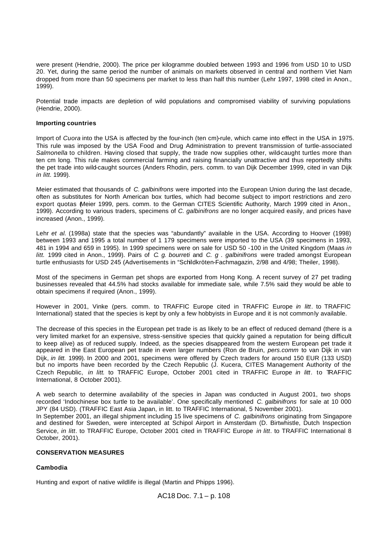were present (Hendrie, 2000). The price per kilogramme doubled between 1993 and 1996 from USD 10 to USD 20. Yet, during the same period the number of animals on markets observed in central and northern Viet Nam dropped from more than 50 specimens per market to less than half this number (Lehr 1997, 1998 cited in Anon., 1999).

Potential trade impacts are depletion of wild populations and compromised viability of surviving populations (Hendrie, 2000).

#### **Importing countries**

Import of *Cuora* into the USA is affected by the four-inch (ten cm)-rule, which came into effect in the USA in 1975. This rule was imposed by the USA Food and Drug Administration to prevent transmission of turtle-associated *Salmonella* to children. Having closed that supply, the trade now supplies other, wild-caught turtles more than ten cm long. This rule makes commercial farming and raising financially unattractive and thus reportedly shifts the pet trade into wild-caught sources (Anders Rhodin, pers. comm. to van Dijk December 1999, cited in van Dijk *in litt.* 1999).

Meier estimated that thousands of *C. galbinifrons* were imported into the European Union during the last decade, often as substitutes for North American box turtles, which had become subject to import restrictions and zero export quotas Meier 1999, pers. comm. to the German CITES Scientific Authority, March 1999 cited in Anon., 1999). According to various traders, specimens of *C. galbinifrons* are no longer acquired easily, and prices have increased (Anon., 1999).

Lehr *et al.* (1998a) state that the species was "abundantly" available in the USA. According to Hoover (1998) between 1993 and 1995 a total number of 1 179 specimens were imported to the USA (39 specimens in 1993, 481 in 1994 and 659 in 1995). In 1999 specimens were on sale for USD 50 -100 in the United Kingdom (Maas *in litt.* 1999 cited in Anon., 1999). Pairs of *C. g. bourreti* and *C. g . galbinifrons* were traded amongst European turtle enthusiasts for USD 245 (Advertisements in "Schildkröten-Fachmagazin, 2/98 and 4/98; Theiler, 1998).

Most of the specimens in German pet shops are exported from Hong Kong. A recent survey of 27 pet trading businesses revealed that 44.5% had stocks available for immediate sale, while 7.5% said they would be able to obtain specimens if required (Anon., 1999).

However in 2001, Vinke (pers. comm. to TRAFFIC Europe cited in TRAFFIC Europe *in litt*. to TRAFFIC International) stated that the species is kept by only a few hobbyists in Europe and it is not commonly available.

The decrease of this species in the European pet trade is as likely to be an effect of reduced demand (there is a very limited market for an expensive, stress-sensitive species that quickly gained a reputation for being difficult to keep alive) as of reduced supply. Indeed, as the species disappeared from the western European pet trade it appeared in the East European pet trade in even larger numbers (Ron de Bruin, *pers.comm* to van Dijk in van Dijk, *in litt.* 1999). In 2000 and 2001, specimens were offered by Czech traders for around 150 EUR (133 USD) but no imports have been recorded by the Czech Republic (J. Kucera, CITES Management Authority of the Czech Republic, *in litt*. to TRAFFIC Europe, October 2001 cited in TRAFFIC Europe *in litt*. to TRAFFIC International, 8 October 2001).

A web search to determine availability of the species in Japan was conducted in August 2001, two shops recorded 'Indochinese box turtle to be available'. One specifically mentioned *C. galbinifrons* for sale at 10 000 JPY (84 USD). (TRAFFIC East Asia Japan, in litt. to TRAFFIC International, 5 November 2001).

In September 2001, an illegal shipment including 15 live specimens of *C. galbinifrons* originating from Singapore and destined for Sweden, were intercepted at Schipol Airport in Amsterdam (D. Birtwhistle, Dutch Inspection Service, *in litt*. to TRAFFIC Europe, October 2001 cited in TRAFFIC Europe *in litt*. to TRAFFIC International 8 October, 2001).

# **CONSERVATION MEASURES**

## **Cambodia**

Hunting and export of native wildlife is illegal (Martin and Phipps 1996).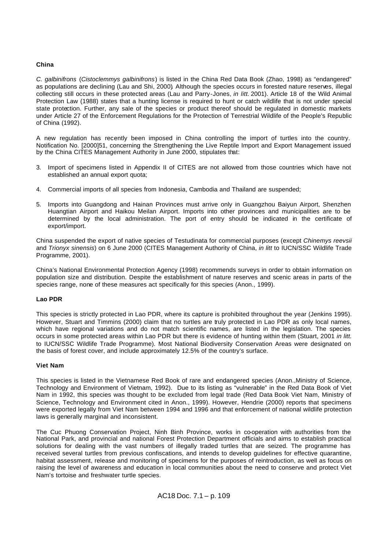# **China**

*C. galbinifrons* (*Cistoclemmys galbinifrons*) is listed in the China Red Data Book (Zhao, 1998) as "endangered" as populations are declining (Lau and Shi, 2000)*.* Although the species occurs in forested nature reserves, illegal collecting still occurs in these protected areas (Lau and Parry-Jones, *in litt.* 2001). Article 18 of the Wild Animal Protection Law (1988) states that a hunting license is required to hunt or catch wildlife that is not under special state protection. Further, any sale of the species or product thereof should be regulated in domestic markets under Article 27 of the Enforcement Regulations for the Protection of Terrestrial Wildlife of the People's Republic of China (1992).

A new regulation has recently been imposed in China controlling the import of turtles into the country. Notification No. [2000]51, concerning the Strengthening the Live Reptile Import and Export Management issued by the China CITES Management Authority in June 2000, stipulates that:

- 3. Import of specimens listed in Appendix II of CITES are not allowed from those countries which have not established an annual export quota;
- 4. Commercial imports of all species from Indonesia, Cambodia and Thailand are suspended;
- 5. Imports into Guangdong and Hainan Provinces must arrive only in Guangzhou Baiyun Airport, Shenzhen Huangtian Airport and Haikou Meilan Airport. Imports into other provinces and municipalities are to be determined by the local administration. The port of entry should be indicated in the certificate of export/import.

China suspended the export of native species of Testudinata for commercial purposes (except *Chinemys reevsii* and *Trionyx sinensis*) on 6 June 2000 (CITES Management Authority of China, *in litt* to IUCN/SSC Wildlife Trade Programme, 2001).

China's National Environmental Protection Agency (1998) recommends surveys in order to obtain information on population size and distribution. Despite the establishment of nature reserves and scenic areas in parts of the species range, none of these measures act specifically for this species (Anon., 1999).

# **Lao PDR**

This species is strictly protected in Lao PDR, where its capture is prohibited throughout the year (Jenkins 1995). However, Stuart and Timmins (2000) claim that no turtles are truly protected in Lao PDR as only local names, which have regional variations and do not match scientific names, are listed in the legislation. The species occurs in some protected areas within Lao PDR but there is evidence of hunting within them (Stuart, 2001 *in litt.* to IUCN/SSC Wildlife Trade Programme). Most National Biodiversity Conservation Areas were designated on the basis of forest cover, and include approximately 12.5% of the country's surface.

# **Viet Nam**

This species is listed in the Vietnamese Red Book of rare and endangered species (Anon.,Ministry of Science, Technology and Environment of Vietnam, 1992). Due to its listing as "vulnerable" in the Red Data Book of Viet Nam in 1992, this species was thought to be excluded from legal trade (Red Data Book Viet Nam, Ministry of Science, Technology and Environment cited in Anon., 1999). However, Hendrie (2000) reports that specimens were exported legally from Viet Nam between 1994 and 1996 and that enforcement of national wildlife protection laws is generally marginal and inconsistent.

The Cuc Phuong Conservation Project, Ninh Binh Province, works in co-operation with authorities from the National Park, and provincial and national Forest Protection Department officials and aims to establish practical solutions for dealing with the vast numbers of illegally traded turtles that are seized. The programme has received several turtles from previous confiscations, and intends to develop guidelines for effective quarantine, habitat assessment, release and monitoring of specimens for the purposes of reintroduction, as well as focus on raising the level of awareness and education in local communities about the need to conserve and protect Viet Nam's tortoise and freshwater turtle species.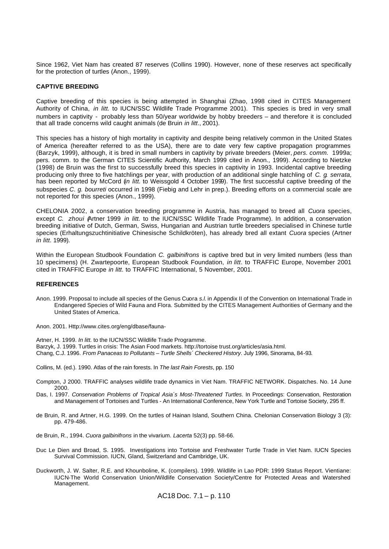Since 1962, Viet Nam has created 87 reserves (Collins 1990). However, none of these reserves act specifically for the protection of turtles (Anon., 1999).

#### **CAPTIVE BREEDING**

Captive breeding of this species is being attempted in Shanghai (Zhao, 1998 cited in CITES Management Authority of China, *in litt.* to IUCN/SSC Wildlife Trade Programme 2001). This species is bred in very small numbers in captivity - probably less than 50/year worldwide by hobby breeders – and therefore it is concluded that all trade concerns wild caught animals (de Bruin *in litt*., 2001).

This species has a history of high mortality in captivity and despite being relatively common in the United States of America (hereafter referred to as the USA), there are to date very few captive propagation programmes (Barzyk, 1999), although, it is bred in small numbers in captivity by private breeders (Meier, *pers. comm.* 1999a; pers. comm. to the German CITES Scientific Authority, March 1999 cited in Anon., 1999). According to Nietzke (1998) de Bruin was the first to successfully breed this species in captivity in 1993. Incidental captive breeding producing only three to five hatchlings per year, with production of an additional single hatchling of *C. g. serrata,*  has been reported by McCord (*in litt.* to Weissgold 4 October 1999). The first successful captive breeding of the subspecies *C. g. bourreti* occurred in 1998 (Fiebig and Lehr in prep.). Breeding efforts on a commercial scale are not reported for this species (Anon., 1999).

CHELONIA 2002, a conservation breeding programme in Austria, has managed to breed all *Cuora* species, except *C. zhoui (*Artner 1999 *in litt.* to the IUCN/SSC Wildlife Trade Programme). In addition, a conservation breeding initiative of Dutch, German, Swiss, Hungarian and Austrian turtle breeders specialised in Chinese turtle species (Erhaltungszuchtinitiative Chinesische Schildkröten), has already bred all extant *Cuora* species (Artner *in litt.* 1999).

Within the European Studbook Foundation *C. galbinifrons* is captive bred but in very limited numbers (less than 10 specimens) (H. Zwartepoorte, European Studbook Foundation, *in litt*. to TRAFFIC Europe, November 2001 cited in TRAFFIC Europe *in litt*. to TRAFFIC International, 5 November, 2001.

#### **REFERENCES**

Anon. 1999. Proposal to include all species of the Genus Cuora *s.l.* in Appendix II of the Convention on International Trade in Endangered Species of Wild Fauna and Flora. Submitted by the CITES Management Authorities of Germany and the United States of America.

Anon. 2001. Http://www.cites.org/eng/dbase/fauna-

Artner, H. 1999. *In litt.* to the IUCN/SSC Wildlife Trade Programme. Barzyk, J. 1999. Turtles in crisis: The Asian Food markets. http://tortoise trust.org/articles/asia.html. Chang, C.J. 1996. *From Panaceas to Pollutants – Turtle Shells´ Checkered History*. July 1996, Sinorama, 84-93*.*

Collins, M. (ed.). 1990. Atlas of the rain forests. In *The last Rain Forests*, pp. 150

- Compton, J 2000. TRAFFIC analyses wildlife trade dynamics in Viet Nam. TRAFFIC NETWORK. Dispatches. No. 14 June 2000.
- Das, I. 1997. *Conservation Problems of Tropical Asia´s Most-Threatened Turtles*. In Proceedings: Conservation, Restoration and Management of Tortoises and Turtles - An International Conference, New York Turtle and Tortoise Society, 295 ff.
- de Bruin, R. and Artner, H.G. 1999. On the turtles of Hainan Island, Southern China. Chelonian Conservation Biology 3 (3): pp. 479-486.

de Bruin, R., 1994. *Cuora galbinifrons* in the vivarium. *Lacerta* 52(3) pp. 58-66.

- Duc Le Dien and Broad, S. 1995. Investigations into Tortoise and Freshwater Turtle Trade in Viet Nam. IUCN Species Survival Commission. IUCN, Gland, Switzerland and Cambridge, UK.
- Duckworth, J. W. Salter, R.E. and Khounboline, K. (compilers). 1999. Wildlife in Lao PDR: 1999 Status Report. Vientiane: IUCN-The World Conservation Union/Wildlife Conservation Society/Centre for Protected Areas and Watershed Management.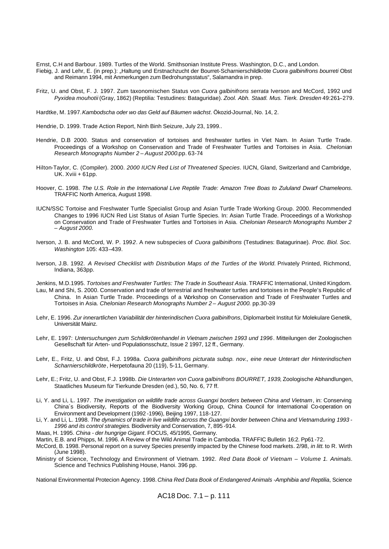Ernst, C.H and Barbour. 1989. Turtles of the World. Smithsonian Institute Press. Washington, D.C., and London. Fiebig, J. and Lehr, E. (in prep.): "Haltung und Erstnachzucht der Bourret-Scharnierschildkröte Cuora galbinifrons bourreti Obst and Reimann 1994, mit Anmerkungen zum Bedrohungsstatus", Salamandra in prep.

- Fritz, U. and Obst, F. J. 1997. Zum taxonomischen Status von *Cuora galbinifrons serrata* Iverson and McCord, 1992 und *Pyxidea mouhotii* (Gray, 1862) (Reptilia: Testudines: Bataguridae). *Zool. Abh. Staatl. Mus. Tierk. Dresden* 49:261–279.
- Hardtke, M. 1997. *Kambodscha oder wo das Geld auf Bäumen wächst*. Ökozid-Journal, No. 14, 2.
- Hendrie, D. 1999. Trade Action Report, Ninh Binh Seizure, July 23, 1999..
- Hendrie, D.B 2000. Status and conservation of tortoises and freshwater turtles in Viet Nam. In Asian Turtle Trade. Proceedings of a Workshop on Conservation and Trade of Freshwater Turtles and Tortoises in Asia. *Chelonian Research Monographs Number 2 – August 2000.*pp. 63-74
- Hilton-Taylor, C. (Compiler). 2000. *2000 IUCN Red List of Threatened Species*. IUCN, Gland, Switzerland and Cambridge, UK. Xviii + 61pp.
- Hoover, C. 1998. *The U.S. Role in the International Live Reptile Trade: Amazon Tree Boas to Zululand Dwarf Chameleons*. TRAFFIC North America, August 1998.
- IUCN/SSC Tortoise and Freshwater Turtle Specialist Group and Asian Turtle Trade Working Group. 2000. Recommended Changes to 1996 IUCN Red List Status of Asian Turtle Species. In: Asian Turtle Trade. Proceedings of a Workshop on Conservation and Trade of Freshwater Turtles and Tortoises in Asia. *Chelonian Research Monographs Number 2 – August 2000.*
- Iverson, J. B. and McCord, W. P. 199*2*. A new subspecies of *Cuora galbinifrons* (Testudines: Batagurinae). *Proc. Biol. Soc. Washington* 105: 433–439.
- Iverson, J.B. 1992. *A Revised Checklist with Distribution Maps of the Turtles of the World.* Privately Printed, Richmond, Indiana, 363pp.
- Jenkins, M.D.1995. *Tortoises and Freshwater Turtles: The Trade in Southeast Asia*. TRAFFIC International, United Kingdom.
- Lau, M and Shi, S. 2000. Conservation and trade of terrestrial and freshwater turtles and tortoises in the People's Republic of China. In Asian Turtle Trade. Proceedings of a Workshop on Conservation and Trade of Freshwater Turtles and Tortoises in Asia. *Chelonian Research Monographs Number 2 – August 2000.* pp.30-39
- Lehr, E. 1996. *Zur innerartlichen Variabilität der hinterindischen Cuora galbinifrons*, Diplomarbeit Institut für Molekulare Genetik, Universität Mainz.
- Lehr, E. 1997: *Untersuchungen zum Schildkrötenhandel in Vietnam zwischen 1993 und 1996*. Mitteilungen der Zoologischen Gesellschaft für Arten- und Populationsschutz, Issue 2 1997, 12 ff., Germany.
- Lehr, E., Fritz, U. and Obst, F.J. 1998a. *Cuora galbinifrons picturata subsp. nov., eine neue Unterart der Hinterindischen Scharnierschildkröte*, Herpetofauna 20 (119), 5-11, Germany.
- Lehr, E.; Fritz, U. and Obst, F.J. 1998b. *Die Unterarten von Cuora galbinifrons BOURRET, 1939*, Zoologische Abhandlungen, Staatliches Museum für Tierkunde Dresden (ed.), 50, No. 6, 77 ff.
- Li, Y. and Li, L. 1997. *The investigation on wildlife trade across Guangxi borders between China and Vietnam*, in: Conserving China´s Biodiversity, Reports of the Biodiversity Working Group, China Council for International Co-operation on Environment and Development (1992 -1996), Beijing 1997, 118-127.
- Li, Y. and Li, L. 1998. *The dynamics of trade in live wildlife across the Guangxi border between China and Vietnam during 1993 - 1996 and its control strategies*. Biodiversity and Conservation, 7, 895 -914.
- Maas, H. 1995. *China der hungrige Gigant*. FOCUS, 45/1995, Germany.
- Martin, E.B. and Phipps, M. 1996. A Review of the Wild Animal Trade in Cambodia. TRAFFIC Bulletin 16:2. Pp61 -72.
- McCord, B. 1998. Personal report on a survey Species presently impacted by the Chinese food markets*.* 2/98, *in litt.* to R. Wirth (June 1998).
- Ministry of Science, Technology and Environment of Vietnam. 1992. *Red Data Book of Vietnam Volume 1. Animals*. Science and Technics Publishing House, Hanoi. 396 pp.

National Environmental Protecion Agency. 1998. *China Red Data Book of Endangered Animals -Amphibia and Reptilia*, Science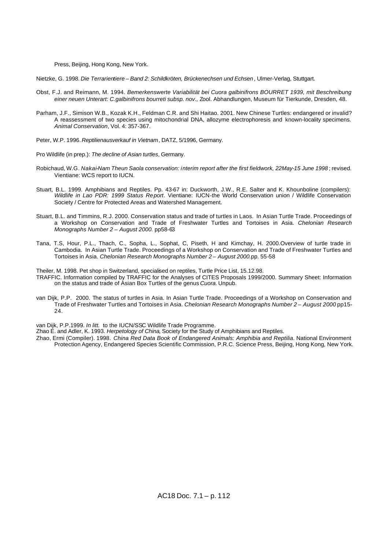Press, Beijing, Hong Kong, New York.

Nietzke, G. 1998. *Die Terrarientiere – Band 2: Schildkröten, Brückenechsen und Echsen* , Ulmer-Verlag, Stuttgart.

- Obst, F.J. and Reimann, M. 1994. *Bemerkenswerte Variabilität bei Cuora galbinifrons BOURRET 1939, mit Beschreibung einer neuen Unterart: C.galbinifrons bourreti subsp. nov.,* Zool. Abhandlungen, Museum für Tierkunde, Dresden, 48.
- Parham, J.F., Simison W.B., Kozak K.H., Feldman C.R. and Shi Haitao. 2001. New Chinese Turtles: endangered or invalid? A reassessment of two species using mitochondrial DNA, allozyme electrophoresis and known-locality specimens. *Animal Conservation*, Vol. 4: 357-367.
- Peter, W.P. 1996. *Reptilienausverkauf in Vietnam*, DATZ, 5/1996, Germany.
- Pro Wildlife (in prep.): *The decline of Asian turtles*, Germany.
- Robichaud, W.G*. Nakai-Nam Theun Saola conservation: interim report after the first fieldwork, 22May-15 June 1998* ; revised. Vientiane: WCS report to IUCN.
- Stuart, B.L. 1999. Amphibians and Reptiles. Pp. 43-67 in: Duckworth, J.W., R.E. Salter and K. Khounboline (compilers): *Wildlife in Lao PDR: 1999 Status Report*. Vientiane: IUCN-the World Conservation union / Wildlife Conservation Society / Centre for Protected Areas and Watershed Management.
- Stuart, B.L. and Timmins, R.J. 2000. Conservation status and trade of turtles in Laos. In Asian Turtle Trade. Proceedings of a Workshop on Conservation and Trade of Freshwater Turtles and Tortoises in Asia. *Chelonian Research Monographs Number 2 – August 2000.* pp58-63
- Tana, T.S, Hour, P.L., Thach, C., Sopha, L., Sophat, C, Piseth, H and Kimchay, H. 2000.Overview of turtle trade in Cambodia. In Asian Turtle Trade. Proceedings of a Workshop on Conservation and Trade of Freshwater Turtles and Tortoises in Asia. *Chelonian Research Monographs Number 2 – August 2000.*pp. 55-58

Theiler, M. 1998. Pet shop in Switzerland, specialised on reptiles, Turtle Price List, 15.12.98.

- TRAFFIC. Information compiled by TRAFFIC for the Analyses of CITES Proposals 1999/2000. Summary Sheet: Information on the status and trade of Asian Box Turtles of the genus *Cuora.* Unpub.
- van Dijk, P.P. 2000. The status of turtles in Asia. In Asian Turtle Trade. Proceedings of a Workshop on Conservation and Trade of Freshwater Turtles and Tortoises in Asia. *Chelonian Research Monographs Number 2 – August 2000* pp15- 24.

van Dijk, P.P.1999. *In litt.* to the IUCN/SSC Wildlife Trade Programme.

Zhao E. and Adler, K. 1993. *Herpetology of China*, Society for the Study of Amphibians and Reptiles.

Zhao, Ermi (Compiler). 1998. *China Red Data Book of Endangered Animals: Amphibia and Reptilia*. National Environment Protection Agency, Endangered Species Scientific Commission, P.R.C. Science Press, Beijing, Hong Kong, New York.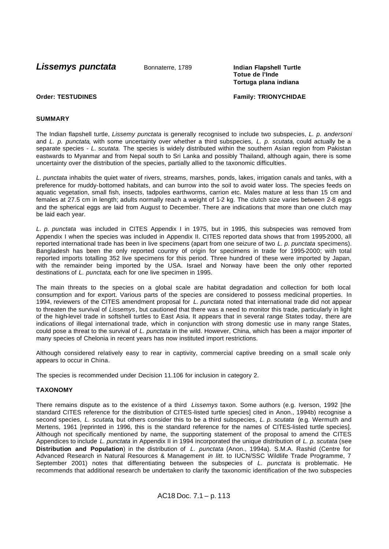**Lissemys punctata** Bonnaterre, 1789 **Indian Flapshell Turtle** 

**Totue de l'Inde Tortuga plana indiana**

**Order: TESTUDINES Family: TRIONYCHIDAE**

# **SUMMARY**

The Indian flapshell turtle, *Lissemy punctata* is generally recognised to include two subspecies, *L. p. andersoni*  and *L. p. punctata*, with some uncertainty over whether a third subspecies, *L. p. scutata,* could actually be a separate species - *L. scutata.* The species is widely distributed within the southern Asian region from Pakistan eastwards to Myanmar and from Nepal south to Sri Lanka and possibly Thailand, although again, there is some uncertainty over the distribution of the species, partially allied to the taxonomic difficulties.

*L. punctata* inhabits the quiet water of rivers, streams, marshes, ponds, lakes, irrigation canals and tanks, with a preference for muddy-bottomed habitats, and can burrow into the soil to avoid water loss. The species feeds on aquatic vegetation, small fish, insects, tadpoles earthworms, carrion etc. Males mature at less than 15 cm and females at 27.5 cm in length; adults normally reach a weight of 1-2 kg. The clutch size varies between 2-8 eggs and the spherical eggs are laid from August to December. There are indications that more than one clutch may be laid each year.

*L. p. punctata* was included in CITES Appendix I in 1975, but in 1995, this subspecies was removed from Appendix I when the species was included in Appendix II. CITES reported data shows that from 1995-2000, all reported international trade has been in live specimens (apart from one seizure of two *L. p. punctata* specimens). Bangladesh has been the only reported country of origin for specimens in trade for 1995-2000; with total reported imports totalling 352 live specimens for this period. Three hundred of these were imported by Japan, with the remainder being imported by the USA. Israel and Norway have been the only other reported destinations of *L. punctata*, each for one live specimen in 1995.

The main threats to the species on a global scale are habitat degradation and collection for both local consumption and for export. Various parts of the species are considered to possess medicinal properties. In 1994, reviewers of the CITES amendment proposal for *L. punctata* noted that international trade did not appear to threaten the survival of *Lissemys*, but cautioned that there was a need to monitor this trade, particularly in light of the high-level trade in softshell turtles to East Asia. It appears that in several range States today, there are indications of illegal international trade, which in conjunction with strong domestic use in many range States, could pose a threat to the survival of *L. punctata* in the wild. However, China, which has been a major importer of many species of Chelonia in recent years has now instituted import restrictions.

Although considered relatively easy to rear in captivity, commercial captive breeding on a small scale only appears to occur in China.

The species is recommended under Decision 11.106 for inclusion in category 2.

# **TAXONOMY**

There remains dispute as to the existence of a third *Lissemys* taxon. Some authors (e.g. Iverson, 1992 [the standard CITES reference for the distribution of CITES-listed turtle species] cited in Anon., 1994b) recognise a second species, *L. scutata*, but others consider this to be a third subspecies, *L. p. scutata* (e.g. Wermuth and Mertens, 1961 [reprinted in 1996, this is the standard reference for the names of CITES-listed turtle species]. Although not specifically mentioned by name, the supporting statement of the proposal to amend the CITES Appendices to include *L. punctata* in Appendix II in 1994 incorporated the unique distribution of *L. p. scutata* (see **Distribution and Population**) in the distribution of *L. punctata* (Anon., 1994a). S.M.A. Rashid (Centre for Advanced Research in Natural Resources & Management *in litt*. to IUCN/SSC Wildlife Trade Programme, 7 September 2001) notes that differentiating between the subspecies of *L. punctata* is problematic. He recommends that additional research be undertaken to clarify the taxonomic identification of the two subspecies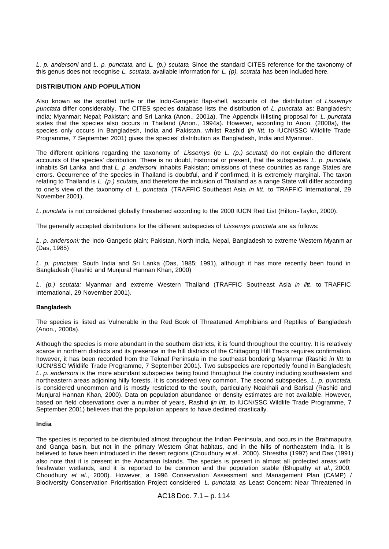*L. p. andersoni* and *L. p. punctata*, and *L. (p.) scutata*. Since the standard CITES reference for the taxonomy of this genus does not recognise *L. scutata*, available information for *L. (p). scutata* has been included here.

# **DISTRIBUTION AND POPULATION**

Also known as the spotted turtle or the Indo-Gangetic flap-shell, accounts of the distribution of *Lissemys punctata* differ considerably. The CITES species database lists the distribution of *L. punctata* as: Bangladesh; India; Myanmar; Nepal; Pakistan; and Sri Lanka (Anon., 2001a). The Appendix II-listing proposal for *L. punctata*  states that the species also occurs in Thailand (Anon., 1994a). However, according to Anon. (2000a), the species only occurs in Bangladesh, India and Pakistan, whilst Rashid (*in litt*. to IUCN/SSC Wildlife Trade Programme, 7 September 2001) gives the species' distribution as Bangladesh, India and Myanmar.

The different opinions regarding the taxonomy of *Lissemys* (re *L. (p.) scutata*) do not explain the different accounts of the species' distribution. There is no doubt, historical or present, that the subspecies *L. p. punctata*, inhabits Sri Lanka and that *L. p. andersoni* inhabits Pakistan; omissions of these countries as range States are errors. Occurrence of the species in Thailand is doubtful, and if confirmed, it is extremely marginal. The taxon relating to Thailand is *L. (p.) scutata*, and therefore the inclusion of Thailand as a range State will differ according to one's view of the taxonomy of *L. punctata* (TRAFFIC Southeast Asia *in litt.* to TRAFFIC International, 29 November 2001)*.*

*L. punctata* is not considered globally threatened according to the 2000 IUCN Red List (Hilton -Taylor, 2000).

The generally accepted distributions for the different subspecies of *Lissemys punctata* are as follows:

*L. p. andersoni:* the Indo-Gangetic plain; Pakistan, North India, Nepal, Bangladesh to extreme Western Myanm ar (Das, 1985)

*L. p. punctata:* South India and Sri Lanka (Das, 1985; 1991), although it has more recently been found in Bangladesh (Rashid and Munjural Hannan Khan, 2000)

*L. (p.) scutata:* Myanmar and extreme Western Thailand (TRAFFIC Southeast Asia *in litt.* to TRAFFIC International, 29 November 2001).

# **Bangladesh**

The species is listed as Vulnerable in the Red Book of Threatened Amphibians and Reptiles of Bangladesh (Anon., 2000a).

Although the species is more abundant in the southern districts, it is found throughout the country. It is relatively scarce in northern districts and its presence in the hill districts of the Chittagong Hill Tracts requires confirmation, however, it has been recorded from the Teknaf Peninsula in the southeast bordering Myanmar (Rashid *in litt*. to IUCN/SSC Wildlife Trade Programme, 7 September 2001). Two subspecies are reportedly found in Bangladesh; *L. p. andersoni* is the more abundant subspecies being found throughout the country including southeastern and northeastern areas adjoining hilly forests. It is considered very common. The second subspecies, *L. p. punctata*, is considered uncommon and is mostly restricted to the south, particularly Noakhali and Barisal (Rashid and Munjural Hannan Khan, 2000). Data on population abundance or density estimates are not available. However, based on field observations over a number of years, Rashid (*in litt*. to IUCN/SSC Wildlife Trade Programme, 7 September 2001) believes that the population appears to have declined drastically.

# **India**

The species is reported to be distributed almost throughout the Indian Peninsula, and occurs in the Brahmaputra and Ganga basin, but not in the primary Western Ghat habitats, and in the hills of northeastern India. It is believed to have been introduced in the desert regions (Choudhury *et al*., 2000). Shrestha (1997) and Das (1991) also note that it is present in the Andaman Islands. The species is present in almost all protected areas with freshwater wetlands, and it is reported to be common and the population stable (Bhupathy *et al*., 2000; Choudhury *et al*., 2000). However, a 1996 Conservation Assessment and Management Plan (CAMP) / Biodiversity Conservation Prioritisation Project considered *L. punctata* as Least Concern: Near Threatened in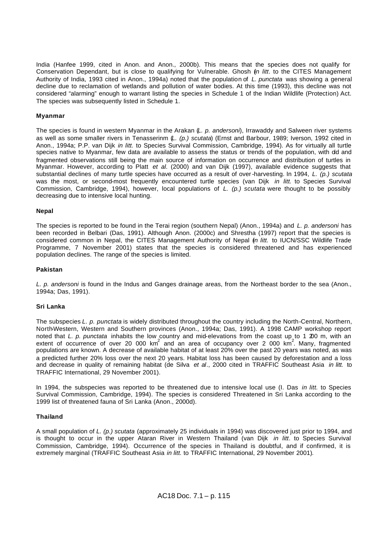India (Hanfee 1999, cited in Anon. and Anon., 2000b). This means that the species does not qualify for Conservation Dependant, but is close to qualifying for Vulnerable. Ghosh (*in litt*. to the CITES Management Authority of India, 1993 cited in Anon., 1994a) noted that the population of *L. punctata* was showing a general decline due to reclamation of wetlands and pollution of water bodies. At this time (1993), this decline was not considered "alarming" enough to warrant listing the species in Schedule 1 of the Indian Wildlife (Protection) Act. The species was subsequently listed in Schedule 1.

# **Myanmar**

The species is found in western Myanmar in the Arakan (*L. p. andersoni*), Irrawaddy and Salween river systems as well as some smaller rivers in Tenasserinm (*L. (p.) scutata*) (Ernst and Barbour, 1989; Iverson, 1992 cited in Anon., 1994a; P.P. van Dijk *in litt.* to Species Survival Commission, Cambridge, 1994). As for virtually all turtle species native to Myanmar, few data are available to assess the status or trends of the population, with old and fragmented observations still being the main source of information on occurrence and distribution of turtles in Myanmar. However, according to Platt *et al*. (2000) and van Dijk (1997), available evidence suggests that substantial declines of many turtle species have occurred as a result of over-harvesting. In 1994, *L. (p.) scutata* was the most, or second-most frequently encountered turtle species (van Dijk *in litt.* to Species Survival Commission, Cambridge, 1994), however, local populations of *L. (p.) scutata* were thought to be possibly decreasing due to intensive local hunting.

# **Nepal**

The species is reported to be found in the Terai region (southern Nepal) (Anon., 1994a) and *L. p. andersoni* has been recorded in Belbari (Das, 1991). Although Anon. (2000c) and Shrestha (1997) report that the species is considered common in Nepal, the CITES Management Authority of Nepal (*in litt.* to IUCN/SSC Wildlife Trade Programme, 7 November 2001) states that the species is considered threatened and has experienced population declines. The range of the species is limited.

#### **Pakistan**

*L. p. andersoni* is found in the Indus and Ganges drainage areas, from the Northeast border to the sea (Anon., 1994a; Das, 1991).

#### **Sri Lanka**

The subspecies *L. p. punctata* is widely distributed throughout the country including the North-Central, Northern, North-Western, Western and Southern provinces (Anon., 1994a; Das, 1991). A 1998 CAMP workshop report noted that *L. p. punctata* inhabits the low country and mid-elevations from the coast up to 1 200 m, with an extent of occurrence of over 20 000 km<sup>2</sup> and an area of occupancy over 2 000 km<sup>2</sup>. Many, fragmented populations are known. A decrease of available habitat of at least 20% over the past 20 years was noted, as was a predicted further 20% loss over the next 20 years. Habitat loss has been caused by deforestation and a loss and decrease in quality of remaining habitat (de Silva *et al*., 2000 cited in TRAFFIC Southeast Asia *in litt.* to TRAFFIC International, 29 November 2001).

In 1994, the subspecies was reported to be threatened due to intensive local use (I. Das *in litt.* to Species Survival Commission, Cambridge, 1994). The species is considered Threatened in Sri Lanka according to the 1999 list of threatened fauna of Sri Lanka (Anon., 2000d).

# **Thailand**

A small population of *L. (p.) scutata* (approximately 25 individuals in 1994) was discovered just prior to 1994, and is thought to occur in the upper Ataran River in Western Thailand (van Dijk *in litt*. to Species Survival Commission, Cambridge, 1994). Occurrence of the species in Thailand is doubtful, and if confirmed, it is extremely marginal (TRAFFIC Southeast Asia *in litt.* to TRAFFIC International, 29 November 2001)*.*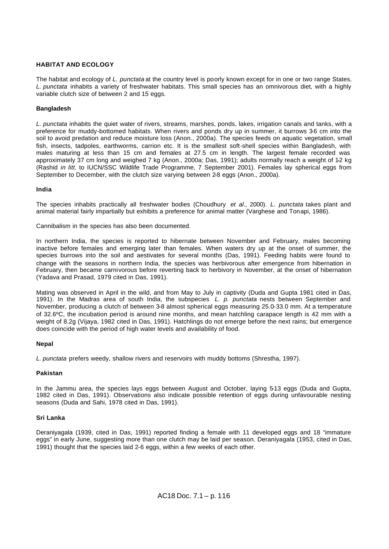# **HABITAT AND ECOLOGY**

The habitat and ecology of *L. punctata* at the country level is poorly known except for in one or two range States. *L. punctata* inhabits a variety of freshwater habitats. This small species has an omnivorous diet, with a highly variable clutch size of between 2 and 15 eggs.

# **Bangladesh**

*L. punctata* inhabits the quiet water of rivers, streams, marshes, ponds, lakes, irrigation canals and tanks, with a preference for muddy-bottomed habitats. When rivers and ponds dry up in summer, it burrows 36 cm into the soil to avoid predation and reduce moisture loss (Anon., 2000a). The species feeds on aquatic vegetation, small fish, insects, tadpoles, earthworms, carrion etc. It is the smallest soft-shell species within Bangladesh, with males maturing at less than 15 cm and females at 27.5 cm in length. The largest female recorded was approximately 37 cm long and weighed 7 kg (Anon., 2000a; Das, 1991); adults normally reach a weight of 1-2 kg (Rashid *in litt.* to IUCN/SSC Wildlife Trade Programme, 7 September 2001). Females lay spherical eggs from September to December, with the clutch size varying between 2-8 eggs (Anon., 2000a).

#### **India**

The species inhabits practically all freshwater bodies (Choudhury *et al*., 2000). *L. punctata* takes plant and animal material fairly impartially but exhibits a preference for animal matter (Varghese and Tonapi, 1986).

Cannibalism in the species has also been documented.

In northern India, the species is reported to hibernate between November and February, males becoming inactive before females and emerging later than females. When waters dry up at the onset of summer, the species burrows into the soil and aestivates for several months (Das, 1991). Feeding habits were found to change with the seasons in northern India, the species was herbivorous after emergence from hibernation in February, then became carnivorous before reverting back to herbivory in November, at the onset of hibernation (Yadava and Prasad, 1979 cited in Das, 1991).

Mating was observed in April in the wild, and from May to July in captivity (Duda and Gupta 1981 cited in Das, 1991). In the Madras area of south India, the subspecies *L. p. punctata* nests between September and November, producing a clutch of between 3-8 almost spherical eggs measuring 25.0-33.0 mm. At a temperature of 32.6ºC, the incubation period is around nine months, and mean hatchling carapace length is 42 mm with a weight of 8.2g (Vijaya, 1982 cited in Das, 1991). Hatchlings do not emerge before the next rains; but emergence does coincide with the period of high water levels and availability of food.

#### **Nepal**

*L. punctata* prefers weedy, shallow rivers and reservoirs with muddy bottoms (Shrestha, 1997).

#### **Pakistan**

In the Jammu area, the species lays eggs between August and October, laying 5-13 eggs (Duda and Gupta, 1982 cited in Das, 1991). Observations also indicate possible retention of eggs during unfavourable nesting seasons (Duda and Sahi, 1978 cited in Das, 1991).

#### **Sri Lanka**

Deraniyagala (1939, cited in Das, 1991) reported finding a female with 11 developed eggs and 18 "immature eggs" in early June, suggesting more than one clutch may be laid per season. Deraniyagala (1953, cited in Das, 1991) thought that the species laid 2-6 eggs, within a few weeks of each other.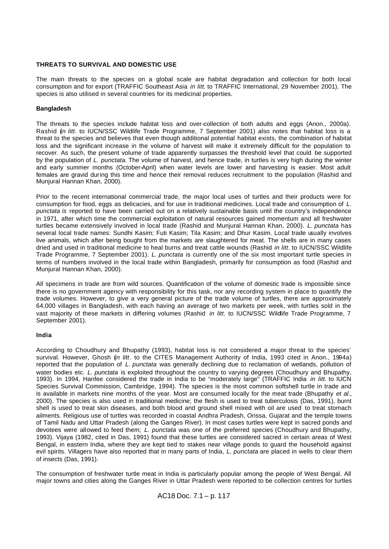# **THREATS TO SURVIVAL AND DOMESTIC USE**

The main threats to the species on a global scale are habitat degradation and collection for both local consumption and for export (TRAFFIC Southeast Asia *in litt*. to TRAFFIC International, 29 November 2001). The species is also utilised in several countries for its medicinal properties.

# **Bangladesh**

The threats to the species include habitat loss and over-collection of both adults and eggs (Anon., 2000a). Rashid (*in litt*. to IUCN/SSC Wildlife Trade Programme, 7 September 2001) also notes that habitat loss is a threat to the species and believes that even though additional potential habitat exists, the combination of habitat loss and the significant increase in the volume of harvest will make it extremely difficult for the population to recover. As such, the present volume of trade apparently surpasses the threshold level that could be supported by the population of *L. punctata*. The volume of harvest, and hence trade, in turtles is very high during the winter and early summer months (October-April) when water levels are lower and harvesting is easier. Most adult females are gravid during this time and hence their removal reduces recruitment to the population (Rashid and Munjural Hannan Khan, 2000).

Prior to the recent international commercial trade, the major local uses of turtles and their products were for consumption for food, eggs as delicacies, and for use in traditional medicines. Local trade and consumption of *L. punctata is* reported to have been carried out on a relatively sustainable basis until the country's independence in 1971, after which time the commercial exploitation of natural resources gained momentum and all freshwater turtles became extensively involved in local trade (Rashid and Munjural Hannan Khan, 2000). *L. punctata* has several local trade names: Sundhi Kasim; Futi Kasim; Tila Kasim; and Dhur Kasim. Local trade usually involves live animals, which after being bought from the markets are slaughtered for meat. The shells are in many cases dried and used in traditional medicine to heal burns and treat cattle wounds (Rashid *in litt*. to IUCN/SSC Wildlife Trade Programme, 7 September 2001). *L. punctata* is currently one of the six most important turtle species in terms of numbers involved in the local trade within Bangladesh, primarily for consumption as food (Rashid and Munjural Hannan Khan, 2000).

All specimens in trade are from wild sources. Quantification of the volume of domestic trade is impossible since there is no government agency with responsibility for this task, nor any recording system in place to quantify the trade volumes. However, to give a very general picture of the trade volume of turtles, there are approximately 64,000 villages in Bangladesh, with each having an average of two markets per week, with turtles sold in the vast majority of these markets in differing volumes (Rashid *in litt*. to IUCN/SSC Wildlife Trade Programme, 7 September 2001).

# **India**

According to Choudhury and Bhupathy (1993), habitat loss is not considered a major threat to the species' survival. However, Ghosh (*in litt*. to the CITES Management Authority of India, 1993 cited in Anon., 1994a) reported that the population of *L. punctata* was generally declining due to reclamation of wetlands, pollution of water bodies etc. *L. punctata* is exploited throughout the country to varying degrees (Choudhury and Bhupathy, 1993). In 1994, Hanfee considered the trade in India to be "moderately large" (TRAFFIC India *in litt*. to IUCN Species Survival Commission, Cambridge, 1994). The species is the most common softshell turtle in trade and is available in markets nine months of the year. Most are consumed locally for the meat trade (Bhupathy *et al*., 2000). The species is also used in traditional medicine; the flesh is used to treat tuberculosis (Das, 1991), burnt shell is used to treat skin diseases, and both blood and ground shell mixed with oil are used to treat stomach ailments. Religious use of turtles was recorded in coastal Andhra Pradesh, Orissa, Gujarat and the temple towns of Tamil Nadu and Uttar Pradesh (along the Ganges River). In most cases turtles were kept in sacred ponds and devotees were allowed to feed them; *L. punctata* was one of the preferred species (Choudhury and Bhupathy, 1993). Vijaya (1982, cited in Das, 1991) found that these turtles are considered sacred in certain areas of West Bengal, in eastern India, where they are kept tied to stakes near village ponds to guard the household against evil spirits. Villagers have also reported that in many parts of India, *L. punctata* are placed in wells to clear them of insects (Das, 1991).

The consumption of freshwater turtle meat in India is particularly popular among the people of West Bengal. All major towns and cities along the Ganges River in Uttar Pradesh were reported to be collection centres for turtles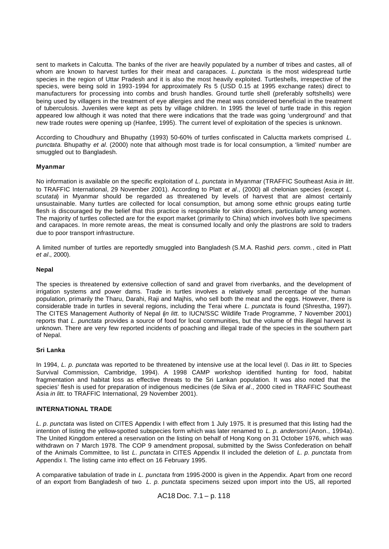sent to markets in Calcutta. The banks of the river are heavily populated by a number of tribes and castes, all of whom are known to harvest turtles for their meat and carapaces. *L. punctata* is the most widespread turtle species in the region of Uttar Pradesh and it is also the most heavily exploited. Turtleshells, irrespective of the species, were being sold in 1993-1994 for approximately Rs 5 (USD 0.15 at 1995 exchange rates) direct to manufacturers for processing into combs and brush handles. Ground turtle shell (preferably softshells) were being used by villagers in the treatment of eye allergies and the meat was considered beneficial in the treatment of tuberculosis. Juveniles were kept as pets by village children. In 1995 the level of turtle trade in this region appeared low although it was noted that there were indications that the trade was going 'underground' and that new trade routes were opening up (Hanfee, 1995). The current level of exploitation of the species is unknown.

According to Choudhury and Bhupathy (1993) 50-60% of turtles confiscated in Caluctta markets comprised *L. punctata*. Bhupathy *et al*. (2000) note that although most trade is for local consumption, a 'limited' number are smuggled out to Bangladesh.

# **Myanmar**

No information is available on the specific exploitation of *L. punctata* in Myanmar (TRAFFIC Southeast Asia *in litt*. to TRAFFIC International, 29 November 2001). According to Platt *et al*., (2000) all chelonian species (except *L. scutata*) in Myanmar should be regarded as threatened by levels of harvest that are almost certainly unsustainable. Many turtles are collected for local consumption, but among some ethnic groups eating turtle flesh is discouraged by the belief that this practice is responsible for skin disorders, particularly among women. The majority of turtles collected are for the export market (primarily to China) which involves both live specimens and carapaces. In more remote areas, the meat is consumed locally and only the plastrons are sold to traders due to poor transport infrastructure.

A limited number of turtles are reportedly smuggled into Bangladesh (S.M.A. Rashid *pers. comm.*, cited in Platt *et al*., 2000).

# **Nepal**

The species is threatened by extensive collection of sand and gravel from riverbanks, and the development of irrigation systems and power dams. Trade in turtles involves a relatively small percentage of the human population, primarily the Tharu, Darahi, Raji and Majhis, who sell both the meat and the eggs. However, there is considerable trade in turtles in several regions, including the Terai where *L. punctata* is found (Shrestha, 1997). The CITES Management Authority of Nepal (*in litt.* to IUCN/SSC Wildlife Trade Programme, 7 November 2001) reports that *L. punctata* provides a source of food for local communities, but the volume of this illegal harvest is unknown. There are very few reported incidents of poaching and illegal trade of the species in the southern part of Nepal.

# **Sri Lanka**

In 1994, *L. p. punctata* was reported to be threatened by intensive use at the local level (I. Das *in litt.* to Species Survival Commission, Cambridge, 1994). A 1998 CAMP workshop identified hunting for food, habitat fragmentation and habitat loss as effective threats to the Sri Lankan population. It was also noted that the species' flesh is used for preparation of indigenous medicines (de Silva *et al*., 2000 cited in TRAFFIC Southeast Asia *in litt.* to TRAFFIC International, 29 November 2001).

# **INTERNATIONAL TRADE**

*L. p. punctata* was listed on CITES Appendix I with effect from 1 July 1975. It is presumed that this listing had the intention of listing the yellow-spotted subspecies form which was later renamed to *L. p. andersoni* (Anon., 1994a). The United Kingdom entered a reservation on the listing on behalf of Hong Kong on 31 October 1976, which was withdrawn on 7 March 1978. The COP 9 amendment proposal, submitted by the Swiss Confederation on behalf of the Animals Committee, to list *L. punctata* in CITES Appendix II included the deletion of *L. p. punctata* from Appendix I. The listing came into effect on 16 February 1995.

A comparative tabulation of trade in *L. punctata* from 1995-2000 is given in the Appendix. Apart from one record of an export from Bangladesh of two *L. p. punctata* specimens seized upon import into the US, all reported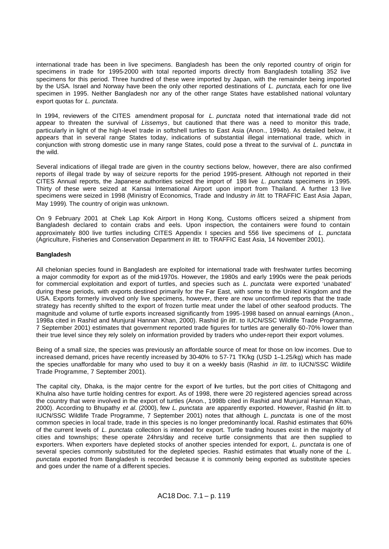international trade has been in live specimens. Bangladesh has been the only reported country of origin for specimens in trade for 1995-2000 with total reported imports directly from Bangladesh totalling 352 live specimens for this period. Three hundred of these were imported by Japan, with the remainder being imported by the USA. Israel and Norway have been the only other reported destinations of *L. punctata*, each for one live specimen in 1995. Neither Bangladesh nor any of the other range States have established national voluntary export quotas for *L. punctata*.

In 1994, reviewers of the CITES amendment proposal for *L. punctata* noted that international trade did not appear to threaten the survival of *Lissemys*, but cautioned that there was a need to monitor this trade, particularly in light of the high-level trade in softshell turtles to East Asia (Anon., 1994b). As detailed below, it appears that in several range States today, indications of substantial illegal international trade, which in conjunction with strong domestic use in many range States, could pose a threat to the survival of *L. punctata* in the wild.

Several indications of illegal trade are given in the country sections below, however, there are also confirmed reports of illegal trade by way of seizure reports for the period 1995-present. Although not reported in their CITES Annual reports, the Japanese authorities seized the import of 198 live *L. punctata* specimens in 1995. Thirty of these were seized at Kansai International Airport upon import from Thailand. A further 13 live specimens were seized in 1998 (Ministry of Economics, Trade and Industry *in litt*. to TRAFFIC East Asia Japan, May 1999). The country of origin was unknown.

On 9 February 2001 at Chek Lap Kok Airport in Hong Kong, Customs officers seized a shipment from Bangladesh declared to contain crabs and eels. Upon inspection, the containers were found to contain approximately 800 live turtles including CITES Appendix I species and 556 live specimens of *L. punctata*  (Agriculture, Fisheries and Conservation Department *in litt.* to TRAFFIC East Asia, 14 November 2001).

# **Bangladesh**

All chelonian species found in Bangladesh are exploited for international trade with freshwater turtles becoming a major commodity for export as of the mid-1970s. However, the 1980s and early 1990s were the peak periods for commercial exploitation and export of turtles, and species such as *L. punctata* were exported 'unabated' during these periods, with exports destined primarily for the Far East, with some to the United Kingdom and the USA. Exports formerly involved only live specimens, however, there are now unconfirmed reports that the trade strategy has recently shifted to the export of frozen turtle meat under the label of other seafood products. The magnitude and volume of turtle exports increased significantly from 1995-1998 based on annual earnings (Anon., 1998a cited in Rashid and Munjural Hannan Khan, 2000). Rashid (*in litt*. to IUCN/SSC Wildlife Trade Programme, 7 September 2001) estimates that government reported trade figures for turtles are generally 60-70% lower than their true level since they rely solely on information provided by traders who under-report their export volumes.

Being of a small size, the species was previously an affordable source of meat for those on low incomes. Due to increased demand, prices have recently increased by 30-40% to 57-71 TK/kg (USD 1–1.25/kg) which has made the species unaffordable for many who used to buy it on a weekly basis (Rashid *in litt*. to IUCN/SSC Wildlife Trade Programme, 7 September 2001).

The capital city, Dhaka, is the major centre for the export of Ive turtles, but the port cities of Chittagong and Khulna also have turtle holding centres for export. As of 1998, there were 20 registered agencies spread across the country that were involved in the export of turtles (Anon., 1998b cited in Rashid and Munjural Hannan Khan, 2000). According to Bhupathy *et al*. (2000), few *L. punctata* are apparently exported. However, Rashid (*in litt.* to IUCN/SSC Wildlife Trade Programme, 7 September 2001) notes that although *L. punctata* is one of the most common species in local trade, trade in this species is no longer predominantly local. Rashid estimates that 60% of the current levels of *L. punctata* collection is intended for export. Turtle trading houses exist in the majority of cities and townships; these operate 24hrs/day and receive turtle consignments that are then supplied to exporters. When exporters have depleted stocks of another species intended for export, *L. punctata* is one of several species commonly substituted for the depleted species. Rashid estimates that wrtually none of the *L*. *punctata* exported from Bangladesh is recorded because it is commonly being exported as substitute species and goes under the name of a different species.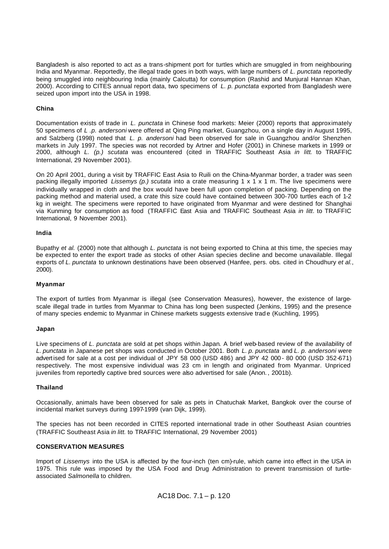Bangladesh is also reported to act as a trans-shipment port for turtles which are smuggled in from neighbouring India and Myanmar. Reportedly, the illegal trade goes in both ways, with large numbers of *L. punctata* reportedly being smuggled into neighbouring India (mainly Calcutta) for consumption (Rashid and Munjural Hannan Khan, 2000). According to CITES annual report data, two specimens of *L. p. punctata* exported from Bangladesh were seized upon import into the USA in 1998.

# **China**

Documentation exists of trade in *L. punctata* in Chinese food markets: Meier (2000) reports that approximately 50 specimens of *L .p. andersoni* were offered at Qing Ping market, Guangzhou, on a single day in August 1995, and Salzberg (1998) noted that *L. p. andersoni* had been observed for sale in Guangzhou and/or Shenzhen markets in July 1997. The species was not recorded by Artner and Hofer (2001) in Chinese markets in 1999 or 2000, although *L. (p.) scutata* was encountered (cited in TRAFFIC Southeast Asia *in litt*. to TRAFFIC International, 29 November 2001).

On 20 April 2001, during a visit by TRAFFIC East Asia to Ruili on the China-Myanmar border, a trader was seen packing illegally imported *Lissemys (p.) scutata* into a crate measuring 1 x 1 x 1 m. The live specimens were individually wrapped in cloth and the box would have been full upon completion of packing. Depending on the packing method and material used, a crate this size could have contained between 300-700 turtles each of 1-2 kg in weight. The specimens were reported to have originated from Myanmar and were destined for Shanghai via Kunming for consumption as food (TRAFFIC East Asia and TRAFFIC Southeast Asia *in litt*. to TRAFFIC International, 9 November 2001).

# **India**

Bupathy *et al.* (2000) note that although *L. punctata* is not being exported to China at this time, the species may be expected to enter the export trade as stocks of other Asian species decline and become unavailable. Illegal exports of *L. punctata* to unknown destinations have been observed (Hanfee, pers. obs*.* cited in Choudhury *et al.*, 2000).

# **Myanmar**

The export of turtles from Myanmar is illegal (see Conservation Measures), however, the existence of largescale illegal trade in turtles from Myanmar to China has long been suspected (Jenkins, 1995) and the presence of many species endemic to Myanmar in Chinese markets suggests extensive trad e (Kuchling, 1995)*.*

# **Japan**

Live specimens of *L. punctata* are sold at pet shops within Japan. A brief web-based review of the availability of *L. punctata* in Japanese pet shops was conducted in October 2001. Both *L. p. punctata* and *L. p. andersoni* were advertised for sale at a cost per individual of JPY 58 000 (USD 486) and JPY 42 000 - 80 000 (USD 352-671) respectively. The most expensive individual was 23 cm in length and originated from Myanmar. Unpriced juveniles from reportedly captive bred sources were also advertised for sale (Anon. , 2001b).

# **Thailand**

Occasionally, animals have been observed for sale as pets in Chatuchak Market, Bangkok over the course of incidental market surveys during 1997-1999 (van Dijk, 1999).

The species has not been recorded in CITES reported international trade in other Southeast Asian countries (TRAFFIC Southeast Asia *in litt.* to TRAFFIC International, 29 November 2001)

# **CONSERVATION MEASURES**

Import of *Lissemys* into the USA is affected by the four-inch (ten cm)-rule, which came into effect in the USA in 1975. This rule was imposed by the USA Food and Drug Administration to prevent transmission of turtleassociated *Salmonella* to children.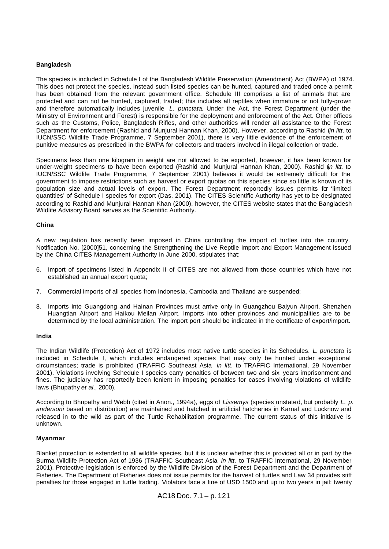# **Bangladesh**

The species is included in Schedule I of the Bangladesh Wildlife Preservation (Amendment) Act (BWPA) of 1974. This does not protect the species, instead such listed species can be hunted, captured and traded once a permit has been obtained from the relevant government office. Schedule III comprises a list of animals that are protected and can not be hunted, captured, traded; this includes all reptiles when immature or not fully-grown and therefore automatically includes juvenile *L. punctata*. Under the Act, the Forest Department (under the Ministry of Environment and Forest) is responsible for the deployment and enforcement of the Act. Other offices such as the Customs, Police, Bangladesh Rifles, and other authorities will render all assistance to the Forest Department for enforcement (Rashid and Munjural Hannan Khan, 2000). However, according to Rashid (*in litt*. to IUCN/SSC Wildlife Trade Programme, 7 September 2001), there is very little evidence of the enforcement of punitive measures as prescribed in the BWPA for collectors and traders involved in illegal collection or trade.

Specimens less than one kilogram in weight are not allowed to be exported, however, it has been known for under-weight specimens to have been exported (Rashid and Munjural Hannan Khan, 2000). Rashid (*in litt*. to IUCN/SSC Wildlife Trade Programme, 7 September 2001) believes it would be extremely difficult for the government to impose restrictions such as harvest or export quotas on this species since so little is known of its population size and actual levels of export. The Forest Department reportedly issues permits for 'limited quantities' of Schedule I species for export (Das, 2001). The CITES Scientific Authority has yet to be designated according to Rashid and Munjural Hannan Khan (2000), however, the CITES website states that the Bangladesh Wildlife Advisory Board serves as the Scientific Authority.

#### **China**

A new regulation has recently been imposed in China controlling the import of turtles into the country. Notification No. [2000]51, concerning the Strengthening the Live Reptile Import and Export Management issued by the China CITES Management Authority in June 2000, stipulates that:

- 6. Import of specimens listed in Appendix II of CITES are not allowed from those countries which have not established an annual export quota;
- 7. Commercial imports of all species from Indonesia, Cambodia and Thailand are suspended;
- 8. Imports into Guangdong and Hainan Provinces must arrive only in Guangzhou Baiyun Airport, Shenzhen Huangtian Airport and Haikou Meilan Airport. Imports into other provinces and municipalities are to be determined by the local administration. The import port should be indicated in the certificate of export/import.

# **India**

The Indian Wildlife (Protection) Act of 1972 includes most native turtle species in its Schedules. *L. punctata* is included in Schedule I, which includes endangered species that may only be hunted under exceptional circumstances; trade is prohibited (TRAFFIC Southeast Asia *in litt*. to TRAFFIC International, 29 November 2001). Violations involving Schedule I species carry penalties of between two and six years imprisonment and fines. The judiciary has reportedly been lenient in imposing penalties for cases involving violations of wildlife laws (Bhupathy *et al*., 2000).

According to Bhupathy and Webb (cited in Anon., 1994a), eggs of *Lissemys* (species unstated, but probably *L. p. andersoni* based on distribution) are maintained and hatched in artificial hatcheries in Karnal and Lucknow and released in to the wild as part of the Turtle Rehabilitation programme. The current status of this initiative is unknown.

#### **Myanmar**

Blanket protection is extended to all wildlife species, but it is unclear whether this is provided all or in part by the Burma Wildlife Protection Act of 1936 (TRAFFIC Southeast Asia *in litt*. to TRAFFIC International, 29 November 2001). Protective legislation is enforced by the Wildlife Division of the Forest Department and the Department of Fisheries. The Department of Fisheries does not issue permits for the harvest of turtles and Law 34 provides stiff penalties for those engaged in turtle trading. Violators face a fine of USD 1500 and up to two years in jail; twenty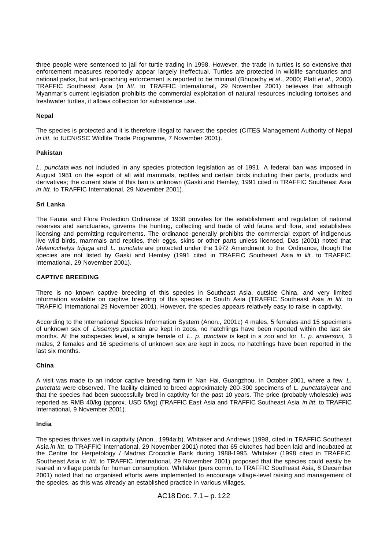three people were sentenced to jail for turtle trading in 1998. However, the trade in turtles is so extensive that enforcement measures reportedly appear largely ineffectual. Turtles are protected in wildlife sanctuaries and national parks, but anti-poaching enforcement is reported to be minimal (Bhupathy *et al*., 2000; Platt *et al*., 2000). TRAFFIC Southeast Asia (*in litt*. to TRAFFIC International, 29 November 2001) believes that although Myanmar's current legislation prohibits the commercial exploitation of natural resources including tortoises and freshwater turtles, it allows collection for subsistence use.

# **Nepal**

The species is protected and it is therefore illegal to harvest the species (CITES Management Authority of Nepal *in litt.* to IUCN/SSC Wildlife Trade Programme, 7 November 2001).

#### **Pakistan**

*L. punctata* was not included in any species protection legislation as of 1991. A federal ban was imposed in August 1981 on the export of all wild mammals, reptiles and certain birds including their parts, products and derivatives; the current state of this ban is unknown (Gaski and Hemley, 1991 cited in TRAFFIC Southeast Asia *in litt*. to TRAFFIC International, 29 November 2001).

#### **Sri Lanka**

The Fauna and Flora Protection Ordinance of 1938 provides for the establishment and regulation of national reserves and sanctuaries, governs the hunting, collecting and trade of wild fauna and flora, and establishes licensing and permitting requirements. The ordinance generally prohibits the commercial export of indigenous live wild birds, mammals and reptiles, their eggs, skins or other parts unless licensed. Das (2001) noted that *Melanochelys trijuga* and *L. punctata* are protected under the 1972 Amendment to the Ordinance, though the species are not listed by Gaski and Hemley (1991 cited in TRAFFIC Southeast Asia *in litt*. to TRAFFIC International, 29 November 2001).

# **CAPTIVE BREEDING**

There is no known captive breeding of this species in Southeast Asia, outside China, and very limited information available on captive breeding of this species in South Asia (TRAFFIC Southeast Asia *in litt*. to TRAFFIC International 29 November 2001). However, the species appears relatively easy to raise in captivity.

According to the International Species Information System (Anon., 2001c) 4 males, 5 females and 15 specimens of unknown sex of *Lissemys punctata* are kept in zoos, no hatchlings have been reported within the last six months. At the subspecies level, a single female of *L. p. punctata* is kept in a zoo and for *L. p. andersoni,* 3 males, 2 females and 16 specimens of unknown sex are kept in zoos, no hatchlings have been reported in the last six months.

#### **China**

A visit was made to an indoor captive breeding farm in Nan Hai, Guangzhou, in October 2001, where a few *L. punctata* were observed. The facility claimed to breed approximately 200-300 specimens of *L. punctata*/year and that the species had been successfully bred in captivity for the past 10 years. The price (probably wholesale) was reported as RMB 40/kg (approx. USD 5/kg) (TRAFFIC East Asia and TRAFFIC Southeast Asia *in litt*. to TRAFFIC International, 9 November 2001).

#### **India**

The species thrives well in captivity (Anon., 1994a;b). Whitaker and Andrews (1998, cited in TRAFFIC Southeast Asia *in litt*. to TRAFFIC International, 29 November 2001) noted that 65 clutches had been laid and incubated at the Centre for Herpetology / Madras Crocodile Bank during 1988-1995. Whitaker (1998 cited in TRAFFIC Southeast Asia *in litt*. to TRAFFIC International, 29 November 2001) proposed that the species could easily be reared in village ponds for human consumption. Whitaker (pers comm. to TRAFFIC Southeast Asia, 8 December 2001) noted that no organised efforts were implemented to encourage village-level raising and management of the species, as this was already an established practice in various villages.

```
AC18 Doc. 7.1 – p. 122
```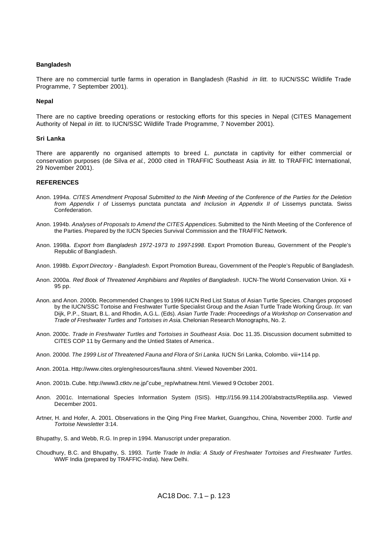#### **Bangladesh**

There are no commercial turtle farms in operation in Bangladesh (Rashid *in litt.* to IUCN/SSC Wildlife Trade Programme, 7 September 2001).

#### **Nepal**

There are no captive breeding operations or restocking efforts for this species in Nepal (CITES Management Authority of Nepal *in litt.* to IUCN/SSC Wildlife Trade Programme, 7 November 2001).

#### **Sri Lanka**

There are apparently no organised attempts to breed *L. punctata* in captivity for either commercial or conservation purposes (de Silva *et al*., 2000 cited in TRAFFIC Southeast Asia *in litt.* to TRAFFIC International, 29 November 2001).

#### **REFERENCES**

- Anon. 1994a. *CITES Amendment Proposal Submitted to the Ninth Meeting of the Conference of the Parties for the Deletion from Appendix I of* Lissemys punctata punctata *and Inclusion in Appendix II of* Lissemys punctata. Swiss Confederation.
- Anon. 1994b. *Analyses of Proposals to Amend the CITES Appendices.* Submitted to the Ninth Meeting of the Conference of the Parties. Prepared by the IUCN Species Survival Commission and the TRAFFIC Network.
- Anon. 1998a. *Export from Bangladesh 1972-1973 to 1997-1998*. Export Promotion Bureau, Government of the People's Republic of Bangladesh.
- Anon. 1998b. *Export Directory Bangladesh*. Export Promotion Bureau, Government of the People's Republic of Bangladesh.
- Anon. 2000a. *Red Book of Threatened Amphibians and Reptiles of Bangladesh*. IUCN-The World Conservation Union. Xii + 95 pp.
- Anon. and Anon. 2000b. Recommended Changes to 1996 IUCN Red List Status of Asian Turtle Species. Changes proposed by the IUCN/SSC Tortoise and Freshwater Turtle Specialist Group and the Asian Turtle Trade Working Group. *In*: van Dijk, P.P., Stuart, B.L. and Rhodin, A.G.L. (Eds). *Asian Turtle Trade: Proceedings of a Workshop on Conservation and Trade of Freshwater Turtles and Tortoises in Asia.* Chelonian Research Monographs, No. 2.
- Anon. 2000c. *Trade in Freshwater Turtles and Tortoises in Southeast Asia*. Doc 11.35. Discussion document submitted to CITES COP 11 by Germany and the Untied States of America..
- Anon. 2000d. *The 1999 List of Threatened Fauna and Flora of Sri Lanka*. IUCN Sri Lanka, Colombo. viii+114 pp.
- Anon. 2001a. Http://www.cites.org/eng/resources/fauna .shtml. Viewed November 2001.
- Anon. 2001b. Cube. http://www3.ctktv.ne.jp/˜cube\_rep/whatnew.html. Viewed 9 October 2001.
- Anon. 2001c. International Species Information System (ISIS). Http://156.99.114.200/abstracts/Reptilia.asp. Viewed December 2001.
- Artner, H. and Hofer, A. 2001. Observations in the Qing Ping Free Market, Guangzhou, China, November 2000. *Turtle and Tortoise Newsletter* 3:14.
- Bhupathy, S. and Webb, R.G. In prep in 1994. Manuscript under preparation.
- Choudhury, B.C. and Bhupathy, S. 1993. *Turtle Trade In India: A Study of Freshwater Tortoises and Freshwater Turtles*. WWF India (prepared by TRAFFIC-India). New Delhi.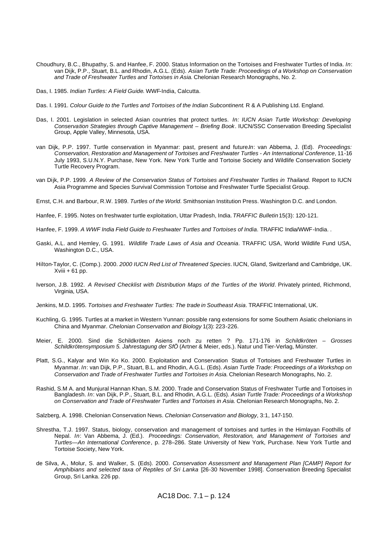- Choudhury, B.C., Bhupathy, S. and Hanfee, F. 2000. Status Information on the Tortoises and Freshwater Turtles of India. *In*: van Dijk, P.P., Stuart, B.L. and Rhodin, A.G.L. (Eds). *Asian Turtle Trade: Proceedings of a Workshop on Conservation and Trade of Freshwater Turtles and Tortoises in Asia.* Chelonian Research Monographs, No. 2.
- Das, I. 1985. *Indian Turtles: A Field Guide*. WWF-India, Calcutta.
- Das. I. 1991. *Colour Guide to the Turtles and Tortoises of the Indian Subcontinent*. R & A Publishing Ltd. England.
- Das, I. 2001. Legislation in selected Asian countries that protect turtles. *In: IUCN Asian Turtle Workshop: Developing Conservation Strategies through Captive Management – Briefing Book*. IUCN/SSC Conservation Breeding Specialist Group, Apple Valley, Minnesota, USA.
- van Dijk, P.P. 1997. Turtle conservation in Myanmar: past, present and future.*In*: van Abbema, J. (Ed). *Proceedings: Conservation, Restoration and Management of Tortoises and Freshwater Turtles - An International Conference*, 11-16 July 1993, S.U.N.Y. Purchase, New York. New York Turtle and Tortoise Society and Wildlife Conservation Society Turtle Recovery Program.
- van Dijk, P.P. 1999. *A Review of the Conservation Status of Tortoises and Freshwater Turtles in Thailand.* Report to IUCN Asia Programme and Species Survival Commission Tortoise and Freshwater Turtle Specialist Group.
- Ernst, C.H. and Barbour, R.W. 1989. *Turtles of the World*. Smithsonian Institution Press. Washington D.C. and London.
- Hanfee, F. 1995. Notes on freshwater turtle exploitation, Uttar Pradesh, India. *TRAFFIC Bulletin* 15(3): 120-121.
- Hanfee, F. 1999. *A WWF India Field Guide to Freshwater Turtles and Tortoises of India*. TRAFFIC India/WWF-India. .
- Gaski, A.L. and Hemley, G. 1991. *Wildlife Trade Laws of Asia and Oceania*. TRAFFIC USA, World Wildlife Fund USA, Washington D.C., USA.
- Hilton-Taylor, C. (Comp.). 2000. *2000 IUCN Red List of Threatened Species*. IUCN, Gland, Switzerland and Cambridge, UK.  $X$ viii + 61 pp.
- Iverson, J.B. 1992. *A Revised Checklist with Distribution Maps of the Turtles of the World*. Privately printed, Richmond, Virginia, USA.
- Jenkins, M.D. 1995. *Tortoises and Freshwater Turtles: The trade in Southeast Asia*. TRAFFIC International, UK.
- Kuchling, G. 1995. Turtles at a market in Western Yunnan: possible rang extensions for some Southern Asiatic chelonians in China and Myanmar. *Chelonian Conservation and Biology* 1(3): 223-226.
- Meier, E. 2000. Sind die Schildkröten Asiens noch zu retten ? Pp. 171-176 in *Schildkröten Grosses Schildkrötensymposium 5. Jahrestagung der SfÖ* (Artner & Meier, eds.). Natur und Tier-Verlag, Münster.
- Platt, S.G., Kalyar and Win Ko Ko. 2000. Exploitation and Conservation Status of Tortoises and Freshwater Turtles in Myanmar. *In*: van Dijk, P.P., Stuart, B.L. and Rhodin, A.G.L. (Eds). *Asian Turtle Trade: Proceedings of a Workshop on Conservation and Trade of Freshwater Turtles and Tortoises in Asia.* Chelonian Research Monographs, No. 2.
- Rashid, S.M A. and Munjural Hannan Khan, S.M. 2000. Trade and Conservation Status of Freshwater Turtle and Tortoises in Bangladesh. *In*: van Dijk, P.P., Stuart, B.L. and Rhodin, A.G.L. (Eds). *Asian Turtle Trade: Proceedings of a Workshop on Conservation and Trade of Freshwater Turtles and Tortoises in Asia.* Chelonian Research Monographs, No. 2.

Salzberg, A. 1998. Chelonian Conservation News. *Chelonian Conservation and Biology*, 3:1, 147-150.

- Shrestha, T.J. 1997. Status, biology, conservation and management of tortoises and turtles in the Himlayan Foothills of Nepal. *In*: Van Abbema, J. (Ed.). *Proceedings: Conservation, Restoration, and Management of Tortoises and Turtles—An International Conference*, p. 278–286. State University of New York, Purchase. New York Turtle and Tortoise Society, New York.
- de Silva, A., Molur, S. and Walker, S. (Eds). 2000. *Conservation Assessment and Management Plan [CAMP] Report for Amphibians and selected taxa of Reptiles of Sri Lanka* [26-30 November 1998]. Conservation Breeding Specialist Group, Sri Lanka. 226 pp.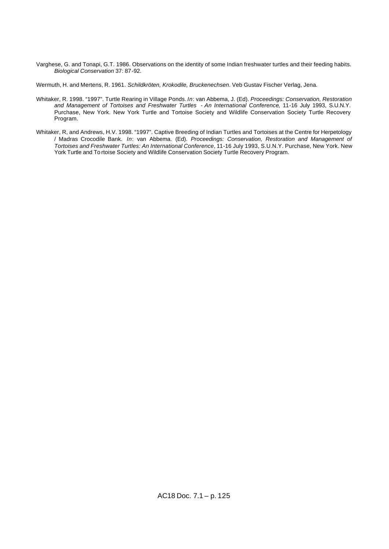Varghese, G. and Tonapi, G.T. 1986. Observations on the identity of some Indian freshwater turtles and their feeding habits. *Biological Conservation* 37: 87-92.

Wermuth, H. and Mertens, R. 1961. *Schildkröten, Krokodile, Bruckenechsen*. Veb Gustav Fischer Verlag, Jena.

- Whitaker, R. 1998. "1997". Turtle Rearing in Village Ponds. *In*: van Abbema, J. (Ed). *Proceedings: Conservation, Restoration and Management of Tortoises and Freshwater Turtles - An International Conference*, 11-16 July 1993, S.U.N.Y. Purchase, New York. New York Turtle and Tortoise Society and Wildlife Conservation Society Turtle Recovery Program.
- Whitaker, R, and Andrews, H.V. 1998. "1997". Captive Breeding of Indian Turtles and Tortoises at the Centre for Herpetology / Madras Crocodile Bank. *In*: van Abbema. (Ed). *Proceedings: Conservation, Restoration and Management of Tortoises and Freshwater Turtles: An International Conference*, 11-16 July 1993, S.U.N.Y. Purchase, New York. New York Turtle and To rtoise Society and Wildlife Conservation Society Turtle Recovery Program.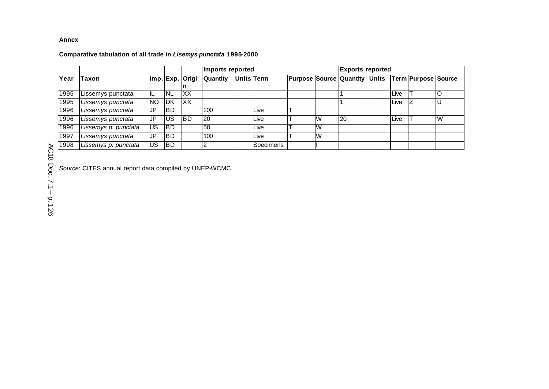# **Annex**

# **Comparative tabulation of all trade in** *Lisemys punctata* **1995-2000**

|      |                      |     |            |                 | Imports reported |                   |           |  | <b>Exports reported</b> |                                                             |  |      |  |          |
|------|----------------------|-----|------------|-----------------|------------------|-------------------|-----------|--|-------------------------|-------------------------------------------------------------|--|------|--|----------|
| Year | <b>ITaxon</b>        |     |            | Imp. Exp. Origi | <b>Quantity</b>  | <b>Units</b> Term |           |  |                         | Purpose Source   Quantity   Units   Term   Purpose   Source |  |      |  |          |
|      |                      |     |            |                 |                  |                   |           |  |                         |                                                             |  |      |  |          |
| 1995 | Lissemys punctata    | IL  | <b>INL</b> | IXX.            |                  |                   |           |  |                         |                                                             |  | Live |  |          |
| 1995 | Lissemys punctata    | NO  | <b>IDK</b> | XX              |                  |                   |           |  |                         |                                                             |  | Live |  |          |
| 1996 | Lissemys punctata    | JP  | IBD.       |                 | 200              |                   | Live      |  |                         |                                                             |  |      |  |          |
| 1996 | Lissemys punctata    | JP  | IUS.       | <b>IBD</b>      | <b>20</b>        |                   | Live      |  | W                       | <b>20</b>                                                   |  | Live |  | <b>W</b> |
| 1996 | Lissemys p. punctata | US  | <b>IBD</b> |                 | 50               |                   | Live      |  | IW                      |                                                             |  |      |  |          |
| 1997 | Lissemys punctata    | JP  | <b>IBD</b> |                 | 100              |                   | Live      |  | IW                      |                                                             |  |      |  |          |
| 1998 | Lissemys p. punctata | US. | <b>IBD</b> |                 |                  |                   | Specimens |  |                         |                                                             |  |      |  |          |

*Source*: CITES annual report data compiled by UNEP-WCMC.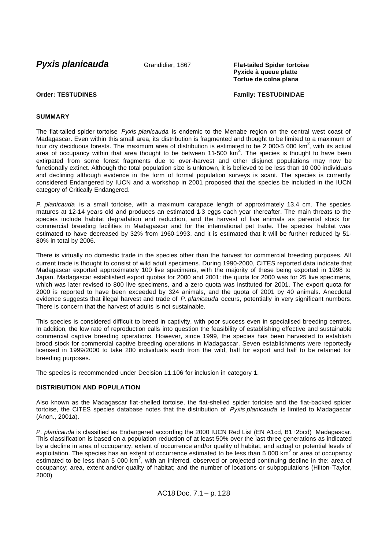**Pyxis planicauda** Grandidier, 1867 **Flat-tailed Spider tortoise** 

**Pyxide à queue platte Tortue de colna plana**

**Order: TESTUDINES Family: TESTUDINIDAE**

# **SUMMARY**

The flat-tailed spider tortoise *Pyxis planicauda* is endemic to the Menabe region on the central west coast of Madagascar. Even within this small area, its distribution is fragmented and thought to be limited to a maximum of four dry deciduous forests. The maximum area of distribution is estimated to be 2 000-5 000 km<sup>2</sup>, with its actual area of occupancy within that area thought to be between 11-500 km<sup>2</sup>. The species is thought to have been extirpated from some forest fragments due to over-harvest and other disjunct populations may now be functionally extinct. Although the total population size is unknown, it is believed to be less than 10 000 individuals and declining although evidence in the form of formal population surveys is scant. The species is currently considered Endangered by IUCN and a workshop in 2001 proposed that the species be included in the IUCN category of Critically Endangered.

*P. planicauda* is a small tortoise, with a maximum carapace length of approximately 13.4 cm. The species matures at 12-14 years old and produces an estimated 1-3 eggs each year thereafter. The main threats to the species include habitat degradation and reduction, and the harvest of live animals as parental stock for commercial breeding facilities in Madagascar and for the international pet trade. The species' habitat was estimated to have decreased by 32% from 1960-1993, and it is estimated that it will be further reduced by 51- 80% in total by 2006.

There is virtually no domestic trade in the species other than the harvest for commercial breeding purposes. All current trade is thought to consist of wild adult specimens. During 1990-2000, CITES reported data indicate that Madagascar exported approximately 100 live specimens, with the majority of these being exported in 1998 to Japan. Madagascar established export quotas for 2000 and 2001: the quota for 2000 was for 25 live specimens, which was later revised to 800 live specimens, and a zero quota was instituted for 2001. The export quota for 2000 is reported to have been exceeded by 324 animals, and the quota of 2001 by 40 animals. Anecdotal evidence suggests that illegal harvest and trade of *P. planicauda* occurs, potentially in very significant numbers. There is concern that the harvest of adults is not sustainable.

This species is considered difficult to breed in captivity, with poor success even in specialised breeding centres. In addition, the low rate of reproduction calls into question the feasibility of establishing effective and sustainable commercial captive breeding operations. However, since 1999, the species has been harvested to establish brood stock for commercial captive breeding operations in Madagascar. Seven establishments were reportedly licensed in 1999/2000 to take 200 individuals each from the wild, half for export and half to be retained for breeding purposes.

The species is recommended under Decision 11.106 for inclusion in category 1.

# **DISTRIBUTION AND POPULATION**

Also known as the Madagascar flat-shelled tortoise, the flat-shelled spider tortoise and the flat-backed spider tortoise, the CITES species database notes that the distribution of *Pyxis planicauda* is limited to Madagascar (Anon., 2001a).

*P. planicauda* is classified as Endangered according the 2000 IUCN Red List (EN A1cd, B1+2bcd) Madagascar. This classification is based on a population reduction of at least 50% over the last three generations as indicated by a decline in area of occupancy, extent of occurrence and/or quality of habitat, and actual or potential levels of exploitation. The species has an extent of occurrence estimated to be less than 5 000 km<sup>2</sup> or area of occupancy estimated to be less than 5 000 km<sup>2</sup>, with an inferred, observed or projected continuing decline in the: area of occupancy; area, extent and/or quality of habitat; and the number of locations or subpopulations (Hilton-Taylor, 2000)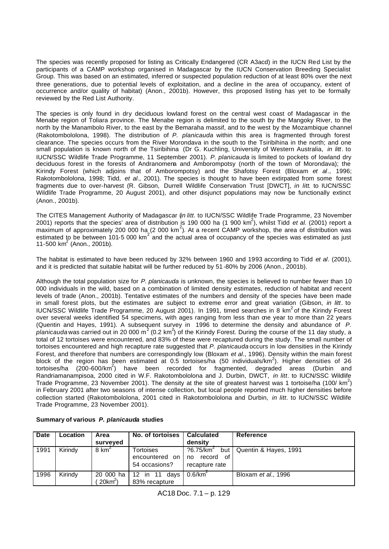The species was recently proposed for listing as Critically Endangered (CR A3acd) in the IUCN Red List by the participants of a CAMP workshop organised in Madagascar by the IUCN Conservation Breeding Specialist Group. This was based on an estimated, inferred or suspected population reduction of at least 80% over the next three generations, due to potential levels of exploitation, and a decline in the area of occupancy, extent of occurrence and/or quality of habitat) (Anon., 2001b). However, this proposed listing has yet to be formally reviewed by the Red List Authority.

The species is only found in dry deciduous lowland forest on the central west coast of Madagascar in the Menabe region of Toliara province. The Menabe region is delimited to the south by the Mangoky River, to the north by the Manambolo River, to the east by the Bemaraha massif, and to the west by the Mozambique channel (Rakotombololona, 1998). The distribution of *P. planicauda* within this area is fragmented through forest clearance. The species occurs from the River Morondava in the south to the Tsiribihina in the north; and one small population is known north of the Tsiribihina (Dr G. Kuchling, University of Western Australia, *in litt*. to IUCN/SSC Wildlife Trade Programme, 11 September 2001). *P. planicauda* is limited to pockets of lowland dry deciduous forest in the forests of Andranomena and Amborompotsy (north of the town of Morondava); the Kirindy Forest (which adjoins that of Amborompotsy) and the Shafotsy Forest (Bloxam *et al*., 1996; Rakotombololona, 1998; Tidd, *et al*., 2001). The species is thought to have been extirpated from some forest fragments due to over-harvest (R. Gibson, Durrell Wildlife Conservation Trust [DWCT], *in litt*. to IUCN/SSC Wildlife Trade Programme, 20 August 2001), and other disjunct populations may now be functionally extinct (Anon., 2001b).

The CITES Management Authority of Madagascar (*in litt*. to IUCN/SSC Wildlife Trade Programme, 23 November 2001) reports that the species' area of distribution is 190 000 ha (1 900 km<sup>2</sup> ), whilst Tidd *et al.* (2001) report a maximum of approximately 200 000 ha (2 000 km<sup>2</sup>). At a recent CAMP workshop, the area of distribution was estimated to be between 101-5 000 km<sup>2</sup> and the actual area of occupancy of the species was estimated as just  $11 - 500$  km<sup>2</sup> (Anon., 2001b).

The habitat is estimated to have been reduced by 32% between 1960 and 1993 according to Tidd *et al*. (2001), and it is predicted that suitable habitat will be further reduced by 51 -80% by 2006 (Anon., 2001b).

Although the total population size for *P. planicauda* is unknown, the species is believed to number fewer than 10 000 individuals in the wild, based on a combination of limited density estimates, reduction of habitat and recent levels of trade (Anon., 2001b). Tentative estimates of the numbers and density of the species have been made in small forest plots, but the estimates are subject to extreme error and great variation (Gibson, *in litt*. to IUCN/SSC Wildlife Trade Programme, 20 August 2001). In 1991, timed searches in 8 km<sup>2</sup> of the Kirindy Forest over several weeks identified 54 specimens, with ages ranging from less than one year to more than 22 years (Quentin and Hayes, 1991). A subsequent survey in 1996 to determine the density and abundance of *P.*  planicaudawas carried out in 20 000 m<sup>2</sup> (0.2 km<sup>2</sup>) of the Kirindy Forest. During the course of the 11 day study, a total of 12 tortoises were encountered, and 83% of these were recaptured during the study. The small number of tortoises encountered and high recapture rate suggested that *P. planicauda* occurs in low densities in the Kirindy Forest, and therefore that numbers are correspondingly low (Bloxam *et al*., 1996). Density within the main forest block of the region has been estimated at 0.5 tortoises/ha (50 individuals/km<sup>2</sup>). Higher densities of 26 tortoises/ha (200-600/km<sup>2</sup>) have been recorded for fragmented, degraded areas (Durbin and Randriamanampisoa, 2000 cited in W.F. Rakotombololona and J. Durbin, DWCT, *in litt*. to IUCN/SSC Wildlife Trade Programme, 23 November 2001). The density at the site of greatest harvest was 1 tortoise/ha (100/ km<sup>2</sup>) in February 2001 after two seasons of intense collection, but local people reported much higher densities before collection started (Rakotombololona, 2001 cited in Rakotombololona and Durbin, *in litt*. to IUCN/SSC Wildlife Trade Programme, 23 November 2001).

| <b>Date</b> | <b>Location</b> | Area                    | No. of tortoises I                           | <b>Calculated</b>                                                       | Reference             |
|-------------|-----------------|-------------------------|----------------------------------------------|-------------------------------------------------------------------------|-----------------------|
|             |                 | surveyed                |                                              | density                                                                 |                       |
| 1991        | Kirindy         | 8 km <sup>2</sup>       | Tortoises<br>encountered on<br>54 occasions? | $?6.75$ /km <sup>2</sup><br>but<br>of<br>record<br>no<br>recapture rate | Quentin & Hayes, 1991 |
| 1996        | Kirindy         | 20 000 ha<br>$20km^2$ ) | 12 in 11<br>davs<br>83% recapture            | $0.6$ /km <sup>2</sup>                                                  | Bloxam et al., 1996   |

#### **Summary of various** *P. planicauda* **studies**

AC18 Doc. 7.1 – p. 129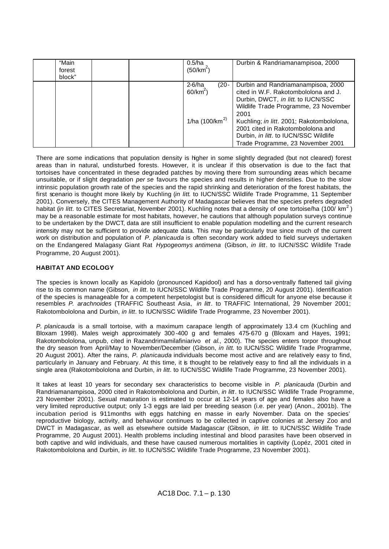| "Main<br>forest<br>block" | 0.5/ha<br>$(50/km^2)$                                        | Durbin & Randriamanampisoa, 2000                                                                                                                                                                                                                                                                                                  |
|---------------------------|--------------------------------------------------------------|-----------------------------------------------------------------------------------------------------------------------------------------------------------------------------------------------------------------------------------------------------------------------------------------------------------------------------------|
|                           | 2-6/ha<br>$(20 -$<br>60/km <sup>2</sup><br>1/ha $(100/km^2)$ | Durbin and Randriamanampisoa, 2000<br>cited in W.F. Rakotombololona and J.<br>Durbin, DWCT, in litt. to IUCN/SSC<br>Wildlife Trade Programme, 23 November<br>2001<br>Kuchling; in litt. 2001; Rakotombololona,<br>2001 cited in Rakotombololona and<br>Durbin, in litt. to IUCN/SSC Wildlife<br>Trade Programme, 23 November 2001 |

There are some indications that population density is higher in some slightly degraded (but not cleared) forest areas than in natural, undisturbed forests. However, it is unclear if this observation is due to the fact that tortoises have concentrated in these degraded patches by moving there from surrounding areas which became unsuitable, or if slight degradation *per se* favours the species and results in higher densities. Due to the slow intrinsic population growth rate of the species and the rapid shrinking and deterioration of the forest habitats, the first scenario is thought more likely by Kuchling (*in litt*. to IUCN/SSC Wildlife Trade Programme, 11 September 2001). Conversely, the CITES Management Authority of Madagascar believes that the species prefers degraded habitat (*in litt.* to CITES Secretariat, November 2001). Kuchling notes that a density of one tortoise/ha (100/ km<sup>2</sup>) may be a reasonable estimate for most habitats, however, he cautions that although population surveys continue to be undertaken by the DWCT, data are still insufficient to enable population modelling and the current research intensity may not be sufficient to provide adequate data. This may be particularly true since much of the current work on distribution and population of *P. planicauda* is often secondary work added to field surveys undertaken on the Endangered Malagasy Giant Rat *Hypogeomys antimena* (Gibson, *in litt*. to IUCN/SSC Wildlife Trade Programme, 20 August 2001).

# **HABITAT AND ECOLOGY**

The species is known locally as Kapidolo (pronounced Kapidool) and has a dorso-ventrally flattened tail giving rise to its common name (Gibson, *in litt*. to IUCN/SSC Wildlife Trade Programme, 20 August 2001). Identification of the species is manageable for a competent herpetologist but is considered difficult for anyone else because it resembles *P. arachnoides* (TRAFFIC Southeast Asia, *in litt*. to TRAFFIC International, 29 November 2001; Rakotombololona and Durbin, *in litt*. to IUCN/SSC Wildlife Trade Programme, 23 November 2001).

*P. planicauda* is a small tortoise, with a maximum carapace length of approximately 13.4 cm (Kuchling and Bloxam 1998). Males weigh approximately 300 -400 g and females 475-670 g (Bloxam and Hayes, 1991; Rakotombololona, unpub, cited in Razandrimamilafiniarivo *et al*., 2000). The species enters torpor throughout the dry season from April/May to November/December (Gibson, *in litt*. to IUCN/SSC Wildlife Trade Programme, 20 August 2001). After the rains, *P. planicauda* individuals become most active and are relatively easy to find, particularly in January and February. At this time, it is thought to be relatively easy to find all the individuals in a single area (Rakotombololona and Durbin, *in litt*. to IUCN/SSC Wildlife Trade Programme, 23 November 2001).

It takes at least 10 years for secondary sex characteristics to become visible in *P. planicauda* (Durbin and Randriamanampisoa, 2000 cited in Rakotombololona and Durbin, *in litt*. to IUCN/SSC Wildlife Trade Programme, 23 November 2001). Sexual maturation is estimated to occur at 12-14 years of age and females also have a very limited reproductive output; only 1-3 eggs are laid per breeding season (i.e. per year) (Anon., 2001b). The incubation period is 911months with eggs hatching en masse in early November. Data on the species' reproductive biology, activity, and behaviour continues to be collected in captive colonies at Jersey Zoo and DWCT in Madagascar, as well as elsewhere outside Madagascar (Gibson, *in litt*. to IUCN/SSC Wildlife Trade Programme, 20 August 2001). Health problems including intestinal and blood parasites have been observed in both captive and wild individuals, and these have caused numerous mortalities in captivity (Lopéz, 2001 cited in Rakotombololona and Durbin, *in litt*. to IUCN/SSC Wildlife Trade Programme, 23 November 2001).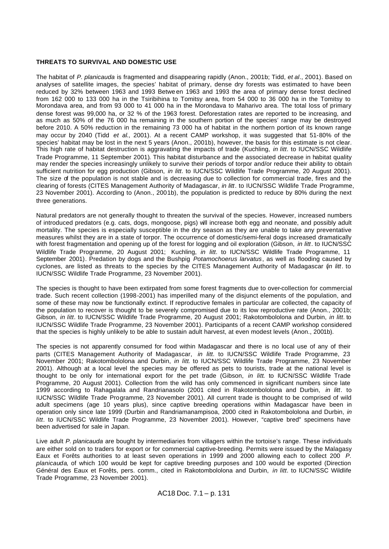#### **THREATS TO SURVIVAL AND DOMESTIC USE**

The habitat of *P. planicauda* is fragmented and disappearing rapidly (Anon., 2001b; Tidd, *et al*., 2001). Based on analyses of satellite images, the species' habitat of primary, dense dry forests was estimated to have been reduced by 32% between 1963 and 1993 Betwe en 1963 and 1993 the area of primary dense forest declined from 162 000 to 133 000 ha in the Tsiribihina to Tomitsy area, from 54 000 to 36 000 ha in the Tomitsy to Morondava area, and from 93 000 to 41 000 ha in the Morondava to Maharivo area. The total loss of primary dense forest was 99,000 ha, or 32 % of the 1963 forest. Deforestation rates are reported to be increasing, and as much as 50% of the 76 000 ha remaining in the southern portion of the species' range may be destroyed before 2010. A 50% reduction in the remaining 73 000 ha of habitat in the northern portion of its known range may occur by 2040 (Tidd *et al*., 2001). At a recent CAMP workshop, it was suggested that 51-80% of the species' habitat may be lost in the next 5 years (Anon., 2001b), however, the basis for this estimate is not clear. This high rate of habitat destruction is aggravating the impacts of trade (Kuchling, *in litt*. to IUCN/SSC Wildlife Trade Programme, 11 September 2001). This habitat disturbance and the associated decrease in habitat quality may render the species increasingly unlikely to survive their periods of torpor and/or reduce their ability to obtain sufficient nutrition for egg production (Gibson, *in litt*. to IUCN/SSC Wildlife Trade Programme, 20 August 2001). The size of the population is not stable and is decreasing due to collection for commercial trade, fires and the clearing of forests (CITES Management Authority of Madagascar, *in litt*. to IUCN/SSC Wildlife Trade Programme, 23 November 2001). According to (Anon., 2001b), the population is predicted to reduce by 80% during the next three generations.

Natural predators are not generally thought to threaten the survival of the species. However, increased numbers of introduced predators (e.g. cats, dogs, mongoose, pigs) will increase both egg and neonate, and possibly adult mortality. The species is especially susceptible in the dry season as they are unable to take any preventative measures whilst they are in a state of torpor. The occurrence of domestic/semi-feral dogs increased dramatically with forest fragmentation and opening up of the forest for logging and oil exploration (Gibson, *in litt*. to IUCN/SSC Wildlife Trade Programme, 20 August 2001; Kuchling, *in litt*. to IUCN/SSC Wildlife Trade Programme, 11 September 2001). Predation by dogs and the Bushpig *Potamochoerus larvatus*, as well as flooding caused by cyclones, are listed as threats to the species by the CITES Management Authority of Madagascar (*in litt*. to IUCN/SSC Wildlife Trade Programme, 23 November 2001).

The species is thought to have been extirpated from some forest fragments due to over-collection for commercial trade. Such recent collection (1998-2001) has imperilled many of the disjunct elements of the population, and some of these may now be functionally extinct. If reproductive females in particular are collected, the capacity of the population to recover is thought to be severely compromised due to its low reproductive rate (Anon., 2001b; Gibson, *in litt*. to IUCN/SSC Wildlife Trade Programme, 20 August 2001; Rakotombololona and Durbin, *in litt*. to IUCN/SSC Wildlife Trade Programme, 23 November 2001). Participants of a recent CAMP workshop considered that the species is highly unlikely to be able to sustain adult harvest, at even modest levels (Anon., 2001b).

The species is not apparently consumed for food within Madagascar and there is no local use of any of their parts (CITES Management Authority of Madagascar, *in litt*. to IUCN/SSC Wildlife Trade Programme, 23 November 2001; Rakotombololona and Durbin, *in litt*. to IUCN/SSC Wildlife Trade Programme, 23 November 2001). Although at a local level the species may be offered as pets to tourists, trade at the national level is thought to be only for international export for the pet trade (Gibson, *in litt*. to IUCN/SSC Wildlife Trade Programme, 20 August 2001). Collection from the wild has only commenced in significant numbers since late 1999 according to Rahagalala and Randrianasolo (2001 cited in Rakotombololona and Durbin, *in litt*. to IUCN/SSC Wildlife Trade Programme, 23 November 2001). All current trade is thought to be comprised of wild adult specimens (age 10 years plus), since captive breeding operations within Madagascar have been in operation only since late 1999 (Durbin and Randriamanampisoa, 2000 cited in Rakotombololona and Durbin, *in litt*. to IUCN/SSC Wildlife Trade Programme, 23 November 2001). However, "captive bred" specimens have been advertised for sale in Japan.

Live adult *P. planicauda* are bought by intermediaries from villagers within the tortoise's range. These individuals are either sold on to traders for export or for commercial captive-breeding. Permits were issued by the Malagasy Eaux et Forêts authorities to at least seven operations in 1999 and 2000 allowing each to collect 200 *P. planicauda*, of which 100 would be kept for captive breeding purposes and 100 would be exported (Direction Général des Eaux et Forêts, pers. comm., cited in Rakotombololona and Durbin, *in litt*. to IUCN/SSC Wildlife Trade Programme, 23 November 2001).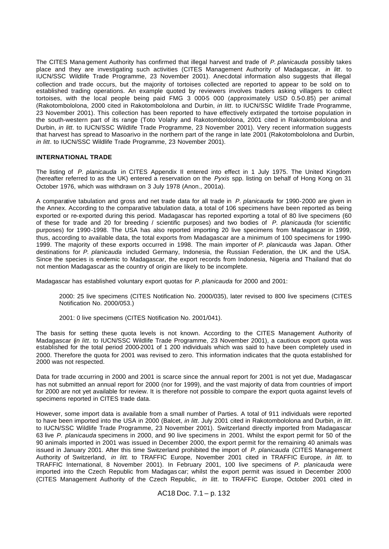The CITES Mana gement Authority has confirmed that illegal harvest and trade of *P. planicauda* possibly takes place and they are investigating such activities (CITES Management Authority of Madagascar, *in litt*. to IUCN/SSC Wildlife Trade Programme, 23 November 2001). Anecdotal information also suggests that illegal collection and trade occurs, but the majority of tortoises collected are reported to appear to be sold on to established trading operations. An example quoted by reviewers involves traders asking villagers to collect tortoises, with the local people being paid FMG 3 000-5 000 (approximately USD 0.5-0.85) per animal (Rakotombololona, 2000 cited in Rakotombololona and Durbin, *in litt*. to IUCN/SSC Wildlife Trade Programme, 23 November 2001). This collection has been reported to have effectively extirpated the tortoise population in the south-western part of its range (Toto Volahy and Rakotombololona, 2001 cited in Rakotombololona and Durbin, *in litt*. to IUCN/SSC Wildlife Trade Programme, 23 November 2001). Very recent information suggests that harvest has spread to Masoarivo in the northern part of the range in late 2001 (Rakotombololona and Durbin, *in litt*. to IUCN/SSC Wildlife Trade Programme, 23 November 2001).

# **INTERNATIONAL TRADE**

The listing of *P. planicauda* in CITES Appendix II entered into effect in 1 July 1975. The United Kingdom (hereafter referred to as the UK) entered a reservation on the *Pyxis* spp. listing on behalf of Hong Kong on 31 October 1976, which was withdrawn on 3 July 1978 (Anon., 2001a).

A comparative tabulation and gross and net trade data for all trade in *P. planicauda* for 1990-2000 are given in the Annex. According to the comparative tabulation data, a total of 106 specimens have been reported as being exported or re-exported during this period. Madagascar has reported exporting a total of 80 live specimens (60 of these for trade and 20 for breeding / scientific purposes) and two bodies of *P. planicauda* (for scientific purposes) for 1990-1998. The USA has also reported importing 20 live specimens from Madagascar in 1999, thus, according to available data, the total exports from Madagascar are a minimum of 100 specimens for 1990- 1999. The majority of these exports occurred in 1998. The main importer of *P. planicauda* was Japan. Other destinations for *P. planicauda* included Germany, Indonesia, the Russian Federation, the UK and the USA. Since the species is endemic to Madagascar, the export records from Indonesia, Nigeria and Thailand that do not mention Madagascar as the country of origin are likely to be incomplete.

Madagascar has established voluntary export quotas for *P. planicauda* for 2000 and 2001:

2000: 25 live specimens (CITES Notification No. 2000/035), later revised to 800 live specimens (CITES Notification No. 2000/053.)

2001: 0 live specimens (CITES Notification No. 2001/041).

The basis for setting these quota levels is not known. According to the CITES Management Authority of Madagascar (*in litt*. to IUCN/SSC Wildlife Trade Programme, 23 November 2001), a cautious export quota was established for the total period 2000-2001 of 1 200 individuals which was said to have been completely used in 2000. Therefore the quota for 2001 was revised to zero. This information indicates that the quota established for 2000 was not respected.

Data for trade occurring in 2000 and 2001 is scarce since the annual report for 2001 is not yet due, Madagascar has not submitted an annual report for 2000 (nor for 1999), and the vast majority of data from countries of import for 2000 are not yet available for review. It is therefore not possible to compare the export quota against levels of specimens reported in CITES trade data.

However, some import data is available from a small number of Parties. A total of 911 individuals were reported to have been imported into the USA in 2000 (Balcet, *in litt*. July 2001 cited in Rakotombololona and Durbin, *in litt*. to IUCN/SSC Wildlife Trade Programme, 23 November 2001). Switzerland directly imported from Madagascar 63 live *P. planicauda* specimens in 2000, and 90 live specimens in 2001. Whilst the export permit for 50 of the 90 animals imported in 2001 was issued in December 2000, the export permit for the remaining 40 animals was issued in January 2001. After this time Switzerland prohibited the import of *P. planicauda* (CITES Management Authority of Switzerland, *in litt*. to TRAFFIC Europe, November 2001 cited in TRAFFIC Europe, *in litt.* to TRAFFIC International, 8 November 2001). In February 2001, 100 live specimens of *P. planicauda* were imported into the Czech Republic from Madagas car; whilst the export permit was issued in December 2000 (CITES Management Authority of the Czech Republic, *in litt*. to TRAFFIC Europe, October 2001 cited in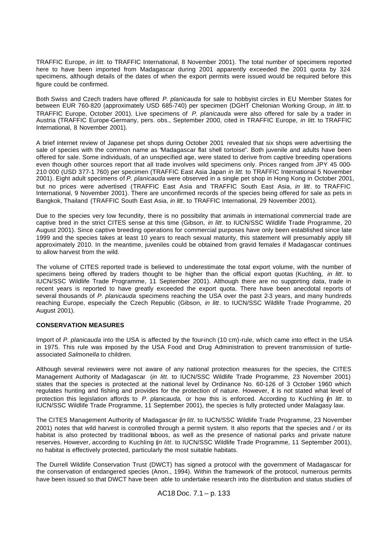TRAFFIC Europe, *in litt.* to TRAFFIC International, 8 November 2001). The total number of specimens reported here to have been imported from Madagascar during 2001 apparently exceeded the 2001 quota by 324 specimens, although details of the dates of when the export permits were issued would be required before this figure could be confirmed.

Both Swiss and Czech traders have offered *P. planicauda* for sale to hobbyist circles in EU Member States for between EUR 760-820 (approximately USD 685-740) per specimen (DGHT Chelonian Working Group, *in litt*. to TRAFFIC Europe, October 2001). Live specimens of *P. planicauda* were also offered for sale by a trader in Austria (TRAFFIC Europe-Germany, pers. obs., September 2000, cited in TRAFFIC Europe, *in litt.* to TRAFFIC International, 8 November 2001).

A brief internet review of Japanese pet shops during October 2001 revealed that six shops were advertising the sale of species with the common name as "Madagascar flat shell tortoise". Both juvenile and adults have been offered for sale. Some individuals, of an unspecified age, were stated to derive from captive breeding operations even though other sources report that all trade involves wild specimens only. Prices ranged from JPY 45 000- 210 000 (USD 377-1 760) per specimen (TRAFFIC East Asia Japan *in litt.* to TRAFFIC International 5 November 2001). Eight adult specimens of *P. planicauda* were observed in a single pet shop in Hong Kong in October 2001, but no prices were advertised (TRAFFIC East Asia and TRAFFIC South East Asia, *in litt*. to TRAFFIC International, 9 November 2001). There are unconfirmed records of the species being offered for sale as pets in Bangkok, Thailand (TRAFFIC South East Asia, *in litt*. to TRAFFIC International, 29 November 2001).

Due to the species very low fecundity, there is no possibility that animals in international commercial trade are captive bred in the strict CITES sense at this time (Gibson, *in litt*. to IUCN/SSC Wildlife Trade Programme, 20 August 2001). Since captive breeding operations for commercial purposes have only been established since late 1999 and the species takes at least 10 years to reach sexual maturity, this statement will presumably apply till approximately 2010. In the meantime, juveniles could be obtained from gravid females if Madagascar continues to allow harvest from the wild.

The volume of CITES reported trade is believed to underestimate the total export volume, with the number of specimens being offered by traders thought to be higher than the official export quotas (Kuchling, *in litt*. to IUCN/SSC Wildlife Trade Programme, 11 September 2001). Although there are no supporting data, trade in recent years is reported to have greatly exceeded the export quota. There have been anecdotal reports of several thousands of *P. planicauda* specimens reaching the USA over the past 2-3 years, and many hundreds reaching Europe, especially the Czech Republic (Gibson, *in litt*. to IUCN/SSC Wildlife Trade Programme, 20 August 2001).

# **CONSERVATION MEASURES**

Import of *P. planicauda* into the USA is affected by the four-inch (10 cm)-rule, which came into effect in the USA in 1975. This rule was imposed by the USA Food and Drug Administration to prevent transmission of turtleassociated *Salmonella* to children.

Although several reviewers were not aware of any national protection measures for the species, the CITES Management Authority of Madagascar (*in litt*. to IUCN/SSC Wildlife Trade Programme, 23 November 2001) states that the species is protected at the national level by Ordinance No. 60-126 of 3 October 1960 which regulates hunting and fishing and provides for the protection of nature. However, it is not stated what level of protection this legislation affords to *P. planicauda,* or how this is enforced. According to Kuchling (*in litt*. to IUCN/SSC Wildlife Trade Programme, 11 September 2001), the species is fully protected under Malagasy law.

The CITES Management Authority of Madagascar (*in litt*. to IUCN/SSC Wildlife Trade Programme, 23 November 2001) notes that wild harvest is controlled through a permit system. It also reports that the species and / or its habitat is also protected by traditional taboos, as well as the presence of national parks and private nature reserves. However, according to Kuchling (*in litt*. to IUCN/SSC Wildlife Trade Programme, 11 September 2001), no habitat is effectively protected, particularly the most suitable habitats.

The Durrell Wildlife Conservation Trust (DWCT) has signed a protocol with the government of Madagascar for the conservation of endangered species (Anon., 1994). Within the framework of the protocol, numerous permits have been issued so that DWCT have been able to undertake research into the distribution and status studies of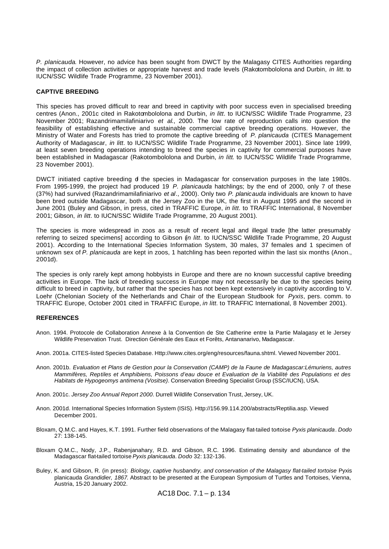*P. planicauda*. However, no advice has been sought from DWCT by the Malagasy CITES Authorities regarding the impact of collection activities or appropriate harvest and trade levels (Rakotombololona and Durbin, *in litt*. to IUCN/SSC Wildlife Trade Programme, 23 November 2001).

#### **CAPTIVE BREEDING**

This species has proved difficult to rear and breed in captivity with poor success even in specialised breeding centres (Anon., 2001c cited in Rakotombololona and Durbin, *in litt*. to IUCN/SSC Wildlife Trade Programme, 23 November 2001; Razandrimamilafiniarivo *et al*., 2000. The low rate of reproduction calls into question the feasibility of establishing effective and sustainable commercial captive breeding operations. However, the Ministry of Water and Forests has tried to promote the captive breeding of *P. planicauda* (CITES Management Authority of Madagascar, *in litt*. to IUCN/SSC Wildlife Trade Programme, 23 November 2001). Since late 1999, at least seven breeding operations intending to breed the species in captivity for commercial purposes have been established in Madagascar (Rakotombololona and Durbin, *in litt*. to IUCN/SSC Wildlife Trade Programme, 23 November 2001).

DWCT initiated captive breeding of the species in Madagascar for conservation purposes in the late 1980s. From 1995-1999, the project had produced 19 *P. planicauda* hatchlings; by the end of 2000, only 7 of these (37%) had survived (Razandrimamilafiniarivo *et al*., 2000). Only two *P. planicauda* individuals are known to have been bred outside Madagascar, both at the Jersey Zoo in the UK, the first in August 1995 and the second in June 2001 (Buley and Gibson, in press, cited in TRAFFIC Europe, *in litt.* to TRAFFIC International, 8 November 2001; Gibson, *in litt*. to IUCN/SSC Wildlife Trade Programme, 20 August 2001).

The species is more widespread in zoos as a result of recent legal and illegal trade [the latter presumably referring to seized specimens] according to Gibson (*in litt*. to IUCN/SSC Wildlife Trade Programme, 20 August 2001). According to the International Species Information System, 30 males, 37 females and 1 specimen of unknown sex of *P. planicauda* are kept in zoos, 1 hatchling has been reported within the last six months (Anon., 2001d).

The species is only rarely kept among hobbyists in Europe and there are no known successful captive breeding activities in Europe. The lack of breeding success in Europe may not necessarily be due to the species being difficult to breed in captivity, but rather that the species has not been kept extensively in captivity according to V. Loehr (Chelonian Society of the Netherlands and Chair of the European Studbook for *Pyxis*, pers. comm. to TRAFFIC Europe, October 2001 cited in TRAFFIC Europe, *in litt.* to TRAFFIC International, 8 November 2001).

#### **REFERENCES**

- Anon. 1994. Protocole de Collaboration Annexe à la Convention de Ste Catherine entre la Partie Malagasy et le Jersey Wildlife Preservation Trust. Direction Générale des Eaux et Forêts, Antananarivo, Madagascar.
- Anon. 2001a. CITES-listed Species Database. Http://www.cites.org/eng/resources/fauna.shtml. Viewed November 2001.
- Anon. 2001b. *Evaluation et Plans de Gestion pour la Conservation (CAMP) de la Faune de Madagascar:Lémuriens, autres Mammifères, Reptiles et Amphibiens, Poissons d'eau douce et Evaluation de la Viabilité des Populations et des Habitats de Hypogeomys antimena (Vositse)*. Conservation Breeding Specialist Group (SSC/IUCN), USA.
- Anon. 2001c. *Jersey Zoo Annual Report 2000*. Durrell Wildlife Conservation Trust, Jersey, UK.
- Anon. 2001d. International Species Information System (ISIS). Http://156.99.114.200/abstracts/Reptilia.asp. Viewed December 2001.
- Bloxam, Q.M.C. and Hayes, K.T. 1991. Further field observations of the Malagasy flat-tailed tortoise *Pyxis planicauda*. *Dodo*  27: 138-145.
- Bloxam Q.M.C., Nody, J.P., Rabenjanahary, R.D. and Gibson, R.C. 1996. Estimating density and abundance of the Madagascar flat-tailed tortoise *Pyxis planicauda*. *Dodo* 32: 132-136.
- Buley, K. and Gibson, R. (in press): *Biology, captive husbandry, and conservation of the Malagasy flat-tailed tortoise Pyxis* planicauda *Grandidier, 1867*. Abstract to be presented at the European Symposium of Turtles and Tortoises, Vienna, Austria, 15-20 January 2002.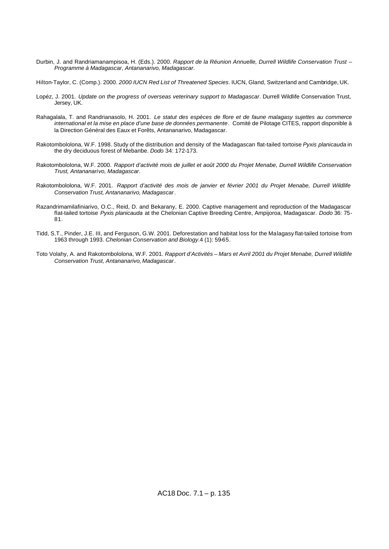- Durbin, J. and Randriamanampisoa, H. (Eds.). 2000. *Rapport de la Réunion Annuelle, Durrell Wildlife Conservation Trust – Programme à Madagascar, Antananarivo, Madagascar*.
- Hilton-Taylor, C. (Comp.). 2000. *2000 IUCN Red List of Threatened Species*. IUCN, Gland, Switzerland and Cambridge, UK.
- Lopéz, J. 2001. *Update on the progress of overseas veterinary support to Madagascar*. Durrell Wildlife Conservation Trust, Jersey, UK.
- Rahagalala, T. and Randrianasolo, H. 2001. *Le statut des espèces de flore et de faune malagasy sujettes au commerce international et la mise en place d'une base de données permanente*. Comité de Pilotage CITES, rapport disponible à la Direction Général des Eaux et Forêts, Antananarivo, Madagascar.
- Rakotombololona, W.F. 1998. Study of the distribution and density of the Madagascan flat-tailed tortoise *Pyxis planicauda* in the dry deciduous forest of Mebanbe. *Dodo* 34: 172-173.
- Rakotombololona, W.F. 2000. *Rapport d'activité mois de juillet et août 2000 du Projet Menabe, Durrell Wildlife Conservation Trust, Antananarivo, Madagascar*.
- Rakotombololona, W.F. 2001. *Rapport d'activité des mois de janvier et février 2001 du Projet Menabe, Durrell Wildlife Conservation Trust, Antananarivo, Madagascar*.
- Razandrimamilafiniarivo, O.C., Reid, D. and Bekarany, E. 2000. Captive management and reproduction of the Madagascar flat-tailed tortoise *Pyxis planicauda* at the Chelonian Captive Breeding Centre, Ampijoroa, Madagascar. *Dodo* 36: 75- 81.
- Tidd, S.T., Pinder, J.E. III, and Ferguson, G.W. 2001. Deforestation and habitat loss for the Malagasy flat-tailed tortoise from 1963 through 1993. *Chelonian Conservation and Biology*.4 (1): 59-65.
- Toto Volahy, A. and Rakotombololona, W.F. 2001. *Rapport d'Activités Mars et Avril 2001 du Projet Menabe, Durrell Wildlife Conservation Trust, Antananarivo, Madagascar*.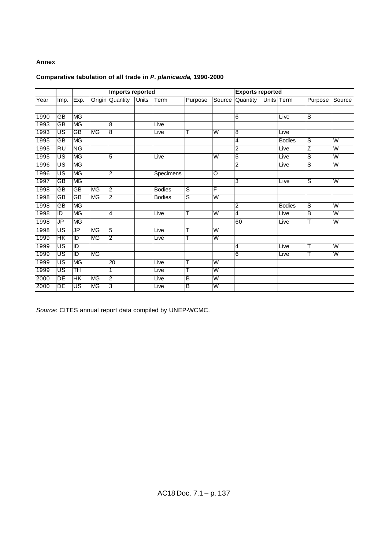# **Annex**

# **Comparative tabulation of all trade in** *P. planicauda***, 1990-2000**

|      |                 |           |           | Imports reported |              |               |                |                         | <b>Exports reported</b> |               |                |                         |  |
|------|-----------------|-----------|-----------|------------------|--------------|---------------|----------------|-------------------------|-------------------------|---------------|----------------|-------------------------|--|
| Year | Imp.            | Exp.      |           | Origin Quantity  | <b>Units</b> | Term          | Purpose        | Source                  | Quantity                | Units Term    | Purpose        | Source                  |  |
|      |                 |           |           |                  |              |               |                |                         |                         |               |                |                         |  |
| 1990 | <b>GB</b>       | <b>MG</b> |           |                  |              |               |                |                         | 6                       | Live          | S              |                         |  |
| 1993 | $\overline{GB}$ | MG        |           | 8                |              | Live          |                |                         |                         |               |                |                         |  |
| 1993 | US              | GB        | MG        | 8                |              | Live          |                | W                       | 8                       | Live          |                |                         |  |
| 1995 | GB              | <b>MG</b> |           |                  |              |               |                |                         | 4                       | <b>Bodies</b> | $\overline{s}$ | W                       |  |
| 1995 | RU              | ΝG        |           |                  |              |               |                |                         | 2                       | Live          | Ζ              | W                       |  |
| 1995 | US              | <b>MG</b> |           | 5                |              | Live          |                | W                       | 5                       | Live          | $\overline{s}$ | W                       |  |
| 1996 | US              | <b>MG</b> |           |                  |              |               |                |                         | 2                       | Live          | S              | W                       |  |
| 1996 | US              | <b>MG</b> |           | 2                |              | Specimens     |                | O                       |                         |               |                |                         |  |
| 1997 | GB              | <b>MG</b> |           |                  |              |               |                |                         | 3                       | Live          | S              | W                       |  |
| 1998 | GB              | GB        | <b>MG</b> | $\overline{2}$   |              | <b>Bodies</b> | S              | F                       |                         |               |                |                         |  |
| 1998 | GB              | GB        | <b>MG</b> | 2                |              | <b>Bodies</b> | $\overline{s}$ | $\overline{\mathsf{W}}$ |                         |               |                |                         |  |
| 1998 | GB              | <b>MG</b> |           |                  |              |               |                |                         | 2                       | <b>Bodies</b> | $\overline{s}$ | $\overline{\mathsf{W}}$ |  |
| 1998 | ID              | <b>MG</b> |           | 4                |              | Live          |                | $\overline{\mathsf{W}}$ | 4                       | Live          | B              | $\overline{\mathsf{W}}$ |  |
| 1998 | JP              | <b>MG</b> |           |                  |              |               |                |                         | 60                      | Live          | т              | W                       |  |
| 1998 | US              | JP        | <b>MG</b> | 5                |              | Live          |                | $\overline{\mathsf{W}}$ |                         |               |                |                         |  |
| 1999 | HК              | ID        | <b>MG</b> | 2                |              | Live          |                | W                       |                         |               |                |                         |  |
| 1999 | US              | ID        |           |                  |              |               |                |                         | 4                       | Live          | т              | $\overline{\mathsf{W}}$ |  |
| 1999 | US              | ID        | <b>MG</b> |                  |              |               |                |                         | 6                       | Live          |                | W                       |  |
| 1999 | US              | <b>MG</b> |           | 20               |              | Live          | Т              | $\overline{\mathsf{W}}$ |                         |               |                |                         |  |
| 1999 | US              | ТH        |           | 1                |              | Live          |                | W                       |                         |               |                |                         |  |
| 2000 | DE              | HK        | <b>MG</b> | $\overline{c}$   |              | Live          | В              | $\overline{\mathsf{W}}$ |                         |               |                |                         |  |
| 2000 | DE              | US        | <b>MG</b> | 3                |              | Live          | в              | W                       |                         |               |                |                         |  |

*Source*: CITES annual report data compiled by UNEP-WCMC.